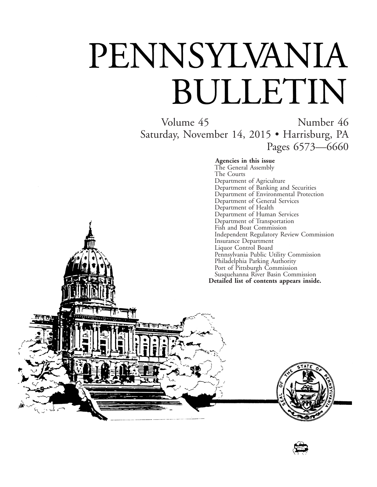# PENNSYLVANIA BULLETIN

गान

Volume 45 Number 46 Saturday, November 14, 2015 • Harrisburg, PA Pages 6573—6660

#### **Agencies in this issue**

The General Assembly The Courts Department of Agriculture Department of Banking and Securities Department of Environmental Protection Department of General Services Department of Health Department of Human Services Department of Transportation Fish and Boat Commission Independent Regulatory Review Commission Insurance Department Liquor Control Board Pennsylvania Public Utility Commission Philadelphia Parking Authority Port of Pittsburgh Commission Susquehanna River Basin Commission **Detailed list of contents appears inside.**



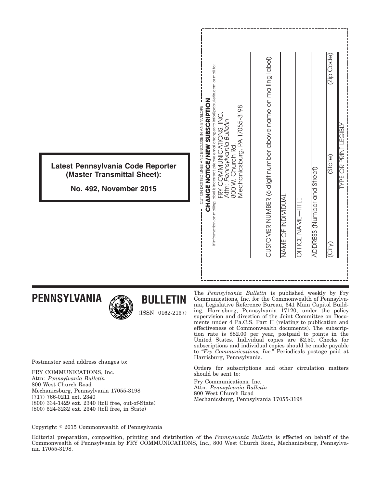| Latest Pennsylvania Code Reporter                            | If information on mailing label is incorrect, please email changes to info@pabulletin.com or mail to:<br><b>CHANGE NOTICE/SISSORIPTION</b><br>Mechanicsburg, PA 17055-3198<br>CUT ON DOTTED LINES AND ENCLOSE IN AN ENVELOPE<br>FRY COMMUNICATIONS, INC<br>Attn: Pennsylvania Bulletin | (Zip Code)<br>CUSTOMER NUMBER (6 digit number above name on mailing label)<br><b>GIBL</b><br>当<br>THIRLE OR PRINT<br>(State) |
|--------------------------------------------------------------|----------------------------------------------------------------------------------------------------------------------------------------------------------------------------------------------------------------------------------------------------------------------------------------|------------------------------------------------------------------------------------------------------------------------------|
| (Master Transmittal Sheet):<br><b>No. 492, November 2015</b> | 800 W. Church Rd.                                                                                                                                                                                                                                                                      |                                                                                                                              |
|                                                              |                                                                                                                                                                                                                                                                                        | ADDRESS (Number and Street)<br>NAME OF INDIVIDUAL<br>OFFICE NAME-TITLE                                                       |
|                                                              |                                                                                                                                                                                                                                                                                        | $\overline{\text{City}}$                                                                                                     |
|                                                              |                                                                                                                                                                                                                                                                                        |                                                                                                                              |

**PENNSYLVANIA**



**BULLETIN**

(ISSN 0162-2137)

Postmaster send address changes to:

FRY COMMUNICATIONS, Inc. Attn: *Pennsylvania Bulletin* 800 West Church Road Mechanicsburg, Pennsylvania 17055-3198 (717) 766-0211 ext. 2340 (800) 334-1429 ext. 2340 (toll free, out-of-State) (800) 524-3232 ext. 2340 (toll free, in State)

The *Pennsylvania Bulletin* is published weekly by Fry Communications, Inc. for the Commonwealth of Pennsylvania, Legislative Reference Bureau, 641 Main Capitol Building, Harrisburg, Pennsylvania 17120, under the policy supervision and direction of the Joint Committee on Documents under 4 Pa.C.S. Part II (relating to publication and effectiveness of Commonwealth documents). The subscription rate is \$82.00 per year, postpaid to points in the United States. Individual copies are \$2.50. Checks for subscriptions and individual copies should be made payable to "*Fry Communications, Inc.*" Periodicals postage paid at Harrisburg, Pennsylvania.

Orders for subscriptions and other circulation matters should be sent to:

Fry Communications, Inc. Attn: *Pennsylvania Bulletin* 800 West Church Road Mechanicsburg, Pennsylvania 17055-3198

Copyright © 2015 Commonwealth of Pennsylvania

Editorial preparation, composition, printing and distribution of the *Pennsylvania Bulletin* is effected on behalf of the Commonwealth of Pennsylvania by FRY COMMUNICATIONS, Inc., 800 West Church Road, Mechanicsburg, Pennsylvania 17055-3198.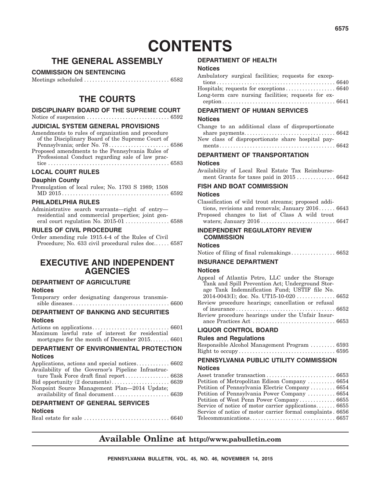# **CONTENTS**

### **THE GENERAL ASSEMBLY**

#### **COMMISSION ON SENTENCING**

Meetings scheduled ............................... 6582

### **THE COURTS**

#### **DISCIPLINARY BOARD OF THE SUPREME COURT**

#### Notice of suspension .............................. 6592

#### **JUDICIAL SYSTEM GENERAL PROVISIONS**

Amendments to rules of organization and procedure of the Disciplinary Board of the Supreme Court of Pennsylvania; order No. 78......................... 6586 Proposed amendments to the Pennsylvania Rules of Professional Conduct regarding sale of law practice ............................................ 6583

### **LOCAL COURT RULES**

#### **Dauphin County**

Promulgation of local rules; No. 1793 S 1989; 1508 MD 2015 ....................................... 6592

#### **PHILADELPHIA RULES**

Administrative search warrants—right of entry residential and commercial properties; joint general court regulation No. 2015-01 ................ 6588

#### **RULES OF CIVIL PROCEDURE**

Order amending rule 1915.4-4 of the Rules of Civil Procedure; No. 633 civil procedural rules doc...... 6587

### **EXECUTIVE AND INDEPENDENT AGENCIES**

#### **DEPARTMENT OF AGRICULTURE**

**Notices**

Temporary order designating dangerous transmissible diseases ................................... 6600

#### **DEPARTMENT OF BANKING AND SECURITIES Notices**

Actions on applications............................ 6601 Maximum lawful rate of interest for residential mortgages for the month of December 2015....... 6601

### **DEPARTMENT OF ENVIRONMENTAL PROTECTION**

#### **Notices**

#### availability of final document.................... 6639

#### **DEPARTMENT OF GENERAL SERVICES**

#### **Notices**

Real estate for sale ............................... 6640

#### **DEPARTMENT OF HEALTH**

#### **Notices**

| Ambulatory surgical facilities; requests for excep- |  |  |  |
|-----------------------------------------------------|--|--|--|
|                                                     |  |  |  |
|                                                     |  |  |  |
| Long-term care nursing facilities; requests for ex- |  |  |  |
|                                                     |  |  |  |

#### **DEPARTMENT OF HUMAN SERVICES**

#### **Notices**

| Change to an additional class of disproportionate |  |
|---------------------------------------------------|--|
|                                                   |  |
| New class of disproportionate share hospital pay- |  |
|                                                   |  |

### **DEPARTMENT OF TRANSPORTATION**

#### **Notices**

Availability of Local Real Estate Tax Reimbursement Grants for taxes paid in 2015 .............. 6642

#### **FISH AND BOAT COMMISSION**

#### **Notices**

Classification of wild trout streams; proposed additions, revisions and removals; January 2016 ...... 6643

Proposed changes to list of Class A wild trout waters; January 2016 ........................... 6647

#### **INDEPENDENT REGULATORY REVIEW COMMISSION**

#### **Notices**

|--|--|--|

#### **INSURANCE DEPARTMENT**

#### **Notices**

| Appeal of Atlantis Petro, LLC under the Storage    |  |
|----------------------------------------------------|--|
| Tank and Spill Prevention Act; Underground Stor-   |  |
| age Tank Indemnification Fund; USTIF file No.      |  |
|                                                    |  |
| Review procedure hearings; cancellation or refusal |  |
|                                                    |  |
| Review procedure hearings under the Unfair Insur-  |  |
|                                                    |  |
| <b>LIQUOR CONTROL BOARD</b>                        |  |

#### **Rules and Regulations**

| Responsible Alcohol Management Program  6593 |  |  |
|----------------------------------------------|--|--|
|                                              |  |  |

#### **PENNSYLVANIA PUBLIC UTILITY COMMISSION**

#### **Notices**

Asset transfer transaction ................................ 6653 Petition of Metropolitan Edison Company .......... 6654 Petition of Pennsylvania Electric Company ......... 6654 Petition of Pennsylvania Power Company .......... 6654 Petition of West Penn Power Company ............. 6655 Service of notice of motor carrier applications....... 6655 Service of notice of motor carrier formal complaints . 6656 Telecommunications............................... 6657

### **Available Online at http://www.pabulletin.com**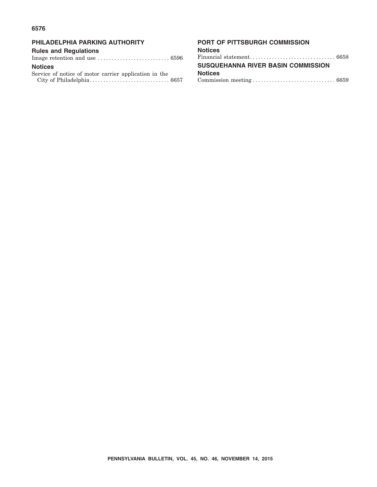#### **6576**

#### **PHILADELPHIA PARKING AUTHORITY**

#### **Rules and Regulations**

Image retention and use .......................... 6596 **Notices**

Service of notice of motor carrier application in the City of Philadelphia............................. 6657

#### **PORT OF PITTSBURGH COMMISSION**

| Notices                            |  |  |  |  |  |  |  |  |  |
|------------------------------------|--|--|--|--|--|--|--|--|--|
| Financial statement 6658           |  |  |  |  |  |  |  |  |  |
| SUSQUEHANNA RIVER BASIN COMMISSION |  |  |  |  |  |  |  |  |  |
| Notices                            |  |  |  |  |  |  |  |  |  |
|                                    |  |  |  |  |  |  |  |  |  |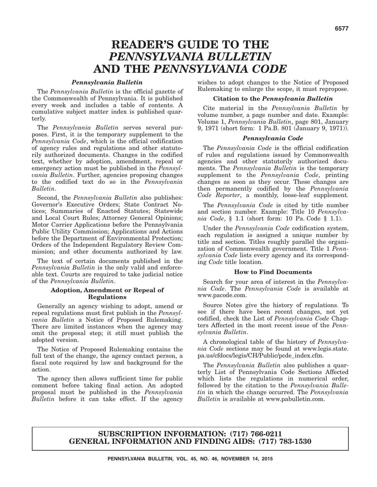### **READER'S GUIDE TO THE** *PENNSYLVANIA BULLETIN* **AND THE** *PENNSYLVANIA CODE*

#### *Pennsylvania Bulletin*

The *Pennsylvania Bulletin* is the official gazette of the Commonwealth of Pennsylvania. It is published every week and includes a table of contents. A cumulative subject matter index is published quarterly.

The *Pennsylvania Bulletin* serves several purposes. First, it is the temporary supplement to the *Pennsylvania Code*, which is the official codification of agency rules and regulations and other statutorily authorized documents. Changes in the codified text, whether by adoption, amendment, repeal or emergency action must be published in the *Pennsylvania Bulletin*. Further, agencies proposing changes to the codified text do so in the *Pennsylvania Bulletin*.

Second, the *Pennsylvania Bulletin* also publishes: Governor's Executive Orders; State Contract Notices; Summaries of Enacted Statutes; Statewide and Local Court Rules; Attorney General Opinions; Motor Carrier Applications before the Pennsylvania Public Utility Commission; Applications and Actions before the Department of Environmental Protection; Orders of the Independent Regulatory Review Commission; and other documents authorized by law.

The text of certain documents published in the *Pennsylvania Bulletin* is the only valid and enforceable text. Courts are required to take judicial notice of the *Pennsylvania Bulletin*.

#### **Adoption, Amendment or Repeal of Regulations**

Generally an agency wishing to adopt, amend or repeal regulations must first publish in the *Pennsylvania Bulletin* a Notice of Proposed Rulemaking. There are limited instances when the agency may omit the proposal step; it still must publish the adopted version.

The Notice of Proposed Rulemaking contains the full text of the change, the agency contact person, a fiscal note required by law and background for the action.

The agency then allows sufficient time for public comment before taking final action. An adopted proposal must be published in the *Pennsylvania Bulletin* before it can take effect. If the agency

wishes to adopt changes to the Notice of Proposed Rulemaking to enlarge the scope, it must repropose.

#### **Citation to the** *Pennsylvania Bulletin*

Cite material in the *Pennsylvania Bulletin* by volume number, a page number and date. Example: Volume 1, *Pennsylvania Bulletin*, page 801, January 9, 1971 (short form: 1 Pa.B. 801 (January 9, 1971)).

#### *Pennsylvania Code*

The *Pennsylvania Code* is the official codification of rules and regulations issued by Commonwealth agencies and other statutorily authorized documents. The *Pennsylvania Bulletin* is the temporary supplement to the *Pennsylvania Code*, printing changes as soon as they occur. These changes are then permanently codified by the *Pennsylvania Code Reporter*, a monthly, loose-leaf supplement.

The *Pennsylvania Code* is cited by title number and section number. Example: Title 10 *Pennsylvania Code*, § 1.1 (short form: 10 Pa. Code § 1.1).

Under the *Pennsylvania Code* codification system, each regulation is assigned a unique number by title and section. Titles roughly parallel the organization of Commonwealth government. Title 1 *Pennsylvania Code* lists every agency and its corresponding *Code* title location.

#### **How to Find Documents**

Search for your area of interest in the *Pennsylvania Code*. The *Pennsylvania Code* is available at www.pacode.com.

Source Notes give the history of regulations. To see if there have been recent changes, not yet codified, check the List of *Pennsylvania Code* Chapters Affected in the most recent issue of the *Pennsylvania Bulletin*.

A chronological table of the history of *Pennsylvania Code* sections may be found at www.legis.state. pa.us/cfdocs/legis/CH/Public/pcde\_index.cfm.

The *Pennsylvania Bulletin* also publishes a quarterly List of Pennsylvania Code Sections Affected which lists the regulations in numerical order, followed by the citation to the *Pennsylvania Bulletin* in which the change occurred. The *Pennsylvania Bulletin* is available at www.pabulletin.com.

#### **SUBSCRIPTION INFORMATION: (717) 766-0211 GENERAL INFORMATION AND FINDING AIDS: (717) 783-1530**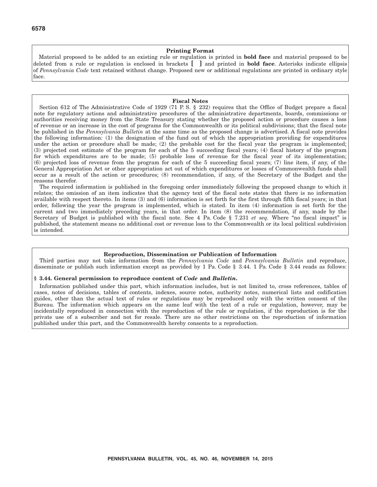#### **Printing Format**

Material proposed to be added to an existing rule or regulation is printed in **bold face** and material proposed to be deleted from a rule or regulation is enclosed in brackets **[ ]** and printed in **bold face**. Asterisks indicate ellipsis of *Pennsylvania Code* text retained without change. Proposed new or additional regulations are printed in ordinary style face.

#### **Fiscal Notes**

Section 612 of The Administrative Code of 1929 (71 P. S. § 232) requires that the Office of Budget prepare a fiscal note for regulatory actions and administrative procedures of the administrative departments, boards, commissions or authorities receiving money from the State Treasury stating whether the proposed action or procedure causes a loss of revenue or an increase in the cost of programs for the Commonwealth or its political subdivisions; that the fiscal note be published in the *Pennsylvania Bulletin* at the same time as the proposed change is advertised. A fiscal note provides the following information: (1) the designation of the fund out of which the appropriation providing for expenditures under the action or procedure shall be made; (2) the probable cost for the fiscal year the program is implemented; (3) projected cost estimate of the program for each of the 5 succeeding fiscal years; (4) fiscal history of the program for which expenditures are to be made; (5) probable loss of revenue for the fiscal year of its implementation; (6) projected loss of revenue from the program for each of the 5 succeeding fiscal years; (7) line item, if any, of the General Appropriation Act or other appropriation act out of which expenditures or losses of Commonwealth funds shall occur as a result of the action or procedures; (8) recommendation, if any, of the Secretary of the Budget and the reasons therefor.

The required information is published in the foregoing order immediately following the proposed change to which it relates; the omission of an item indicates that the agency text of the fiscal note states that there is no information available with respect thereto. In items (3) and (6) information is set forth for the first through fifth fiscal years; in that order, following the year the program is implemented, which is stated. In item (4) information is set forth for the current and two immediately preceding years, in that order. In item (8) the recommendation, if any, made by the Secretary of Budget is published with the fiscal note. See 4 Pa. Code § 7.231 *et seq.* Where "no fiscal impact" is published, the statement means no additional cost or revenue loss to the Commonwealth or its local political subdivision is intended.

#### **Reproduction, Dissemination or Publication of Information**

Third parties may not take information from the *Pennsylvania Code* and *Pennsylvania Bulletin* and reproduce, disseminate or publish such information except as provided by 1 Pa. Code § 3.44. 1 Pa. Code § 3.44 reads as follows:

#### **§ 3.44. General permission to reproduce content of** *Code* **and** *Bulletin***.**

Information published under this part, which information includes, but is not limited to, cross references, tables of cases, notes of decisions, tables of contents, indexes, source notes, authority notes, numerical lists and codification guides, other than the actual text of rules or regulations may be reproduced only with the written consent of the Bureau. The information which appears on the same leaf with the text of a rule or regulation, however, may be incidentally reproduced in connection with the reproduction of the rule or regulation, if the reproduction is for the private use of a subscriber and not for resale. There are no other restrictions on the reproduction of information published under this part, and the Commonwealth hereby consents to a reproduction.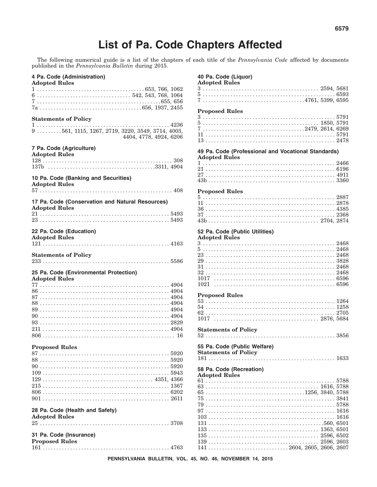### **List of Pa. Code Chapters Affected**

The following numerical guide is a list of the chapters of each title of the *Pennsylvania Code* affected by documents published in the *Pennsylvania Bulletin* during 2015.

| 4 Pa. Code (Administration)<br><b>Adopted Rules</b>                                                                        |
|----------------------------------------------------------------------------------------------------------------------------|
| $6 \ldots \ldots \ldots \ldots \ldots \ldots \ldots \ldots \ldots \ldots \ldots \ldots 542, 543, 768, 1064$<br>$7655, 656$ |
| <b>Statements of Policy</b>                                                                                                |
| $9 \ldots 561, 1115, 1267, 2719, 3220, 3549, 3714, 4003,$<br>4404, 4778, 4924, 6206                                        |
| 7 Pa. Code (Agriculture)<br><b>Adopted Rules</b>                                                                           |
|                                                                                                                            |
| 10 Pa. Code (Banking and Securities)<br><b>Adopted Rules</b>                                                               |
| 17 Pa. Code (Conservation and Natural Resources)                                                                           |
| <b>Adopted Rules</b>                                                                                                       |
|                                                                                                                            |
| 22 Pa. Code (Education)<br><b>Adopted Rules</b>                                                                            |
|                                                                                                                            |
| <b>Statements of Policy</b>                                                                                                |
| 25 Pa. Code (Environmental Protection)                                                                                     |
| <b>Adopted Rules</b>                                                                                                       |
|                                                                                                                            |
|                                                                                                                            |
|                                                                                                                            |
|                                                                                                                            |
|                                                                                                                            |
|                                                                                                                            |
| <b>Proposed Rules</b>                                                                                                      |
|                                                                                                                            |
|                                                                                                                            |
|                                                                                                                            |
|                                                                                                                            |
|                                                                                                                            |
|                                                                                                                            |
|                                                                                                                            |
| 28 Pa. Code (Health and Safety)<br><b>Adopted Rules</b>                                                                    |
| 31 Pa. Code (Insurance)                                                                                                    |
| <b>Proposed Rules</b>                                                                                                      |

#### 40 Pa. Code (Liquor)

| <b>Adopted Rules</b>                                                                              |  |
|---------------------------------------------------------------------------------------------------|--|
|                                                                                                   |  |
|                                                                                                   |  |
|                                                                                                   |  |
| <b>Proposed Rules</b>                                                                             |  |
| 3                                                                                                 |  |
|                                                                                                   |  |
|                                                                                                   |  |
|                                                                                                   |  |
|                                                                                                   |  |
|                                                                                                   |  |
| 49 Pa. Code (Professional and Vocational Standards)                                               |  |
| <b>Adopted Rules</b>                                                                              |  |
|                                                                                                   |  |
|                                                                                                   |  |
|                                                                                                   |  |
|                                                                                                   |  |
| <b>Proposed Rules</b>                                                                             |  |
|                                                                                                   |  |
|                                                                                                   |  |
|                                                                                                   |  |
|                                                                                                   |  |
|                                                                                                   |  |
|                                                                                                   |  |
| 52 Pa. Code (Public Utilities)                                                                    |  |
| <b>Adopted Rules</b>                                                                              |  |
|                                                                                                   |  |
|                                                                                                   |  |
|                                                                                                   |  |
|                                                                                                   |  |
|                                                                                                   |  |
|                                                                                                   |  |
|                                                                                                   |  |
|                                                                                                   |  |
| 1021                                                                                              |  |
| <b>Proposed Rules</b>                                                                             |  |
|                                                                                                   |  |
|                                                                                                   |  |
|                                                                                                   |  |
|                                                                                                   |  |
| 1017                                                                                              |  |
| <b>Statements of Policy</b>                                                                       |  |
|                                                                                                   |  |
|                                                                                                   |  |
| 55 Pa. Code (Public Welfare)                                                                      |  |
| <b>Statements of Policy</b>                                                                       |  |
|                                                                                                   |  |
|                                                                                                   |  |
| 58 Pa. Code (Recreation)                                                                          |  |
| <b>Adopted Rules</b>                                                                              |  |
|                                                                                                   |  |
|                                                                                                   |  |
|                                                                                                   |  |
| $75\,\dots\dots\dots\dots\dots\dots\dots\dots\dots\dots\dots\dots\dots\dots\dots\dots\dots\ 3841$ |  |
|                                                                                                   |  |
|                                                                                                   |  |
|                                                                                                   |  |
|                                                                                                   |  |
|                                                                                                   |  |
|                                                                                                   |  |
|                                                                                                   |  |
|                                                                                                   |  |
|                                                                                                   |  |

PENNSYLVANIA BULLETIN, VOL. 45, NO. 46, NOVEMBER 14, 2015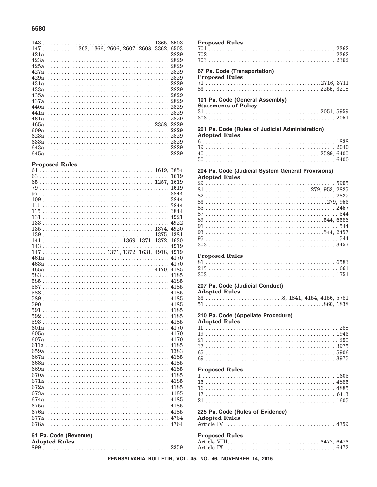#### 6580

| $147 \ldots \ldots \ldots 1363, 1366, 2606, 2607, 2608, 3362, 6503$ |  |  |  |  |  |  |  |  |  |  |  |  |  |  |  |  |  |  |  |
|---------------------------------------------------------------------|--|--|--|--|--|--|--|--|--|--|--|--|--|--|--|--|--|--|--|
| 421a                                                                |  |  |  |  |  |  |  |  |  |  |  |  |  |  |  |  |  |  |  |
| 423a                                                                |  |  |  |  |  |  |  |  |  |  |  |  |  |  |  |  |  |  |  |
| 425a                                                                |  |  |  |  |  |  |  |  |  |  |  |  |  |  |  |  |  |  |  |
| 427a                                                                |  |  |  |  |  |  |  |  |  |  |  |  |  |  |  |  |  |  |  |
| 429a                                                                |  |  |  |  |  |  |  |  |  |  |  |  |  |  |  |  |  |  |  |
| 431a                                                                |  |  |  |  |  |  |  |  |  |  |  |  |  |  |  |  |  |  |  |
| 433a                                                                |  |  |  |  |  |  |  |  |  |  |  |  |  |  |  |  |  |  |  |
| 435а                                                                |  |  |  |  |  |  |  |  |  |  |  |  |  |  |  |  |  |  |  |
| 437а                                                                |  |  |  |  |  |  |  |  |  |  |  |  |  |  |  |  |  |  |  |
| 440a                                                                |  |  |  |  |  |  |  |  |  |  |  |  |  |  |  |  |  |  |  |
| 441a                                                                |  |  |  |  |  |  |  |  |  |  |  |  |  |  |  |  |  |  |  |
| 461a                                                                |  |  |  |  |  |  |  |  |  |  |  |  |  |  |  |  |  |  |  |
| 465а                                                                |  |  |  |  |  |  |  |  |  |  |  |  |  |  |  |  |  |  |  |
| 609a                                                                |  |  |  |  |  |  |  |  |  |  |  |  |  |  |  |  |  |  |  |
| 623a                                                                |  |  |  |  |  |  |  |  |  |  |  |  |  |  |  |  |  |  |  |
| 633a                                                                |  |  |  |  |  |  |  |  |  |  |  |  |  |  |  |  |  |  |  |
| 643a                                                                |  |  |  |  |  |  |  |  |  |  |  |  |  |  |  |  |  |  |  |
| 645a                                                                |  |  |  |  |  |  |  |  |  |  |  |  |  |  |  |  |  |  |  |
|                                                                     |  |  |  |  |  |  |  |  |  |  |  |  |  |  |  |  |  |  |  |

#### **Proposed Rules**

| 61   |      |
|------|------|
|      | 1619 |
| 65   |      |
| 79   |      |
| 97   |      |
|      |      |
|      |      |
|      |      |
|      |      |
|      |      |
|      |      |
|      |      |
|      |      |
|      |      |
|      |      |
|      |      |
| 463a |      |
|      |      |
|      |      |
|      |      |
|      |      |
| 588  |      |
| 589  |      |
|      |      |
|      |      |
|      |      |
|      |      |
| 601a |      |
| 605a |      |
| 607a |      |
|      |      |
| 659a |      |
| 667a |      |
| 668a |      |
| 669a |      |
| 670a |      |
| 671a |      |
| 672a |      |
| 673a |      |
| 674a |      |
| 675a |      |
| 676a |      |
| 677a |      |
| 678a |      |
|      |      |

#### 61 Pa. Code (Revenue)

|  | <b>Adopted Rules</b> |  |
|--|----------------------|--|
|  |                      |  |

#### **Proposed Rules** 67 Pa. Code (Transportation) **Proposed Rules** 101 Pa. Code (General Assembly) **Statements of Policy** 201 Pa. Code (Rules of Judicial Administration) **Adopted Rules** 204 Pa. Code (Judicial System General Provisions) **Adopted Rules Proposed Rules** 207 Pa. Code (Judicial Conduct) **Adopted Rules** 210 Pa. Code (Appellate Procedure) **Adopted Rules Proposed Rules** 225 Pa. Code (Rules of Evidence) **Adopted Rules**

| <b>Proposed Rules</b> |  |
|-----------------------|--|
|                       |  |
|                       |  |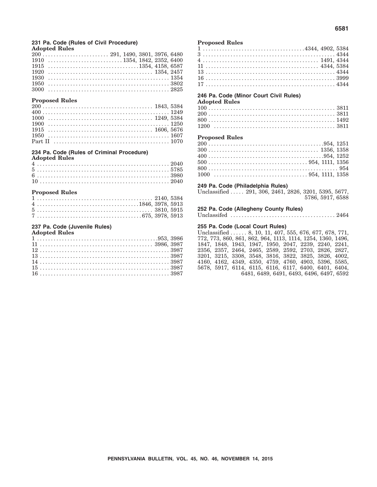#### **231 Pa. Code (Rules of Civil Procedure) Adopted Rules**

|  | $200 \ldots \ldots \ldots \ldots \ldots \ldots \ldots \ldots \ldots 291, 1490, 3801, 3976, 6480$ |
|--|--------------------------------------------------------------------------------------------------|
|  |                                                                                                  |
|  |                                                                                                  |
|  |                                                                                                  |
|  |                                                                                                  |
|  |                                                                                                  |
|  |                                                                                                  |

#### **Proposed Rules**

#### **234 Pa. Code (Rules of Criminal Procedure)**

**Adopted Rules**

#### **Proposed Rules**

|  |  |  |  |  |  |  |  |  |  |  |  |  |  |  |  |  |  |  | $4 \ldots \ldots \ldots \ldots \ldots \ldots \ldots \ldots \ldots \ldots \ldots \ldots \ldots 1846, 3978, 5913$ |  |  |
|--|--|--|--|--|--|--|--|--|--|--|--|--|--|--|--|--|--|--|-----------------------------------------------------------------------------------------------------------------|--|--|
|  |  |  |  |  |  |  |  |  |  |  |  |  |  |  |  |  |  |  |                                                                                                                 |  |  |
|  |  |  |  |  |  |  |  |  |  |  |  |  |  |  |  |  |  |  |                                                                                                                 |  |  |

#### **237 Pa. Code (Juvenile Rules)**

#### **Adopted Rules**

#### **Proposed Rules**

#### **246 Pa. Code (Minor Court Civil Rules)**

#### **Adopted Rules**

#### **Proposed Rules**

#### **249 Pa. Code (Philadelphia Rules)**

Unclassified ..... 291, 306, 2461, 2826, 3201, 5395, 5677, 5786, 5917, 6588

#### **252 Pa. Code (Allegheny County Rules)**

Unclassifed ...................................... 2464

#### **255 Pa. Code (Local Court Rules)**

Unclassified . . . . . . 8, 10, 11, 407, 555, 676, 677, 678, 771, 772, 773, 860, 861, 862, 964, 1113, 1114, 1254, 1360, 1496, 1847, 1848, 1943, 1947, 1950, 2047, 2239, 2240, 2241, 2356, 2357, 2464, 2465, 2589, 2592, 2703, 2826, 2827, 3201, 3215, 3308, 3548, 3816, 3822, 3825, 3826, 4002, 4160, 4162, 4349, 4350, 4759, 4760, 4903, 5396, 5585, 5678, 5917, 6114, 6115, 6116, 6117, 6400, 6401, 6404, 6481, 6489, 6491, 6493, 6496, 6497, 6592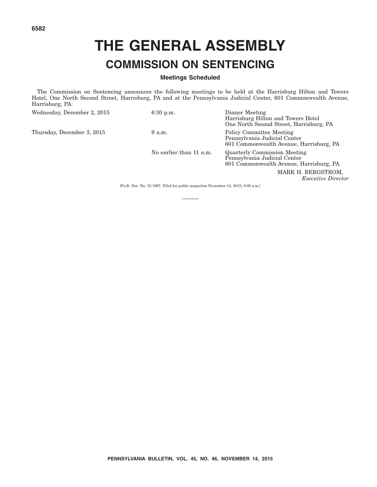# **THE GENERAL ASSEMBLY COMMISSION ON SENTENCING**

#### **Meetings Scheduled**

The Commission on Sentencing announces the following meetings to be held at the Harrisburg Hilton and Towers Hotel, One North Second Street, Harrisburg, PA and at the Pennsylvania Judicial Center, 601 Commonwealth Avenue, Harrisburg, PA:

| Wednesday, December 2, 2015 | $6:30$ p.m.             | Dinner Meeting<br>Harrisburg Hilton and Towers Hotel<br>One North Second Street, Harrisburg, PA                |
|-----------------------------|-------------------------|----------------------------------------------------------------------------------------------------------------|
| Thursday, December 3, 2015  | 9 a.m.                  | Policy Committee Meeting<br>Pennsylvania Judicial Center<br>601 Commonwealth Avenue, Harrisburg, PA            |
|                             | No earlier than 11 a.m. | <b>Quarterly Commission Meeting</b><br>Pennsylvania Judicial Center<br>601 Commonwealth Avenue, Harrisburg, PA |
|                             |                         | MARK H. BERGSTROM,<br><i>Executive Director</i>                                                                |

[Pa.B. Doc. No. 15-1997. Filed for public inspection November 13, 2015, 9:00 a.m.]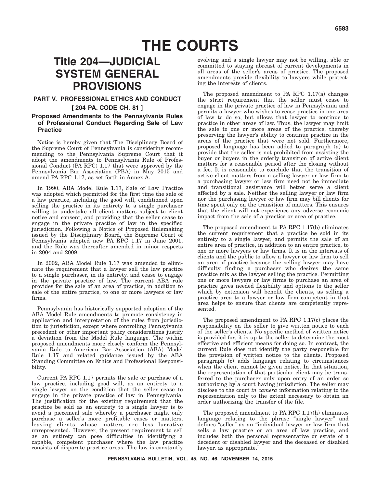## **THE COURTS**

### **Title 204—JUDICIAL SYSTEM GENERAL PROVISIONS**

#### **PART V. PROFESSIONAL ETHICS AND CONDUCT**

#### **[ 204 PA. CODE CH. 81 ]**

#### **Proposed Amendments to the Pennsylvania Rules of Professional Conduct Regarding Sale of Law Practice**

Notice is hereby given that The Disciplinary Board of the Supreme Court of Pennsylvania is considering recommending to the Pennsylvania Supreme Court that it adopt the amendments to Pennsylvania Rule of Professional Conduct (PA RPC) 1.17 that were approved by the Pennsylvania Bar Association (PBA) in May 2015 and amend PA RPC 1.17, as set forth in Annex A.

In 1990, ABA Model Rule 1.17, Sale of Law Practice was adopted which permitted for the first time the sale of a law practice, including the good will, conditioned upon selling the practice in its entirety to a single purchaser willing to undertake all client matters subject to client notice and consent, and providing that the seller cease to engage in the private practice of law in the specified jurisdiction. Following a Notice of Proposed Rulemaking issued by the Disciplinary Board, the Supreme Court of Pennsylvania adopted new PA RPC 1.17 in June 2001, and the Rule was thereafter amended in minor respects in 2004 and 2009.

In 2002, ABA Model Rule 1.17 was amended to eliminate the requirement that a lawyer sell the law practice to a single purchaser, in its entirety, and cease to engage in the private practice of law. The current ABA rule provides for the sale of an area of practice, in addition to sale of the entire practice, to one or more lawyers or law firms.

Pennsylvania has historically supported adoption of the ABA Model Rule amendments to promote consistency in application and interpretation of the rules from jurisdiction to jurisdiction, except where controlling Pennsylvania precedent or other important policy considerations justify a deviation from the Model Rule language. The within proposed amendments more closely conform the Pennsylvania Rule to American Bar Association (ABA) Model Rule 1.17 and related guidance issued by the ABA Standing Committee on Ethics and Professional Responsibility.

Current PA RPC 1.17 permits the sale or purchase of a law practice, including good will, as an entirety to a single lawyer on the condition that the seller cease to engage in the private practice of law in Pennsylvania. The justification for the existing requirement that the practice be sold as an entirety to a single lawyer is to avoid a piecemeal sale whereby a purchaser might only purchase a seller's more profitable cases or matters, leaving clients whose matters are less lucrative unrepresented. However, the present requirement to sell as an entirety can pose difficulties in identifying a capable, competent purchaser where the law practice consists of disparate practice areas. The law is constantly

evolving and a single lawyer may not be willing, able or committed to staying abreast of current developments in all areas of the seller's areas of practice. The proposed amendments provide flexibility to lawyers while protecting the interests of clients.

The proposed amendment to PA RPC 1.17(a) changes the strict requirement that the seller must cease to engage in the private practice of law in Pennsylvania and permits a lawyer who wishes to cease practice in one area of law to do so, but allows that lawyer to continue to practice in other areas of law. Thus, the lawyer may limit the sale to one or more areas of the practice, thereby preserving the lawyer's ability to continue practice in the areas of the practice that were not sold. Furthermore, proposed language has been added to paragraph (a) to provide that the seller is not prohibited from assisting the buyer or buyers in the orderly transition of active client matters for a reasonable period after the closing without a fee. It is reasonable to conclude that the transition of active client matters from a selling lawyer or law firm to a purchasing lawyer or law firm need not be immediate and transitional assistance will better serve a client affected by a sale. Neither the selling lawyer or law firm nor the purchasing lawyer or law firm may bill clients for time spent only on the transition of matters. This ensures that the client will not experience any adverse economic impact from the sale of a practice or area of practice.

The proposed amendment to PA RPC 1.17(b) eliminates the current requirement that a practice be sold in its entirety to a single lawyer, and permits the sale of an entire area of practice, in addition to an entire practice, to one or more lawyers or law firms. It is in the interests of clients and the public to allow a lawyer or law firm to sell an area of practice because the selling lawyer may have difficulty finding a purchaser who desires the same practice mix as the lawyer selling the practice. Permitting one or more lawyers or law firms to purchase an area of practice gives needed flexibility and options to the seller which by extension will benefit the clients, as selling a practice area to a lawyer or law firm competent in that area helps to ensure that clients are competently represented.

The proposed amendment to PA RPC 1.17(c) places the responsibility on the seller to give written notice to each of the seller's clients. No specific method of written notice is provided for; it is up to the seller to determine the most effective and efficient means for doing so. In contrast, the current Rule does not identify the party responsible for the provision of written notice to the clients. Proposed paragraph (c) adds language relating to circumstances when the client cannot be given notice. In that situation, the representation of that particular client may be transferred to the purchaser only upon entry of an order so authorizing by a court having jurisdiction. The seller may disclose to the court *in camera* information relating to the representation only to the extent necessary to obtain an order authorizing the transfer of the file.

The proposed amendment to PA RPC 1.17(h) eliminates language relating to the phrase "single lawyer" and defines ''seller'' as an ''individual lawyer or law firm that sells a law practice or an area of law practice, and includes both the personal representative or estate of a decedent or disabled lawyer and the deceased or disabled lawyer, as appropriate.''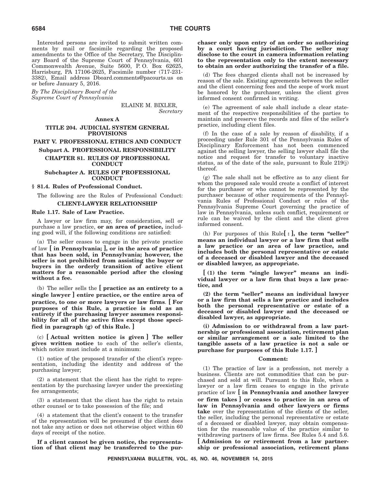Interested persons are invited to submit written comments by mail or facsimile regarding the proposed amendments to the Office of the Secretary, The Disciplinary Board of the Supreme Court of Pennsylvania, 601 Commonwealth Avenue, Suite 5600, P. O. Box 62625, Harrisburg, PA 17106-2625, Facsimile number (717-231- 3382), Email address Dboard.comments@pacourts.us on or before January 5, 2016.

*By The Disciplinary Board of the Supreme Court of Pennsylvania*

> ELAINE M. BIXLER, *Secretary*

#### **Annex A**

#### **TITLE 204. JUDICIAL SYSTEM GENERAL PROVISIONS**

**PART V. PROFESSIONAL ETHICS AND CONDUCT**

#### **Subpart A. PROFESSIONAL RESPONSIBILITY CHAPTER 81. RULES OF PROFESSIONAL CONDUCT**

#### **Subchapter A. RULES OF PROFESSIONAL CONDUCT**

#### **§ 81.4. Rules of Professional Conduct.**

The following are the Rules of Professional Conduct: **CLIENT-LAWYER RELATIONSHIP**

#### **Rule 1.17. Sale of Law Practice.**

A lawyer or law firm may, for consideration, sell or purchase a law practice, **or an area of practice,** including good will, if the following conditions are satisfied:

(a) The seller ceases to engage in the private practice of law **[ in Pennsylvania; ], or in the area of practice that has been sold, in Pennsylvania; however, the seller is not prohibited from assisting the buyer or buyers in the orderly transition of active client matters for a reasonable period after the closing without a fee.**

(b) The seller sells the **[ practice as an entirety to a single lawyer ] entire practice, or the entire area of practice, to one or more lawyers or law firms**. **[ For purposes of this Rule, a practice is sold as an entirety if the purchasing lawyer assumes responsibility for all of the active files except those specified in paragraph (g) of this Rule. ]**

(c) **[ Actual written notice is given ] The seller gives written notice** to each of the seller's clients, which notice must include at a minimum:

(1) notice of the proposed transfer of the client's representation, including the identity and address of the purchasing lawyer;

(2) a statement that the client has the right to representation by the purchasing lawyer under the preexisting fee arrangements;

(3) a statement that the client has the right to retain other counsel or to take possession of the file; and

(4) a statement that the client's consent to the transfer of the representation will be presumed if the client does not take any action or does not otherwise object within 60 days of receipt of the notice.

**If a client cannot be given notice, the representation of that client may be transferred to the pur-**

#### **chaser only upon entry of an order so authorizing by a court having jurisdiction. The seller may disclose to the court in camera information relating to the representation only to the extent necessary to obtain an order authorizing the transfer of a file.**

(d) The fees charged clients shall not be increased by reason of the sale. Existing agreements between the seller and the client concerning fees and the scope of work must be honored by the purchaser, unless the client gives informed consent confirmed in writing.

(e) The agreement of sale shall include a clear statement of the respective responsibilities of the parties to maintain and preserve the records and files of the seller's practice, including client files.

(f) In the case of a sale by reason of disability, if a proceeding under Rule 301 of the Pennsylvania Rules of Disciplinary Enforcement has not been commenced against the selling lawyer, the selling lawyer shall file the notice and request for transfer to voluntary inactive status, as of the date of the sale, pursuant to Rule 219(j) thereof.

(g) The sale shall not be effective as to any client for whom the proposed sale would create a conflict of interest for the purchaser or who cannot be represented by the purchaser because of other requirements of the Pennsylvania Rules of Professional Conduct or rules of the Pennsylvania Supreme Court governing the practice of law in Pennsylvania, unless such conflict, requirement or rule can be waived by the client and the client gives informed consent.

(h) For purposes of this Rule**[ : ], the term ''seller'' means an individual lawyer or a law firm that sells a law practice or an area of law practice, and includes both the personal representative or estate of a deceased or disabled lawyer and the deceased or disabled lawyer, as appropriate.**

**[ (1) the term ''single lawyer'' means an individual lawyer or a law firm that buys a law practice, and**

**(2) the term ''seller'' means an individual lawyer or a law firm that sells a law practice and includes both the personal representative or estate of a deceased or disabled lawyer and the deceased or disabled lawyer, as appropriate.**

**(i) Admission to or withdrawal from a law partnership or professional association, retirement plan or similar arrangement or a sale limited to the tangible assets of a law practice is not a sale or purchase for purposes of this Rule 1.17. ]**

#### **Comment:**

(1) The practice of law is a profession, not merely a business. Clients are not commodities that can be purchased and sold at will. Pursuant to this Rule, when a lawyer or a law firm ceases to engage in the private practice of law **[ in Pennsylvania and another lawyer or firm takes ] or ceases to practice in an area of law in Pennsylvania and other lawyers or firms take** over the representation of the clients of the seller, the seller, including the personal representative or estate of a deceased or disabled lawyer, may obtain compensation for the reasonable value of the practice similar to withdrawing partners of law firms. See Rules 5.4 and 5.6. **[ Admission to or retirement from a law partnership or professional association, retirement plans**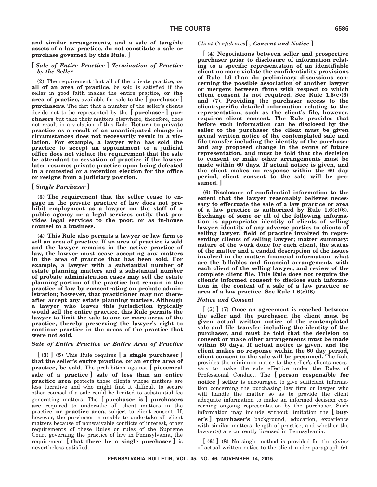**and similar arrangements, and a sale of tangible assets of a law practice, do not constitute a sale or purchase governed by this Rule. ]**

#### **[** *Sale of Entire Practice* **]** *Termination of Practice by the Seller*

(2) The requirement that all of the private practice**, or all of an area of practice,** be sold is satisfied if the seller in good faith makes the entire practice**, or the area of practice,** available for sale to the **[ purchaser ] purchasers**. The fact that a number of the seller's clients decide not to be represented by the **[ purchaser ] purchasers** but take their matters elsewhere, therefore, does not result in a violation of this Rule. **Return to private practice as a result of an unanticipated change in circumstances does not necessarily result in a violation. For example, a lawyer who has sold the practice to accept an appointment to a judicial office does not violate the requirement that the sale be attendant to cessation of practice if the lawyer later resumes private practice upon being defeated in a contested or a retention election for the office or resigns from a judiciary position.**

#### **[** *Single Purchaser* **]**

**(3) The requirement that the seller cease to engage in the private practice of law does not prohibit employment as a lawyer on the staff of a public agency or a legal services entity that provides legal services to the poor, or as in-house counsel to a business.**

**(4) This Rule also permits a lawyer or law firm to sell an area of practice. If an area of practice is sold and the lawyer remains in the active practice of law, the lawyer must cease accepting any matters in the area of practice that has been sold. For example, a lawyer with a substantial number of estate planning matters and a substantial number of probate administration cases may sell the estate planning portion of the practice but remain in the practice of law by concentrating on probate administration; however, that practitioner may not thereafter accept any estate planning matters. Although a lawyer who leaves this jurisdiction typically would sell the entire practice, this Rule permits the lawyer to limit the sale to one or more areas of the practice, thereby preserving the lawyer's right to continue practice in the areas of the practice that were not sold.**

#### *Sale of Entire Practice or Entire Area of Practice*

**[ (3) ] (5)** This Rule requires **[ a single purchaser ] that the seller's entire practice, or an entire area of practice, be sold**. The prohibition against **[ piecemeal sale of a practice ] sale of less than an entire practice area** protects those clients whose matters are less lucrative and who might find it difficult to secure other counsel if a sale could be limited to substantial fee generating matters. The **[ purchaser is ] purchasers are** required to undertake all client matters in the practice, **or practice area,** subject to client consent. If, however, the purchaser is unable to undertake all client matters because of nonwaivable conflicts of interest, other requirements of these Rules or rules of the Supreme Court governing the practice of law in Pennsylvania, the requirement **[ that there be a single purchaser ]** is nevertheless satisfied.

#### *Client Confidences***[** *, Consent and Notice* **]**

**[ (4) Negotiations between seller and prospective purchaser prior to disclosure of information relating to a specific representation of an identifiable client no more violate the confidentiality provisions of Rule 1.6 than do preliminary discussions concerning the possible association of another lawyer or mergers between firms with respect to which client consent is not required. See Rule 1.6(c)(6) and (7). Providing the purchaser access to the client-specific detailed information relating to the representation, such as the client's file, however, requires client consent. The Rule provides that before such information can be disclosed by the seller to the purchaser the client must be given actual written notice of the contemplated sale and file transfer including the identity of the purchaser and any proposed change in the terms of future representation, and must be told that the decision to consent or make other arrangements must be made within 60 days. If actual notice is given, and the client makes no response within the 60 day period, client consent to the sale will be presumed. ]**

**(6) Disclosure of confidential information to the extent that the lawyer reasonably believes necessary to effectuate the sale of a law practice or area of a law practice is authorized by Rule 1.6(c)(6). Exchange of some or all of the following information is appropriate: identity of clients of selling lawyer; identity of any adverse parties to clients of selling lawyer; field of practice involved in representing clients of selling lawyer; matter summary: nature of the work done for each client, the status of the matter and a candid description of the issues involved in the matter; financial information: what are the billables and financial arrangements with each client of the selling lawyer; and review of the complete client file. This Rule does not require the client's informed consent to disclose such information in the context of a sale of a law practice or area of a law practice. See Rule 1.6(c)(6).**

#### *Notice and Consent*

**[ (5) ] (7) Once an agreement is reached between the seller and the purchaser, the client must be given actual written notice of the contemplated sale and file transfer including the identity of the purchaser, and must be told that the decision to consent or make other arrangements must be made within 60 days. If actual notice is given, and the client makes no response within the 60 day period, client consent to the sale will be presumed.** The Rule provides the minimum notice to the seller's clients necessary to make the sale effective under the Rules of Professional Conduct. The **[ person responsible for notice ] seller** is encouraged to give sufficient information concerning the purchasing law firm or lawyer who will handle the matter so as to provide the client adequate information to make an informed decision concerning ongoing representation by the purchaser. Such information may include without limitation the **[ buyer's ] purchaser's** background, education, experience with similar matters, length of practice, and whether the lawyer(s) are currently licensed in Pennsylvania.

**[ (6) ] (8)** No single method is provided for the giving of actual written notice to the client under paragraph (c).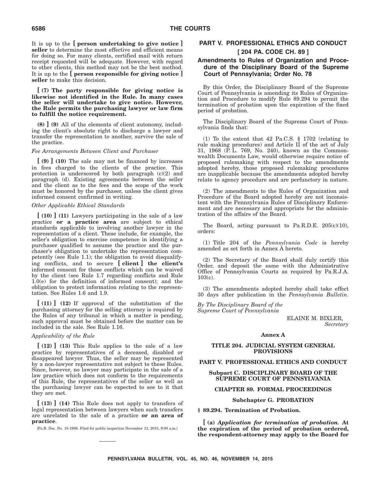It is up to the **[ person undertaking to give notice ] seller** to determine the most effective and efficient means for doing so. For many clients, certified mail with return receipt requested will be adequate. However, with regard to other clients, this method may not be the best method. It is up to the **[ person responsible for giving notice ] seller** to make this decision.

**[ (7) The party responsible for giving notice is likewise not identified in the Rule. In many cases the seller will undertake to give notice. However, the Rule permits the purchasing lawyer or law firm to fulfill the notice requirement.**

**(8) ] (9)** All of the elements of client autonomy, including the client's absolute right to discharge a lawyer and transfer the representation to another, survive the sale of the practice.

#### *Fee Arrangements Between Client and Purchaser*

**[ (9) ] (10)** The sale may not be financed by increases in fees charged to the clients of the practice. This protection is underscored by both paragraph (c)(2) and paragraph (d). Existing agreements between the seller and the client as to the fees and the scope of the work must be honored by the purchaser, unless the client gives informed consent confirmed in writing.

#### *Other Applicable Ethical Standards*

**[ (10) ] (11)** Lawyers participating in the sale of a law practice **or a practice area** are subject to ethical standards applicable to involving another lawyer in the representation of a client. These include, for example, the seller's obligation to exercise competence in identifying a purchaser qualified to assume the practice and the purchaser's obligation to undertake the representation competently (see Rule 1.1); the obligation to avoid disqualifying conflicts, and to secure **[ client ] the client's** informed consent for those conflicts which can be waived by the client (see Rule 1.7 regarding conflicts and Rule 1.0(e) for the definition of informed consent); and the obligation to protect information relating to the representation. See Rules 1.6 and 1.9.

**[ (11) ] (12)** If approval of the substitution of the purchasing attorney for the selling attorney is required by the Rules of any tribunal in which a matter is pending, such approval must be obtained before the matter can be included in the sale. See Rule 1.16.

#### *Applicability of the Rule*

**[ (12) ] (13)** This Rule applies to the sale of a law practice by representatives of a deceased, disabled or disappeared lawyer. Thus, the seller may be represented by a non-lawyer representative not subject to these Rules. Since, however, no lawyer may participate in the sale of a law practice which does not conform to the requirements of this Rule, the representatives of the seller as well as the purchasing lawyer can be expected to see to it that they are met.

**[ (13) ] (14)** This Rule does not apply to transfers of legal representation between lawyers when such transfers are unrelated to the sale of a practice **or an area of practice**.

[Pa.B. Doc. No. 15-1998. Filed for public inspection November 13, 2015, 9:00 a.m.]

#### **PART V. PROFESSIONAL ETHICS AND CONDUCT [ 204 PA. CODE CH. 89 ]**

#### **Amendments to Rules of Organization and Procedure of the Disciplinary Board of the Supreme Court of Pennsylvania; Order No. 78**

By this Order, the Disciplinary Board of the Supreme Court of Pennsylvania is amending its Rules of Organization and Procedure to modify Rule 89.294 to permit the termination of probation upon the expiration of the fixed period of probation.

The Disciplinary Board of the Supreme Court of Pennsylvania finds that:

(1) To the extent that 42 Pa.C.S. § 1702 (relating to rule making procedures) and Article II of the act of July 31, 1968 (P. L. 769, No. 240), known as the Commonwealth Documents Law, would otherwise require notice of proposed rulemaking with respect to the amendments adopted hereby, those proposed rulemaking procedures are inapplicable because the amendments adopted hereby relate to agency procedure and are perfunctory in nature.

(2) The amendments to the Rules of Organization and Procedure of the Board adopted hereby are not inconsistent with the Pennsylvania Rules of Disciplinary Enforcement and are necessary and appropriate for the administration of the affairs of the Board.

The Board, acting pursuant to Pa.R.D.E.  $205(c)(10)$ , orders:

(1) Title 204 of the *Pennsylvania Code* is hereby amended as set forth in Annex A hereto.

(2) The Secretary of the Board shall duly certify this Order, and deposit the same with the Administrative Office of Pennsylvania Courts as required by Pa.R.J.A. 103(c).

(3) The amendments adopted hereby shall take effect 30 days after publication in the *Pennsylvania Bulletin*.

*By The Disciplinary Board of the Supreme Court of Pennsylvania*

> ELAINE M. BIXLER, *Secretary*

#### **Annex A**

#### **TITLE 204. JUDICIAL SYSTEM GENERAL PROVISIONS**

#### **PART V. PROFESSIONAL ETHICS AND CONDUCT**

#### **Subpart C. DISCIPLINARY BOARD OF THE SUPREME COURT OF PENNSYLVANIA**

#### **CHAPTER 89. FORMAL PROCEEDINGS**

#### **Subchapter G. PROBATION**

**§ 89.294. Termination of Probation.**

**[ (a)** *Application for termination of probation.* **At the expiration of the period of probation ordered, the respondent-attorney may apply to the Board for**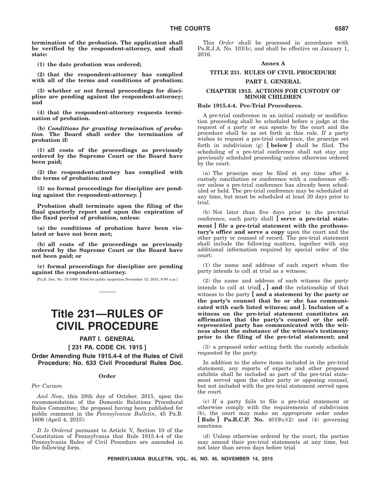**termination of the probation. The application shall be verified by the respondent-attorney, and shall state:**

**(1) the date probation was ordered;**

**(2) that the respondent-attorney has complied with all of the terms and conditions of probation;**

**(3) whether or not formal proceedings for discipline are pending against the respondent-attorney; and**

**(4) that the respondent-attorney requests termination of probation.**

**(b)** *Conditions for granting termination of probation.* **The Board shall order the termination of probation if:**

**(1) all costs of the proceedings as previously ordered by the Supreme Court or the Board have been paid;**

**(2) the respondent-attorney has complied with the terms of probation; and**

**(3) no formal proceedings for discipline are pending against the respondent-attorney. ]**

**Probation shall terminate upon the filing of the final quarterly report and upon the expiration of the fixed period of probation, unless:**

**(a) the conditions of probation have been violated or have not been met;**

**(b) all costs of the proceedings as previously ordered by the Supreme Court or the Board have not been paid; or**

**(c) formal proceedings for discipline are pending against the respondent-attorney.**

[Pa.B. Doc. No. 15-1999. Filed for public inspection November 13, 2015, 9:00 a.m.]

### **Title 231—RULES OF CIVIL PROCEDURE**

#### **PART I. GENERAL**

**[ 231 PA. CODE CH. 1915 ]**

**Order Amending Rule 1915.4-4 of the Rules of Civil Procedure; No. 633 Civil Procedural Rules Doc.**

#### **Order**

#### *Per Curiam*

*And Now*, this 28th day of October, 2015, upon the recommendation of the Domestic Relations Procedural Rules Committee; the proposal having been published for public comment in the *Pennsylvania Bulletin*, 45 Pa.B. 1606 (April 4, 2015):

*It Is Ordered* pursuant to Article V, Section 10 of the Constitution of Pennsylvania that Rule 1915.4-4 of the Pennsylvania Rules of Civil Procedure are amended in the following form.

This *Order* shall be processed in accordance with Pa.R.J.A. No. 103(b), and shall be effective on January 1, 2016.

#### **Annex A**

### **TITLE 231. RULES OF CIVIL PROCEDURE**

#### **PART I. GENERAL**

#### **CHAPTER 1915. ACTIONS FOR CUSTODY OF MINOR CHILDREN**

#### **Rule 1915.4-4. Pre-Trial Procedures.**

A pre-trial conference in an initial custody or modification proceeding shall be scheduled before a judge at the request of a party or sua sponte by the court and the procedure shall be as set forth in this rule. If a party wishes to request a pre-trial conference, the praecipe set forth in subdivision (g) **[ below ]** shall be filed. The scheduling of a pre-trial conference shall not stay any previously scheduled proceeding unless otherwise ordered by the court.

(a) The praecipe may be filed at any time after a custody conciliation or conference with a conference officer unless a pre-trial conference has already been scheduled or held. The pre-trial conference may be scheduled at any time, but must be scheduled at least 30 days prior to trial.

(b) Not later than five days prior to the pre-trial conference, each party shall **[ serve a pre-trial statement ] file a pre-trial statement with the prothonotary's office and serve a copy** upon the court and the other party or counsel of record. The pre-trial statement shall include the following matters, together with any additional information required by special order of the court:

(1) the name and address of each expert whom the party intends to call at trial as a witness;

(2) the name and address of each witness the party intends to call at trial**[ , ] and** the relationship of that witness to the party **[ and a statement by the party or the party's counsel that he or she has communicated with each listed witness; and ]. Inclusion of a witness on the pre-trial statement constitutes an affirmation that the party's counsel or the selfrepresented party has communicated with the witness about the substance of the witness's testimony prior to the filing of the pre-trial statement; and**

(3) a proposed order setting forth the custody schedule requested by the party.

In addition to the above items included in the pre-trial statement, any reports of experts and other proposed exhibits shall be included as part of the pre-trial statement served upon the other party or opposing counsel, but not included with the pre-trial statement served upon the court.

(c) If a party fails to file a pre-trial statement or otherwise comply with the requirements of subdivision (b), the court may make an appropriate order under **[ Rule ] Pa.R.C.P. No.** 4019(c)(2) and (4) governing sanctions.

(d) Unless otherwise ordered by the court, the parties may amend their pre-trial statements at any time, but not later than seven days before trial.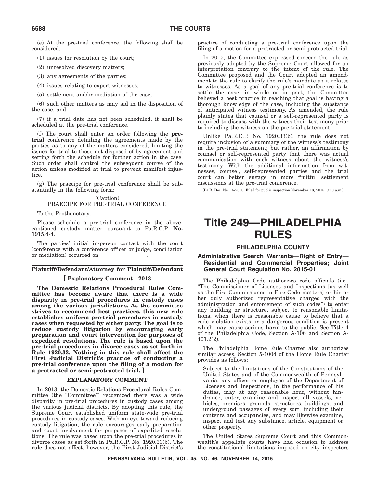(e) At the pre-trial conference, the following shall be considered:

(1) issues for resolution by the court;

(2) unresolved discovery matters;

(3) any agreements of the parties;

(4) issues relating to expert witnesses;

(5) settlement and/or mediation of the case;

(6) such other matters as may aid in the disposition of the case; and

(7) if a trial date has not been scheduled, it shall be scheduled at the pre-trial conference.

(f) The court shall enter an order following the **pretrial** conference detailing the agreements made by the parties as to any of the matters considered, limiting the issues for trial to those not disposed of by agreement and setting forth the schedule for further action in the case. Such order shall control the subsequent course of the action unless modified at trial to prevent manifest injustice.

(g) The praecipe for pre-trial conference shall be substantially in the following form:

#### (Caption) PRAECIPE FOR PRE-TRIAL CONFERENCE

To the Prothonotary:

Please schedule a pre-trial conference in the abovecaptioned custody matter pursuant to Pa.R.C.P. **No.** 1915.4-4.

The parties' initial in-person contact with the court (conference with a conference officer or judge, conciliation or mediation) occurred on .

#### **Plaintiff/Defendant/Attorney for Plaintiff/Defendant**

#### **[ Explanatory Comment—2013**

**The Domestic Relations Procedural Rules Committee has become aware that there is a wide disparity in pre-trial procedures in custody cases among the various jurisdictions. As the committee strives to recommend best practices, this new rule establishes uniform pre-trial procedures in custody cases when requested by either party. The goal is to reduce custody litigation by encouraging early preparation and court intervention for purposes of expedited resolutions. The rule is based upon the pre-trial procedures in divorce cases as set forth in Rule 1920.33. Nothing in this rule shall affect the First Judicial District's practice of conducting a pre-trial conference upon the filing of a motion for a protracted or semi-protracted trial. ]**

#### **EXPLANATORY COMMENT**

In 2013, the Domestic Relations Procedural Rules Committee (the "Committee") recognized there was a wide disparity in pre-trial procedures in custody cases among the various judicial districts. By adopting this rule, the Supreme Court established uniform state-wide pre-trial procedures in custody cases. With an eye toward reducing custody litigation, the rule encourages early preparation and court involvement for purposes of expedited resolutions. The rule was based upon the pre-trial procedures in divorce cases as set forth in Pa.R.C.P. No. 1920.33(b). The rule does not affect, however, the First Judicial District's

practice of conducting a pre-trial conference upon the filing of a motion for a protracted or semi-protracted trial.

In 2015, the Committee expressed concern the rule as previously adopted by the Supreme Court allowed for an interpretation contrary to the intent of the rule. The Committee proposed and the Court adopted an amendment to the rule to clarify the rule's mandate as it relates to witnesses. As a goal of any pre-trial conference is to settle the case, in whole or in part, the Committee believed a best practice in reaching that goal is having a thorough knowledge of the case, including the substance of anticipated witness testimony. As amended, the rule plainly states that counsel or a self-represented party is required to discuss with the witness their testimony prior to including the witness on the pre-trial statement.

Unlike Pa.R.C.P. No. 1920.33(b), the rule does not require inclusion of a summary of the witness's testimony in the pre-trial statement; but rather, an affirmation by counsel or self-represented party that there was actual communication with each witness about the witness's testimony. With the additional information from witnesses, counsel, self-represented parties and the trial court can better engage in more fruitful settlement discussions at the pre-trial conference.

[Pa.B. Doc. No. 15-2000. Filed for public inspection November 13, 2015, 9:00 a.m.]

### **Title 249—PHILADELPHIA RULES**

#### **PHILADELPHIA COUNTY**

#### **Administrative Search Warrants—Right of Entry— Residential and Commercial Properties; Joint General Court Regulation No. 2015-01**

The Philadelphia Code authorizes code officials (i.e., ''The Commissioner of Licenses and Inspections [as well as the Fire Commissioner in Fire Code matters] or his or her duly authorized representative charged with the administration and enforcement of such codes'') to enter any building or structure, subject to reasonable limitations, when there is reasonable cause to believe that a code violation exists or a dangerous condition is present which may cause serious harm to the public. See Title 4 of the Philadelphia Code, Section A-106 and Section A-401.2(2).

The Philadelphia Home Rule Charter also authorizes similar access. Section 5-1004 of the Home Rule Charter provides as follows:

Subject to the limitations of the Constitutions of the United States and of the Commonwealth of Pennsylvania, any officer or employee of the Department of Licenses and Inspections, in the performance of his duties, may at any reasonable hour, without hindrance, enter, examine and inspect all vessels, vehicles, premises, grounds, structures, buildings, and underground passages of every sort, including their contents and occupancies, and may likewise examine, inspect and test any substance, article, equipment or other property.

The United States Supreme Court and this Commonwealth's appellate courts have had occasion to address the constitutional limitations imposed on city inspectors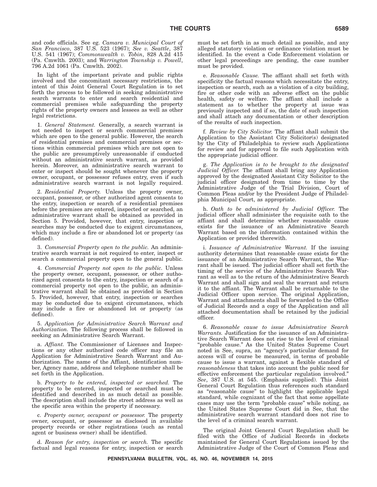and code officials. See eg. *Camara v. Municipal Court of San Francisco*, 387 U.S. 523 (1967); *See v. Seattle*, 387 U.S. 541 (1967); *Commonwealth v. Tobin*, 828 A.2d 415 (Pa. Cmwlth. 2003); and *Warrington Township v. Powell*, 796 A.2d 1061 (Pa. Cmwlth. 2002).

In light of the important private and public rights involved and the concomitant necessary restrictions, the intent of this Joint General Court Regulation is to set forth the process to be followed in seeking administrative search warrants to enter and search residential and commercial premises while safeguarding the property rights of the property owners and lessees as well as other legal restrictions.

1. *General Statement.* Generally, a search warrant is not needed to inspect or search commercial premises which are open to the general public. However, the search of residential premises and commercial premises or sections within commercial premises which are not open to the public are presumptively unreasonable if conducted without an administrative search warrant, as provided herein. Moreover, an administrative search warrant to enter or inspect should be sought whenever the property owner, occupant, or possessor refuses entry, even if such administrative search warrant is not legally required.

2. *Residential Property.* Unless the property owner, occupant, possessor, or other authorized agent consents to the entry, inspection or search of a residential premises before the premises are entered, inspected or searched, an administrative warrant shall be obtained as provided in Section 5. Provided, however, that entry, inspection or searches may be conducted due to exigent circumstances, which may include a fire or abandoned lot or property (as defined).

3. *Commercial Property open to the public.* An administrative search warrant is not required to enter, inspect or search a commercial property open to the general public.

4. *Commercial Property not open to the public.* Unless the property owner, occupant, possessor, or other authorized agent consents to the entry, inspection or search of a commercial property not open to the public, an administrative warrant shall be obtained as provided in Section 5. Provided, however, that entry, inspection or searches may be conducted due to exigent circumstances, which may include a fire or abandoned lot or property (as defined).

5. *Application for Administrative Search Warrant and Authorization.* The following process shall be followed in seeking an Administrative Search Warrant.

a. *Affiant.* The Commissioner of Licenses and Inspections or any other authorized code officer may file an Application for Administrative Search Warrant and Authorization. The name of the Affiant, identification number, Agency name, address and telephone number shall be set forth in the Application.

b. *Property to be entered, inspected or searched.* The property to be entered, inspected or searched must be identified and described in as much detail as possible. The description shall include the street address as well as the specific area within the property if necessary.

c. *Property owner, occupant or possessor.* The property owner, occupant, or possessor as disclosed in available property records or other registrations (such as rental agent or business owner) shall be identified.

d. *Reason for entry, inspection or search.* The specific factual and legal reasons for entry, inspection or search

must be set forth in as much detail as possible, and any alleged statutory violation or ordinance violation must be identified. In the event a Code Enforcement violation or other legal proceedings are pending, the case number must be provided.

e. *Reasonable Cause.* The affiant shall set forth with specificity the factual reasons which necessitate the entry, inspection or search, such as a violation of a city building, fire or other code with an adverse effect on the public health, safety or welfare. The affiant shall include a statement as to whether the property at issue was previously inspected and if so, the date of such inspection and shall attach any documentation or other description of the results of such inspection.

f. *Review by City Solicitor.* The affiant shall submit the Application to the Assistant City Solicitor(s) designated by the City of Philadelphia to review such Applications for review and for approval to file such Application with the appropriate judicial officer.

g. *The Application is to be brought to the designated Judicial Officer.* The affiant shall bring any Application approved by the designated Assistant City Solicitor to the judicial officer designated from time to time by the Administrative Judge of the Trial Division, Court of Common Pleas and/or by the President Judge of Philadelphia Municipal Court, as appropriate.

h. *Oath to be administered by Judicial Officer.* The judicial officer shall administer the requisite oath to the affiant and shall determine whether reasonable cause exists for the issuance of an Administrative Search Warrant based on the information contained within the Application or provided therewith.

i. *Issuance of Administrative Warrant.* If the issuing authority determines that reasonable cause exists for the issuance of an Administrative Search Warrant, the Warrant shall be issued. The judicial officer shall set forth the timing of the service of the Administrative Search Warrant as well as to the return of the Administrative Search Warrant and shall sign and seal the warrant and return it to the affiant. The Warrant shall be returnable to the Judicial Officer upon service. The original Application, Warrant and attachments shall be forwarded to the Office of Judicial Records and a copy of the Application and all attached documentation shall be retained by the judicial officer.

6. *Reasonable cause to issue Administrative Search Warrants.* Justification for the issuance of an Administrative Search Warrant does not rise to the level of criminal ''probable cause.'' As the United States Supreme Court noted in See, supra, an ''agency's particular demand for access will of course be measured, in terms of probable cause to issue a warrant, against a flexible standard of *reasonableness* that takes into account the public need for effective enforcement the particular regulation involved.'' *See*, 387 U.S. at 545. (Emphasis supplied). This Joint General Court Regulation thus references such standard as ''reasonable cause'' to highlight the applicable legal standard, while cognizant of the fact that some appellate cases may use the term ''probable cause'' while noting, as the United States Supreme Court did in See, that the administrative search warrant standard does not rise to the level of a criminal search warrant.

The original Joint General Court Regulation shall be filed with the Office of Judicial Records in dockets maintained for General Court Regulations issued by the Administrative Judge of the Court of Common Pleas and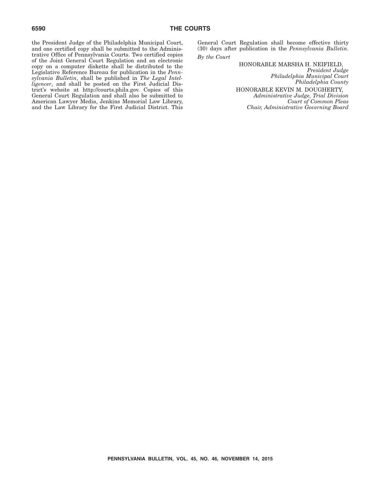the President Judge of the Philadelphia Municipal Court, and one certified copy shall be submitted to the Administrative Office of Pennsylvania Courts. Two certified copies of the Joint General Court Regulation and an electronic copy on a computer diskette shall be distributed to the Legislative Reference Bureau for publication in the *Pennsylvania Bulletin*, shall be published in *The Legal Intelligencer*, and shall be posted on the First Judicial District's website at http://courts.phila.gov. Copies of this General Court Regulation and shall also be submitted to American Lawyer Media, Jenkins Memorial Law Library, and the Law Library for the First Judicial District. This

General Court Regulation shall become effective thirty (30) days after publication in the *Pennsylvania Bulletin*. *By the Court*

HONORABLE MARSHA H. NEIFIELD,

*President Judge Philadelphia Municipal Court Philadelphia County* HONORABLE KEVIN M. DOUGHERTY, *Administrative Judge, Trial Division Court of Common Pleas Chair, Administrative Governing Board*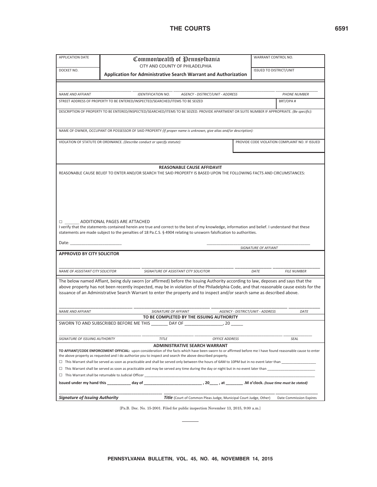#### THE COURTS 6591

|                                                                                                                                                                                                                                |                                                             | Commonwealth of Pennsplbania<br>CITY AND COUNTY OF PHILADELPHIA                                                                                             |                                         |                                  | WARRANT CONTROL NO.                            |
|--------------------------------------------------------------------------------------------------------------------------------------------------------------------------------------------------------------------------------|-------------------------------------------------------------|-------------------------------------------------------------------------------------------------------------------------------------------------------------|-----------------------------------------|----------------------------------|------------------------------------------------|
| DOCKET NO.                                                                                                                                                                                                                     |                                                             |                                                                                                                                                             |                                         | <b>ISSUED TO DISTRICT/UNIT</b>   |                                                |
|                                                                                                                                                                                                                                |                                                             | <b>Application for Administrative Search Warrant and Authorization</b>                                                                                      |                                         |                                  |                                                |
|                                                                                                                                                                                                                                |                                                             |                                                                                                                                                             |                                         |                                  |                                                |
| <b>NAME AND AFFIANT</b>                                                                                                                                                                                                        |                                                             | <b>IDENTIFICATION NO.</b>                                                                                                                                   | <b>AGENCY - DISTRICT/UNIT - ADDRESS</b> |                                  | <b>PHONE NUMBER</b>                            |
|                                                                                                                                                                                                                                |                                                             | STREET ADDRESS OF PROPERTY TO BE ENTERED/INSPECTED/SEARCHED/ITEMS TO BE SEIZED                                                                              |                                         |                                  | BRT/OPA#                                       |
|                                                                                                                                                                                                                                |                                                             |                                                                                                                                                             |                                         |                                  |                                                |
|                                                                                                                                                                                                                                |                                                             | DESCRIPTION OF PROPERTY TO BE ENTERED/INSPECTED/SEARCHED/ITEMS TO BE SEIZED. PROVIDE APARTMENT OR SUITE NUMBER IF APPROPRIATE. (Be specific):               |                                         |                                  |                                                |
|                                                                                                                                                                                                                                |                                                             | NAME OF OWNER, OCCUPANT OR POSSESSOR OF SAID PROPERTY (If proper name is unknown, give alias and/or description):                                           |                                         |                                  |                                                |
|                                                                                                                                                                                                                                |                                                             | VIOLATION OF STATUTE OR ORDINANCE. (Describe conduct or specify statute):                                                                                   |                                         |                                  | PROVIDE CODE VIOLATION COMPLAINT NO. IF ISSUED |
|                                                                                                                                                                                                                                |                                                             |                                                                                                                                                             |                                         |                                  |                                                |
|                                                                                                                                                                                                                                |                                                             |                                                                                                                                                             |                                         |                                  |                                                |
|                                                                                                                                                                                                                                |                                                             |                                                                                                                                                             |                                         |                                  |                                                |
|                                                                                                                                                                                                                                |                                                             | REASONABLE CAUSE AFFIDAVIT                                                                                                                                  |                                         |                                  |                                                |
|                                                                                                                                                                                                                                |                                                             | REASONABLE CAUSE BELIEF TO ENTER AND/OR SEARCH THE SAID PROPERTY IS BASED UPON THE FOLLOWING FACTS AND CIRCUMSTANCES:                                       |                                         |                                  |                                                |
|                                                                                                                                                                                                                                |                                                             |                                                                                                                                                             |                                         |                                  |                                                |
|                                                                                                                                                                                                                                |                                                             |                                                                                                                                                             |                                         |                                  |                                                |
|                                                                                                                                                                                                                                |                                                             |                                                                                                                                                             |                                         |                                  |                                                |
|                                                                                                                                                                                                                                |                                                             |                                                                                                                                                             |                                         |                                  |                                                |
|                                                                                                                                                                                                                                |                                                             |                                                                                                                                                             |                                         |                                  |                                                |
|                                                                                                                                                                                                                                |                                                             |                                                                                                                                                             |                                         |                                  |                                                |
|                                                                                                                                                                                                                                |                                                             |                                                                                                                                                             |                                         |                                  |                                                |
|                                                                                                                                                                                                                                |                                                             |                                                                                                                                                             |                                         |                                  |                                                |
|                                                                                                                                                                                                                                | □ ADDITIONAL PAGES ARE ATTACHED                             |                                                                                                                                                             |                                         |                                  |                                                |
|                                                                                                                                                                                                                                |                                                             | I verify that the statements contained herein are true and correct to the best of my knowledge, information and belief. I understand that these             |                                         |                                  |                                                |
|                                                                                                                                                                                                                                |                                                             | statements are made subject to the penalties of 18 Pa.C.S. § 4904 relating to unsworn falsification to authorities.                                         |                                         |                                  |                                                |
| Date: and the part of the state of the state of the state of the state of the state of the state of the state of the state of the state of the state of the state of the state of the state of the state of the state of the s |                                                             |                                                                                                                                                             |                                         |                                  |                                                |
|                                                                                                                                                                                                                                |                                                             |                                                                                                                                                             |                                         | SIGNATURE OF AFFIANT             |                                                |
| <b>APPROVED BY CITY SOLICITOR</b>                                                                                                                                                                                              |                                                             |                                                                                                                                                             |                                         |                                  |                                                |
|                                                                                                                                                                                                                                |                                                             |                                                                                                                                                             |                                         |                                  |                                                |
| NAME OF ASSISTANT CITY SOLICITOR                                                                                                                                                                                               |                                                             | SIGNATURE OF ASSISTANT CITY SOLICITOR                                                                                                                       |                                         | DATE                             | <b>FILE NUMBER</b>                             |
|                                                                                                                                                                                                                                |                                                             |                                                                                                                                                             |                                         |                                  |                                                |
|                                                                                                                                                                                                                                |                                                             | The below named Affiant, being duly sworn (or affirmed) before the Issuing Authority according to law, deposes and says that the                            |                                         |                                  |                                                |
|                                                                                                                                                                                                                                |                                                             | above property has not been recently inspected, may be in violation of the Philadelphia Code, and that reasonable cause exists for the                      |                                         |                                  |                                                |
|                                                                                                                                                                                                                                |                                                             | issuance of an Administrative Search Warrant to enter the property and to inspect and/or search same as described above.                                    |                                         |                                  |                                                |
|                                                                                                                                                                                                                                |                                                             |                                                                                                                                                             |                                         |                                  |                                                |
|                                                                                                                                                                                                                                |                                                             |                                                                                                                                                             |                                         |                                  |                                                |
| NAME AND AFFIANT                                                                                                                                                                                                               |                                                             | SIGNATURE OF AFFIANT                                                                                                                                        |                                         | AGENCY - DISTRICT/UNIT - ADDRESS | DATE                                           |
|                                                                                                                                                                                                                                |                                                             | TO BE COMPLETED BY THE ISSUING AUTHORITY                                                                                                                    |                                         |                                  |                                                |
|                                                                                                                                                                                                                                |                                                             |                                                                                                                                                             |                                         |                                  |                                                |
|                                                                                                                                                                                                                                |                                                             |                                                                                                                                                             |                                         |                                  |                                                |
| SIGNATURE OF ISSUING AUTHORITY                                                                                                                                                                                                 |                                                             | <b>TITLE</b>                                                                                                                                                | <b>OFFICE ADDRESS</b>                   |                                  | SEAL                                           |
|                                                                                                                                                                                                                                |                                                             | <b>ADMINISTRATIVE SEARCH WARRANT</b>                                                                                                                        |                                         |                                  |                                                |
|                                                                                                                                                                                                                                |                                                             | TO AFFIANT/CODE ENFORCEMENT OFFICIAL: upon consideration of the facts which have been sworn to or affirmed before me I have found reasonable cause to enter |                                         |                                  |                                                |
|                                                                                                                                                                                                                                |                                                             | the above property as requested and I do authorize you to inspect and search the above described property.                                                  |                                         |                                  |                                                |
|                                                                                                                                                                                                                                |                                                             | $\Box$ This Warrant shall be served as soon as practicable and shall be served only between the hours of 6AM to 10PM but in no event later than             |                                         |                                  |                                                |
|                                                                                                                                                                                                                                |                                                             | $\Box$ This Warrant shall be served as soon as practicable and may be served any time during the day or night but in no event later than                    |                                         |                                  |                                                |
|                                                                                                                                                                                                                                | $\Box$ This Warrant shall be returnable to Judicial Officer |                                                                                                                                                             |                                         |                                  |                                                |
|                                                                                                                                                                                                                                |                                                             |                                                                                                                                                             |                                         |                                  |                                                |
|                                                                                                                                                                                                                                |                                                             |                                                                                                                                                             |                                         |                                  |                                                |

[Pa.B. Doc. No. 15-2001. Filed for public inspection November 13, 2015, 9:00 a.m.]

 $\sim$  $\overline{\phantom{0}}$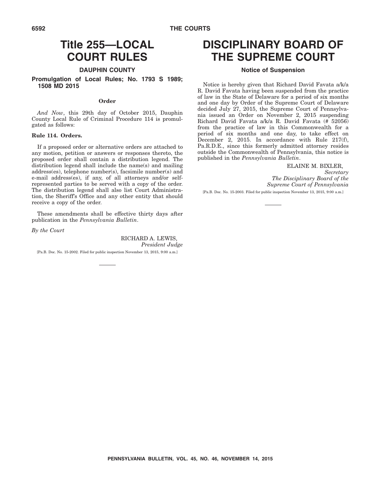#### **6592 THE COURTS**

### **Title 255—LOCAL COURT RULES**

#### **DAUPHIN COUNTY**

#### **Promulgation of Local Rules; No. 1793 S 1989; 1508 MD 2015**

#### **Order**

*And Now*, this 29th day of October 2015, Dauphin County Local Rule of Criminal Procedure 114 is promulgated as follows:

#### **Rule 114. Orders.**

If a proposed order or alternative orders are attached to any motion, petition or answers or responses thereto, the proposed order shall contain a distribution legend. The distribution legend shall include the name(s) and mailing address(es), telephone number(s), facsimile number(s) and e-mail address(es), if any, of all attorneys and/or selfrepresented parties to be served with a copy of the order. The distribution legend shall also list Court Administration, the Sheriff's Office and any other entity that should receive a copy of the order.

These amendments shall be effective thirty days after publication in the *Pennsylvania Bulletin*.

*By the Court*

RICHARD A. LEWIS, *President Judge*

[Pa.B. Doc. No. 15-2002. Filed for public inspection November 13, 2015, 9:00 a.m.]

### **DISCIPLINARY BOARD OF THE SUPREME COURT**

#### **Notice of Suspension**

Notice is hereby given that Richard David Favata a/k/a R. David Favata having been suspended from the practice of law in the State of Delaware for a period of six months and one day by Order of the Supreme Court of Delaware decided July 27, 2015, the Supreme Court of Pennsylvania issued an Order on November 2, 2015 suspending Richard David Favata a/k/a R. David Favata (# 52056) from the practice of law in this Commonwealth for a period of six months and one day, to take effect on December 2, 2015. In accordance with Rule 217(f), Pa.R.D.E., since this formerly admitted attorney resides outside the Commonwealth of Pennsylvania, this notice is published in the *Pennsylvania Bulletin*.

#### ELAINE M. BIXLER,

*Secretary The Disciplinary Board of the Supreme Court of Pennsylvania*

[Pa.B. Doc. No. 15-2003. Filed for public inspection November 13, 2015, 9:00 a.m.]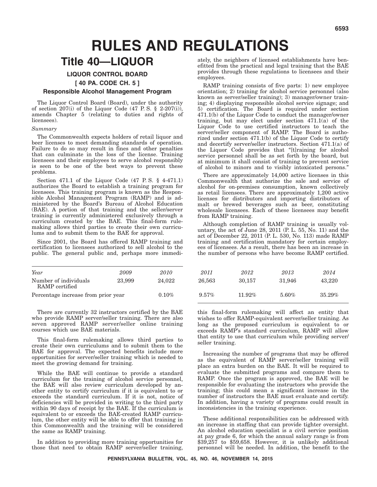# **RULES AND REGULATIONS**

### **Title 40—LIQUOR**

#### **LIQUOR CONTROL BOARD**

**[ 40 PA. CODE CH. 5 ]**

#### **Responsible Alcohol Management Program**

The Liquor Control Board (Board), under the authority of section  $207(i)$  of the Liquor Code (47 P.S. § 2-207(i)), amends Chapter 5 (relating to duties and rights of licensees).

#### *Summary*

The Commonwealth expects holders of retail liquor and beer licenses to meet demanding standards of operation. Failure to do so may result in fines and other penalties that can culminate in the loss of the license. Training licensees and their employees to serve alcohol responsibly is seen to be one of the best ways to prevent these problems.

Section 471.1 of the Liquor Code (47 P. S. § 4-471.1) authorizes the Board to establish a training program for licensees. This training program is known as the Responsible Alcohol Management Program (RAMP) and is administered by the Board's Bureau of Alcohol Education (BAE). A portion of that training and the seller/server training is currently administered exclusively through a curriculum created by the BAE. This final-form rulemaking allows third parties to create their own curriculums and to submit them to the BAE for approval.

Since 2001, the Board has offered RAMP training and certification to licensees authorized to sell alcohol to the public. The general public and, perhaps more immedi-

| Year                                    | 2009   | 2010     | 2011     | 2012      | 2013   | 2014   |
|-----------------------------------------|--------|----------|----------|-----------|--------|--------|
| Number of individuals<br>RAMP certified | 23,999 | 24.022   | 26.563   | 30.157    | 31.946 | 43.220 |
| Percentage increase from prior year     |        | $0.10\%$ | $9.57\%$ | $11.92\%$ | 5.60%  | 35.29% |

There are currently 32 instructors certified by the BAE who provide RAMP server/seller training. There are also seven approved RAMP server/seller online training courses which use BAE materials.

This final-form rulemaking allows third parties to create their own curriculums and to submit them to the BAE for approval. The expected benefits include more opportunities for server/seller training which is needed to meet the growing demand for training.

While the BAE will continue to provide a standard curriculum for the training of alcohol service personnel, the BAE will also review curriculum developed by another entity to certify curriculum if it is equivalent to or exceeds the standard curriculum. If it is not, notice of deficiencies will be provided in writing to the third party within 90 days of receipt by the BAE. If the curriculum is equivalent to or exceeds the BAE-created RAMP curriculum, the other entity will be able to offer that training in this Commonwealth and the training will be considered the same as RAMP training.

In addition to providing more training opportunities for those that need to obtain RAMP server/seller training,

ately, the neighbors of licensed establishments have benefitted from the practical and legal training that the BAE provides through these regulations to licensees and their employees.

RAMP training consists of five parts: 1) new employee orientation; 2) training for alcohol service personnel (also known as server/seller training); 3) manager/owner training; 4) displaying responsible alcohol service signage; and 5) certification. The Board is required under section 471.1(b) of the Liquor Code to conduct the manager/owner training, but may elect under section  $471.1(\bar{a})$  of the Liquor Code to use certified instructors to teach the server/seller component of RAMP. The Board is authorized under section 471.1(b) of the Liquor Code to certify and decertify server/seller instructors. Section 471.1(a) of the Liquor Code provides that ''[t]raining for alcohol service personnel shall be as set forth by the board, but at minimum it shall consist of training to prevent service of alcohol to minors and to visibly intoxicated persons.''

There are approximately 14,000 active licenses in this Commonwealth that authorize the sale and service of alcohol for on-premises consumption, known collectively as retail licensees. There are approximately 1,200 active licenses for distributors and importing distributors of malt or brewed beverages such as beer, constituting wholesale licensees. Each of these licensees may benefit from RAMP training.

Although completion of RAMP training is usually voluntary, the act of June 28, 2011 (P. L. 55, No. 11) and the act of December 22, 2011 (P. L. 530, No. 113) made RAMP training and certification mandatory for certain employees of licensees. As a result, there has been an increase in the number of persons who have become RAMP certified.

| 2009   | 2010     | 2011     | 2012      | 2013     | 2014   |
|--------|----------|----------|-----------|----------|--------|
| 23,999 | 24.022   | 26,563   | 30.157    | 31.946   | 43,220 |
| ear    | $0.10\%$ | $9.57\%$ | $11.92\%$ | $5.60\%$ | 35.29% |

this final-form rulemaking will affect an entity that wishes to offer RAMP-equivalent server/seller training. As long as the proposed curriculum is equivalent to or exceeds RAMP's standard curriculum, RAMP will allow that entity to use that curriculum while providing server/ seller training.

Increasing the number of programs that may be offered as the equivalent of RAMP server/seller training will place an extra burden on the BAE. It will be required to evaluate the submitted programs and compare them to RAMP. Once the program is approved, the BAE will be responsible for evaluating the instructors who provide the training; this could mean a significant increase in the number of instructors the BAE must evaluate and certify. In addition, having a variety of programs could result in inconsistencies in the training experience.

These additional responsibilities can be addressed with an increase in staffing that can provide tighter oversight. An alcohol education specialist is a civil service position at pay grade 6, for which the annual salary range is from \$39,257 to \$59,658. However, it is unlikely additional personnel will be needed. In addition, the benefit to the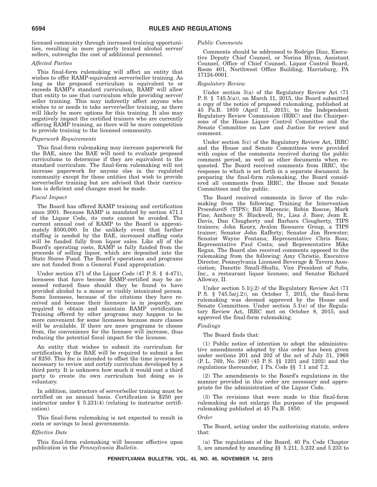licensed community through increased training opportunities, resulting in more properly trained alcohol server/ sellers, outweighs the cost of additional personnel.

#### *Affected Parties*

This final-form rulemaking will affect an entity that wishes to offer RAMP-equivalent server/seller training. As long as the proposed curriculum is equivalent to or exceeds RAMP's standard curriculum, RAMP will allow that entity to use that curriculum while providing server/ seller training. This may indirectly affect anyone who wishes to or needs to take server/seller training, as there will likely be more options for this training. It also may negatively impact the certified trainers who are currently offering RAMP training, as there will be more competition to provide training to the licensed community.

#### *Paperwork Requirements*

This final-form rulemaking may increase paperwork for the BAE, since the BAE will need to evaluate proposed curriculums to determine if they are equivalent to the standard curriculum. The final-form rulemaking will not increase paperwork for anyone else in the regulated community except for those entities that wish to provide server/seller training but are advised that their curriculum is deficient and changes must be made.

#### *Fiscal Impact*

The Board has offered RAMP training and certification since 2001. Because RAMP is mandated by section 471.1 of the Liquor Code, its costs cannot be avoided. The current annual cost of RAMP to the Board is approximately \$500,000. In the unlikely event that further staffing is needed by the BAE, increased staffing costs will be funded fully from liquor sales. Like all of the Board's operating costs, RAMP is fully funded from the proceeds of selling liquor, which are deposited into the State Stores Fund. The Board's operations and programs are not funded from a General Fund appropriation.

Under section 471 of the Liquor Code (47 P. S. § 4-471), licensees that have become RAMP-certified may be assessed reduced fines should they be found to have provided alcohol to a minor or visibly intoxicated person. Some licensees, because of the citations they have received and because their licensure is in jeopardy, are required to obtain and maintain RAMP certification. Training offered by other programs may happen to be more convenient for some licensees because more classes will be available. If there are more programs to choose from, the convenience for the licensee will increase, thus reducing the potential fiscal impact for the licensee.

An entity that wishes to submit its curriculum for certification by the BAE will be required to submit a fee of \$250. This fee is intended to offset the time investment necessary to review and certify curriculum developed by a third party. It is unknown how much it would cost a third party to create its own curriculum but doing so is voluntary.

In addition, instructors of server/seller training must be certified on an annual basis. Certification is \$250 per instructor under § 5.231(4) (relating to instructor certification).

This final-form rulemaking is not expected to result in costs or savings to local governments.

#### *Effective Date*

This final-form rulemaking will become effective upon publication in the *Pennsylvania Bulletin*.

#### *Public Comments*

Comments should be addressed to Rodrigo Diaz, Executive Deputy Chief Counsel, or Norina Blynn, Assistant Counsel, Office of Chief Counsel, Liquor Control Board, Room 401, Northwest Office Building, Harrisburg, PA 17124-0001.

#### *Regulatory Review*

Under section 5(a) of the Regulatory Review Act (71 P. S. § 745.5(a)), on March 11, 2015, the Board submitted a copy of the notice of proposed rulemaking, published at 45 Pa.B. 1850 (April 11, 2015), to the Independent Regulatory Review Commission (IRRC) and the Chairpersons of the House Liquor Control Committee and the Senate Committee on Law and Justice for review and comment.

Under section 5(c) of the Regulatory Review Act, IRRC and the House and Senate Committees were provided with copies of the comments received during the public comment period, as well as other documents when requested. The Board received comments from IRRC, the response to which is set forth in a separate document. In preparing the final-form rulemaking, the Board considered all comments from IRRC, the House and Senate Committees and the public.

The Board received comments in favor of the rulemaking from the following: Training for Intervention ProcedureS (TIPS); Bill Marencic, Robin Roscoe, Mark Fine, Anthony S. Blackwell, Sr., Lisa J. Baer, Jean E. Davis, Dan Clougherty and Barbara Clougherty, TIPS trainers; John Koury, Avalon Resource Group, a TIPS trainer; Senator John Rafferty; Senator Jim Brewster; Senator Wayne Fontana; Representative Chris Ross; Representative Paul Costa; and Representative Mike Regan. The Board also received comments opposed to the rulemaking from the following: Amy Christie, Executive Director, Pennsylvania Licensed Beverage & Tavern Association; Danette Small-Shultz, Vice President of Subs, Inc., a restaurant liquor licensee; and Senator Richard Alloway, II.

Under section 5.1(j.2) of the Regulatory Review Act (71 P. S. § 745.5a(j.2)), on October  $\overline{7}$ , 2015, the final-form rulemaking was deemed approved by the House and Senate Committees. Under section 5.1(e) of the Regulatory Review Act, IRRC met on October 8, 2015, and approved the final-form rulemaking.

#### *Findings*

The Board finds that:

(1) Public notice of intention to adopt the administrative amendments adopted by this order has been given under sections 201 and 202 of the act of July 31, 1968 (P. L. 769, No. 240) (45 P. S. §§ 1201 and 1202) and the regulations thereunder, 1 Pa. Code §§ 7.1 and 7.2.

(2) The amendments to the Board's regulations in the manner provided in this order are necessary and appropriate for the administration of the Liquor Code.

(3) The revisions that were made to this final-form rulemaking do not enlarge the purpose of the proposed rulemaking published at 45 Pa.B. 1850.

#### *Order*

The Board, acting under the authorizing statute, orders that:

(a) The regulations of the Board, 40 Pa. Code Chapter 5, are amended by amending §§ 5.211, 5.232 and 5.233 to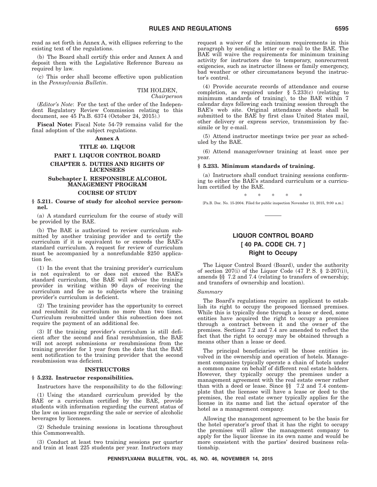read as set forth in Annex A, with ellipses referring to the existing text of the regulations.

(b) The Board shall certify this order and Annex A and deposit them with the Legislative Reference Bureau as required by law.

(c) This order shall become effective upon publication in the *Pennsylvania Bulletin*.

> TIM HOLDEN, *Chairperson*

(*Editor's Note*: For the text of the order of the Independent Regulatory Review Commission relating to this document, see 45 Pa.B. 6374 (October 24, 2015).)

**Fiscal Note:** Fiscal Note 54-79 remains valid for the final adoption of the subject regulations.

#### **Annex A**

#### **TITLE 40. LIQUOR**

#### **PART I. LIQUOR CONTROL BOARD CHAPTER 5. DUTIES AND RIGHTS OF LICENSEES**

#### **Subchapter I. RESPONSIBLE ALCOHOL MANAGEMENT PROGRAM**

#### **COURSE OF STUDY**

#### **§ 5.211. Course of study for alcohol service personnel.**

(a) A standard curriculum for the course of study will be provided by the BAE.

(b) The BAE is authorized to review curriculum submitted by another training provider and to certify the curriculum if it is equivalent to or exceeds the BAE's standard curriculum. A request for review of curriculum must be accompanied by a nonrefundable \$250 application fee.

(1) In the event that the training provider's curriculum is not equivalent to or does not exceed the BAE's standard curriculum, the BAE will advise the training provider in writing within 90 days of receiving the curriculum and fee as to subjects where the training provider's curriculum is deficient.

(2) The training provider has the opportunity to correct and resubmit its curriculum no more than two times. Curriculum resubmitted under this subsection does not require the payment of an additional fee.

(3) If the training provider's curriculum is still deficient after the second and final resubmission, the BAE will not accept submissions or resubmissions from the training provider for 1 year from the date that the BAE sent notification to the training provider that the second resubmission was deficient.

#### **INSTRUCTORS**

#### **§ 5.232. Instructor responsibilities.**

Instructors have the responsibility to do the following:

(1) Using the standard curriculum provided by the BAE or a curriculum certified by the BAE, provide students with information regarding the current status of the law on issues regarding the sale or service of alcoholic beverages by licensees.

(2) Schedule training sessions in locations throughout this Commonwealth.

(3) Conduct at least two training sessions per quarter and train at least 225 students per year. Instructors may

request a waiver of the minimum requirements in this paragraph by sending a letter or e-mail to the BAE. The BAE will waive the requirements for minimum training activity for instructors due to temporary, nonrecurrent exigencies, such as instructor illness or family emergency, bad weather or other circumstances beyond the instructor's control.

(4) Provide accurate records of attendance and course completion, as required under  $\S$  5.233(c) (relating to minimum standards of training), to the BAE within 7 calendar days following each training session through the BAE's web site. Original attendance sheets shall be submitted to the BAE by first class United States mail, other delivery or express service, transmission by facsimile or by e-mail.

(5) Attend instructor meetings twice per year as scheduled by the BAE.

(6) Attend manager/owner training at least once per year.

#### **§ 5.233. Minimum standards of training.**

(a) Instructors shall conduct training sessions conforming to either the BAE's standard curriculum or a curriculum certified by the BAE.

\*\*\*\*\* [Pa.B. Doc. No. 15-2004. Filed for public inspection November 13, 2015, 9:00 a.m.]

#### **LIQUOR CONTROL BOARD [ 40 PA. CODE CH. 7 ] Right to Occupy**

The Liquor Control Board (Board), under the authority of section  $207(i)$  of the Liquor Code (47 P.S. § 2-207(i)), amends §§ 7.2 and 7.4 (relating to transfers of ownership; and transfers of ownership and location).

#### *Summary*

The Board's regulations require an applicant to establish its right to occupy the proposed licensed premises. While this is typically done through a lease or deed, some entities have acquired the right to occupy a premises through a contract between it and the owner of the premises. Sections 7.2 and 7.4 are amended to reflect the fact that the right to occupy may be obtained through a means other than a lease or deed.

The principal beneficiaries will be those entities involved in the ownership and operation of hotels. Management companies typically operate a chain of hotels under a common name on behalf of different real estate holders. However, they typically occupy the premises under a management agreement with the real estate owner rather than with a deed or lease. Since §§ 7.2 and 7.4 contemplate that the licensee will have a lease or deed to the premises, the real estate owner typically applies for the license in its name and list the actual operator of the hotel as a management company.

Allowing the management agreement to be the basis for the hotel operator's proof that it has the right to occupy the premises will allow the management company to apply for the liquor license in its own name and would be more consistent with the parties' desired business relationship.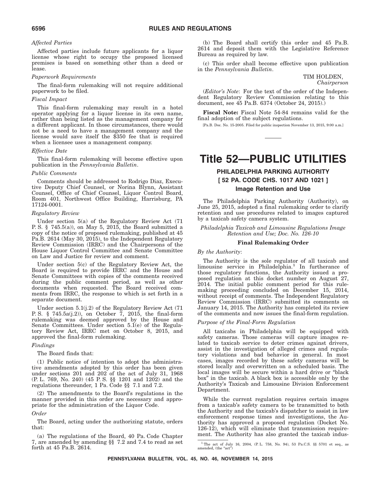#### *Affected Parties*

Affected parties include future applicants for a liquor license whose right to occupy the proposed licensed premises is based on something other than a deed or lease.

#### *Paperwork Requirements*

The final-form rulemaking will not require additional paperwork to be filed.

#### *Fiscal Impact*

This final-form rulemaking may result in a hotel operator applying for a liquor license in its own name, rather than being listed as the management company for a different applicant. In those circumstances, there would not be a need to have a management company and the license would save itself the \$350 fee that is required when a licensee uses a management company.

#### *Effective Date*

This final-form rulemaking will become effective upon publication in the *Pennsylvania Bulletin*.

#### *Public Comments*

Comments should be addressed to Rodrigo Diaz, Executive Deputy Chief Counsel, or Norina Blynn, Assistant Counsel, Office of Chief Counsel, Liquor Control Board, Room 401, Northwest Office Building, Harrisburg, PA 17124-0001.

#### *Regulatory Review*

Under section 5(a) of the Regulatory Review Act (71 P. S.  $\S$  745.5(a)), on May 5, 2015, the Board submitted a copy of the notice of proposed rulemaking, published at 45 Pa.B. 2614 (May 30, 2015), to the Independent Regulatory Review Commission (IRRC) and the Chairpersons of the House Liquor Control Committee and Senate Committee on Law and Justice for review and comment.

Under section 5(c) of the Regulatory Review Act, the Board is required to provide IRRC and the House and Senate Committees with copies of the comments received during the public comment period, as well as other documents when requested. The Board received comments from IRRC, the response to which is set forth in a separate document.

Under section 5.1(j.2) of the Regulatory Review Act (71 P. S. § 745.5a(j.2)), on October 7, 2015, the final-form rulemaking was deemed approved by the House and Senate Committees. Under section 5.1(e) of the Regulatory Review Act, IRRC met on October 8, 2015, and approved the final-form rulemaking.

#### *Findings*

The Board finds that:

(1) Public notice of intention to adopt the administrative amendments adopted by this order has been given under sections 201 and 202 of the act of July 31, 1968 (P. L. 769, No. 240) (45 P. S. §§ 1201 and 1202) and the regulations thereunder, 1 Pa. Code §§ 7.1 and 7.2.

(2) The amendments to the Board's regulations in the manner provided in this order are necessary and appropriate for the administration of the Liquor Code.

#### *Order*

The Board, acting under the authorizing statute, orders that:

(a) The regulations of the Board, 40 Pa. Code Chapter 7, are amended by amending §§ 7.2 and 7.4 to read as set forth at 45 Pa.B. 2614.

(b) The Board shall certify this order and 45 Pa.B. 2614 and deposit them with the Legislative Reference Bureau as required by law.

(c) This order shall become effective upon publication in the *Pennsylvania Bulletin*.

> TIM HOLDEN, *Chairperson*

(*Editor's Note*: For the text of the order of the Independent Regulatory Review Commission relating to this document, see 45 Pa.B. 6374 (October 24, 2015).)

**Fiscal Note:** Fiscal Note 54-84 remains valid for the final adoption of the subject regulations.

[Pa.B. Doc. No. 15-2005. Filed for public inspection November 13, 2015, 9:00 a.m.]

### **Title 52—PUBLIC UTILITIES**

### **PHILADELPHIA PARKING AUTHORITY [ 52 PA. CODE CHS. 1017 AND 1021 ] Image Retention and Use**

The Philadelphia Parking Authority (Authority), on June 25, 2015, adopted a final rulemaking order to clarify retention and use procedures related to images captured by a taxicab safety camera system.

*Philadelphia Taxicab and Limousine Regulations Image Retention and Use; Doc. No. 126-10*

#### **Final Rulemaking Order**

#### *By the Authority*:

The Authority is the sole regulator of all taxicab and limousine service in Philadelphia.<sup>1</sup> In furtherance of those regulatory functions, the Authority issued a proposed regulation at this docket number on August 27, 2014. The initial public comment period for this rulemaking proceeding concluded on December 15, 2014, without receipt of comments. The Independent Regulatory Review Commission (IRRC) submitted its comments on January 14, 2015. The Authority has completed its review of the comments and now issues the final-form regulation.

#### *Purpose of the Final-Form Regulation*

All taxicabs in Philadelphia will be equipped with safety cameras. Those cameras will capture images related to taxicab service to deter crimes against drivers, assist in the investigation of alleged crimes and regulatory violations and bad behavior in general. In most cases, images recorded by these safety cameras will be stored locally and overwritten on a scheduled basis. The local images will be secure within a hard drive or ''black box'' in the taxicab. A black box is accessible only by the Authority's Taxicab and Limousine Division Enforcement Department.

While the current regulation requires certain images from a taxicab's safety camera to be transmitted to both the Authority and the taxicab's dispatcher to assist in law enforcement response times and investigations, the Authority has approved a proposed regulation (Docket No. 126-12), which will eliminate that transmission requirement. The Authority has also granted the taxicab indus-

 $^1$  The act of July 16, 2004, (P. L. 758, No. 94), 53 Pa.C.S.  $\S\$  5701 et seq., as amended, (the "act")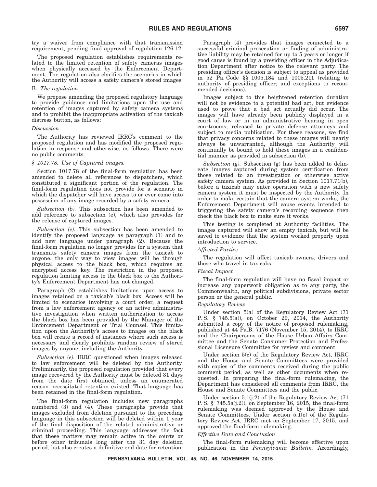try a waiver from compliance with that transmission requirement, pending final approval of regulation 126-12.

The proposed regulation establishes requirements related to the limited retention of safety cameras images when physically accessed by the Enforcement Department. The regulation also clarifies the scenarios in which the Authority will access a safety camera's stored images.

#### B. *The regulation*

We propose amending the proposed regulatory language to provide guidance and limitations upon the use and retention of images captured by safety camera systems and to prohibit the inappropriate activation of the taxicab distress button, as follows:

#### *Discussion*

The Authority has reviewed IRRC's comment to the proposed regulation and has modified the proposed regulation in response and otherwise, as follows. There were no public comments.

#### *§ 1017.78. Use of Captured images.*

Section 1017.78 of the final-form regulation has been amended to delete all references to dispatchers, which constituted a significant portion of the regulation. The final-form regulation does not provide for a scenario in which the dispatcher will have access to or ever come into possession of any image recorded by a safety camera.

*Subsection (b).* This subsection has been amended to add reference to subsection (e), which also provides for the release of captured images.

*Subsection (c).* This subsection has been amended to identify the proposed language as paragraph (1) and to add new language under paragraph (2). Because the final-form regulation no longer provides for a system that transmits safety camera images from the taxicab to anyone, the only way to view images will be through physical access to the black box, which requires an encrypted access key. The restriction in the proposed regulation limiting access to the black box to the Authority's Enforcement Department has not changed.

Paragraph (2) establishes limitations upon access to images retained on a taxicab's black box. Access will be limited to scenarios involving a court order, a request from a law enforcement agency or an active administrative investigation when written authorization to access the black box has been provided by the Manager of the Enforcement Department or Trial Counsel. This limitation upon the Authority's access to images on the black box will create a record of instances where such access is necessary and clearly prohibits random review of stored images by anyone, including the Authority.

*Subsection (e).* IRRC questioned when images released to law enforcement will be deleted by the Authority. Preliminarily, the proposed regulation provided that every image recovered by the Authority must be deleted 31 days from the date first obtained, unless an enumerated reason necessitated retention existed. That language has been retained in the final-form regulation.

The final-form regulation includes new paragraphs numbered (3) and (4). These paragraphs provide that images excluded from deletion pursuant to the preceding language in this subsection will be deleted within 1 year of the final disposition of the related administrative or criminal proceeding. This language addresses the fact that these matters may remain active in the courts or before other tribunals long after the 31 day deletion period, but also creates a definitive end date for retention.

Paragraph (4) provides that images connected to a successful criminal prosecution or finding of administrative liability may be retained for up to 5 years or longer if good cause is found by a presiding officer in the Adjudication Department after notice to the relevant party. The presiding officer's decision is subject to appeal as provided in 52 Pa. Code §§ 1005.184 and 1005.211 (relating to authority of presiding officer; and exceptions to recommended decisions).

Images subject to this heightened retention duration will not be evidence to a potential bad act, but evidence used to prove that a bad act actually did occur. The images will have already been publicly displayed in a court of law or in an administrative hearing in open courtrooms, released to private defense attorneys and subject to media publication. For these reasons, we find that privacy concerns related to these images will nearly always be unwarranted, although the Authority will continually be bound to hold these images in a confidential manner as provided in subsection (b).

*Subsection (g).* Subsection (g) has been added to delineate images captured during system certification from those related to an investigation or otherwise active safety camera system. As provided in Section 1017.71(b), before a taxicab may enter operation with a new safety camera system it must be inspected by the Authority. In order to make certain that the camera system works, the Enforcement Department will cause events intended to triggering the safety camera's recording sequence then check the black box to make sure it works.

This testing is completed at Authority facilities. The images captured will show an empty taxicab, but will be saved to evidence that the system worked properly upon introduction to service.

#### *Affected Parties*

The regulation will affect taxicab owners, drivers and those who travel in taxicabs.

#### *Fiscal Impact*

The final-form regulation will have no fiscal impact or increase any paperwork obligation as to any party, the Commonwealth, any political subdivisions, private sector person or the general public.

#### *Regulatory Review*

Under section 5(a) of the Regulatory Review Act (71 P. S. § 745.5(a)), on October 29, 2014, the Authority submitted a copy of the notice of proposed rulemaking, published at 44 Pa.B. 7176 (November 15, 2014), to IRRC and the Chairpersons of the House Urban Affairs Committee and the Senate Consumer Protection and Professional Licensure Committee for review and comment.

Under section 5(c) of the Regulatory Review Act, IRRC and the House and Senate Committees were provided with copies of the comments received during the public comment period, as well as other documents when requested. In preparing the final-form rulemaking, the Department has considered all comments from IRRC, the House and Senate Committees and the public.

Under section 5.1(j.2) of the Regulatory Review Act (71 P. S. § 745.5a(j.2)), on September 16, 2015, the final-form rulemaking was deemed approved by the House and Senate Committees. Under section 5.1(e) of the Regulatory Review Act, IRRC met on September 17, 2015, and approved the final-form rulemaking.

#### *Effective Date and Conclusion*

The final-form rulemaking will become effective upon publication in the *Pennsylvania Bulletin*. Accordingly,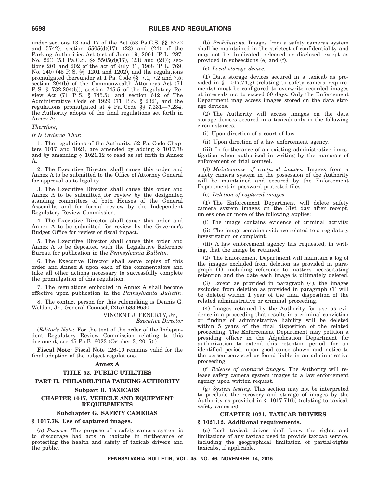under sections 13 and 17 of the Act (53 Pa.C.S. §§ 5722 and 5742); section 5505(d)(17), (23) and (24) of the Parking Authorities Act (act of June 19, 2001 (P. L. 287, No. 22)) (53 Pa.C.S. §§ 5505(d)(17), (23) and (24)); sections 201 and 202 of the act of July 31, 1968 (P. L. 769, No. 240) (45 P. S. §§ 1201 and 1202), and the regulations promulgated thereunder at 1 Pa. Code §§ 7.1, 7.2 and 7.5; section 204(b) of the Commonwealth Attorneys Act (71 P. S. § 732.204(b)); section 745.5 of the Regulatory Review Act  $(71 \t P.S. \t § 745.5)$ ; and section  $612$  of The Administrative Code of 1929 (71 P. S. § 232), and the regulations promulgated at 4 Pa. Code §§ 7.231—7.234, the Authority adopts of the final regulations set forth in Annex A;

#### *Therefore*,

#### *It Is Ordered That*:

1. The regulations of the Authority, 52 Pa. Code Chapters 1017 and 1021, are amended by adding  $\S$  1017.78 and by amending § 1021.12 to read as set forth in Annex A.

2. The Executive Director shall cause this order and Annex A to be submitted to the Office of Attorney General for approval as to legality.

3. The Executive Director shall cause this order and Annex A to be submitted for review by the designated standing committees of both Houses of the General Assembly, and for formal review by the Independent Regulatory Review Commission.

4. The Executive Director shall cause this order and Annex A to be submitted for review by the Governor's Budget Office for review of fiscal impact.

5. The Executive Director shall cause this order and Annex A to be deposited with the Legislative Reference Bureau for publication in the *Pennsylvania Bulletin*.

6. The Executive Director shall serve copies of this order and Annex A upon each of the commentators and take all other actions necessary to successfully complete the promulgation of this regulation.

7. The regulations embodied in Annex A shall become effective upon publication in the *Pennsylvania Bulletin*.

8. The contact person for this rulemaking is Dennis G. Weldon, Jr., General Counsel, (215) 683-9630.

> VINCENT J. FENERTY, Jr., *Executive Director*

(*Editor's Note*: For the text of the order of the Independent Regulatory Review Commission relating to this document, see 45 Pa.B. 6023 (October 3, 2015).)

**Fiscal Note:** Fiscal Note 126-10 remains valid for the final adoption of the subject regulations.

#### **Annex A**

#### **TITLE 52. PUBLIC UTILITIES**

#### **PART II. PHILADELPHIA PARKING AUTHORITY**

#### **Subpart B. TAXICABS**

#### **CHAPTER 1017. VEHICLE AND EQUIPMENT REQUIREMENTS**

#### **Subchapter G. SAFETY CAMERAS**

#### **§ 1017.78. Use of captured images.**

(a) *Purpose.* The purpose of a safety camera system is to discourage bad acts in taxicabs in furtherance of protecting the health and safety of taxicab drivers and the public.

(b) *Prohibitions.* Images from a safety cameras system shall be maintained in the strictest of confidentiality and may not be duplicated, released or disclosed except as provided in subsections (e) and (f).

(c) *Local storage device.*

(1) Data storage devices secured in a taxicab as provided in § 1017.74 $(g)$  (relating to safety camera requirements) must be configured to overwrite recorded images at intervals not to exceed 60 days. Only the Enforcement Department may access images stored on the data storage devices.

(2) The Authority will access images on the data storage devices secured in a taxicab only in the following circumstances:

(i) Upon direction of a court of law.

(ii) Upon direction of a law enforcement agency.

(iii) In furtherance of an existing administrative investigation when authorized in writing by the manager of enforcement or trial counsel.

(d) *Maintenance of captured images.* Images from a safety camera system in the possession of the Authority will be maintained and secured by the Enforcement Department in password protected files.

(e) *Deletion of captured images.*

(1) The Enforcement Department will delete safety camera system images on the 31st day after receipt, unless one or more of the following applies:

(i) The image contains evidence of criminal activity.

(ii) The image contains evidence related to a regulatory investigation or complaint.

(iii) A law enforcement agency has requested, in writing, that the image be retained.

(2) The Enforcement Department will maintain a log of the images excluded from deletion as provided in para $graph$   $(I)$ , including reference to matters necessitating retention and the date each image is ultimately deleted.

(3) Except as provided in paragraph (4), the images excluded from deletion as provided in paragraph (1) will be deleted within 1 year of the final disposition of the related administrative or criminal proceeding.

(4) Images retained by the Authority for use as evidence in a proceeding that results in a criminal conviction or finding of administrative liability will be deleted within 5 years of the final disposition of the related proceeding. The Enforcement Department may petition a presiding officer in the Adjudication Department for authorization to extend this retention period, for an identified period, upon good cause shown and notice to the person convicted or found liable in an administrative proceeding.

(f) *Release of captured images.* The Authority will release safety camera system images to a law enforcement agency upon written request.

(g) *System testing.* This section may not be interpreted to preclude the recovery and storage of images by the Authority as provided in § 1017.71(b) (relating to taxicab safety cameras).

#### **CHAPTER 1021. TAXICAB DRIVERS**

#### **§ 1021.12. Additional requirements.**

(a) Each taxicab driver shall know the rights and limitations of any taxicab used to provide taxicab service, including the geographical limitation of partial-rights taxicabs, if applicable.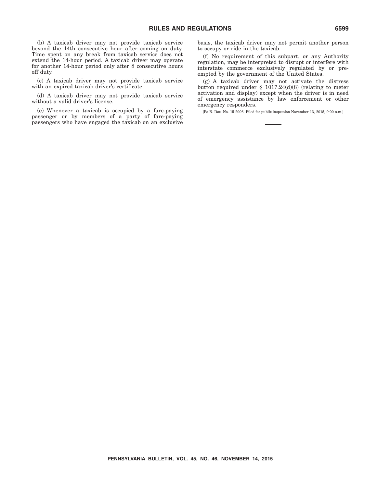(b) A taxicab driver may not provide taxicab service beyond the 14th consecutive hour after coming on duty. Time spent on any break from taxicab service does not extend the 14-hour period. A taxicab driver may operate for another 14-hour period only after 8 consecutive hours off duty.

(c) A taxicab driver may not provide taxicab service with an expired taxicab driver's certificate.

(d) A taxicab driver may not provide taxicab service without a valid driver's license.

(e) Whenever a taxicab is occupied by a fare-paying passenger or by members of a party of fare-paying passengers who have engaged the taxicab on an exclusive

basis, the taxicab driver may not permit another person to occupy or ride in the taxicab.

(f) No requirement of this subpart, or any Authority regulation, may be interpreted to disrupt or interfere with interstate commerce exclusively regulated by or preempted by the government of the United States.

(g) A taxicab driver may not activate the distress button required under § 1017.24(d)(8) (relating to meter activation and display) except when the driver is in need of emergency assistance by law enforcement or other emergency responders.

[Pa.B. Doc. No. 15-2006. Filed for public inspection November 13, 2015, 9:00 a.m.]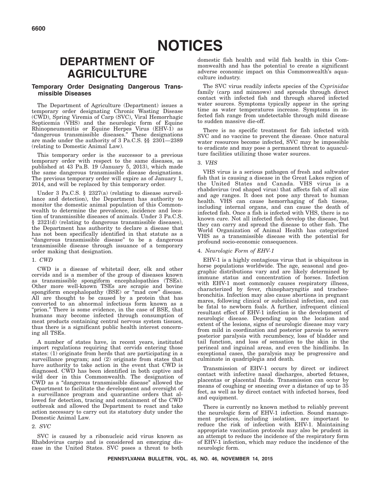### **DEPARTMENT OF AGRICULTURE**

#### **Temporary Order Designating Dangerous Transmissible Diseases**

The Department of Agriculture (Department) issues a temporary order designating Chronic Wasting Disease (CWD), Spring Viremia of Carp (SVC), Viral Hemorrhagic Septicemia (VHS) and the neurologic form of Equine Rhinopneumonitis or Equine Herpes Virus (EHV-1) as ''dangerous transmissible diseases.'' These designations are made under the authority of 3 Pa.C.S. §§ 2301—2389 (relating to Domestic Animal Law).

This temporary order is the successor to a previous temporary order with respect to the same diseases, as published at 43 Pa.B. 19 (January 5, 2013), which made the same dangerous transmissible disease designations. The previous temporary order will expire as of January 1, 2014, and will be replaced by this temporary order.

Under 3 Pa.C.S. § 2327(a) (relating to disease surveillance and detection), the Department has authority to monitor the domestic animal population of this Commonwealth to determine the prevalence, incidence and location of transmissible diseases of animals. Under 3 Pa.C.S. § 2321(d) (relating to dangerous transmissible diseases), the Department has authority to declare a disease that has not been specifically identified in that statute as a ''dangerous transmissible disease'' to be a dangerous transmissible disease through issuance of a temporary order making that designation.

#### 1. *CWD*

CWD is a disease of whitetail deer, elk and other cervids and is a member of the group of diseases known as transmissible spongiform encephalopathies (TSEs). Other more well-known TSEs are scrapie and bovine spongiform encephalopathy (BSE) or "mad cow" disease. All are thought to be caused by a protein that has converted to an abnormal infectious form known as a "prion." There is some evidence, in the case of BSE, that humans may become infected through consumption of meat products containing central nervous system tissues, thus there is a significant public health interest concerning all TSEs.

A number of states have, in recent years, instituted import regulations requiring that cervids entering those states: (1) originate from herds that are participating in a surveillance program; and (2) originate from states that have authority to take action in the event that CWD is diagnosed. CWD has been identified in both captive and wild deer in this Commonwealth. The designation of CWD as a ''dangerous transmissible disease'' allowed the Department to facilitate the development and oversight of a surveillance program and quarantine orders that allowed for detection, tracing and containment of the CWD outbreak and allowed the Department to react and take action necessary to carry out its statutory duty under the Domestic Animal Law.

#### 2. *SVC*

SVC is caused by a ribonucleic acid virus known as Rhabdovirus carpio and is considered an emerging disease in the United States. SVC poses a threat to both

domestic fish health and wild fish health in this Commonwealth and has the potential to create a significant adverse economic impact on this Commonwealth's aquaculture industry.

The SVC virus readily infects species of the *Cyprinidae* family (carp and minnows) and spreads through direct contact with infected fish and through shared infected water sources. Symptoms typically appear in the spring time as water temperatures increase. Symptoms in infected fish range from undetectable through mild disease to sudden massive die-off.

There is no specific treatment for fish infected with SVC and no vaccine to prevent the disease. Once natural water resources become infected, SVC may be impossible to eradicate and may pose a permanent threat to aquaculture facilities utilizing those water sources.

#### 3. *VHS*

VHS virus is a serious pathogen of fresh and saltwater fish that is causing a disease in the Great Lakes region of the United States and Canada. VHS virus is a rhabdovirus (rod shaped virus) that affects fish of all size and age ranges. It does not pose any threat to human health. VHS can cause hemorrhaging of fish tissue, including internal organs, and can cause the death of infected fish. Once a fish is infected with VHS, there is no known cure. Not all infected fish develop the disease, but they can carry and spread the disease to other fish. The World Organization of Animal Health has categorized VHS as a transmissible disease with the potential for profound socio-economic consequences.

#### 4. *Neurologic Form of EHV-1*

EHV-1 is a highly contagious virus that is ubiquitous in horse populations worldwide. The age, seasonal and geographic distributions vary and are likely determined by immune status and concentration of horses. Infection with EHV-1 most commonly causes respiratory illness, characterized by fever, rhinopharyngitis and tracheobronchitis. Infection may also cause abortions in pregnant mares, following clinical or subclinical infection, and can be fatal to newborn foals. A further, infrequent clinical resultant effect of EHV-1 infection is the development of neurologic disease. Depending upon the location and extent of the lesions, signs of neurologic disease may vary from mild in coordination and posterior paresis to severe posterior paralysis with recumbency, loss of bladder and tail function, and loss of sensation to the skin in the perineal and inguinal areas, and even the hindlimbs. In exceptional cases, the paralysis may be progressive and culminate in quadriplegia and death.

Transmission of EHV-1 occurs by direct or indirect contact with infective nasal discharges, aborted fetuses, placentas or placental fluids. Transmission can occur by means of coughing or sneezing over a distance of up to 35 feet, as well as by direct contact with infected horses, feed and equipment.

There is currently no known method to reliably prevent the neurologic form of EHV-1 infection. Sound management practices, including isolation, are important to reduce the risk of infection with EHV-1. Maintaining appropriate vaccination protocols may also be prudent in an attempt to reduce the incidence of the respiratory form of EHV-1 infection, which may reduce the incidence of the neurologic form.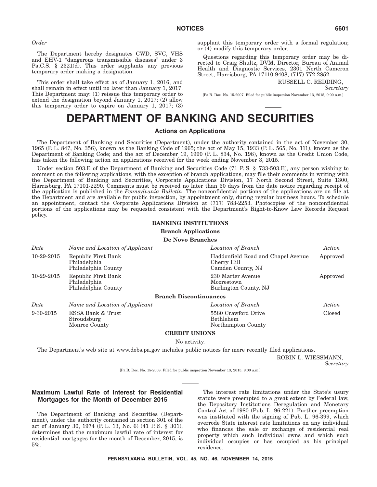*Order*

The Department hereby designates CWD, SVC, VHS and EHV-1 ''dangerous transmissible diseases'' under 3 Pa.C.S. § 2321(d). This order supplants any previous temporary order making a designation.

This order shall take effect as of January 1, 2016, and shall remain in effect until no later than January 1, 2017. This Department may: (1) reissue this temporary order to extend the designation beyond January 1, 2017; (2) allow this temporary order to expire on January 1, 2017; (3) supplant this temporary order with a formal regulation; or (4) modify this temporary order.

Questions regarding this temporary order may be directed to Craig Shultz, DVM, Director, Bureau of Animal Health and Diagnostic Services, 2301 North Cameron Street, Harrisburg, PA 17110-9408, (717) 772-2852.

RUSSELL C. REDDING,

*Secretary*

[Pa.B. Doc. No. 15-2007. Filed for public inspection November 13, 2015, 9:00 a.m.]

### **DEPARTMENT OF BANKING AND SECURITIES**

#### **Actions on Applications**

The Department of Banking and Securities (Department), under the authority contained in the act of November 30, 1965 (P. L. 847, No. 356), known as the Banking Code of 1965; the act of May 15, 1933 (P. L. 565, No. 111), known as the Department of Banking Code; and the act of December 19, 1990 (P. L. 834, No. 198), known as the Credit Union Code, has taken the following action on applications received for the week ending November 3, 2015.

Under section 503.E of the Department of Banking and Securities Code (71 P.S. § 733-503.E), any person wishing to comment on the following applications, with the exception of branch applications, may file their comments in writing with the Department of Banking and Securities, Corporate Applications Division, 17 North Second Street, Suite 1300, Harrisburg, PA 17101-2290. Comments must be received no later than 30 days from the date notice regarding receipt of the application is published in the *Pennsylvania Bulletin*. The nonconfidential portions of the applications are on file at the Department and are available for public inspection, by appointment only, during regular business hours. To schedule an appointment, contact the Corporate Applications Division at (717) 783-2253. Photocopies of the nonconfidential portions of the applications may be requested consistent with the Department's Right-to-Know Law Records Request policy.

#### **BANKING INSTITUTIONS**

**Branch Applications**

**De Novo Branches**

| Date            | Name and Location of Applicant                             | Location of Branch                                                     | Action   |
|-----------------|------------------------------------------------------------|------------------------------------------------------------------------|----------|
| 10-29-2015      | Republic First Bank<br>Philadelphia<br>Philadelphia County | Haddonfield Road and Chapel Avenue<br>Cherry Hill<br>Camden County, NJ | Approved |
| 10-29-2015      | Republic First Bank<br>Philadelphia<br>Philadelphia County | 230 Marter Avenue<br>Moorestown<br>Burlington County, NJ               | Approved |
|                 |                                                            | <b>Branch Discontinuances</b>                                          |          |
| Date            | Name and Location of Applicant                             | Location of Branch                                                     | Action   |
| $9 - 30 - 2015$ | ESSA Bank & Trust<br>Stroudsburg<br>Monroe County          | 5580 Crawford Drive<br>Bethlehem<br>Northampton County                 | Closed   |
|                 |                                                            | <b>CREDIT UNIONS</b>                                                   |          |

No activity.

The Department's web site at www.dobs.pa.gov includes public notices for more recently filed applications.

*Secretary*

[Pa.B. Doc. No. 15-2008. Filed for public inspection November 13, 2015, 9:00 a.m.]

#### **Maximum Lawful Rate of Interest for Residential Mortgages for the Month of December 2015**

The Department of Banking and Securities (Department), under the authority contained in section 301 of the act of January 30, 1974 (P. L. 13, No. 6) (41 P. S. § 301), determines that the maximum lawful rate of interest for residential mortgages for the month of December, 2015, is 5%.

The interest rate limitations under the State's usury statute were preempted to a great extent by Federal law, the Depository Institutions Deregulation and Monetary Control Act of 1980 (Pub. L. 96-221). Further preemption was instituted with the signing of Pub. L. 96-399, which overrode State interest rate limitations on any individual who finances the sale or exchange of residential real property which such individual owns and which such individual occupies or has occupied as his principal residence.

ROBIN L. WIESSMANN,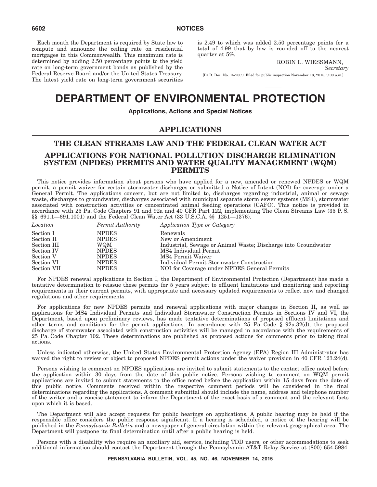Each month the Department is required by State law to compute and announce the ceiling rate on residential mortgages in this Commonwealth. This maximum rate is determined by adding 2.50 percentage points to the yield rate on long-term government bonds as published by the Federal Reserve Board and/or the United States Treasury. The latest yield rate on long-term government securities is 2.49 to which was added 2.50 percentage points for a total of 4.99 that by law is rounded off to the nearest quarter at 5%.

ROBIN L. WIESSMANN,

*Secretary*

[Pa.B. Doc. No. 15-2009. Filed for public inspection November 13, 2015, 9:00 a.m.]

### **DEPARTMENT OF ENVIRONMENTAL PROTECTION**

**Applications, Actions and Special Notices**

#### **APPLICATIONS**

#### **THE CLEAN STREAMS LAW AND THE FEDERAL CLEAN WATER ACT APPLICATIONS FOR NATIONAL POLLUTION DISCHARGE ELIMINATION SYSTEM (NPDES) PERMITS AND WATER QUALITY MANAGEMENT (WQM) PERMITS**

This notice provides information about persons who have applied for a new, amended or renewed NPDES or WQM permit, a permit waiver for certain stormwater discharges or submitted a Notice of Intent (NOI) for coverage under a General Permit. The applications concern, but are not limited to, discharges regarding industrial, animal or sewage waste, discharges to groundwater, discharges associated with municipal separate storm sewer systems (MS4), stormwater associated with construction activities or concentrated animal feeding operations (CAFO). This notice is provided in accordance with 25 Pa. Code Chapters 91 and 92a and 40 CFR Part 122, implementing The Clean Streams Law (35 P. S. §§ 691.1—691.1001) and the Federal Clean Water Act (33 U.S.C.A. §§ 1251—1376).

| Location    | Permit Authority | Application Type or Category                                   |
|-------------|------------------|----------------------------------------------------------------|
| Section I   | <b>NPDES</b>     | Renewals                                                       |
| Section II  | <b>NPDES</b>     | New or Amendment                                               |
| Section III | WQM              | Industrial, Sewage or Animal Waste; Discharge into Groundwater |
| Section IV  | <b>NPDES</b>     | MS4 Individual Permit                                          |
| Section V   | <b>NPDES</b>     | MS4 Permit Waiver                                              |
| Section VI  | <b>NPDES</b>     | Individual Permit Stormwater Construction                      |
| Section VII | <b>NPDES</b>     | NOI for Coverage under NPDES General Permits                   |
|             |                  |                                                                |

For NPDES renewal applications in Section I, the Department of Environmental Protection (Department) has made a tentative determination to reissue these permits for 5 years subject to effluent limitations and monitoring and reporting requirements in their current permits, with appropriate and necessary updated requirements to reflect new and changed regulations and other requirements.

For applications for new NPDES permits and renewal applications with major changes in Section II, as well as applications for MS4 Individual Permits and Individual Stormwater Construction Permits in Sections IV and VI, the Department, based upon preliminary reviews, has made tentative determinations of proposed effluent limitations and other terms and conditions for the permit applications. In accordance with 25 Pa. Code § 92a.32(d), the proposed discharge of stormwater associated with construction activities will be managed in accordance with the requirements of 25 Pa. Code Chapter 102. These determinations are published as proposed actions for comments prior to taking final actions.

Unless indicated otherwise, the United States Environmental Protection Agency (EPA) Region III Administrator has waived the right to review or object to proposed NPDES permit actions under the waiver provision in 40 CFR 123.24(d).

Persons wishing to comment on NPDES applications are invited to submit statements to the contact office noted before the application within 30 days from the date of this public notice. Persons wishing to comment on WQM permit applications are invited to submit statements to the office noted before the application within 15 days from the date of this public notice. Comments received within the respective comment periods will be considered in the final determinations regarding the applications. A comment submittal should include the name, address and telephone number of the writer and a concise statement to inform the Department of the exact basis of a comment and the relevant facts upon which it is based.

The Department will also accept requests for public hearings on applications. A public hearing may be held if the responsible office considers the public response significant. If a hearing is scheduled, a notice of the hearing will be published in the *Pennsylvania Bulletin* and a newspaper of general circulation within the relevant geographical area. The Department will postpone its final determination until after a public hearing is held.

Persons with a disability who require an auxiliary aid, service, including TDD users, or other accommodations to seek additional information should contact the Department through the Pennsylvania AT&T Relay Service at (800) 654-5984.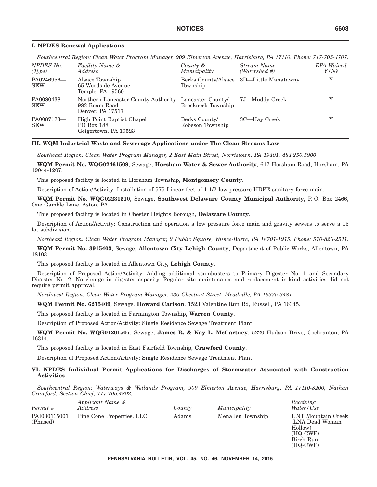|                          | Southcentral Region: Clean Water Program Manager, 909 Elmerton Avenue, Harrisburg, PA 17110. Phone: 717-705-4707. |                                               |                                         |                              |
|--------------------------|-------------------------------------------------------------------------------------------------------------------|-----------------------------------------------|-----------------------------------------|------------------------------|
| NPDES No.<br>(Type)      | Facility Name &<br>Address                                                                                        | County &<br>Municipality                      | Stream Name<br>(Watershed #)            | <b>EPA</b> Waived<br>$Y/N$ ? |
| PA0246956-<br><b>SEW</b> | Alsace Township<br>65 Woodside Avenue<br>Temple, PA 19560                                                         | Township                                      | Berks County/Alsace 3D—Little Manatawny | Y                            |
| PA0080438-<br><b>SEW</b> | Northern Lancaster County Authority<br>983 Beam Road<br>Denver, PA 17517                                          | Lancaster County<br><b>Brecknock Township</b> | 7J—Muddy Creek                          |                              |
| PA0087173-<br><b>SEW</b> | High Point Baptist Chapel<br>PO Box 188<br>Geigertown, PA 19523                                                   | Berks County<br>Robeson Township              | 3C—Hay Creek                            |                              |

#### **I. NPDES Renewal Applications**

#### **III. WQM Industrial Waste and Sewerage Applications under The Clean Streams Law**

*Southeast Region: Clean Water Program Manager, 2 East Main Street, Norristown, PA 19401, 484.250.5900*

**WQM Permit No. WQG02461509**, Sewage, **Horsham Water & Sewer Authority**, 617 Horsham Road, Horsham, PA 19044-1207.

This proposed facility is located in Horsham Township, **Montgomery County**.

Description of Action/Activity: Installation of 575 Linear feet of 1-1/2 low pressure HDPE sanitary force main.

**WQM Permit No. WQG02231510**, Sewage, **Southwest Delaware County Municipal Authority**, P. O. Box 2466, One Gamble Lane, Aston, PA.

This proposed facility is located in Chester Heights Borough, **Delaware County**.

Description of Action/Activity: Construction and operation a low pressure force main and gravity sewers to serve a 15 lot subdivision.

*Northeast Region: Clean Water Program Manager, 2 Public Square, Wilkes-Barre, PA 18701-1915. Phone: 570-826-2511.*

**WQM Permit No. 3915403**, Sewage, **Allentown City Lehigh County**, Department of Public Works, Allentown, PA 18103.

This proposed facility is located in Allentown City, **Lehigh County**.

Description of Proposed Action/Activity: Adding additional scumbusters to Primary Digester No. 1 and Secondary Digester No. 2. No change in digester capacity. Regular site maintenance and replacement in-kind activities did not require permit approval.

*Northwest Region: Clean Water Program Manager, 230 Chestnut Street, Meadville, PA 16335-3481*

**WQM Permit No. 6215409**, Sewage, **Howard Carlson**, 1523 Valentine Run Rd, Russell, PA 16345.

This proposed facility is located in Farmington Township, **Warren County**.

Description of Proposed Action/Activity: Single Residence Sewage Treatment Plant.

**WQM Permit No. WQG01201507**, Sewage, **James R. & Kay L. McCartney**, 5220 Hudson Drive, Cochranton, PA 16314.

This proposed facility is located in East Fairfield Township, **Crawford County**.

Description of Proposed Action/Activity: Single Residence Sewage Treatment Plant.

#### **VI. NPDES Individual Permit Applications for Discharges of Stormwater Associated with Construction Activities**

*Southcentral Region: Waterways & Wetlands Program, 909 Elmerton Avenue, Harrisburg, PA 17110-8200, Nathan Crawford, Section Chief, 717.705.4802.*

| Permit #                 | Applicant Name &<br>Address | County | Muni |
|--------------------------|-----------------------------|--------|------|
| PAI030115001<br>(Phased) | Pine Cone Properties, LLC   | Adams  | Mena |

*Address County Municipality*

*Receiving Water/Use* Pilen Township UNT Mountain Creek (LNA Dead Woman Hollow) (HQ-CWF) Birch Run (HQ-CWF)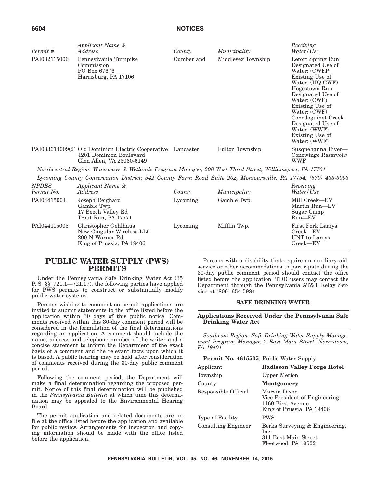| Permit #     | Applicant Name &<br>Address                                                                                    | County     | Municipality       | Receiving<br>Water/Use                                                                                                                                                                                                                                                              |
|--------------|----------------------------------------------------------------------------------------------------------------|------------|--------------------|-------------------------------------------------------------------------------------------------------------------------------------------------------------------------------------------------------------------------------------------------------------------------------------|
| PAI032115006 | Pennsylvania Turnpike<br>Commission<br>PO Box 67676<br>Harrisburg, PA 17106                                    | Cumberland | Middlesex Township | Letort Spring Run<br>Designated Use of<br>Water: (CWFP<br>Existing Use of<br>Water: (HQ-CWF)<br>Hogestown Run<br>Designated Use of<br>Water: (CWF)<br>Existing Use of<br>Water: (CWF)<br>Conodoguinet Creek<br>Designated Use of<br>Water: (WWF)<br>Existing Use of<br>Water: (WWF) |
|              | PAI033614009(2) Old Dominion Electric Cooperative<br>4201 Dominion Boulevard<br>Glen Allen, VA 23060-6149      | Lancaster  | Fulton Township    | Susquehanna River-<br>Conowingo Reservoir/<br>WWF                                                                                                                                                                                                                                   |
|              | Northcentral Region: Waterways & Wetlands Program Manager, 208 West Third Street, Williamsport, PA 17701       |            |                    |                                                                                                                                                                                                                                                                                     |
|              | Lycoming County Conservation District: 542 County Farm Road Suite 202, Montoursville, PA 17754, (570) 433-3003 |            |                    |                                                                                                                                                                                                                                                                                     |

| <b>NPDES</b><br>Permit No. | Applicant Name &<br>Address                                                                       | County   | Municipality | Receiving<br>Water/Use                                            |
|----------------------------|---------------------------------------------------------------------------------------------------|----------|--------------|-------------------------------------------------------------------|
| PAI04415004                | Joseph Reighard<br>Gamble Twp.<br>17 Beech Valley Rd<br>Trout Run, PA 17771                       | Lycoming | Gamble Twp.  | Mill Creek-EV<br>Martin Run-EV<br>Sugar Camp<br>$Run$ – $EV$      |
| PAI044115005               | Christopher Gehlhaus<br>New Cingular Wireless LLC<br>200 N Warner Rd<br>King of Prussia, PA 19406 | Lycoming | Mifflin Twp. | <b>First Fork Larrys</b><br>Creek-EV<br>UNT to Larrys<br>Creek-EV |

#### **PUBLIC WATER SUPPLY (PWS) PERMITS**

Under the Pennsylvania Safe Drinking Water Act (35 P. S. §§ 721.1—721.17), the following parties have applied for PWS permits to construct or substantially modify public water systems.

Persons wishing to comment on permit applications are invited to submit statements to the office listed before the application within 30 days of this public notice. Comments received within this 30-day comment period will be considered in the formulation of the final determinations regarding an application. A comment should include the name, address and telephone number of the writer and a concise statement to inform the Department of the exact basis of a comment and the relevant facts upon which it is based. A public hearing may be held after consideration of comments received during the 30-day public comment period.

Following the comment period, the Department will make a final determination regarding the proposed permit. Notice of this final determination will be published in the *Pennsylvania Bulletin* at which time this determination may be appealed to the Environmental Hearing Board.

The permit application and related documents are on file at the office listed before the application and available for public review. Arrangements for inspection and copying information should be made with the office listed before the application.

Persons with a disability that require an auxiliary aid, service or other accommodations to participate during the 30-day public comment period should contact the office listed before the application. TDD users may contact the Department through the Pennsylvania AT&T Relay Service at (800) 654-5984.

#### **SAFE DRINKING WATER**

#### **Applications Received Under the Pennsylvania Safe Drinking Water Act**

*Southeast Region: Safe Drinking Water Supply Management Program Manager, 2 East Main Street, Norristown, PA 19401*

#### **Permit No. 4615505**, Public Water Supply

| Applicant                  | <b>Radisson Valley Forge Hotel</b>                                                              |
|----------------------------|-------------------------------------------------------------------------------------------------|
| Township                   | <b>Upper Merion</b>                                                                             |
| County                     | <b>Montgomery</b>                                                                               |
| Responsible Official       | Marvin Dixon<br>Vice President of Engineering<br>1160 First Avenue<br>King of Prussia, PA 19406 |
| Type of Facility           | <b>PWS</b>                                                                                      |
| <b>Consulting Engineer</b> | Berks Surveying & Engineering,<br>Inc.<br>311 East Main Street<br>Fleetwood, PA 19522           |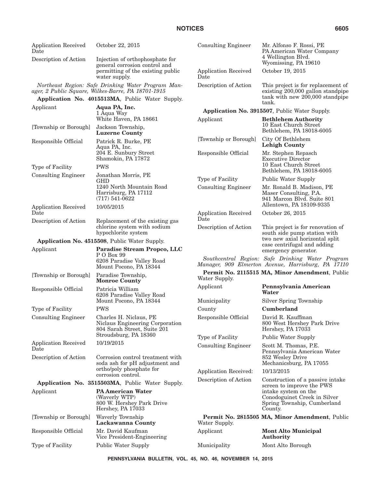| <b>Application Received</b><br>Date<br>Description of Action | October 22, 2015<br>Injection of orthophosphate for                                                      | <b>Consulting Engineer</b>   | Mr. Alfonso F. Rossi, PE<br>PA American Water Company<br>4 Wellington Blvd.                                                 |
|--------------------------------------------------------------|----------------------------------------------------------------------------------------------------------|------------------------------|-----------------------------------------------------------------------------------------------------------------------------|
|                                                              | general corrosion control and<br>permitting of the existing public<br>water supply.                      | Application Received<br>Date | Wyomissing, PA 19610<br>October 19, 2015                                                                                    |
|                                                              | Northeast Region: Safe Drinking Water Program Man-<br>ager, 2 Public Square, Wilkes-Barre, PA 18701-1915 | Description of Action        | This project is for replacement of<br>existing 200,000 gallon standpipe<br>tank with new 200,000 standpipe                  |
|                                                              | Application No. 4015513MA, Public Water Supply.                                                          |                              | tank.                                                                                                                       |
| Applicant                                                    | Aqua PA, Inc.<br>1 Aqua Way                                                                              |                              | Application No. 3915507, Public Water Supply.                                                                               |
|                                                              | White Haven, PA 18661                                                                                    | Applicant                    | <b>Bethlehem Authority</b>                                                                                                  |
| [Township or Borough]                                        | Jackson Township,<br><b>Luzerne County</b>                                                               |                              | 10 East Church Street<br>Bethlehem, PA 18018-6005                                                                           |
| Responsible Official                                         | Patrick R. Burke, PE<br>Aqua PA, Inc.                                                                    | [Township or Borough]        | City Of Bethlehem<br><b>Lehigh County</b>                                                                                   |
|                                                              | 204 E. Sunbury Street<br>Shamokin, PA 17872                                                              | Responsible Official         | Mr. Stephen Repasch<br><b>Executive Director</b><br>10 East Church Street                                                   |
| Type of Facility                                             | <b>PWS</b>                                                                                               |                              | Bethlehem, PA 18018-6005                                                                                                    |
| <b>Consulting Engineer</b>                                   | Jonathan Morris, PE<br><b>GHD</b>                                                                        | Type of Facility             | Public Water Supply                                                                                                         |
|                                                              | 1240 North Mountain Road<br>Harrisburg, PA 17112<br>$(717) 541 - 0622$                                   | <b>Consulting Engineer</b>   | Mr. Ronald B. Madison, PE<br>Maser Consulting, P.A.<br>941 Marcon Blvd. Suite 801<br>Allentown, PA 18109-9335               |
| <b>Application Received</b><br>Date                          | 10/05/2015                                                                                               | <b>Application Received</b>  | October 26, 2015                                                                                                            |
| Description of Action                                        | Replacement of the existing gas                                                                          | Date                         |                                                                                                                             |
|                                                              | chlorine system with sodium<br>hypochlorite system                                                       | Description of Action        | This project is for renovation of<br>south side pump station with                                                           |
|                                                              | Application No. 4515508, Public Water Supply.                                                            |                              | two new axial horizontal split                                                                                              |
|                                                              |                                                                                                          |                              |                                                                                                                             |
| Applicant                                                    | Paradise Stream Propco, LLC                                                                              |                              | case centrifugal and adding<br>emergency generator.                                                                         |
|                                                              | P O Box 99<br>6208 Paradise Valley Road<br>Mount Pocono, PA 18344                                        |                              | Southcentral Region: Safe Drinking Water Program<br>Manager, 909 Elmerton Avenue, Harrisburg, PA 17110                      |
| [Township or Borough]                                        | Paradise Township,<br><b>Monroe County</b>                                                               | Water Supply.                | Permit No. 2115515 MA, Minor Amendment, Public                                                                              |
| Responsible Official                                         | Patricia William<br>6208 Paradise Valley Road                                                            | Applicant                    | Pennsylvania American<br>Water                                                                                              |
|                                                              | Mount Pocono, PA 18344                                                                                   | Municipality                 | Silver Spring Township                                                                                                      |
| Type of Facility                                             | <b>PWS</b>                                                                                               | County                       | Cumberland                                                                                                                  |
| <b>Consulting Engineer</b>                                   | Charles H. Niclaus, PE<br>Niclaus Engineering Corporation<br>804 Sarah Street, Suite 201                 | Responsible Official         | David R. Kauffman<br>800 West Hershey Park Drive<br>Hershey, PA 17033                                                       |
|                                                              | Stroudsburg, PA 18360                                                                                    | Type of Facility             | <b>Public Water Supply</b>                                                                                                  |
| <b>Application Received</b><br>Date                          | 10/19/2015                                                                                               | <b>Consulting Engineer</b>   | Scott M. Thomas, P.E.<br>Pennsylvania American Water                                                                        |
| Description of Action                                        | Corrosion control treatment with<br>soda ash for pH adjustment and                                       |                              | 852 Wesley Drive<br>Mechanicsburg, PA 17055                                                                                 |
|                                                              | ortho/poly phosphate for<br>corrosion control.                                                           | Application Received:        | 10/13/2015                                                                                                                  |
|                                                              | Application No. 3515503MA, Public Water Supply.                                                          | Description of Action        | Construction of a passive intake                                                                                            |
| Applicant                                                    | <b>PA American Water</b><br>(Waverly WTP)<br>800 W. Hershey Park Drive<br>Hershey, PA 17033              |                              | screen to improve the PWS<br>intake system on the<br>Conodoguinet Creek in Silver<br>Spring Township, Cumberland<br>County. |
| [Township or Borough]                                        | Waverly Township<br><b>Lackawanna County</b>                                                             | Water Supply.                | Permit No. 2815505 MA, Minor Amendment, Public                                                                              |
| Responsible Official                                         | Mr. David Kaufman<br>Vice President-Engineering                                                          | Applicant                    | <b>Mont Alto Municipal</b><br>Authority                                                                                     |

**PENNSYLVANIA BULLETIN, VOL. 45, NO. 46, NOVEMBER 14, 2015**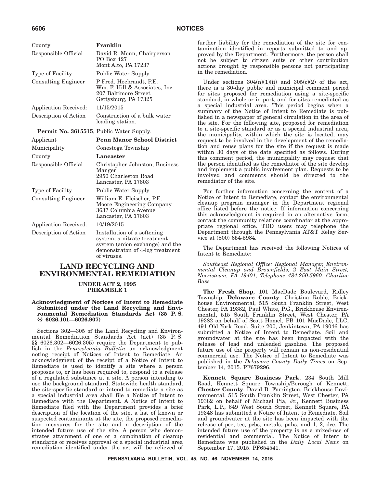| County                                          | Franklin                                                                                                                                        |
|-------------------------------------------------|-------------------------------------------------------------------------------------------------------------------------------------------------|
| Responsible Official                            | David R. Monn, Chairperson                                                                                                                      |
|                                                 | PO Box 427<br>Mont Alto, PA 17237                                                                                                               |
|                                                 |                                                                                                                                                 |
| Type of Facility                                | Public Water Supply                                                                                                                             |
| <b>Consulting Engineer</b>                      | P Fred. Heebrandt, P.E.<br>Wm. F. Hill & Associates, Inc.<br>207 Baltimore Street<br>Gettysburg, PA 17325                                       |
| <b>Application Received:</b>                    | 11/15/2015                                                                                                                                      |
| Description of Action                           | Construction of a bulk water<br>loading station.                                                                                                |
| <b>Permit No. 3615515, Public Water Supply.</b> |                                                                                                                                                 |
| Applicant                                       | <b>Penn Manor School District</b>                                                                                                               |
| Municipality                                    | Conestoga Township                                                                                                                              |
|                                                 |                                                                                                                                                 |
| County                                          | Lancaster                                                                                                                                       |
| Responsible Official                            | Christopher Johnston, Business<br>Manger<br>2950 Charleston Road<br>Lancaster, PA 17603                                                         |
| Type of Facility                                | Public Water Supply                                                                                                                             |
| <b>Consulting Engineer</b>                      | William E. Fleischer, P.E.<br>Moore Engineering Company<br>3637 Columbia Avenue<br>Lancaster, PA 17603                                          |
| Application Received:                           | 10/19/2015                                                                                                                                      |
| Description of Action                           | Installation of a softening<br>system, a nitrate treatment<br>system (anion exchange) and the<br>demonstraton of 4-log treatment<br>of viruses. |

#### **LAND RECYCLING AND ENVIRONMENTAL REMEDIATION**

**UNDER ACT 2, 1995 PREAMBLE 1**

**Acknowledgment of Notices of Intent to Remediate Submitted under the Land Recycling and Environmental Remediation Standards Act (35 P. S. §§ 6026.101—6026.907)**

Sections 302—305 of the Land Recycling and Environmental Remediation Standards Act (act) (35 P. S. §§ 6026.302—6026.305) require the Department to publish in the *Pennsylvania Bulletin* an acknowledgment noting receipt of Notices of Intent to Remediate. An acknowledgment of the receipt of a Notice of Intent to Remediate is used to identify a site where a person proposes to, or has been required to, respond to a release of a regulated substance at a site. A person intending to use the background standard, Statewide health standard, the site-specific standard or intend to remediate a site as a special industrial area shall file a Notice of Intent to Remediate with the Department. A Notice of Intent to Remediate filed with the Department provides a brief description of the location of the site, a list of known or suspected contaminants at the site, the proposed remediation measures for the site and a description of the intended future use of the site. A person who demonstrates attainment of one or a combination of cleanup standards or receives approval of a special industrial area remediation identified under the act will be relieved of further liability for the remediation of the site for contamination identified in reports submitted to and approved by the Department. Furthermore, the person shall not be subject to citizen suits or other contribution actions brought by responsible persons not participating in the remediation.

Under sections  $304(n)(1)(ii)$  and  $305(c)(2)$  of the act, there is a 30-day public and municipal comment period for sites proposed for remediation using a site-specific standard, in whole or in part, and for sites remediated as a special industrial area. This period begins when a summary of the Notice of Intent to Remediate is published in a newspaper of general circulation in the area of the site. For the following site, proposed for remediation to a site-specific standard or as a special industrial area, the municipality, within which the site is located, may request to be involved in the development of the remediation and reuse plans for the site if the request is made within 30 days of the date specified as follows. During this comment period, the municipality may request that the person identified as the remediator of the site develop and implement a public involvement plan. Requests to be involved and comments should be directed to the remediator of the site.

For further information concerning the content of a Notice of Intent to Remediate, contact the environmental cleanup program manager in the Department regional office listed before the notice. If information concerning this acknowledgment is required in an alternative form, contact the community relations coordinator at the appropriate regional office. TDD users may telephone the Department through the Pennsylvania AT&T Relay Service at (800) 654-5984.

The Department has received the following Notices of Intent to Remediate:

*Southeast Regional Office: Regional Manager, Environmental Cleanup and Brownfields, 2 East Main Street, Norristown, PA 19401, Telephone 484.250.5960. Charline Bass*

**The Fresh Shop**, 101 MacDade Boulevard, Ridley Township, **Delaware County**. Christina Ruble, Brickhouse Environmental, 515 South Franklin Street, West Chester, PA 19382, Paul White, P.G., Brickhouse Environmental, 515 South Franklin Street, West Chester, PA 19382 on behalf of Scott Homel, PB 101 MacDade, LLC, 491 Old York Road, Suite 200, Jenkintown, PA 19046 has submitted a Notice of Intent to Remediate. Soil and groundwater at the site has been impacted with the release of lead and unleaded gasoline. The proposed future use of the property will remain as non-residential commercial use. The Notice of Intent to Remediate was published in the *Delaware County Daily Times* on September 14, 2015. PF679296.

**Kennett Square Business Park**, 234 South Mill Road, Kennett Square Township/Borough of Kennett, **Chester County**. David B. Farrington, Brickhouse Environmental, 515 South Franklin Street, West Chester, PA 19382 on behalf of Michael Pia, Jr., Kennett Business Park, L.P., 649 West South Street, Kennett Square, PA 19348 has submitted a Notice of Intent to Remediate. Soil and groundwater at the site has been impacted with the release of pce, tec, pcbs, metals, pahs, and 1, 2, dce. The intended future use of the property is as a mixed-use of residential and commercial. The Notice of Intent to Remediate was published in the *Daily Local News* on September 17, 2015. PF654541.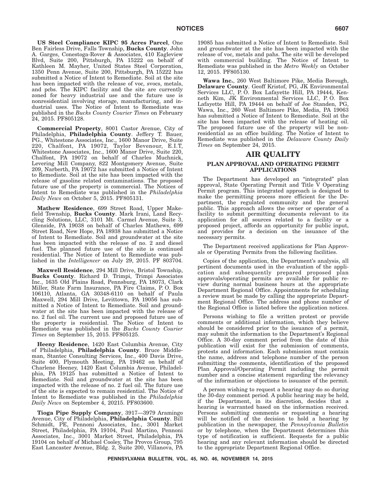**US Steel Compliance KIPC 95 Acres Parcel**, One Ben Fairless Drive, Falls Township, **Bucks County**. John A. Garges, Conestoga-Rover & Associates, 410 Eagleview Blvd, Suite 200, Pittsburgh, PA 15222 on behalf of Kathleen M. Mayher, United States Steel Corporation, 1350 Penn Avenue, Suite 200, Pittsburgh, PA 15222 has submitted a Notice of Intent to Remediate. Soil at the site has been impacted with the release of voc, svocs, metals, and pcbs. The KIPC facility and the site are currently zoned for heavy industrial use and the future use is nonresidential involving storage, manufacturing, and industrial uses. The Notice of Intent to Remediate was published in the *Bucks County Courier Times* on February 24, 2015. PF805128.

**Commercial Property**, 8001 Castor Avenue, City of Philadelphia, **Philadelphia County**. Jeffery T. Bauer, PG., Whitestone Associates, Inc., 1600 Manor Drive, Suite 220, Chalfont, PA 19072, Taylor Bevenour, E.I.T, Whitestone Associates, Inc., 1600 Manor Drive, Suite 220, Chalfont, PA 19072 on behalf of Charles Muchnick, Levering Mill Company, 822 Montgomery Avenue, Suite 209, Narberth, PA 19072 has submitted a Notice of Intent to Remediate. Soil at the site has been impacted with the release of gasoline related contaminations. The proposed future use of the property is commercial. The Notices of Intent to Remediate was published in the *Philadelphia Daily News* on October 5, 2015. PF805131.

**Mathew Residence**, 699 Street Road, Upper Makefield Township, **Bucks County**. Mark Irani, Land Recycling Solutions, LLC, 3101 Mt. Carmel Avenue, Suite 3, Glenside, PA 19038 on behalf of Charles Mathews, 699 Street Road, New Hope, PA 18938 has submitted a Notice of Intent to Remediate. Soil and groundwater at the site has been impacted with the release of no. 2 and diesel fuel. The planned future use of the site is continued residential. The Notice of Intent to Remediate was published in the *Intelligencer* on July 29, 2015. PF 803704.

**Maxwell Residence**, 294 Mill Drive, Bristol Township, **Bucks County**. Richard D. Trimpi, Trimpi Associates Inc., 1635 Old Plains Road, Pennsburg, PA 18073, Clark Miller, State Farm Insurance, PA Fire Claims, P. O. Box 106110, Atlanta, GA 30348-6110 on behalf of Paula Maxwell, 294 Mill Drive, Levittown, PA 19056 has submitted a Notice of Intent to Remediate. Soil and groundwater at the site has been impacted with the release of no. 2 fuel oil. The current use and proposed future use of the property is residential. The Notice of Intent to Remediate was published in the *Bucks County Courier Times* on September 15, 2015. PF805125.

**Heeny Residence**, 1420 East Columbia Avenue, City of Philadelphia, **Philadelphia County**. Bruce Middleman, Stantec Consulting Services, Inc., 400 Davis Drive, Suite 400, Plymouth Meeting, PA 19462 on behalf of Charlene Heeney, 1420 East Columbia Avenue, Philadelphia, PA 19125 has submitted a Notice of Intent to Remediate. Soil and groundwater at the site has been impacted with the release of no. 2 fuel oil. The future use of the site is expected to remain residential. The Notice of Intent to Remediate was published in the *Philadelphia Daily News* on September 4, 20215. PF803600.

**Tioga Pipe Supply Company**, 3917—3979 Aramingo Avenue, City of Philadelphia, **Philadelphia County**. Bill Schmidt, PE, Pennoni Associates, Inc., 3001 Market Street, Philadelphia, PA 19104, Paul Martino, Pennoni Associates, Inc., 3001 Market Street, Philadelphia, PA 19104 on behalf of Michael Cooley, The Provco Group, 795 East Lancaster Avenue, Bldg. 2, Suite 200, Villanova, PA 19085 has submitted a Notice of Intent to Remediate. Soil and groundwater at the site has been impacted with the release of voc, metals and pahs. The site will be developed with commercial building. The Notice of Intent to Remediate was published in the *Metro Weekly* on October 12, 2015. PF805130.

**Wawa Inc.**, 260 West Baltimore Pike, Media Borough, **Delaware County**. Geoff Kristof, PG, JK Environmental Services LLC, P. O. Box Lafayette Hill, PA 19444, Kenneth Kim, JK Environmental Services LLC, P. O. Box Lafayette Hill, PA 19444 on behalf of Joe Standen, PG, Wawa, Inc., 260 West Baltimore Pike, Media, PA 19063 has submitted a Notice of Intent to Remediate. Soil at the site has been impacted with the release of heating oil. The proposed future use of the property will be nonresidential as an office building. The Notice of Intent to Remediate was published in the *Delaware County Daily Times* on September 24, 2015.

#### **AIR QUALITY**

#### **PLAN APPROVAL AND OPERATING PERMIT APPLICATIONS**

The Department has developed an "integrated" plan approval, State Operating Permit and Title V Operating Permit program. This integrated approach is designed to make the permitting process more efficient for the Department, the regulated community and the general public. This approach allows the owner or operator of a facility to submit permitting documents relevant to its application for all sources related to a facility or a proposed project, affords an opportunity for public input, and provides for a decision on the issuance of the necessary permits.

The Department received applications for Plan Approvals or Operating Permits from the following facilities.

Copies of the application, the Department's analysis, all pertinent documents used in the evaluation of the application and subsequently prepared proposed plan approvals/operating permits are available for public review during normal business hours at the appropriate Department Regional Office. Appointments for scheduling a review must be made by calling the appropriate Department Regional Office. The address and phone number of the Regional Office is listed before the application notices.

Persons wishing to file a written protest or provide comments or additional information, which they believe should be considered prior to the issuance of a permit, may submit the information to the Department's Regional Office. A 30-day comment period from the date of this publication will exist for the submission of comments, protests and information. Each submission must contain the name, address and telephone number of the person submitting the comments, identification of the proposed Plan Approval/Operating Permit including the permit number and a concise statement regarding the relevancy of the information or objections to issuance of the permit.

A person wishing to request a hearing may do so during the 30-day comment period. A public hearing may be held, if the Department, in its discretion, decides that a hearing is warranted based on the information received. Persons submitting comments or requesting a hearing will be notified of the decision to hold a hearing by publication in the newspaper, the *Pennsylvania Bulletin* or by telephone, when the Department determines this type of notification is sufficient. Requests for a public hearing and any relevant information should be directed to the appropriate Department Regional Office.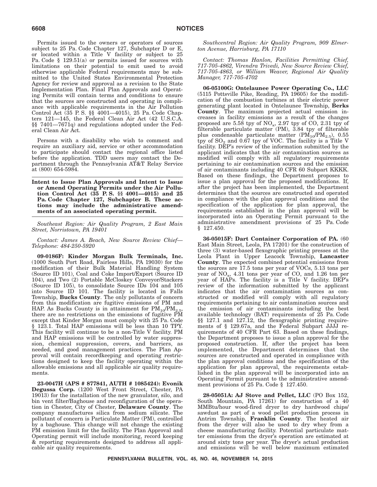Permits issued to the owners or operators of sources subject to 25 Pa. Code Chapter 127, Subchapter D or E, or located within a Title V facility or subject to 25 Pa. Code § 129.51(a) or permits issued for sources with limitations on their potential to emit used to avoid otherwise applicable Federal requirements may be submitted to the United States Environmental Protection Agency for review and approval as a revision to the State Implementation Plan. Final Plan Approvals and Operating Permits will contain terms and conditions to ensure that the sources are constructed and operating in compliance with applicable requirements in the Air Pollution Control Act (35 P. S. §§ 4001—4015), 25 Pa. Code Chapters 121—145, the Federal Clean Air Act (42 U.S.C.A. §§ 7401—7671q) and regulations adopted under the Federal Clean Air Act.

Persons with a disability who wish to comment and require an auxiliary aid, service or other accommodation to participate should contact the regional office listed before the application. TDD users may contact the Department through the Pennsylvania AT&T Relay Service at (800) 654-5984.

**Intent to Issue Plan Approvals and Intent to Issue or Amend Operating Permits under the Air Pollution Control Act (35 P. S. §§ 4001—4015) and 25 Pa. Code Chapter 127, Subchapter B. These actions may include the administrative amendments of an associated operating permit.**

*Southeast Region: Air Quality Program, 2 East Main Street, Norristown, PA 19401*

*Contact: James A. Beach, New Source Review Chief— Telephone: 484-250-5920*

**09-0186F: Kinder Morgan Bulk Terminals, Inc.** (1000 South Port Road, Fairless Hills, PA 19030) for the modification of their Bulk Material Handling System (Source ID 101), Coal and Coke Import/Export (Source ID 104), and Two (2) Portable McCloskey Conveyor/Stackers (Source ID 105), to consolidate Source IDs 104 and 105 into Source ID 101. The facility is located in Falls Township, **Bucks County**. The only pollutants of concern from this modification are fugitive emissions of PM and HAP. As Bucks County is in attainment for  $PM_{10}/PM_{2.5}$ , there are no restrictions on the emissions of fugitive PM except that Kinder Morgan must comply with 25 Pa. Code § 123.1. Total HAP emissions will be less than 10 TPY. This facility will continue to be a non-Title V facility. PM and HAP emissions will be controlled by water suppression, chemical suppression, covers, and barriers, as needed, and good management practices. The Plan Approval will contain recordkeeping and operating restrictions designed to keep the facility operating within the allowable emissions and all applicable air quality requirements.

**23-0047H (APS # 877841, AUTH # 1085424): Evonik Degussa Corp.** (1200 West Front Street, Chester, PA 19013) for the installation of the new granulator, silo, and bin vent filter/Baghouse and reconfiguration of the operation in Chester, City of Chester, **Delaware County**. The company manufactures silica from sodium silicate. The pollutant of concern is Particulate Matter (PM), controlled by a baghouse. This change will not change the existing PM emission limit for the facility. The Plan Approval and Operating permit will include monitoring, record keeping & reporting requirements designed to address all applicable air quality requirements.

*Southcentral Region: Air Quality Program, 909 Elmerton Avenue, Harrisburg, PA 17110*

*Contact: Thomas Hanlon, Facilities Permitting Chief, 717-705-4862, Virendra Trivedi, New Source Review Chief, 717-705-4863, or William Weaver, Regional Air Quality Manager, 717-705-4702*

**06-05100G: Ontelaunee Power Operating Co., LLC** (5115 Pottsville Pike, Reading, PA 19605) for the modification of the combustion turbines at their electric power generating plant located in Ontelaunee Township, **Berks County**. The maximum projected actual emission increases in facility emissions as a result of the changes proposed are 5.58 tpy of NO<sub>x</sub>, 2.97 tpy of CO, 2.31 tpy of filterable particulate matter (PM), 3.84 tpy of filterable plus condensable particulate matter  $(PM_{10}/PM_{2.5})$ , 0.55 tpy of  $SO_2$  and 0.67 tpy of VOC. The facility is a Title V facility. DEP's review of the information submitted by the applicant indicates that the air contamination sources as modified will comply with all regulatory requirements pertaining to air contamination sources and the emission of air contaminants including 40 CFR 60 Subpart KKKK. Based on these findings, the Department proposes to issue a plan approval for the proposed modifications. If, after the project has been implemented, the Department determines that the sources are constructed and operated in compliance with the plan approval conditions and the specification of the application for plan approval, the requirements established in the plan approval will be incorporated into an Operating Permit pursuant to the administrative amendment provisions of 25 Pa. Code § 127.450.

**36-05015F: Dart Container Corporation of PA.** (60 East Main Street, Leola, PA 17201) for the construction of three (3) water-based flexographic printing presses at the Leola Plant in Upper Leacock Township, **Lancaster County**. The expected combined potential emissions from the sources are 17.5 tons per year of VOCs, 5.13 tons per year of  $NO_x$ , 4.31 tons per year of CO, and 1.26 ton per year of HAPs. The facility is a Title V facility. DEP's review of the information submitted by the applicant indicates that the air contamination sources as constructed or modified will comply with all regulatory requirements pertaining to air contamination sources and the emission of air contaminants including the best available technology (BAT) requirements of 25 Pa. Code §§ 127.1 and 127.12, the flexographic printing requirements of § 129.67a, and the Federal Subpart JJJJ requirements of 40 CFR Part 63. Based on these findings, the Department proposes to issue a plan approval for the proposed construction. If, after the project has been implemented, the Department determines that the sources are constructed and operated in compliance with the plan approval conditions and the specification of the application for plan approval, the requirements established in the plan approval will be incorporated into an Operating Permit pursuant to the administrative amendment provisions of 25 Pa. Code § 127.450.

**28-05051A: AJ Stove and Pellet, LLC** (PO Box 152, South Mountain, PA 17261) for construction of a 40 MMBtu/hour wood-fired dryer to dry hardwood chips/ sawdust as part of a wood pellet production process in Antrim Township, **Franklin County**. The heated air from the dryer will also be used to dry whey from a cheese manufacturing facility. Potential particulate matter emissions from the dryer's operation are estimated at around sixty tons per year. The dryer's actual production and emissions will be well below maximum estimated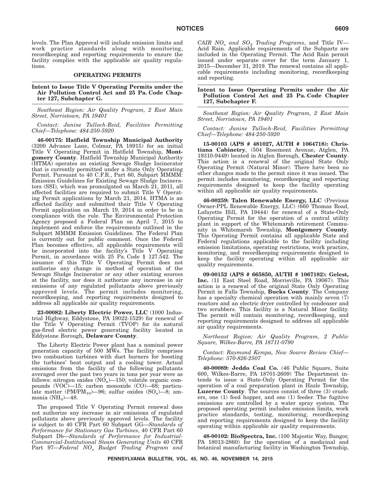levels. The Plan Approval will include emission limits and work practice standards along with monitoring, recordkeeping and reporting requirements to ensure the facility complies with the applicable air quality regulations.

### **OPERATING PERMITS**

#### **Intent to Issue Title V Operating Permits under the Air Pollution Control Act and 25 Pa. Code Chapter 127, Subchapter G.**

*Southeast Region: Air Quality Program, 2 East Main Street, Norristown, PA 19401*

*Contact: Janine Tulloch-Reid, Facilities Permitting Chief—Telephone: 484-250-5920*

**46-00175: Hatfield Township Municipal Authority** (3200 Advance Lane, Colmar, PA 18915) for an initial Title V Operating Permit in Hatfield Township, **Montgomery County**. Hatfield Township Municipal Authority (HTMA) operates an existing Sewage Sludge Incinerator that is currently permitted under a State Only Operating Permit. Pursuant to 40 C.F.R., Part 60, Subpart MMMM: Emission Guidelines for Existing Sewage Sludge Incinerators (SSI), which was promulgated on March 21, 2011, all affected facilities are required to submit Title V Operating Permit applications by March 21, 2014. HTMA is an affected facility and submitted their Title V Operating Permit application on March 19, 2014 in order to be in compliance with the rule. The Environmental Protection Agency proposed a Federal Plan on April 7, 2015 to implement and enforce the requirements outlined in the Subpart MMMM Emission Guidelines. The Federal Plan is currently out for public comment. Once the Federal Plan becomes effective, all applicable requirements will be incorporated into the facility's Title V Operating Permit, in accordance with 25 Pa. Code § 127.542. The issuance of this Title V Operating Permit does not authorize any change in method of operation of the Sewage Sludge Incinerator or any other existing sources at the facility, nor does it authorize any increase in air emissions of any regulated pollutants above previously approved levels. The permit includes monitoring, recordkeeping, and reporting requirements designed to address all applicable air quality requirements.

**23-00082: Liberty Electric Power, LLC** (1000 Industrial Highway, Eddystone, PA 19022-1529) for renewal of the Title V Operating Permit (TVOP) for its natural gas-fired electric power generating facility located in Eddystone Borough, **Delaware County**.

The Liberty Electric Power plant has a nominal power generation capacity of 500 MWs. The facility comprises two combustion turbines with duct burners for boosting the turbines' heat output and a cooling tower. Actual emissions from the facility of the following pollutants averaged over the past two years in tons per year were as follows: nitrogen oxides  $(NO_x)$ —150; volatile organic compounds (VOC)—15; carbon monoxide (CO)—68; particulate matter (PM/PM<sub>10</sub>)—96; sulfur oxides  $(SO_x)$ —8; ammonia  $(NH_3)$ —48.

The proposed Title V Operating Permit renewal does not authorize any increase in air emissions of regulated pollutants above previously approved levels. The facility is subject to 40 CFR Part 60 Subpart GG—*Standards of Performance for Stationary Gas Turbines*, 40 CFR Part 60 Subpart Db—*Standards of Performance for Industrial-Commercial-Institutional Steam Generating Units* 40 CFR Part 97—*Federal NOx Budget Trading Program and*

*CAIR NOx and SO2 Trading Programs*, and Title IV— Acid Rain. Applicable requirements of the Subparts are included in the Operating Permit. The Acid Rain permit issued under separate cover for the term January 1, 2015—December 31, 2019. The renewal contains all applicable requirements including monitoring, recordkeeping and reporting.

#### **Intent to Issue Operating Permits under the Air Pollution Control Act and 25 Pa. Code Chapter 127, Subchapter F.**

*Southeast Region: Air Quality Program, 2 East Main Street, Norristown, PA 19401*

#### *Contact: Janine Tulloch-Reid, Facilities Permitting Chief—Telephone: 484-250-5920*

**15-00103 (APS # 481027, AUTH # 1064718): Christiana Cabinetry**, (504 Rosemont Avenue, Atglen, PA 19310-9449) located in Atglen Borough, **Chester County**. This action is a renewal of the original State Only Operating Permit (Natural Minor). There have been no other changes made to the permit since it was issued. The permit includes monitoring, recordkeeping and reporting requirements designed to keep the facility operating within all applicable air quality requirements.

**46-00259: Talen Renewable Energy, LLC** (Previous Owner-PPL Renewable Energy, LLC) (660 Thomas Road, Lafayette Hill, PA 19444) for renewal of a State-Only Operating Permit for the operation of a central utility plant in support of the Whitemarsh retirement Community in Whitemarsh Township, **Montgomery County**. This Operating Permit contains all applicable State and Federal regulations applicable to the facility including emission limitations, operating restrictions, work practice, monitoring, and recordkeeping requirements designed to keep the facility operating within all applicable air quality requirements.

**09-00152 (APS # 665850, AUTH # 1067182): Gelest, Inc.** (11 East Steel Road, Morrisville, PA 19067). This action is a renewal of the original State Only Operating Permit in Falls Township, **Bucks County**. The Company has a specialty chemical operation with mainly seven (7) reactors and an electric dryer controlled by condenser and two scrubbers. This facility is a Natural Minor facility. The permit will contain monitoring, recordkeeping, and reporting requirements designed to address all applicable air quality requirements.

*Northeast Region: Air Quality Program, 2 Public Square, Wilkes-Barre, PA 18711-0790*

*Contact: Raymond Kempa, New Source Review Chief— Telephone: 570-826-2507*

**40-00089: Jeddo Coal Co.** (46 Public Square, Suite 600, Wilkes-Barre, PA 18701-2609) The Department intends to issue a State-Only Operating Permit for the operation of a coal preparation plant in Hazle Township, **Luzerne County**. The sources consist of three (3) crushers, one (1) feed hopper, and one (1) feeder. The fugitive emissions are controlled by a water spray system. The proposed operating permit includes emission limits, work practice standards, testing, monitoring, recordkeeping and reporting requirements designed to keep the facility operating within applicable air quality requirements.

**48-00102: BioSpectra, Inc.** (100 Majestic Way, Bangor, PA 18013-2860) for the operation of a medicinal and botanical manufacturing facility in Washington Township,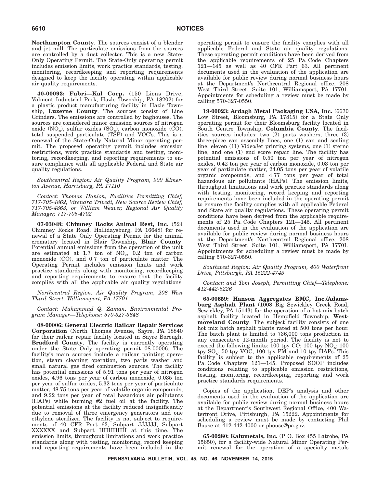**Northampton County**. The sources consist of a blender and jet mill. The particulate emissions from the sources are controlled by a dust collector. This is a new State-Only Operating Permit. The State-Only operating permit includes emission limits, work practice standards, testing, monitoring, recordkeeping and reporting requirements designed to keep the facility operating within applicable air quality requirements.

**40-00093: Fabri—Kal Corp.** (150 Lions Drive, Valmont Industrial Park, Hazle Township, PA 18202) for a plastic product manufacturing facility in Hazle Township, **Luzerne County**. The sources consist of Line Grinders. The emissions are controlled by baghouses. The sources are considered minor emission sources of nitrogen oxide (NO<sub>x</sub>), sulfur oxides (SO<sub>x</sub>), carbon monoxide (CO), total suspended particulate (TSP) and VOC's. This is a renewal of the State-Only Natural Minor operating permit. The proposed operating permit includes emission restrictions, work practice standards and testing, monitoring, recordkeeping, and reporting requirements to ensure compliance with all applicable Federal and State air quality regulations.

*Southcentral Region: Air Quality Program, 909 Elmerton Avenue, Harrisburg, PA 17110*

*Contact: Thomas Hanlon, Facilities Permitting Chief, 717-705-4862, Virendra Trivedi, New Source Review Chief, 717-705-4863, or William Weaver, Regional Air Quality Manager, 717-705-4702*

**07-03048: Chimney Rocks Animal Rest, Inc.** (524 Chimney Rocks Road, Hollidaysburg, PA 16648) for renewal of a State Only Operating Permit for the animal crematory located in Blair Township, **Blair County**. Potential annual emissions from the operation of the unit are estimated at 1.7 ton of  $NO_x$ , 0.2 ton of carbon monoxide (CO), and 0.7 ton of particulate matter. The Operating Permit includes emission limits and work practice standards along with monitoring, recordkeeping and reporting requirements to ensure that the facility complies with all the applicable air quality regulations.

*Northcentral Region: Air Quality Program, 208 West Third Street, Williamsport, PA 17701*

*Contact: Muhammad Q. Zaman, Environmental Program Manager—Telephone: 570-327-3648*

**08-00006: General Electric Railcar Repair Services Corporation** (North Thomas Avenue, Sayre, PA 18840 for their railcar repair facility located in Sayre Borough, **Bradford County**. The facility is currently operating under the State Only operating permit 08-00006. The facility's main sources include a railcar painting operation, steam cleaning operation, two parts washer and small natural gas fired combustion sources. The facility has potential emissions of 5.91 tons per year of nitrogen oxides, 4.96 tons per year of carbon monoxide, 0.035 ton per year of sulfur oxides, 5.32 tons per year of particulate matter, 48.75 tons per year of volatile organic compounds, and 9.22 tons per year of total hazardous air pollutants (HAPs) while burning #2 fuel oil at the facility. The potential emissions at the facility reduced insignificantly due to removal of three emergency generators and one ethylene sterilizer. The facility is not subject to requirements of 40 CFR Part 63, Subpart JJJJJJ, Subpart XXXXXX and Subpart HHHHHH at this time. The emission limits, throughput limitations and work practice standards along with testing, monitoring, record keeping and reporting requirements have been included in the

operating permit to ensure the facility complies with all applicable Federal and State air quality regulations. These operating permit conditions have been derived from the applicable requirements of 25 Pa. Code Chapters 121—145 as well as 40 CFR Part 63. All pertinent documents used in the evaluation of the application are available for public review during normal business hours at the Department's Northcentral Regional office, 208 West Third Street, Suite 101, Williamsport, PA 17701. Appointments for scheduling a review must be made by calling 570-327-0550.

**19-00023: Ardagh Metal Packaging USA, Inc.** (6670 Low Street, Bloomsburg, PA 17815) for a State Only operating permit for their Bloomsburg facility located in South Centre Township, **Columbia County**. The facilities sources includes: two (2) parts washers, three (3) three-piece can assembly lines, one (1) can and sealing line, eleven (11) VideoJet printing systems, one (1) sterno line, and one (1) end score repair line. The facility has potential emissions of 0.50 ton per year of nitrogen oxides, 0.42 ton per year of carbon monoxide, 0.03 ton per year of particulate matter, 24.05 tons per year of volatile organic compounds, and 4.77 tons per year of total hazardous air pollutants (HAPs). The emission limits, throughput limitations and work practice standards along with testing, monitoring, record keeping and reporting requirements have been included in the operating permit to ensure the facility complies with all applicable Federal and State air quality regulations. These operating permit conditions have been derived from the applicable requirements of 25 Pa. Code Chapters 121—145. All pertinent documents used in the evaluation of the application are available for public review during normal business hours at the Department's Northcentral Regional office, 208 West Third Street, Suite 101, Williamsport, PA 17701. Appointments for scheduling a review must be made by calling 570-327-0550.

*Southwest Region: Air Quality Program, 400 Waterfront Drive, Pittsburgh, PA 15222-4745*

*Contact: and Tom Joseph, Permitting Chief—Telephone: 412-442-5226*

**65-00659: Hanson Aggregates BMC, Inc./Adamsburg Asphalt Plant** (1008 Big Sewickley Creek Road, Sewickley, PA 15143) for the operation of a hot mix batch asphalt facility located in Hempfield Township, **Westmoreland County**. The subject facility consists of one hot mix batch asphalt plants rated at 500 tons per hour. The batch plant is limited to 736,000 tons production in any consecutive 12-month period. The facility is not to exceed the following limits:  $100$  tpy CO;  $100$  tpy  $NO_x$ ;  $100$ tpy  $SO_x$ ; 50 tpy VOC; 100 tpy PM and 10 tpy HAPs. This facility is subject to the applicable requirements of 25 Pa. Code Chapters 121—145. Proposed SOOP includes conditions relating to applicable emission restrictions, testing, monitoring, recordkeeping, reporting and work practice standards requirements.

Copies of the application, DEP's analysis and other documents used in the evaluation of the application are available for public review during normal business hours at the Department's Southwest Regional Office, 400 Waterfront Drive, Pittsburgh, PA 15222. Appointments for scheduling a review must be made by contacting Phil Bouse at 412-442-4000 or pbouse@pa.gov.

**65-00280: Kalumetals, Inc.** (P. O. Box 455 Latrobe, PA 15650), for a facility-wide Natural Minor Operating Permit renewal for the operation of a specialty metals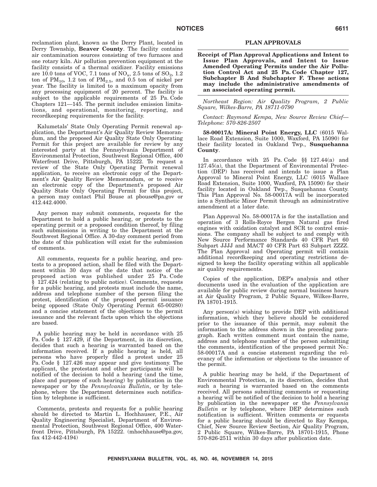reclamation plant, known as the Derry Plant, located in Derry Township, **Beaver County**. The facility contains air contamination sources consisting of two furnaces and one rotary kiln. Air pollution prevention equipment at the facility consists of a thermal oxidizer. Facility emissions are 10.0 tons of VOC, 7.1 tons of  $NO_x$ , 2.5 tons of  $SO_2$ , 1.2 ton of  $PM_{10}$ , 1.2 ton of  $PM_{2.5}$ , and 0.5 ton of nickel per year. The facility is limited to a maximum opacity from any processing equipment of 20 percent. The facility is subject to the applicable requirements of 25 Pa. Code Chapters 121—145. The permit includes emission limitations, and operational, monitoring, reporting, and recordkeeping requirements for the facility.

Kalumetals' State Only Operating Permit renewal application, the Department's Air Quality Review Memorandum, and the proposed Air Quality State Only Operating Permit for this project are available for review by any interested party at the Pennsylvania Department of Environmental Protection, Southwest Regional Office, 400 Waterfront Drive, Pittsburgh, PA 15222. To request a review of the State Only Operating Permit renewal application, to receive an electronic copy of the Department's Air Quality Review Memorandum, or to receive an electronic copy of the Department's proposed Air Quality State Only Operating Permit for this project, a person may contact Phil Bouse at pbouse@pa.gov or 412.442.4000.

Any person may submit comments, requests for the Department to hold a public hearing, or protests to the operating permit or a proposed condition thereof, by filing such submissions in writing to the Department at the Southwest Regional Office. A 30-day comment period from the date of this publication will exist for the submission of comments.

All comments, requests for a public hearing, and protests to a proposed action, shall be filed with the Department within 30 days of the date that notice of the proposed action was published under 25 Pa. Code § 127.424 (relating to public notice). Comments, requests for a public hearing, and protests must include the name, address and telephone number of the person filing the protest, identification of the proposed permit issuance being opposed (State Only Operating Permit 65-00280) and a concise statement of the objections to the permit issuance and the relevant facts upon which the objections are based.

A public hearing may be held in accordance with 25 Pa. Code § 127.429, if the Department, in its discretion, decides that such a hearing is warranted based on the information received. If a public hearing is held, all persons who have properly filed a protest under 25 Pa. Code § 127.426 may appear and give testimony. The applicant, the protestant and other participants will be notified of the decision to hold a hearing (and the time, place and purpose of such hearing) by publication in the newspaper or by the *Pennsylvania Bulletin*, or by telephone, where the Department determines such notification by telephone is sufficient.

Comments, protests and requests for a public hearing should be directed to Martin L. Hochhauser, P.E., Air Quality Engineering Specialist, Department of Environmental Protection, Southwest Regional Office, 400 Waterfront Drive, Pittsburgh, PA 15222. (mhochhause@pa.gov, fax 412-442-4194)

### **PLAN APPROVALS**

**Receipt of Plan Approval Applications and Intent to Issue Plan Approvals, and Intent to Issue Amended Operating Permits under the Air Pollution Control Act and 25 Pa. Code Chapter 127, Subchapter B And Subchapter F. These actions may include the administrative amendments of an associated operating permit.**

*Northeast Region: Air Quality Program, 2 Public Square, Wilkes-Barre, PA 18711-0790*

*Contact: Raymond Kempa, New Source Review Chief— Telephone: 570-826-2507*

**58-00017A: Mineral Point Energy, LLC** (6015 Wallace Road Extension, Suite 1000, Waxford, PA 15090) for their facility located in Oakland Twp., **Susquehanna County**.

In accordance with 25 Pa. Code §§ 127.44(a) and 127.45(a), that the Department of Environmental Protection (DEP) has received and intends to issue a Plan Approval to Mineral Point Energy, LLC (6015 Wallace Road Extension, Suite 1000, Waxford, PA 15090) for their facility located in Oakland Twp., Susquehanna County. This Plan Approval No. 58-00017A will be incorporated into a Synthetic Minor Permit through an administrative amendment at a later date.

Plan Approval No. 58-00017A is for the installation and operation of 3 Rolls-Royce Bergen Natural gas fired engines with oxidation catalyst and SCR to control emissions. The company shall be subject to and comply with New Source Performance Standards 40 CFR Part 60 Subpart JJJJ and MACT 40 CFR Part 63 Subpart ZZZZ. The Plan Approval and Operating permit will contain additional recordkeeping and operating restrictions designed to keep the facility operating within all applicable air quality requirements.

Copies of the application, DEP's analysis and other documents used in the evaluation of the application are available for public review during normal business hours at Air Quality Program, 2 Public Square, Wilkes-Barre, PA 18701-1915.

Any person(s) wishing to provide DEP with additional information, which they believe should be considered prior to the issuance of this permit, may submit the information to the address shown in the preceding paragraph. Each written comment must contain the name, address and telephone number of the person submitting the comments, identification of the proposed permit No.: 58-00017A and a concise statement regarding the relevancy of the information or objections to the issuance of the permit.

A public hearing may be held, if the Department of Environmental Protection, in its discretion, decides that such a hearing is warranted based on the comments received. All persons submitting comments or requesting a hearing will be notified of the decision to hold a hearing by publication in the newspaper or the *Pennsylvania Bulletin* or by telephone, where DEP determines such notification is sufficient. Written comments or requests for a public hearing should be directed to Ray Kempa, Chief, New Source Review Section, Air Quality Program, 2 Public Square, Wilkes-Barre, PA 18701-1915, Phone 570-826-2511 within 30 days after publication date.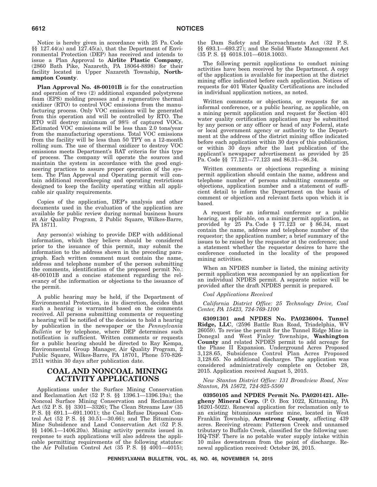Notice is hereby given in accordance with 25 Pa. Code §§ 127.44(a) and 127.45(a), that the Department of Environmental Protection (DEP) has received and intends to issue a Plan Approval to **Airlite Plastic Company**, (2860 Bath Pike, Nazareth, PA 18064-8898) for their facility located in Upper Nazareth Township, **Northampton County**.

**Plan Approval No. 48-00101B** is for the construction and operation of two (2) additional expanded polystyrene foam (EPS) molding presses and a regenerative thermal oxidizer (RTO) to control VOC emissions from the manufacturing process. Only VOC emissions will be generated from this operation and will be controlled by RTO. The RTO will destroy minimum of 98% of captured VOCs. Estimated VOC emissions will be less than 2.0 tons/year from the manufacturing operations. Total VOC emissions from the facility will be less than 50 TPY on a 12-month rolling sum. The use of thermal oxidizer to destroy VOC emissions meets Department's BAT criteria for this type of process. The company will operate the sources and maintain the system in accordance with the good engineering practices to assure proper operation of the system. The Plan Approval and Operating permit will contain additional recordkeeping and operating restrictions designed to keep the facility operating within all applicable air quality requirements.

Copies of the application, DEP's analysis and other documents used in the evaluation of the application are available for public review during normal business hours at Air Quality Program, 2 Public Square, Wilkes-Barre, PA 18711.

Any person(s) wishing to provide DEP with additional information, which they believe should be considered prior to the issuance of this permit, may submit the information to the address shown in the preceding paragraph. Each written comment must contain the name, address and telephone number of the person submitting the comments, identification of the proposed permit No.: 48-00101B and a concise statement regarding the relevancy of the information or objections to the issuance of the permit.

A public hearing may be held, if the Department of Environmental Protection, in its discretion, decides that such a hearing is warranted based on the comments received. All persons submitting comments or requesting a hearing will be notified of the decision to hold a hearing by publication in the newspaper or the *Pennsylvania Bulletin* or by telephone, where DEP determines such notification is sufficient. Written comments or requests for a public hearing should be directed to Ray Kempa, Environmental Group Manager, Air Quality Program, 2 Public Square, Wilkes-Barre, PA 18701, Phone 570-826- 2511 within 30 days after publication date.

### **COAL AND NONCOAL MINING ACTIVITY APPLICATIONS**

Applications under the Surface Mining Conservation and Reclamation Act (52 P. S. §§ 1396.1—1396.19a); the Noncoal Surface Mining Conservation and Reclamation Act (52 P. S. §§ 3301—3326); The Clean Streams Law (35 P. S. §§ 691.1—691.1001); the Coal Refuse Disposal Control Act (52 P. S. §§ 30.51—30.66); and The Bituminous Mine Subsidence and Land Conservation Act (52 P. S. §§ 1406.1—1406.20a). Mining activity permits issued in response to such applications will also address the applicable permitting requirements of the following statutes: the Air Pollution Control Act (35 P. S. §§ 4001—4015); the Dam Safety and Encroachments Act (32 P. S. §§ 693.1—693.27); and the Solid Waste Management Act (35 P. S. §§ 6018.101—6018.1003).

The following permit applications to conduct mining activities have been received by the Department. A copy of the application is available for inspection at the district mining office indicated before each application. Notices of requests for 401 Water Quality Certifications are included in individual application notices, as noted.

Written comments or objections, or requests for an informal conference, or a public hearing, as applicable, on a mining permit application and request for Section 401 water quality certification application may be submitted by any person or any officer or head of any Federal, state or local government agency or authority to the Department at the address of the district mining office indicated before each application within 30 days of this publication, or within 30 days after the last publication of the applicant's newspaper advertisement as provided by 25 Pa. Code §§ 77.121—77.123 and 86.31—86.34.

Written comments or objections regarding a mining permit application should contain the name, address and telephone number of persons submitting comments or objections, application number and a statement of sufficient detail to inform the Department on the basis of comment or objection and relevant facts upon which it is based.

A request for an informal conference or a public hearing, as applicable, on a mining permit application, as provided by  $25$  Pa. Code § 77.123 or § 86.34, must contain the name, address and telephone number of the requestor; the application number; a brief summary of the issues to be raised by the requestor at the conference; and a statement whether the requestor desires to have the conference conducted in the locality of the proposed mining activities.

When an NPDES number is listed, the mining activity permit application was accompanied by an application for an individual NPDES permit. A separate notice will be provided after the draft NPDES permit is prepared.

### *Coal Applications Received*

*California District Office: 25 Technology Drive, Coal Center, PA 15423, 724-769-1100*

**63091301 and NPDES No. PA0236004. Tunnel Ridge, LLC**, (2596 Battle Run Road, Triadelphia, WV 26059). To revise the permit for the Tunnel Ridge Mine in Donegal and West Finley Townships, **Washington County** and related NPDES permit to add acreage for the Phase II Expansion. Underground Acres Proposed 3,128.65, Subsidence Control Plan Acres Proposed 3,128.65. No additional discharges. The application was considered administratively complete on October 28, 2015. Application received August 5, 2015.

*New Stanton District Office: 131 Broadview Road, New Stanton, PA 15672, 724-925-5500*

**03950105 and NPDES Permit No. PA0201421. Allegheny Mineral Corp.** (P. O. Box 1022, Kittanning, PA 16201-5022). Renewal application for reclamation only to an existing bituminous surface mine, located in West Franklin Township, **Armstrong County**, affecting 439 acres. Receiving stream: Patterson Creek and unnamed tributary to Buffalo Creek, classified for the following use: HQ-TSF. There is no potable water supply intake within 10 miles downstream from the point of discharge. Renewal application received: October 26, 2015.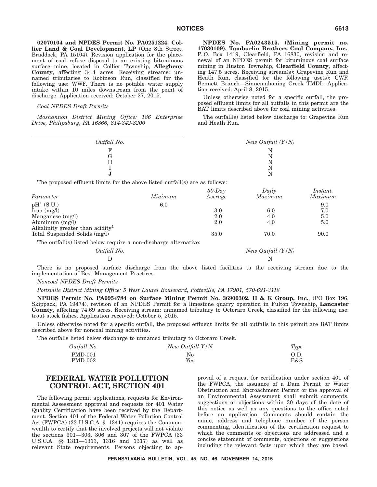**02070104 and NPDES Permit No. PA0251224. Collier Land & Coal Development, LP** (One 8th Street, Braddock, PA 15104). Revision application for the placement of coal refuse disposal to an existing bituminous surface mine, located in Collier Township, **Allegheny County**, affecting 34.4 acres. Receiving streams: unnamed tributaries to Robinson Run, classified for the following use: WWF. There is no potable water supply intake within 10 miles downstream from the point of discharge. Application received: October 27, 2015.

#### *Coal NPDES Draft Permits*

*Moshannon District Mining Office: 186 Enterprise Drive, Philipsburg, PA 16866, 814-342-8200*

**NPDES No. PA0243515. (Mining permit no. 17030109), Tamburlin Brothers Coal Company, Inc.**, P. O. Box 1419, Clearfield, PA 16830, revision and renewal of an NPDES permit for bituminous coal surface mining in Huston Township, **Clearfield County**, affecting 147.5 acres. Receiving stream(s): Grapevine Run and Heath Run, classified for the following use(s): CWF. Bennett Branch—Sinnemahoning Creek TMDL. Application received: April 8, 2015.

Unless otherwise noted for a specific outfall, the proposed effluent limits for all outfalls in this permit are the BAT limits described above for coal mining activities.

The outfall(s) listed below discharge to: Grapevine Run and Heath Run.

| Outfall No. |                      | New Outfall $(Y/N)$                                                          |                     |  |
|-------------|----------------------|------------------------------------------------------------------------------|---------------------|--|
|             |                      | N                                                                            |                     |  |
| G           |                      | Ν                                                                            |                     |  |
|             |                      | N                                                                            |                     |  |
|             |                      | Ν                                                                            |                     |  |
|             |                      | N                                                                            |                     |  |
|             |                      |                                                                              |                     |  |
| Minimum     | $30$ -Day<br>Average | Daily<br>Maximum                                                             | Instant.<br>Maximur |  |
|             |                      | The proposed effluent limits for the above listed outfall(s) are as follows: |                     |  |

| Parameter                                                        | Minimum | Average | Maximum | Maximum |
|------------------------------------------------------------------|---------|---------|---------|---------|
| $pH^1(S.U.)$                                                     | 6.0     |         |         | 9.0     |
| $\text{Iron} \ (\text{mg/l})$                                    |         | 3.0     | 6.0     | 7.0     |
| Manganese $(mg/l)$                                               |         | 2.0     | 4.0     | 5.0     |
| Aluminum $(mg/l)$                                                |         | 2.0     | 4.0     | 5.0     |
| Alkalinity greater than acidity                                  |         |         |         |         |
| Total Suspended Solids (mg/l)                                    |         | 35.0    | 70.0    | 90.0    |
| The outfall(s) listed below require a non-discharge alternative: |         |         |         |         |

*Outfall No. New Outfall (Y/N)* D N

There is no proposed surface discharge from the above listed facilities to the receiving stream due to the implementation of Best Management Practices.

#### *Noncoal NPDES Draft Permits*

*Pottsville District Mining Office: 5 West Laurel Boulevard, Pottsville, PA 17901, 570-621-3118*

**NPDES Permit No. PA0954784 on Surface Mining Permit No. 36900302.H&K Group, Inc.**, (PO Box 196, Skippack, PA 19474), revision of an NPDES Permit for a limestone quarry operation in Fulton Township, **Lancaster County**, affecting 74.69 acres. Receiving stream: unnamed tributary to Octoraro Creek, classified for the following use: trout stock fishes. Application received: October 5, 2015.

Unless otherwise noted for a specific outfall, the proposed effluent limits for all outfalls in this permit are BAT limits described above for noncoal mining activities.

The outfalls listed below discharge to unnamed tributary to Octoraro Creek.

| Outfall No.    | New Outfall Y/N | Type |
|----------------|-----------------|------|
| <b>PMD-001</b> | No              | O.D. |
| <b>PMD-002</b> | Yes             | E&S  |

### **FEDERAL WATER POLLUTION CONTROL ACT, SECTION 401**

The following permit applications, requests for Environmental Assessment approval and requests for 401 Water Quality Certification have been received by the Department. Section 401 of the Federal Water Pollution Control Act (FWPCA) (33 U.S.C.A. § 1341) requires the Commonwealth to certify that the involved projects will not violate the sections 301—303, 306 and 307 of the FWPCA (33 U.S.C.A. §§ 1311—1313, 1316 and 1317) as well as relevant State requirements. Persons objecting to approval of a request for certification under section 401 of the FWPCA, the issuance of a Dam Permit or Water Obstruction and Encroachment Permit or the approval of an Environmental Assessment shall submit comments, suggestions or objections within 30 days of the date of this notice as well as any questions to the office noted before an application. Comments should contain the name, address and telephone number of the person commenting, identification of the certification request to which the comments or objections are addressed and a concise statement of comments, objections or suggestions including the relevant facts upon which they are based.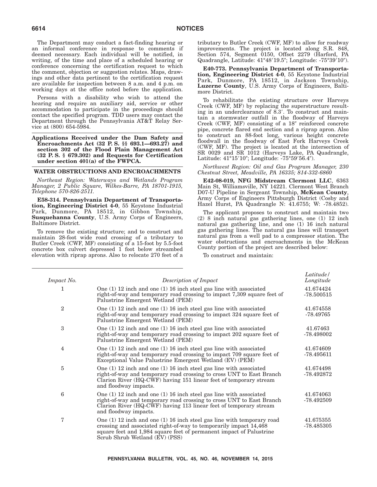The Department may conduct a fact-finding hearing or an informal conference in response to comments if deemed necessary. Each individual will be notified, in writing, of the time and place of a scheduled hearing or conference concerning the certification request to which the comment, objection or suggestion relates. Maps, drawings and other data pertinent to the certification request are available for inspection between 8 a.m. and 4 p.m. on working days at the office noted before the application.

Persons with a disability who wish to attend the hearing and require an auxiliary aid, service or other accommodation to participate in the proceedings should contact the specified program. TDD users may contact the Department through the Pennsylvania AT&T Relay Service at (800) 654-5984.

**Applications Received under the Dam Safety and Encroachments Act (32 P. S. §§ 693.1—693.27) and section 302 of the Flood Plain Management Act (32 P. S. § 679.302) and Requests for Certification under section 401(a) of the FWPCA.**

### **WATER OBSTRUCTIONS AND ENCROACHMENTS**

*Northeast Region: Waterways and Wetlands Program Manager, 2 Public Square, Wilkes-Barre, PA 18701-1915, Telephone 570-826-2511.*

**E58-314. Pennsylvania Department of Transportation, Engineering District 4-0**, 55 Keystone Industrial Park, Dunmore, PA 18512, in Gibbon Township, **Susquehanna County**, U.S. Army Corps of Engineers, Baltimore District.

To remove the existing structure; and to construct and maintain 28-foot wide road crossing of a tributary to Butler Creek (CWF, MF) consisting of a 15-foot by 5.5-foot concrete box culvert depressed 1 foot below streambed elevation with riprap aprons. Also to relocate 270 feet of a tributary to Butler Creek (CWF, MF) to allow for roadway improvements. The project is located along S.R. 848, Section 574, Segment 0150, Offset 2279 (Harford, PA Quadrangle, Latitude: 41°48'19.5"; Longitude: -75°39'10").

**E40-773. Pennsylvania Department of Transportation, Engineering District 4-0**, 55 Keystone Industrial Park, Dunmore, PA 18512, in Jackson Township, **Luzerne County**, U.S. Army Corps of Engineers, Baltimore District.

To rehabilitate the existing structure over Harveys Creek (CWF, MF) by replacing the superstructure resulting in an underclearance of 8.3'. To construct and maintain a stormwater outfall in the floodway of Harveys Creek (CWF, MF) consisting of a 18" reinforced concrete pipe, concrete flared end section and a riprap apron. Also to construct an 88-foot long, various height concrete floodwall in the floodway of East Fork Harveys Creek (CWF, MF). The project is located at the intersection of SR 0029 and SR 1012 (Harveys Lake, PA Quadrangle, Latitude: 41°15'10"; Longitude: -75°59'56.4").

*Northwest Region: Oil and Gas Program Manager, 230 Chestnut Street, Meadville, PA 16335; 814-332-6860*

**E42-08-019, NFG Midstream Clermont LLC**, 6363 Main St, Williamsville, NY 14221. Clermont West Branch D07-U Pipeline in Sergeant Township, **McKean County**, Army Corps of Engineers Pittsburgh District (Cosby and Hazel Hurst, PA Quadrangle N: 41.6755; W: -78.4852).

The applicant proposes to construct and maintain two (2) 8 inch natural gas gathering lines, one (1) 12 inch natural gas gathering line, and one (1) 16 inch natural gas gathering lines. The natural gas lines will transport natural gas from a well pad to a compressor station. The water obstructions and encroachments in the McKean County portion of the project are described below:

To construct and maintain:

| Impact No.     | Description of Impact                                                                                                                                                                                                                                    | Latitude /<br>Longitude   |
|----------------|----------------------------------------------------------------------------------------------------------------------------------------------------------------------------------------------------------------------------------------------------------|---------------------------|
| $\mathbf{1}$   | One $(1)$ 12 inch and one $(1)$ 16 inch steel gas line with associated<br>right-of-way and temporary road crossing to impact 7,309 square feet of<br>Palustrine Emergent Wetland (PEM)                                                                   | 41.674424<br>$-78.500515$ |
| $\overline{2}$ | One $(1)$ 12 inch and one $(1)$ 16 inch steel gas line with associated<br>right-of-way and temporary road crossing to impact 324 square feet of<br>Palustrine Emergent Wetland (PEM)                                                                     | 41.674558<br>$-78.49765$  |
| 3              | One $(1)$ 12 inch and one $(1)$ 16 inch steel gas line with associated<br>right-of-way and temporary road crossing to impact 202 square feet of<br>Palustrine Emergent Wetland (PEM)                                                                     | 41.67463<br>-78.498002    |
| 4              | One $(1)$ 12 inch and one $(1)$ 16 inch steel gas line with associated<br>right-of-way and temporary road crossing to impact 709 square feet of<br>Exceptional Value Palustrine Emergent Wetland (EV) (PEM)                                              | 41.674609<br>$-78.495611$ |
| 5              | One $(1)$ 12 inch and one $(1)$ 16 inch steel gas line with associated<br>right-of-way and temporary road crossing to cross UNT to East Branch<br>Clarion River (HQ-CWF) having 151 linear feet of temporary stream<br>and floodway impacts.             | 41.674498<br>-78.492872   |
| 6              | One $(1)$ 12 inch and one $(1)$ 16 inch steel gas line with associated<br>right-of-way and temporary road crossing to cross UNT to East Branch<br>Clarion River (HQ-CWF) having 113 linear feet of temporary stream<br>and floodway impacts.             | 41.674063<br>$-78.492509$ |
| 7              | One $(1)$ 12 inch and one $(1)$ 16 inch steel gas line with temporary road<br>crossing and associated right-of-way to temporarily impact 14,468<br>square feet and 1,984 square feet of permanent impact of Palustrine<br>Scrub Shrub Wetland (EV) (PSS) | 41.675355<br>$-78.485305$ |
|                |                                                                                                                                                                                                                                                          |                           |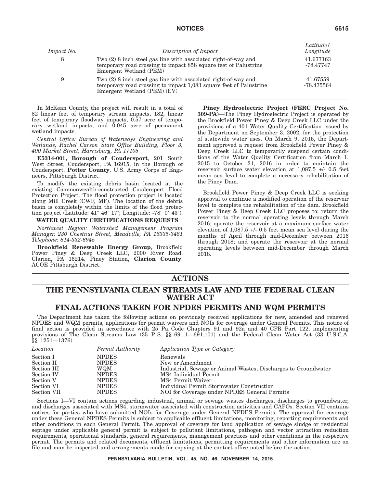| <i>Impact No.</i> | Description of Impact                                                                                                                                                | Latitude /<br>Longitude |
|-------------------|----------------------------------------------------------------------------------------------------------------------------------------------------------------------|-------------------------|
| 8                 | Two $(2)$ 8 inch steel gas line with associated right-of-way and<br>temporary road crossing to impact 858 square feet of Palustrine<br>Emergent Wetland (PEM)        | 41.677163<br>-78.47747  |
| 9                 | Two $(2)$ 8 inch steel gas line with associated right-of-way and<br>temporary road crossing to impact 1,083 square feet of Palustrine<br>Emergent Wetland (PEM) (EV) | 41.67559<br>-78.475564  |

In McKean County, the project will result in a total of 82 linear feet of temporary stream impacts, 182, linear feet of temporary floodway impacts, 0.57 acre of temporary wetland impacts, and 0.045 acre of permanent wetland impacts.

*Central Office: Bureau of Waterways Engineering and Wetlands, Rachel Carson State Office Building, Floor 3, 400 Market Street, Harrisburg, PA 17105*

**E5314-001, Borough of Coudersport**, 201 South West Street, Coudersport, PA 16915, in the Borough of Coudersport, **Potter County**, U.S. Army Corps of Engineers, Pittsburgh District.

To modify the existing debris basin located at the existing Commonwealth-constructed Coudersport Flood Protection Project. The flood protection project is located along Mill Creek (CWF, MF). The location of the debris basin is completely within the limits of the flood protection project (Latitude:  $41^{\circ}$   $46'$   $17''$ ; Longitude:  $-78^{\circ}$  0'  $43''$ ).

#### **WATER QUALITY CERTIFICATIONS REQUESTS**

*Northwest Region: Watershed Management Program Manager, 230 Chestnut Street, Meadville, PA 16335-3481 Telephone: 814-332-6945*

**Brookfield Renewable Energy Group**, Brookfield Power Piney & Deep Creek LLC, 2000 River Road, Clarion, PA 16214. Piney Station, **Clarion County**. ACOE Pittsburgh District.

**Piney Hydroelectric Project (FERC Project No. 309-PA)**—The Piney Hydroelectric Project is operated by the Brookfield Power Piney & Deep Creek LLC under the provisions of a 401 Water Quality Certification issued by the Department on September 3, 2002, for the protection of statewide water uses. On March 9, 2015, the Department approved a request from Brookfield Power Piney & Deep Creek LLC to temporarily suspend certain conditions of the Water Quality Certification from March 1, 2015 to October 31, 2016 in order to maintain the reservoir surface water elevation at 1,087.5 +/- 0.5 feet mean sea level to complete a necessary rehabilitation of the Piney Dam.

Brookfield Power Piney & Deep Creek LLC is seeking approval to continue a modified operation of the reservoir level to complete the rehabilitation of the dam. Brookfield Power Piney & Deep Creek LLC proposes to: return the reservoir to the normal operating levels through March 2016; operate the reservoir at a maximum surface water elevation of 1,087.5 +/- 0.5 feet mean sea level during the months of April through mid-December between 2016 through 2018; and operate the reservoir at the normal operating levels between mid-December through March 2018.

## **ACTIONS**

## **THE PENNSYLVANIA CLEAN STREAMS LAW AND THE FEDERAL CLEAN WATER ACT**

## **FINAL ACTIONS TAKEN FOR NPDES PERMITS AND WQM PERMITS**

The Department has taken the following actions on previously received applications for new, amended and renewed NPDES and WQM permits, applications for permit waivers and NOIs for coverage under General Permits. This notice of final action is provided in accordance with 25 Pa. Code Chapters 91 and 92a and 40 CFR Part 122, implementing provisions of The Clean Streams Law (35 P. S. §§ 691.1—691.101) and the Federal Clean Water Act (33 U.S.C.A. §§ 1251—1376).

| Location    | Permit Authority | Application Type or Category                                   |
|-------------|------------------|----------------------------------------------------------------|
| Section I   | <b>NPDES</b>     | Renewals                                                       |
| Section II  | <b>NPDES</b>     | New or Amendment                                               |
| Section III | WQM              | Industrial, Sewage or Animal Wastes; Discharges to Groundwater |
| Section IV  | <b>NPDES</b>     | MS4 Individual Permit                                          |
| Section V   | <b>NPDES</b>     | MS4 Permit Waiver                                              |
| Section VI  | <b>NPDES</b>     | Individual Permit Stormwater Construction                      |
| Section VII | <b>NPDES</b>     | NOI for Coverage under NPDES General Permits                   |

Sections I—VI contain actions regarding industrial, animal or sewage wastes discharges, discharges to groundwater, and discharges associated with MS4, stormwater associated with construction activities and CAFOs. Section VII contains notices for parties who have submitted NOIs for Coverage under General NPDES Permits. The approval for coverage under these General NPDES Permits is subject to applicable effluent limitations, monitoring, reporting requirements and other conditions in each General Permit. The approval of coverage for land application of sewage sludge or residential septage under applicable general permit is subject to pollutant limitations, pathogen and vector attraction reduction requirements, operational standards, general requirements, management practices and other conditions in the respective permit. The permits and related documents, effluent limitations, permitting requirements and other information are on file and may be inspected and arrangements made for copying at the contact office noted before the action.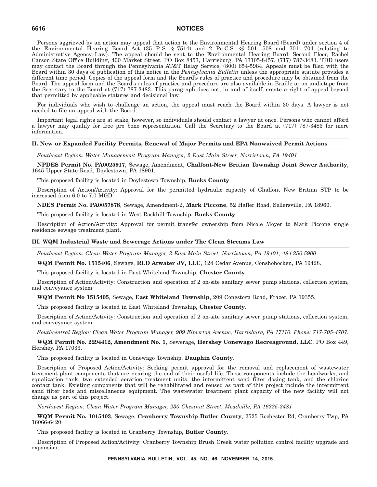Persons aggrieved by an action may appeal that action to the Environmental Hearing Board (Board) under section 4 of the Environmental Hearing Board Act (35 P. S. § 7514) and 2 Pa.C.S. §§ 501—508 and 701—704 (relating to Administrative Agency Law). The appeal should be sent to the Environmental Hearing Board, Second Floor, Rachel Carson State Office Building, 400 Market Street, PO Box 8457, Harrisburg, PA 17105-8457, (717) 787-3483. TDD users may contact the Board through the Pennsylvania AT&T Relay Service, (800) 654-5984. Appeals must be filed with the Board within 30 days of publication of this notice in the *Pennsylvania Bulletin* unless the appropriate statute provides a different time period. Copies of the appeal form and the Board's rules of practice and procedure may be obtained from the Board. The appeal form and the Board's rules of practice and procedure are also available in Braille or on audiotape from the Secretary to the Board at (717) 787-3483. This paragraph does not, in and of itself, create a right of appeal beyond that permitted by applicable statutes and decisional law.

For individuals who wish to challenge an action, the appeal must reach the Board within 30 days. A lawyer is not needed to file an appeal with the Board.

Important legal rights are at stake, however, so individuals should contact a lawyer at once. Persons who cannot afford a lawyer may qualify for free pro bono representation. Call the Secretary to the Board at (717) 787-3483 for more information.

### **II. New or Expanded Facility Permits, Renewal of Major Permits and EPA Nonwaived Permit Actions**

*Southeast Region: Water Management Program Manager, 2 East Main Street, Norristown, PA 19401*

**NPDES Permit No. PA0025917**, Sewage, Amendment, **Chalfont-New Britian Township Joint Sewer Authority**, 1645 Upper State Road, Doylestown, PA 18901.

This proposed facility is located in Doylestown Township, **Bucks County**.

Description of Action/Activity: Approval for the permitted hydraulic capacity of Chalfont New Britian STP to be increased from 6.0 to 7.0 MGD.

**NDES Permit No. PA0057878**, Sewage, Amendment-2, **Mark Piccone**, 52 Hafler Road, Sellersville, PA 18960.

This proposed facility is located in West Rockhill Township, **Bucks County**.

Description of Action/Activity: Approval for permit transfer ownership from Nicole Moyer to Mark Piccone single residence sewage treatment plant.

#### **III. WQM Industrial Waste and Sewerage Actions under The Clean Streams Law**

*Southeast Region: Clean Water Program Manager, 2 East Main Street, Norristown, PA 19401, 484.250.5900*

**WQM Permit No. 1515406**, Sewage, **RLD Atwater JV, LLC**, 124 Cedar Avenue, Conshohocken, PA 19428.

This proposed facility is located in East Whiteland Township, **Chester County**.

Description of Action/Activity: Construction and operation of 2 on-site sanitary sewer pump stations, collection system, and conveyance system.

**WQM Permit No 1515405**, Sewage, **East Whiteland Township**, 209 Conestoga Road, Frazer, PA 19355.

This proposed facility is located in East Whiteland Township, **Chester County**.

Description of Action/Activity: Construction and operation of 2 on-site sanitary sewer pump stations, collection system, and conveyance system.

*Southcentral Region: Clean Water Program Manager, 909 Elmerton Avenue, Harrisburg, PA 17110. Phone: 717-705-4707.*

**WQM Permit No. 2294412, Amendment No. 1**, Sewerage, **Hershey Conewago Recreaground, LLC**, PO Box 449, Hershey, PA 17033.

This proposed facility is located in Conewago Township, **Dauphin County**.

Description of Proposed Action/Activity: Seeking permit approval for the removal and replacement of wastewater treatment plant components that are nearing the end of their useful life. These components include the headworks, and equalization tank, two extended aeration treatment units, the intermittent sand filter dosing tank, and the chlorine contact tank. Existing components that will be rehabilitated and reused as part of this project include the intermittent sand filter beds and miscellaneous equipment. The wastewater treatment plant capacity of the new facility will not change as part of this project.

*Northwest Region: Clean Water Program Manager, 230 Chestnut Street, Meadville, PA 16335-3481*

**WQM Permit No. 1015403**, Sewage, **Cranberry Township Butler County**, 2525 Rochester Rd, Cranberry Twp, PA 16066-6420.

This proposed facility is located in Cranberry Township, **Butler County**.

Description of Proposed Action/Activity: Cranberry Township Brush Creek water pollution control facility upgrade and expansion.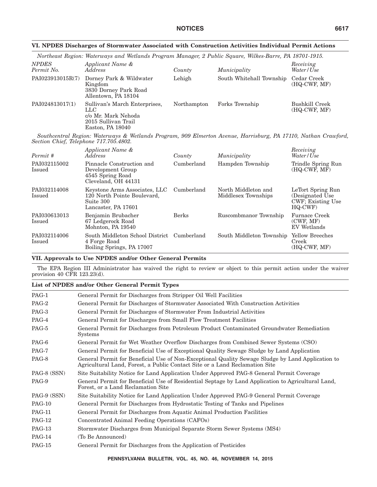|                                        | Northeast Region: Waterways and Wetlands Program Manager, 2 Public Square, Wilkes-Barre, PA 18701-1915.        |             |                                      |                                |
|----------------------------------------|----------------------------------------------------------------------------------------------------------------|-------------|--------------------------------------|--------------------------------|
| <b>NPDES</b><br>Permit No.             | Applicant Name &<br><i>Address</i>                                                                             | County      | Municipality                         | Receiving<br>Water/Use         |
| PAI023913015R(7)                       | Dorney Park & Wildwater<br>Kingdom<br>3830 Dorney Park Road<br>Allentown, PA 18104                             | Lehigh      | South Whitehall Township Cedar Creek | (HQ-CWF, MF)                   |
| PAI024813017(1)                        | Sullivan's March Enterprises.<br>LLC<br>c/o Mr. Mark Nehoda<br>2015 Sullivan Trail<br>Easton, PA 18040         | Northampton | Forks Township                       | Bushkill Creek<br>(HQ-CWF, MF) |
| Section Chief, Telephone 717.705.4802. | Southcentral Region: Waterways & Wetlands Program, 909 Elmerton Avenue, Harrisburg, PA 17110, Nathan Crawford, |             |                                      |                                |
|                                        | Applicant Name &                                                                                               |             |                                      | Receiving                      |

### **VI. NPDES Discharges of Stormwater Associated with Construction Activities Individual Permit Actions**

| Permit #               | Applicant Name &<br>Address                                                                      | County       | Municipality                               | Receiving<br>Water/Use                                                         |
|------------------------|--------------------------------------------------------------------------------------------------|--------------|--------------------------------------------|--------------------------------------------------------------------------------|
| PAI032115002<br>Issued | Pinnacle Construction and<br>Development Group<br>4545 Spring Road<br>Cleveland, OH 44131        | Cumberland   | Hampden Township                           | Trindle Spring Run<br>(HQ-CWF, MF)                                             |
| PAI032114008<br>Issued | Keystone Arms Associates, LLC<br>120 North Pointe Boulevard,<br>Suite 300<br>Lancaster, PA 17601 | Cumberland   | North Middleton and<br>Middlesex Townships | LeTort Spring Run<br>(Designated Use)<br><b>CWF</b> ; Existing Use<br>$HO-CWF$ |
| PAI030613013<br>Issued | Benjamin Brubacher<br>67 Ledgerock Road<br>Mohnton, PA 19540                                     | <b>Berks</b> | Ruscombmanor Township                      | Furnace Creek<br>(CWF, MF)<br>EV Wetlands                                      |
| PAI032114006<br>Issued | South Middleton School District<br>4 Forge Road<br>Boiling Springs, PA 17007                     | Cumberland   | South Middleton Township                   | Yellow Breeches<br>Creek<br>(HQ-CWF, MF)                                       |

### **VII. Approvals to Use NPDES and/or Other General Permits**

The EPA Region III Administrator has waived the right to review or object to this permit action under the waiver provision 40 CFR 123.23(d).

### **List of NPDES and/or Other General Permit Types**

| PAG-1         | General Permit for Discharges from Stripper Oil Well Facilities                                                                                                                  |
|---------------|----------------------------------------------------------------------------------------------------------------------------------------------------------------------------------|
| PAG-2         | General Permit for Discharges of Stormwater Associated With Construction Activities                                                                                              |
| PAG-3         | General Permit for Discharges of Stormwater From Industrial Activities                                                                                                           |
| PAG-4         | General Permit for Discharges from Small Flow Treatment Facilities                                                                                                               |
| PAG-5         | General Permit for Discharges from Petroleum Product Contaminated Groundwater Remediation<br><b>Systems</b>                                                                      |
| PAG-6         | General Permit for Wet Weather Overflow Discharges from Combined Sewer Systems (CSO)                                                                                             |
| PAG-7         | General Permit for Beneficial Use of Exceptional Quality Sewage Sludge by Land Application                                                                                       |
| PAG-8         | General Permit for Beneficial Use of Non-Exceptional Quality Sewage Sludge by Land Application to<br>Agricultural Land, Forest, a Public Contact Site or a Land Reclamation Site |
| PAG-8 (SSN)   | Site Suitability Notice for Land Application Under Approved PAG-8 General Permit Coverage                                                                                        |
| PAG-9         | General Permit for Beneficial Use of Residential Septage by Land Application to Agricultural Land,<br>Forest, or a Land Reclamation Site                                         |
| PAG-9 (SSN)   | Site Suitability Notice for Land Application Under Approved PAG-9 General Permit Coverage                                                                                        |
| <b>PAG-10</b> | General Permit for Discharges from Hydrostatic Testing of Tanks and Pipelines                                                                                                    |
| <b>PAG-11</b> | General Permit for Discharges from Aquatic Animal Production Facilities                                                                                                          |
| <b>PAG-12</b> | Concentrated Animal Feeding Operations (CAFOs)                                                                                                                                   |
| $PAG-13$      | Stormwater Discharges from Municipal Separate Storm Sewer Systems (MS4)                                                                                                          |
| <b>PAG-14</b> | (To Be Announced)                                                                                                                                                                |
| <b>PAG-15</b> | General Permit for Discharges from the Application of Pesticides                                                                                                                 |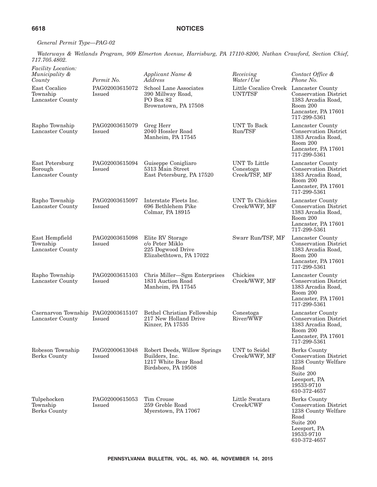### *General Permit Type—PAG-02*

*Waterways & Wetlands Program, 909 Elmerton Avenue, Harrisburg, PA 17110-8200, Nathan Crawford, Section Chief, 717.705.4802.*

|  |  | <i>Facility Location:</i> |
|--|--|---------------------------|
|--|--|---------------------------|

| <i>Facility Location:</i>                              |                          |                                                                                               |                                                   |                                                                                                                                        |
|--------------------------------------------------------|--------------------------|-----------------------------------------------------------------------------------------------|---------------------------------------------------|----------------------------------------------------------------------------------------------------------------------------------------|
| Municipality &<br>County                               | Permit No.               | Applicant Name &<br>Address                                                                   | Receiving<br>Water/Use                            | Contact Office &<br>Phone No.                                                                                                          |
| East Cocalico<br>Township<br>Lancaster County          | PAG02003615072<br>Issued | School Lane Associates<br>390 Millway Road,<br>PO Box 82<br>Brownstown, PA 17508              | Little Cocalico Creek Lancaster County<br>UNT/TSF | <b>Conservation District</b><br>1383 Arcadia Road,<br>Room 200<br>Lancaster, PA 17601<br>717-299-5361                                  |
| Rapho Township<br>Lancaster County                     | PAG02003615079<br>Issued | Greg Herr<br>2040 Hossler Road<br>Manheim, PA 17545                                           | UNT To Back<br>Run/TSF                            | Lancaster County<br><b>Conservation District</b><br>1383 Arcadia Road,<br>Room 200<br>Lancaster, PA 17601<br>717-299-5361              |
| East Petersburg<br>Borough<br>Lancaster County         | PAG02003615094<br>Issued | Guiseppe Conigliaro<br>5313 Main Street<br>East Petersburg, PA 17520                          | UNT To Little<br>Conestoga<br>Creek/TSF, MF       | Lancaster County<br><b>Conservation District</b><br>1383 Arcadia Road,<br>Room 200<br>Lancaster, PA 17601<br>717-299-5361              |
| Rapho Township<br>Lancaster County                     | PAG02003615097<br>Issued | Interstate Fleets Inc.<br>696 Bethlehem Pike<br>Colmar, PA 18915                              | <b>UNT</b> To Chickies<br>Creek/WWF, MF           | Lancaster County<br><b>Conservation District</b><br>1383 Arcadia Road,<br>Room 200<br>Lancaster, PA 17601<br>717-299-5361              |
| East Hempfield<br>Township<br>Lancaster County         | PAG02003615098<br>Issued | Elite RV Storage<br>c/o Peter Miklo<br>225 Dogwood Drive<br>Elizabethtown, PA 17022           | Swarr Run/TSF, MF                                 | Lancaster County<br><b>Conservation District</b><br>1383 Arcadia Road,<br>Room 200<br>Lancaster, PA 17601<br>717-299-5361              |
| Rapho Township<br>Lancaster County                     | PAG02003615103<br>Issued | Chris Miller-Sgm Enterprises<br>1831 Auction Road<br>Manheim, PA 17545                        | Chickies<br>Creek/WWF, MF                         | Lancaster County<br><b>Conservation District</b><br>1383 Arcadia Road,<br>Room 200<br>Lancaster, PA 17601<br>717-299-5361              |
| Caernarvon Township PAG02003615107<br>Lancaster County | <b>Issued</b>            | Bethel Christian Fellowship<br>217 New Holland Drive<br>Kinzer, PA 17535                      | Conestoga<br>River/WWF                            | Lancaster County<br><b>Conservation District</b><br>1383 Arcadia Road,<br>Room 200<br>Lancaster, PA 17601<br>717-299-5361              |
| Robeson Township<br>Berks County                       | PAG02000613048<br>Issued | Robert Deeds, Willow Springs<br>Builders, Inc.<br>1217 White Bear Road<br>Birdsboro, PA 19508 | UNT to Seidel<br>Creek/WWF, MF                    | Berks County<br><b>Conservation District</b><br>1238 County Welfare<br>Road<br>Suite 200<br>Leesport, PA<br>19533-9710<br>610-372-4657 |
| Tulpehocken<br>Township<br>Berks County                | PAG02000615053<br>Issued | Tim Crouse<br>259 Greble Road<br>Myerstown, PA 17067                                          | Little Swatara<br>Creek/CWF                       | Berks County<br>Conservation District<br>1238 County Welfare<br>Road<br>Suite 200<br>Leesport, PA<br>19533-9710<br>610-372-4657        |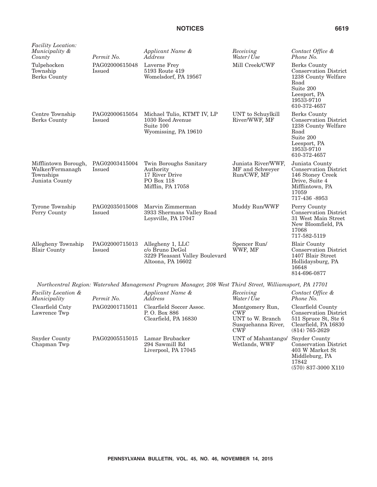*Facility Location: Municipality &*

Centre Township Berks County

Tulpehocken Township Berks County Permit No.

Issued

Issued

PAG02000615048

PAG02000615054

| Applicant Name &<br>Address                                                         | Receiving<br>Water/Use             | Contact Office &<br>Phone No.                                                                                                          |
|-------------------------------------------------------------------------------------|------------------------------------|----------------------------------------------------------------------------------------------------------------------------------------|
| Laverne Frey<br>5193 Route 419<br>Womelsdorf, PA 19567                              | Mill Creek/CWF                     | Berks County<br><b>Conservation District</b><br>1238 County Welfare<br>Road<br>Suite 200<br>Leesport, PA<br>19533-9710<br>610-372-4657 |
| Michael Tulio, KTMT IV, LP<br>1030 Reed Avenue<br>Suite 100<br>Wyomissing, PA 19610 | UNT to Schuylkill<br>River/WWF, MF | Berks County<br><b>Conservation District</b><br>1238 County Welfare<br>Road<br>Suite 200<br>Leesport, PA<br>10522.0710                 |

(570) 837-3000 X110

|                                                                         |                                 |                                                                                            |                                                      | NUILE ZUU<br>Leesport, PA<br>19533-9710<br>610-372-4657                                                                           |
|-------------------------------------------------------------------------|---------------------------------|--------------------------------------------------------------------------------------------|------------------------------------------------------|-----------------------------------------------------------------------------------------------------------------------------------|
| Mifflintown Borough,<br>Walker/Fermanagh<br>Townships<br>Juniata County | PAG02003415004<br><b>Issued</b> | Twin Boroughs Sanitary<br>Authority<br>17 River Drive<br>PO Box 118<br>Mifflin, PA 17058   | Juniata River/WWF.<br>MF and Schweyer<br>Run/CWF, MF | Juniata County<br><b>Conservation District</b><br>146 Stoney Creek<br>Drive, Suite 4<br>Mifflintown, PA<br>17059<br>717-436 -8953 |
| Tyrone Township<br>Perry County                                         | PAG02035015008<br>Issued        | Marvin Zimmerman<br>3933 Shermans Valley Road<br>Loysville, PA 17047                       | Muddy Run/WWF                                        | Perry County<br><b>Conservation District</b><br>31 West Main Street<br>New Bloomfield, PA<br>17068<br>717-582-5119                |
| Allegheny Township<br><b>Blair County</b>                               | PAG02000715013<br>Issued        | Allegheny 1, LLC<br>c/o Bruno DeGol<br>3229 Pleasant Valley Boulevard<br>Altoona, PA 16602 | Spencer Run<br>WWF, MF                               | <b>Blair County</b><br><b>Conservation District</b><br>1407 Blair Street<br>Hollidaysburg, PA<br>16648<br>814-696-0877            |

*Northcentral Region: Watershed Management Program Manager, 208 West Third Street, Williamsport, PA 17701*

| Facility Location &<br>Municipality | Permit No.     | Applicant Name &<br>Address                                      | Receiving<br>Water/Use                                                                | Contact Office &<br>Phone No.                                                                                           |
|-------------------------------------|----------------|------------------------------------------------------------------|---------------------------------------------------------------------------------------|-------------------------------------------------------------------------------------------------------------------------|
| Clearfield Cnty<br>Lawrence Twp     | PAG02001715011 | Clearfield Soccer Assoc.<br>P.O. Box 886<br>Clearfield, PA 16830 | Montgomery Run,<br><b>CWF</b><br>UNT to W. Branch<br>Susquehanna River,<br><b>CWF</b> | Clearfield County<br><b>Conservation District</b><br>511 Spruce St, Ste 6<br>Clearfield, PA 16830<br>$(814) 765 - 2629$ |
| <b>Snyder County</b><br>Chapman Twp | PAG02005515015 | Lamar Brubacker<br>294 Sawmill Rd<br>Liverpool, PA 17045         | UNT of Mahantango/ Snyder County<br>Wetlands, WWF                                     | <b>Conservation District</b><br>403 W Market St<br>Middleburg, PA<br>17842                                              |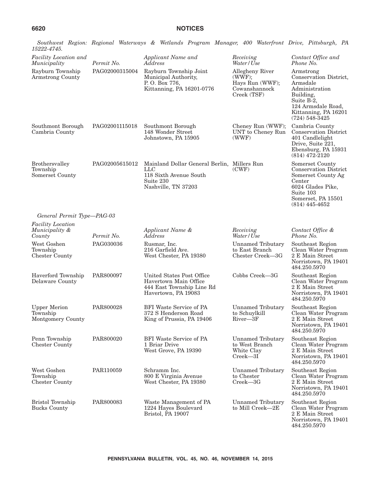| 15222-4745.                                          |                | Soumwest Tiegon. Itegonia maierways & menanas Frogram manager, 400 maierpont Drive, Finsourgh, FA                       |                                                                              |                                                                                                                                                                |
|------------------------------------------------------|----------------|-------------------------------------------------------------------------------------------------------------------------|------------------------------------------------------------------------------|----------------------------------------------------------------------------------------------------------------------------------------------------------------|
| Facility Location and<br>Municipality                | Permit No.     | Applicant Name and<br>Address                                                                                           | Receiving<br>Water/Use                                                       | Contact Office and<br>Phone No.                                                                                                                                |
| Rayburn Township<br>Armstrong County                 | PAG02000315004 | Rayburn Township Joint<br>Municipal Authority,<br>P.O. Box 776,<br>Kittanning, PA 16201-0776                            | Allegheny River<br>(WWF);<br>Hays Run (WWF);<br>Cowanshannock<br>Creek (TSF) | Armstrong<br>Conservation District,<br>Armsdale<br>Administration<br>Building,<br>Suite B-2,<br>124 Armsdale Road,<br>Kittanning, PA 16201<br>$(724)$ 548-3425 |
| Southmont Borough<br>Cambria County                  | PAG02001115018 | Southmont Borough<br>148 Wonder Street<br>Johnstown, PA 15905                                                           | Cheney Run (WWF);<br>UNT to Cheney Run<br>(WWF)                              | Cambria County<br><b>Conservation District</b><br>401 Candlelight<br>Drive, Suite 221,<br>Ebensburg, PA 15931<br>$(814)$ 472-2120                              |
| <b>Brothersvalley</b><br>Township<br>Somerset County | PAG02005615012 | Mainland Dollar General Berlin, Millers Run<br><b>LLC</b><br>118 Sixth Avenue South<br>Suite 230<br>Nashville, TN 37203 | (CWF)                                                                        | Somerset County<br><b>Conservation District</b><br>Somerset County Ag<br>Center<br>6024 Glades Pike,<br>Suite 103<br>Somerset, PA 15501<br>$(814)$ 445-4652    |
| General Permit Type-PAG-03                           |                |                                                                                                                         |                                                                              |                                                                                                                                                                |
| <i>Facility Location</i><br>Municipality &<br>County | Permit No.     | Applicant Name &<br>Address                                                                                             | Receiving<br>Water/Use                                                       | Contact Office &<br>Phone No.                                                                                                                                  |
| West Goshen<br>Township<br><b>Chester County</b>     | PAG030036      | Rusmar, Inc.<br>216 Garfield Ave.<br>West Chester, PA 19380                                                             | <b>Unnamed Tributary</b><br>to East Branch<br>Chester Creek-3G               | Southeast Region<br>Clean Water Program<br>2 E Main Street<br>Norristown, PA 19401<br>484.250.5970                                                             |
| Haverford Township<br>Delaware County                | PAR800097      | United States Post Office<br>Havertown Main Office<br>444 East Township Line Rd<br>Havertown, PA 19083                  | Cobbs Creek-3G                                                               | Southeast Region<br>Clean Water Program<br>2 E Main Street<br>Norristown, PA 19401<br>484.250.5970                                                             |
| <b>Upper Merion</b><br>Township<br>Montgomery County | PAR800028      | BFI Waste Service of PA<br>372 S Henderson Road<br>King of Prussia, PA 19406                                            | Unnamed Tributary<br>to Schuylkill<br>River-3F                               | Southeast Region<br>Clean Water Program<br>2 E Main Street<br>Norristown, PA 19401<br>484.250.5970                                                             |
| Penn Township<br><b>Chester County</b>               | PAR800020      | <b>BFI</b> Waste Service of PA<br>1 Briar Drive<br>West Grove, PA 19390                                                 | <b>Unnamed Tributary</b><br>to West Branch<br>White Clay<br>$Creek - 3I$     | Southeast Region<br>Clean Water Program<br>2 E Main Street<br>Norristown, PA 19401<br>484.250.5970                                                             |
| West Goshen<br>Township<br>Chester County            | PAR110059      | Schramm Inc.<br>800 E Virginia Avenue<br>West Chester, PA 19380                                                         | Unnamed Tributary<br>to Chester<br>$Creek - 3G$                              | Southeast Region<br>Clean Water Program<br>2 E Main Street<br>Norristown, PA 19401<br>484.250.5970                                                             |
| <b>Bristol Township</b><br><b>Bucks County</b>       | PAR800083      | Waste Management of PA<br>1224 Hayes Boulevard<br>Bristol, PA 19007                                                     | <b>Unnamed Tributary</b><br>to Mill Creek-2E                                 | Southeast Region<br>Clean Water Program<br>2 E Main Street<br>Norristown, PA 19401<br>484.250.5970                                                             |

*Southwest Region: Regional Waterways & Wetlands Program Manager, 400 Waterfront Drive, Pittsburgh, PA*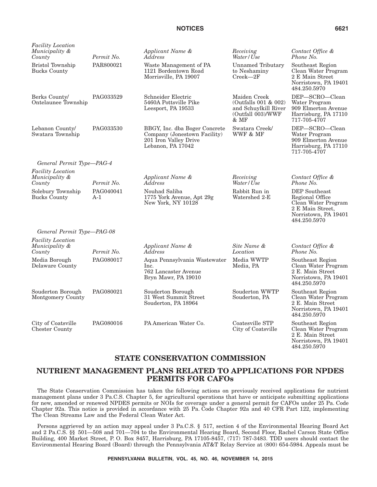| <b>Facility Location</b><br>Municipality &<br>County | Permit No.       | Applicant Name &<br><i>Address</i>                                                                          | Receiving<br>Water/Use                                                                        | Contact Office &<br>Phone No.                                                                                       |
|------------------------------------------------------|------------------|-------------------------------------------------------------------------------------------------------------|-----------------------------------------------------------------------------------------------|---------------------------------------------------------------------------------------------------------------------|
| <b>Bristol Township</b><br><b>Bucks County</b>       | PAR800021        | Waste Management of PA<br>1121 Bordentown Road<br>Morrisville, PA 19007                                     | <b>Unnamed Tributary</b><br>to Neshaminy<br>$Creek - 2F$                                      | Southeast Region<br>Clean Water Program<br>2 E Main Street<br>Norristown, PA 19401<br>484.250.5970                  |
| Berks County/<br>Ontelaunee Township                 | PAG033529        | Schneider Electric<br>5460A Pottsville Pike<br>Leesport, PA 19533                                           | Maiden Creek<br>(Outfalls $001 \& 002$ )<br>and Schuylkill River<br>(Outfall 003)/WWF<br>& MF | DEP-SCRO-Clean<br>Water Program<br>909 Elmerton Avenue<br>Harrisburg, PA 17110<br>717-705-4707                      |
| Lebanon County/<br>Swatara Township                  | PAG033530        | BBGY, Inc. dba Boger Concrete<br>Company (Jonestown Facility)<br>201 Iron Valley Drive<br>Lebanon, PA 17042 | Swatara Creek/<br>WWF & MF                                                                    | DEP-SCRO-Clean<br>Water Program<br>909 Elmerton Avenue<br>Harrisburg, PA 17110<br>717-705-4707                      |
| General Permit Type—PAG-4                            |                  |                                                                                                             |                                                                                               |                                                                                                                     |
| <b>Facility Location</b><br>Municipality &<br>County | Permit No.       | Applicant Name &<br>Address                                                                                 | Receiving<br>Water/Use                                                                        | Contact Office &<br>Phone No.                                                                                       |
| Solebury Township<br><b>Bucks County</b>             | PAG040041<br>A-1 | Nouhad Saliba<br>1775 York Avenue, Apt 29g<br>New York, NY 10128                                            | Rabbit Run in<br>Watershed 2-E                                                                | DEP Southeast<br>Regional Office<br>Clean Water Program<br>2 E Main Street,<br>Norristown, PA 19401<br>484.250.5970 |
| General Permit Type-PAG-08                           |                  |                                                                                                             |                                                                                               |                                                                                                                     |
| <b>Facility Location</b><br>Municipality &<br>County | Permit No.       | Applicant Name &<br>Address                                                                                 | Site Name &<br>Location                                                                       | Contact Office &<br>Phone No.                                                                                       |
| Media Borough<br>Delaware County                     | PAG080017        | Aqua Pennsylvania Wastewater<br>Inc.<br>762 Lancaster Avenue<br>Bryn Mawr, PA 19010                         | Media WWTP<br>Media, PA                                                                       | Southeast Region<br>Clean Water Program<br>2 E. Main Street<br>Norristown, PA 19401<br>484.250.5970                 |
| Souderton Borough<br>Montgomery County               | PAG080021        | Souderton Borough<br>31 West Summit Street<br>Souderton, PA 18964                                           | Souderton WWTP<br>Souderton, PA                                                               | Southeast Region<br>Clean Water Program<br>2 E. Main Street<br>Norristown, PA 19401<br>484.250.5970                 |
| City of Coatsville<br><b>Chester County</b>          | PAG080016        | PA American Water Co.                                                                                       | Coatesville STP<br>City of Coatsville                                                         | Southeast Region<br>Clean Water Program<br>2 E. Main Street<br>Norristown, PA 19401<br>484.250.5970                 |

### **STATE CONSERVATION COMMISSION**

## **NUTRIENT MANAGEMENT PLANS RELATED TO APPLICATIONS FOR NPDES PERMITS FOR CAFOs**

The State Conservation Commission has taken the following actions on previously received applications for nutrient management plans under 3 Pa.C.S. Chapter 5, for agricultural operations that have or anticipate submitting applications for new, amended or renewed NPDES permits or NOIs for coverage under a general permit for CAFOs under 25 Pa. Code Chapter 92a. This notice is provided in accordance with 25 Pa. Code Chapter 92a and 40 CFR Part 122, implementing The Clean Streams Law and the Federal Clean Water Act.

Persons aggrieved by an action may appeal under 3 Pa.C.S. § 517, section 4 of the Environmental Hearing Board Act and 2 Pa.C.S. §§ 501—508 and 701—704 to the Environmental Hearing Board, Second Floor, Rachel Carson State Office Building, 400 Market Street, P. O. Box 8457, Harrisburg, PA 17105-8457, (717) 787-3483. TDD users should contact the Environmental Hearing Board (Board) through the Pennsylvania AT&T Relay Service at (800) 654-5984. Appeals must be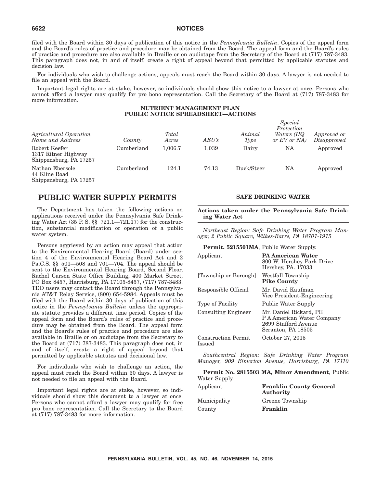filed with the Board within 30 days of publication of this notice in the *Pennsylvania Bulletin*. Copies of the appeal form and the Board's rules of practice and procedure may be obtained from the Board. The appeal form and the Board's rules of practice and procedure are also available in Braille or on audiotape from the Secretary of the Board at (717) 787-3483. This paragraph does not, in and of itself, create a right of appeal beyond that permitted by applicable statutes and decision law.

For individuals who wish to challenge actions, appeals must reach the Board within 30 days. A lawyer is not needed to file an appeal with the Board.

Important legal rights are at stake, however, so individuals should show this notice to a lawyer at once. Persons who cannot afford a lawyer may qualify for pro bono representation. Call the Secretary of the Board at (717) 787-3483 for more information.

### **NUTRIENT MANAGEMENT PLAN PUBLIC NOTICE SPREADSHEET—ACTIONS**

| Agricultural Operation<br>Name and Address                     | County     | <b>Total</b><br>Acres | AEU's | Animal<br>Type | Special<br>Protection<br>Waters (HQ<br>or EV or NA | Approved or<br>Disapproved |
|----------------------------------------------------------------|------------|-----------------------|-------|----------------|----------------------------------------------------|----------------------------|
| Robert Keefer<br>1317 Ritner Highway<br>Shippensburg, PA 17257 | Cumberland | 1.006.7               | 1.039 | Dairy          | NA                                                 | Approved                   |
| Nathan Ebersole<br>44 Kline Road<br>Shippensburg, PA 17257     | Cumberland | 124.1                 | 74.13 | Duck/Steer     | NA                                                 | Approved                   |

### **PUBLIC WATER SUPPLY PERMITS**

The Department has taken the following actions on applications received under the Pennsylvania Safe Drinking Water Act (35 P. S. §§ 721.1—721.17) for the construction, substantial modification or operation of a public water system.

Persons aggrieved by an action may appeal that action to the Environmental Hearing Board (Board) under section 4 of the Environmental Hearing Board Act and 2 Pa.C.S. §§ 501—508 and 701—704. The appeal should be sent to the Environmental Hearing Board, Second Floor, Rachel Carson State Office Building, 400 Market Street, PO Box 8457, Harrisburg, PA 17105-8457, (717) 787-3483. TDD users may contact the Board through the Pennsylvania AT&T Relay Service, (800) 654-5984. Appeals must be filed with the Board within 30 days of publication of this notice in the *Pennsylvania Bulletin* unless the appropriate statute provides a different time period. Copies of the appeal form and the Board's rules of practice and procedure may be obtained from the Board. The appeal form and the Board's rules of practice and procedure are also available in Braille or on audiotape from the Secretary to the Board at (717) 787-3483. This paragraph does not, in and of itself, create a right of appeal beyond that permitted by applicable statutes and decisional law.

For individuals who wish to challenge an action, the appeal must reach the Board within 30 days. A lawyer is not needed to file an appeal with the Board.

Important legal rights are at stake, however, so individuals should show this document to a lawyer at once. Persons who cannot afford a lawyer may qualify for free pro bono representation. Call the Secretary to the Board at (717) 787-3483 for more information.

### **SAFE DRINKING WATER**

**Actions taken under the Pennsylvania Safe Drinking Water Act**

*Northeast Region: Safe Drinking Water Program Manager, 2 Public Square, Wilkes-Barre, PA 18701-1915*

**Permit. 5215501MA**, Public Water Supply.

| Applicant                            | <b>PA American Water</b><br>800 W. Hershey Park Drive<br>Hershey, PA. 17033                        |
|--------------------------------------|----------------------------------------------------------------------------------------------------|
| Township or Borough                  | Westfall Township<br><b>Pike County</b>                                                            |
| Responsible Official                 | Mr. David Kaufman<br>Vice President-Engineering                                                    |
| Type of Facility                     | Public Water Supply                                                                                |
| <b>Consulting Engineer</b>           | Mr. Daniel Rickard, PE<br>P A American Water Company<br>2699 Stafford Avenue<br>Scranton, PA 18505 |
| <b>Construction Permit</b><br>Issued | October 27, 2015                                                                                   |

*Southcentral Region: Safe Drinking Water Program Manager, 909 Elmerton Avenue, Harrisburg, PA 17110*

**Permit No. 2815503 MA, Minor Amendment**, Public Water Supply. Applicant **Franklin County General Authority** Municipality Greene Township

County **Franklin**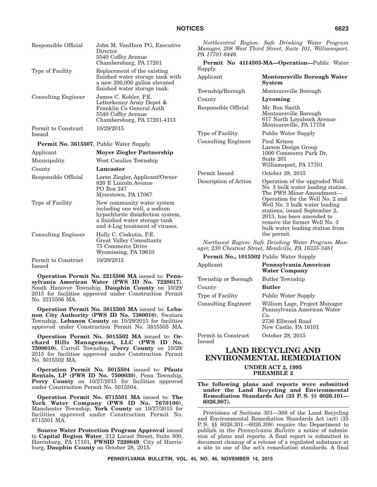| Responsible Official                            | John M. VanHorn PG, Executive<br>Director<br>5540 Coffey Avenue<br>Chambersburg, PA 17201                                                                           | PA 17701-6448.                                                   | Northcentral Region: Safe Drinking Water Program<br>Manager, 208 West Third Street, Suite 101, Williamsport,<br>Permit No 4114503-MA-Operation-Public Water                                        |  |
|-------------------------------------------------|---------------------------------------------------------------------------------------------------------------------------------------------------------------------|------------------------------------------------------------------|----------------------------------------------------------------------------------------------------------------------------------------------------------------------------------------------------|--|
| Type of Facility                                | Replacement of the existing<br>finished water storage tank with<br>a new 200,000 gallon elevated                                                                    | Supply.<br>Applicant                                             | <b>Montoursville Borough Water</b><br><b>System</b>                                                                                                                                                |  |
|                                                 | finished water storage tank.                                                                                                                                        | Township/Borough                                                 | Montoursville Borough                                                                                                                                                                              |  |
| <b>Consulting Engineer</b>                      | James C. Kohler, P.E.<br>Letterkenny Army Depot &                                                                                                                   | County                                                           | Lycoming                                                                                                                                                                                           |  |
|                                                 | Franklin Co General Auth<br>5540 Coffey Avenue<br>Chambersburg, PA 17201-4113                                                                                       | Responsible Official                                             | Mr. Ron Smith<br>Montoursville Borough<br>617 North Loyalsock Avenue<br>Montoursville, PA 17754                                                                                                    |  |
| Permit to Construct<br><b>Issued</b>            | 10/29/2015                                                                                                                                                          | Type of Facility                                                 | <b>Public Water Supply</b>                                                                                                                                                                         |  |
| <b>Permit No. 3615507, Public Water Supply.</b> |                                                                                                                                                                     | <b>Consulting Engineer</b>                                       | Paul Krizan<br>Larson Design Group                                                                                                                                                                 |  |
| Applicant                                       | <b>Moyer Ziegler Partnership</b>                                                                                                                                    |                                                                  | 1000 Commerce Park Dr.                                                                                                                                                                             |  |
| Municipality                                    | West Cocalico Township                                                                                                                                              |                                                                  | Suite 201<br>Williamsport, PA 17701                                                                                                                                                                |  |
| County                                          | Lancaster                                                                                                                                                           | Permit Issued                                                    | October 28, 2015                                                                                                                                                                                   |  |
| Responsible Official                            | Loren Ziegler, Applicant/Owner<br>820 E Lincoln Avenue<br>PO Box 247<br>Myerstown, PA 17067                                                                         | Description of Action                                            | Operation of the upgraded Well<br>No. 3 bulk water loading station.<br>The PWS Minor Amendment-                                                                                                    |  |
| Type of Facility                                | New community water system<br>including one well, a sodium<br>hypochlorite disinfection system,<br>a finished water storage tank<br>and 4-Log treatment of viruses. |                                                                  | Operation for the Well No. 2 and<br>Well No. 3 bulk water loading<br>stations, issued September 2,<br>2013, has been amended to<br>remove the former Well No. 3<br>bulk water loading station from |  |
| <b>Consulting Engineer</b>                      | Holly C. Cinkutis, P.E.<br>Great Valley Consultants<br>75 Commerce Drive                                                                                            | the permit<br>Northwest Region: Safe Drinking Water Program Man- |                                                                                                                                                                                                    |  |
|                                                 | Wyomissing, PA 19610                                                                                                                                                |                                                                  | ager, 230 Chestnut Street, Meadville, PA 16335-3481                                                                                                                                                |  |
| Permit to Construct                             | 10/29/2015                                                                                                                                                          | <b>Permit No., 1015502 Public Water Supply</b>                   |                                                                                                                                                                                                    |  |
| Issued                                          |                                                                                                                                                                     | Applicant                                                        | Pennsylvania American<br><b>Water Company</b>                                                                                                                                                      |  |
|                                                 | Operation Permit No. 2215506 MA issued to: Penn-<br>$TNTIZQ$ $TIR$ $\mathbb{R}$                                                                                     | Township or Borough                                              | <b>Butler Township</b>                                                                                                                                                                             |  |

**sylvania American Water (PWS ID No. 7220017)**, South Hanover Township, **Dauphin County** on 10/29/ 2015 for facilities approved under Construction Permit No. 2215506 MA.

**Operation Permit No. 3815505 MA** issued to: **Lebanon City Authority (PWS ID No. 7380010)**, Swatara Township, **Lebanon County** on 10/29/2015 for facilities approved under Construction Permit No. 3815505 MA.

**Operation Permit No. 5015502 MA** issued to: **Orchard Hills Management, LLC (PWS ID No. 7500010)**, Carroll Township, **Perry County** on 10/29/ 2015 for facilities approved under Construction Permit No. 5015502 MA.

**Operation Permit No. 5015504** issued to: **Pfautz Rentals, LP (PWS ID No. 7500030)**, Penn Township, Perry County on  $10/27/2015$  for facilities approved under Construction Permit No. 5015504.

**Operation Permit No. 6715501 MA** issued to: **The York Water Company (PWS ID No. 7670100)**, Manchester Township, **York County** on 10/27/2015 for facilities approved under Construction Permit No. 6715501 MA.

**Source Water Protection Program Approval** issued to **Capital Region Water**, 212 Locust Street, Suite 500, Harrisburg, PA 17101, **PWSID 7220049**, City of Harrisburg, **Dauphin County** on October 28, 2015.

County **Butler** Type of Facility Public Water Supply Consulting Engineer William Lage, Project Manager Pennsylvania American Water Co. 2736 Ellwood Road New Castle, PA 16101 Permit to Construct Issued October 28, 2015

### **LAND RECYCLING AND ENVIRONMENTAL REMEDIATION**

**UNDER ACT 2, 1995 PREAMBLE 2**

**The following plans and reports were submitted under the Land Recycling and Environmental Remediation Standards Act (35 P. S. §§ 6026.101— 6026.907).**

Provisions of Sections 301—308 of the Land Recycling and Environmental Remediation Standards Act (act) (35 P. S. §§ 6026.301—6026.308) require the Department to publish in the *Pennsylvania Bulletin* a notice of submission of plans and reports. A final report is submitted to document cleanup of a release of a regulated substance at a site to one of the act's remediation standards. A final

**PENNSYLVANIA BULLETIN, VOL. 45, NO. 46, NOVEMBER 14, 2015**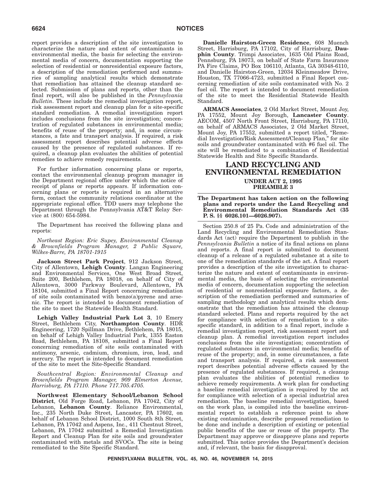report provides a description of the site investigation to characterize the nature and extent of contaminants in environmental media, the basis for selecting the environmental media of concern, documentation supporting the selection of residential or nonresidential exposure factors, a description of the remediation performed and summaries of sampling analytical results which demonstrate that remediation has attained the cleanup standard selected. Submission of plans and reports, other than the final report, will also be published in the *Pennsylvania Bulletin*. These include the remedial investigation report, risk assessment report and cleanup plan for a site-specific standard remediation. A remedial investigation report includes conclusions from the site investigation; concentration of regulated substances in environmental media; benefits of reuse of the property; and, in some circumstances, a fate and transport analysis. If required, a risk assessment report describes potential adverse effects caused by the presence of regulated substances. If required, a cleanup plan evaluates the abilities of potential remedies to achieve remedy requirements.

For further information concerning plans or reports, contact the environmental cleanup program manager in the Department regional office under which the notice of receipt of plans or reports appears. If information concerning plans or reports is required in an alternative form, contact the community relations coordinator at the appropriate regional office. TDD users may telephone the Department through the Pennsylvania AT&T Relay Service at (800) 654-5984.

The Department has received the following plans and reports:

*Northeast Region: Eric Supey, Environmental Cleanup & Brownfields Program Manager, 2 Public Square, Wilkes-Barre, PA 18701-1915*

**Jackson Street Park Project**, 912 Jackson Street, City of Allentown, **Lehigh County**. Langan Engineering and Environmental Services, One West Broad Street, Suite 200, Bethlehem, PA 18018, on behalf of City of Allentown, 3000 Parkway Boulevard, Allentown, PA 18104, submitted a Final Report concerning remediation of site soils contaminated with benzo(a)pyrene and arsenic. The report is intended to document remediation of the site to meet the Statewide Health Standard.

**Lehigh Valley Industrial Park Lot 3**, 10 Emery Street, Bethlehem City, **Northampton County**. HDR Engineering, 1720 Spillman Drive, Bethlehem, PA 18015, on behalf of Lehigh Valley Industrial Park, 1355 Easton Road, Bethlehem, PA 18108, submitted a Final Report concerning remediation of site soils contaminated with antimony, arsenic, cadmium, chromium, iron, lead, and mercury. The report is intended to document remediation of the site to meet the Site-Specific Standard.

*Southcentral Region: Environmental Cleanup and Brownfields Program Manager, 909 Elmerton Avenue, Harrisburg, PA 17110. Phone 717.705.4705.*

**Northwest Elementary School/Lebanon School District**, Old Forge Road, Lebanon, PA 17042, City of Lebanon, **Lebanon County**. Reliance Environmental, Inc., 235 North Duke Street, Lancaster, PA 17602, on behalf of Lebanon School District, 1000 South 8th Street, Lebanon, PA 17042 and Aspens, Inc., 411 Chestnut Street, Lebanon, PA 17042 submitted a Remedial Investigation Report and Cleanup Plan for site soils and groundwater contaminated with metals and SVOCs. The site is being remediated to the Site Specific Standard.

**Danielle Hairston-Green Residence**, 608 Muench Street, Harrisburg, PA 17102, City of Harrisburg, **Dauphin County**. Trimpi Associates, 1635 Old Plains Road, Pennsburg, PA 18073, on behalf of State Farm Insurance PA Fire Claims, PO Box 106110, Atlanta, GA 30348-6110, and Danielle Hairston-Green, 12034 Kleinmeadow Drive, Houston, TX 77066-4723, submitted a Final Report concerning remediation of site soils contaminated with No. 2 fuel oil. The report is intended to document remediation of the site to meet the Residential Statewide Health Standard.

**ARMACS Associates**, 2 Old Market Street, Mount Joy, PA 17552, Mount Joy Borough, **Lancaster County**. AECOM, 4507 North Front Street, Harrisburg, PA 17110, on behalf of ARMACS Associates, 2 Old Market Street, Mount Joy, PA 17552, submitted a report titled, ''Remedial Investigation/Risk Assessment/Cleanup Plan,'' for site soils and groundwater contaminated with #6 fuel oil. The site will be remediated to a combination of Residential Statewide Health and Site Specific Standards.

### **LAND RECYCLING AND ENVIRONMENTAL REMEDIATION UNDER ACT 2, 1995 PREAMBLE 3**

#### **The Department has taken action on the following plans and reports under the Land Recycling and Environmental Remediation Standards Act (35 P. S. §§ 6026.101—6026.907).**

Section 250.8 of 25 Pa. Code and administration of the Land Recycling and Environmental Remediation Standards Act (act) require the Department to publish in the *Pennsylvania Bulletin* a notice of its final actions on plans and reports. A final report is submitted to document cleanup of a release of a regulated substance at a site to one of the remediation standards of the act. A final report provides a description of the site investigation to characterize the nature and extent of contaminants in environmental media, the basis of selecting the environmental media of concern, documentation supporting the selection of residential or nonresidential exposure factors, a description of the remediation performed and summaries of sampling methodology and analytical results which demonstrate that the remediation has attained the cleanup standard selected. Plans and reports required by the act for compliance with selection of remediation to a sitespecific standard, in addition to a final report, include a remedial investigation report, risk assessment report and cleanup plan. A remedial investigation report includes conclusions from the site investigation; concentration of regulated substances in environmental media; benefits of reuse of the property; and, in some circumstances, a fate and transport analysis. If required, a risk assessment report describes potential adverse effects caused by the presence of regulated substances. If required, a cleanup plan evaluates the abilities of potential remedies to achieve remedy requirements. A work plan for conducting a baseline remedial investigation is required by the act for compliance with selection of a special industrial area remediation. The baseline remedial investigation, based on the work plan, is compiled into the baseline environmental report to establish a reference point to show existing contamination, describe proposed remediation to be done and include a description of existing or potential public benefits of the use or reuse of the property. The Department may approve or disapprove plans and reports submitted. This notice provides the Department's decision and, if relevant, the basis for disapproval.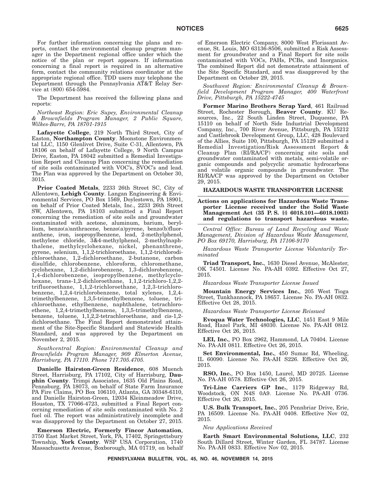For further information concerning the plans and reports, contact the environmental cleanup program manager in the Department regional office under which the notice of the plan or report appears. If information concerning a final report is required in an alternative form, contact the community relations coordinator at the appropriate regional office. TDD users may telephone the Department through the Pennsylvania AT&T Relay Service at (800) 654-5984.

The Department has received the following plans and reports:

*Northeast Region: Eric Supey, Environmental Cleanup & Brownfields Program Manager, 2 Public Square, Wilkes-Barre, PA 18701-1915*

**Lafayette College**, 219 North Third Street, City of Easton, **Northampton County**. Moonstone Environmental LLC, 1150 Glenlivet Drive, Suite C-31, Allentown, PA 18106 on behalf of Lafayette College, 9 North Campus Drive, Easton, PA 18042 submitted a Remedial Investigation Report and Cleanup Plan concerning the remediation of site soils contaminated with VOC's, SVOC's and lead. The Plan was approved by the Department on October 30, 3015.

**Prior Coated Metals**, 2233 26th Street SC, City of Allentown, **Lehigh County**. Langan Engineering & Environmental Services, PO Box 1569, Doylestown, PA 18901, on behalf of Prior Coated Metals, Inc., 2233 26th Street SW, Allentown, PA 18103 submitted a Final Report concerning the remediation of site soils and groundwater contaminated with acetone, aluminum, barium, beryllium, benzo(a)anthracene, benzo(a)pyrene, benzo(b)fluoranthene, iron, isopropylbenzene, lead, 2-methylphenol, methylene chloride, 3&4-methylphenol, 2-methylnaphthalene, methylcyclohexane, nickel, phenanthrene, pyrene, selenium, 1,1,2-trichloroethane, 1,1,2-trichlorodichloroethane, 1,2-dichloroethane, 2-butanone, carbon disulfide, chlorobenzene, chloroform, chloromethane, cyclohexane, 1,2-dichlorobenzene, 1,3-dichlorobenzene, 1,4-dichlorobenzene, isopropylbenzene, methylcyclohexane, trans-1,2-dichloroethane, 1,1,2-trichloro-1,2,2 trifluoroethane, 1,1,2-trichloroethane, 1,2,3-trichlorobenzene, 1,2,4-trichlorobenzene, total xylenes, 1,2,4 trimethylbenzene, 1,3,5-trimethylbenzene, toluene, trichloroethane, ethylbenzene, naphthalene, tetrachloroethene, 1,2,4-trimethylbenzene, 1,3,5-trimethylbenzene, benzene, toluene, 1,1,2,2-tetrachloroethane, and cis-1,2 dichloroethane. The Final Report demonstrated attainment of the Site-Specific Standard and Statewide Health Standard, and was approved by the Department on November 2, 2015.

*Southcentral Region: Environmental Cleanup and Brownfields Program Manager, 909 Elmerton Avenue, Harrisburg, PA 17110. Phone 717.705.4705.*

**Danielle Hairston-Green Residence**, 608 Muench Street, Harrisburg, PA 17102, City of Harrisburg, **Dauphin County**. Trimpi Associates, 1635 Old Plains Road, Pennsburg, PA 18073, on behalf of State Farm Insurance PA Fire Claims, PO Box 106110, Atlanta, GA 30348-6110, and Danielle Hairston-Green, 12034 Kleinmeadow Drive, Houston, TX 77066-4723, submitted a Final Report concerning remediation of site soils contaminated with No. 2 fuel oil. The report was administratively incomplete and was disapproved by the Department on October 27, 2015.

**Emerson Electric, Formerly Fincor Automation**, 3750 East Market Street, York, PA, 17402, Springettsbury Township, **York County**. WSP USA Corporation, 1740 Massachusetts Avenue, Boxborough, MA 01719, on behalf of Emerson Electric Company, 8000 West Florissant Avenue, St. Louis, MO 63136-8506, submitted a Risk Assessment for groundwater and a Final Report for site soils contaminated with VOCs, PAHs, PCBs, and Inorganics. The combined Report did not demonstrate attainment of the Site Specific Standard, and was disapproved by the Department on October 29, 2015.

*Southwest Region: Environmental Cleanup & Brownfield Development Program Manager, 400 Waterfront Drive, Pittsburgh, PA 15222-4745*

**Former Marino Brothers Scrap Yard**, 461 Railroad Street, Rochester Borough, **Beaver County**. KU Resources, Inc., 22 South Linden Street, Duquesne, PA 15110 on behalf of North Side Industrial Development Company, Inc., 700 River Avenue, Pittsburgh, PA 15212 and Castlebrook Development Group, LLC, 428 Boulevard of the Allies, Suite 100, Pittsburgh, PA 15129 submitted a Remedial Investigation/Risk Assessment Report & Cleanup Plan (RI/RA/CP) concerning site soils and groundwater contaminated with metals, semi-volatile organic compounds and polycyclic aromatic hydrocarbons and volatile organic compounds in groundwater. The RI/RA/CP was approved by the Department on October 29, 2015.

### **HAZARDOUS WASTE TRANSPORTER LICENSE**

**Actions on applications for Hazardous Waste Transporter License received under the Solid Waste Management Act (35 P. S. §§ 6018.101—6018.1003) and regulations to transport hazardous waste.**

*Central Office: Bureau of Land Recycling and Waste Management, Division of Hazardous Waste Management, PO Box 69170, Harrisburg, PA 17106-9170*

*Hazardous Waste Transporter License Voluntarily Terminated*

**Triad Transport, Inc.**, 1630 Diesel Avenue, McAlester, OK 74501. License No. PA-AH 0392. Effective Oct 27, 2015.

*Hazardous Waste Transporter License Issued*

**Mountain Energy Services Inc.**, 205 West Tioga Street, Tunkhannock, PA 18657. License No. PA-AH 0832. Effective Oct 28, 2015.

*Hazardous Waste Transporter License Reissued*

**Evoqua Water Technologies, LLC**, 1451 East 9 Mile Road, Hazel Park, MI 48030. License No. PA-AH 0812. Effective Oct 26, 2015.

**LEI, Inc.**, PO Box 2962, Hammond, LA 70404. License No. PA-AH 0811. Effective Oct 26, 2015.

**Set Environmental, Inc.**, 450 Sumac Rd, Wheeling, IL 60090. License No. PA-AH S226. Effective Oct 26, 2015.

**RSO, Inc.**, PO Box 1450, Laurel, MD 20725. License No. PA-AH 0578. Effective Oct 26, 2015.

**Tri-Line Carriers GP Inc.**, 1179 Ridgeway Rd, Woodstock, ON N4S 0A9. License No. PA-AH 0736. Effective Oct 26, 2015.

**U.S. Bulk Transport, Inc.**, 205 Pennbriar Drive, Erie, PA 16509. License No. PA-AH 0408. Effective Nov 02, 2015.

*New Applications Received*

**Earth Smart Environmental Solutions, LLC**, 232 South Dillard Street, Winter Garden, FL 34787. License No. PA-AH 0833. Effective Nov 02, 2015.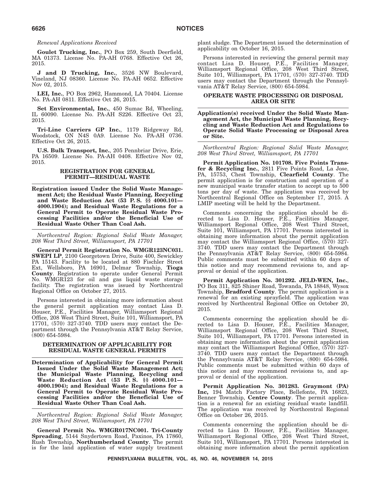#### *Renewal Applications Received*

**Goulet Trucking, Inc.**, PO Box 259, South Deerfield, MA 01373. License No. PA-AH 0768. Effective Oct 26, 2015.

**J and D Trucking, Inc.**, 3526 NW Boulevard, Vineland, NJ 08360. License No. PA-AH 0652. Effective Nov 02, 2015.

**LEI, Inc.**, PO Box 2962, Hammond, LA 70404. License No. PA-AH 0811. Effective Oct 26, 2015.

**Set Environmental, Inc.**, 450 Sumac Rd, Wheeling, IL 60090. License No. PA-AH S226. Effective Oct 23, 2015.

**Tri-Line Carriers GP Inc.**, 1179 Ridgeway Rd, Woodstock, ON N4S 0A9. License No. PA-AH 0736. Effective Oct 26, 2015.

**U.S. Bulk Transport, Inc.**, 205 Pennbriar Drive, Erie, PA 16509. License No. PA-AH 0408. Effective Nov 02, 2015.

#### **REGISTRATION FOR GENERAL PERMIT—RESIDUAL WASTE**

**Registration issued Under the Solid Waste Management Act; the Residual Waste Planning, Recycling and Waste Reduction Act (53 P. S. §§ 4000.101— 4000.1904); and Residual Waste Regulations for a General Permit to Operate Residual Waste Processing Facilities and/or the Beneficial Use of Residual Waste Other Than Coal Ash.**

*Northcentral Region: Regional Solid Waste Manager, 208 West Third Street, Williamsport, PA 17701*

**General Permit Registration No. WMGR123NC031. SWEPI LP**, 2100 Georgetown Drive, Suite 400, Sewickley PA 15143. Facility to be located at 880 Fischler Street Ext, Wellsboro, PA 16901, Delmar Township, **Tioga County**. Registration to operate under General Permit No. WMGR123 for oil and gas liquid waste storage facility. The registration was issued by Northcentral Regional Office on October 27, 2015.

Persons interested in obtaining more information about the general permit application may contact Lisa D. Houser, P.E., Facilities Manager, Williamsport Regional Office, 208 West Third Street, Suite 101, Williamsport, PA 17701, (570) 327-3740. TDD users may contact the Department through the Pennsylvania AT&T Relay Service, (800) 654-5984.

### **DETERMINATION OF APPLICABILITY FOR RESIDUAL WASTE GENERAL PERMITS**

**Determination of Applicability for General Permit Issued Under the Solid Waste Management Act; the Municipal Waste Planning, Recycling and Waste Reduction Act (53 P. S. §§ 4000.101— 4000.1904); and Residual Waste Regulations for a General Permit to Operate Residual Waste Processing Facilities and/or the Beneficial Use of Residual Waste Other Than Coal Ash.**

*Northcentral Region: Regional Solid Waste Manager, 208 West Third Street, Williamsport, PA 17701*

**General Permit No. WMGR017NC001. Tri-County Spreading**, 5144 Snydertown Road, Paxinos, PA 17860, Rush Township, **Northumberland County**. The permit is for the land application of water supply treatment

plant sludge. The Department issued the determination of applicability on October 16, 2015.

Persons interested in reviewing the general permit may contact Lisa D. Houser, P.E., Facilities Manager, Williamsport Regional Office, 208 West Third Street, Suite 101, Williamsport, PA 17701, (570) 327-3740. TDD users may contact the Department through the Pennsylvania AT&T Relay Service, (800) 654-5984.

### **OPERATE WASTE PROCESSING OR DISPOSAL AREA OR SITE**

**Application(s) received Under the Solid Waste Management Act, the Municipal Waste Planning, Recycling and Waste Reduction Act and Regulations to Operate Solid Waste Processing or Disposal Area or Site.**

*Northcentral Region: Regional Solid Waste Manager, 208 West Third Street, Williamsport, PA 17701*

**Permit Application No. 101708. Five Points Transfer & Recycling Inc.**, 2811 Five Points Road, La Jose, PA, 15753, Chest Township, **Clearfield County**. The permit application is for construction and operation of a new municipal waste transfer station to accept up to 500 tons per day of waste. The application was received by Northcentral Regional Office on September 17, 2015. A LMIP meeting will be held by the Department.

Comments concerning the application should be directed to Lisa D. Houser, P.E., Facilities Manager, Williamsport Regional Office, 208 West Third Street, Suite 101, Williamsport, PA 17701. Persons interested in obtaining more information about the permit application may contact the Williamsport Regional Office, (570) 327- 3740. TDD users may contact the Department through the Pennsylvania AT&T Relay Service, (800) 654-5984. Public comments must be submitted within 60 days of this notice and may recommend revisions to, and approval or denial of the application.

**Permit Application No. 301292. JELD-WEN, Inc.**, PO Box 311, 825 Shiner Road, Towanda, PA 18848, Wysox Township, **Bradford County**. The permit application is a renewal for an existing sprayfield. The application was received by Northcentral Regional Office on October 20, 2015.

Comments concerning the application should be directed to Lisa D. Houser, P.E., Facilities Manager, Williamsport Regional Office, 208 West Third Street, Suite 101, Williamsport, PA 17701. Persons interested in obtaining more information about the permit application may contact the Williamsport Regional Office, (570) 327- 3740. TDD users may contact the Department through the Pennsylvania AT&T Relay Service, (800) 654-5984. Public comments must be submitted within 60 days of this notice and may recommend revisions to, and approval or denial of the application.

**Permit Application No. 301283. Graymont (PA) Inc,** 194 Match Factory Place, Bellefonte, PA 16823, Benner Township, **Centre County**. The permit application is a renewal for an existing residual waste landfill. The application was received by Northcentral Regional Office on October 26, 2015.

Comments concerning the application should be directed to Lisa D. Houser, P.E., Facilities Manager, Williamsport Regional Office, 208 West Third Street, Suite 101, Williamsport, PA 17701. Persons interested in obtaining more information about the permit application

**PENNSYLVANIA BULLETIN, VOL. 45, NO. 46, NOVEMBER 14, 2015**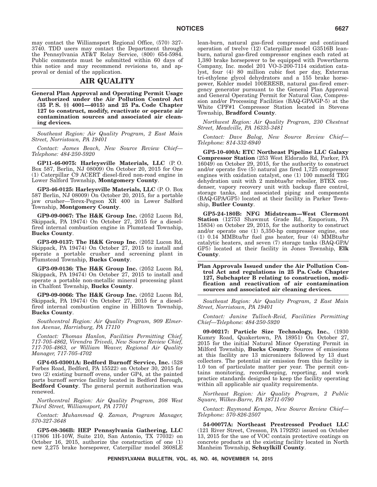may contact the Williamsport Regional Office, (570) 327- 3740. TDD users may contact the Department through the Pennsylvania AT&T Relay Service, (800) 654-5984. Public comments must be submitted within 60 days of this notice and may recommend revisions to, and approval or denial of the application.

### **AIR QUALITY**

**General Plan Approval and Operating Permit Usage Authorized under the Air Pollution Control Act (35 P. S. §§ 4001—4015) and 25 Pa. Code Chapter 127 to construct, modify, reactivate or operate air contamination sources and associated air cleaning devices.**

*Southeast Region: Air Quality Program, 2 East Main Street, Norristown, PA 19401*

*Contact: James Beach, New Source Review Chief— Telephone: 484-250-5920*

**GP11-46-0075: Harleysville Materials, LLC** (P. O. Box 587, Berlin, NJ 08009) On October 20, 2015 for One (1) Caterpillar C9 ACERT diesel-fired non-road engine in Lower Salford Township, **Montgomery County**.

**GP3-46-0125: Harleysville Materials, LLC** (P. O. Box 587 Berlin, NJ 08009) On October 20, 2015, for a portable jaw crusher—Terex-Pegson XR 400 in Lower Salford Township, **Montgomery County**.

**GP9-09-0067: The H&K Group Inc.** (2052 Lucon Rd, Skippack, PA 19474) On October 27, 2015 for a dieselfired internal combustion engine in Plumstead Township, **Bucks County**.

**GP3-09-0137: The H&K Group Inc.** (2052 Lucon Rd, Skippack, PA 19474) On October 27, 2015 to install and operate a portable crusher and screening plant in Plumstead Township, **Bucks County**.

**GP3-09-0136: The H&K Group Inc.** (2052 Lucon Rd, Skippack, PA 19474) On October 27, 2015 to install and operate a portable non-metallic mineral processing plant in Chalfont Township, **Bucks County**.

**GP9-09-0066: The H&K Group Inc.** (2052 Lucon Rd, Skippack, PA 19474) On October 27, 2015 for a dieselfired internal combustion engine in Hilltown Township, **Bucks County**.

*Southcentral Region: Air Quality Program, 909 Elmerton Avenue, Harrisburg, PA 17110*

*Contact: Thomas Hanlon, Facilities Permitting Chief, 717-705-4862, Virendra Trivedi, New Source Review Chief, 717-705-4863, or William Weaver, Regional Air Quality Manager, 717-705-4702*

**GP4-05-03001A: Bedford Burnoff Service, Inc.** (528 Forbes Road, Bedford, PA 15522) on October 30, 2015 for two (2) existing burnoff ovens, under GP4, at the painted parts burnoff service facility located in Bedford Borough, **Bedford County**. The general permit authorization was renewed.

*Northcentral Region: Air Quality Program, 208 West Third Street, Williamsport, PA 17701*

*Contact: Muhammad Q. Zaman, Program Manager, 570-327-3648*

**GP5-08-366B: HEP Pennsylvania Gathering, LLC** (17806 1H-10W, Suite 210, San Antonio, TX 77032) on October 16, 2015, authorize the construction of one (1) new 2,275 brake horsepower, Caterpillar model 3608LE lean-burn, natural gas-fired compressor and continued operation of twelve (12) Caterpillar model G3516B leanburn, natural gas-fired compressor engines each rated at 1,380 brake horsepower to be equipped with Powertherm Company, Inc. model 201 VO-3-200-7114 oxidation catalyst, four (4) 80 million cubic foot per day, Exterran tri-ethylene glycol dehydrators and a 155 brake horsepower, Kohler model 100ERESB, natural gas-fired emergency generator pursuant to the General Plan Approval and General Operating Permit for Natural Gas, Compression and/or Processing Facilities (BAQ-GPA/GP-5) at the White CPF#1 Compressor Station located in Stevens Township, **Bradford County**.

*Northwest Region: Air Quality Program, 230 Chestnut Street, Meadville, PA 16335-3481*

*Contact: Dave Balog, New Source Review Chief— Telephone: 814-332-6940*

**GP5-10-400A: ETC Northeast Pipeline LLC Galaxy Compressor Station** (253 West Eldorado Rd, Parker, PA 16049) on October 29, 2015, for the authority to construct and/or operate five (5) natural gas fired 1,725 compressor engines with oxidation catalyst, one (1) 100 mmscfd TEG dehydration unit with 2 mmbtus/hr reboiler, BTEX condenser, vapory recovery unit with backup flare control, storage tanks, and associated piping and components (BAQ-GPA/GP5) located at their facility in Parker Township, **Butler County**.

**GP5-24-180B: NFG Midstream—West Clermont Station** (12753 Shawmut Grade Rd., Emporium, PA 15834) on October 29, 2015, for the authority to construct and/or operate one (1) 5,350-hp compressor engine, one (1) 0.14 MMBtu/hr fuel gas heater, four (4) MMBtu/hr catalytic heaters, and seven (7) storage tanks (BAQ-GPA/ GP5) located at their facility in Jones Township, **Elk County**.

**Plan Approvals Issued under the Air Pollution Control Act and regulations in 25 Pa. Code Chapter 127, Subchapter B relating to construction, modification and reactivation of air contamination sources and associated air cleaning devices.**

*Southeast Region: Air Quality Program, 2 East Main Street, Norristown, PA 19401*

*Contact: Janine Tulloch-Reid, Facilities Permitting Chief—Telephone: 484-250-5920*

**09-00217: Particle Size Technology, Inc.**, (1930 Kumry Road, Quakertown, PA 18951) On October 27, 2015 for the initial Natural Minor Operating Permit in Milford Township, **Bucks County**. Sources of emissions at this facility are 13 micronizers followed by 13 dust collectors. The potential air emission from this facility is 1.0 ton of particulate matter per year. The permit contains monitoring, recordkeeping, reporting, and work practice standards designed to keep the facility operating within all applicable air quality requirements.

*Northeast Region: Air Quality Program, 2 Public Square, Wilkes-Barre, PA 18711-0790*

*Contact: Raymond Kempa, New Source Review Chief— Telephone: 570-826-2507*

**54-00077A: Northeast Prestressed Product LLC** (121 River Street, Cresson, PA 179292) issued on October 13, 2015 for the use of VOC contain protective coatings on concrete products at the existing facility located in North Manheim Township, **Schuylkill County**.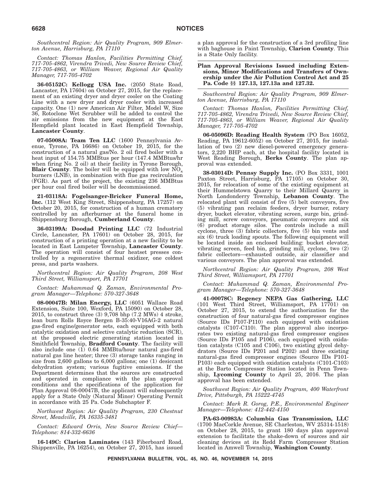*Southcentral Region: Air Quality Program, 909 Elmerton Avenue, Harrisburg, PA 17110*

*Contact: Thomas Hanlon, Facilities Permitting Chief, 717-705-4862, Virendra Trivedi, New Source Review Chief, 717-705-4863, or William Weaver, Regional Air Quality Manager, 717-705-4702*

**36-05152C: Kellogg USA Inc.** (2050 State Road, Lancaster, PA 17604) on October 27, 2015, for the replacement of an existing dryer and dryer cooler on the Coating Line with a new dryer and dryer cooler with increased capacity. One (1) new American Air Filter, Model W, Size 36, Rotoclone Wet Scrubber will be added to control the air emissions from the new equipment at the East Hempfield plant located in East Hempfield Township, **Lancaster County**.

**07-05008A: Team Ten LLC** (1600 Pennsylvania Avenue, Tyrone, PA 16686) on October 19, 2015, for the construction of a natural gas/No. 2 oil fired boiler with a heat input of 154.75 MMBtus per hour (147.4 MMBtus/hr when firing No. 2 oil) at their facility in Tyrone Borough, **Blair County**. The boiler will be equipped with low  $NO_x$ burners (LNB), in combination with flue gas recirculation (FGR). As part of the project, the existing 236 MMBtus per hour coal fired boiler will be decommissioned.

**21-03118A: Fogelsanger-Bricker Funeral Home, Inc.** (112 West King Street, Shippensburg, PA 17257) on October 20, 2015, for construction of a human crematory controlled by an afterburner at the funeral home in Shippensburg Borough, **Cumberland County**.

**36-03199A: Doodad Printing LLC** (72 Industrial Circle, Lancaster, PA 17601) on October 28, 2015, for construction of a printing operation at a new facility to be located in East Lampeter Township, **Lancaster County**. The operation will consist of four heatset presses controlled by a regenerative thermal oxidizer, one coldest press, and parts washers.

*Northcentral Region: Air Quality Program, 208 West Third Street, Williamsport, PA 17701*

*Contact: Muhammad Q. Zaman, Environmental Program Manager—Telephone: 570-327-3648*

**08-00047B: Milan Energy, LLC** (6051 Wallace Road Extension, Suite 100, Wexford, PA 15090) on October 28, 2015, to construct three (3) 9,708 bhp (7.2 MWs) 4 stroke, lean burn Rolls Royce Bergen B-35:40-V16AG-2 natural gas-fired engine/generator sets, each equipped with both catalytic oxidation and selective catalytic reduction (SCR), at the proposed electric generating station located in Smithfield Township, **Bradford County**. The facility will also include one (1) 0.64 MMBtu/hour natural gas-fired natural gas line heater; three (3) storage tanks ranging in size from 2,600 gallons to 6,000 gallons; one (1) desiccant dehydration system; various fugitive emissions. If the Department determines that the sources are constructed and operated in compliance with the plan approval conditions and the specifications of the application for Plan Approval 08-00047B, the applicant will subsequently apply for a State Only (Natural Minor) Operating Permit in accordance with 25 Pa. Code Subchapter F.

*Northwest Region: Air Quality Program, 230 Chestnut Street, Meadville, PA 16335-3481*

*Contact: Edward Orris, New Source Review Chief— Telephone: 814-332-6636*

**16-149C: Clarion Laminates** (143 Fiberboard Road, Shippenville, PA 16254), on October 27, 2015, has issued a plan approval for the construction of a 3rd profiling line with baghouse in Paint Township, **Clarion County**. This is a State Only facility.

#### **Plan Approval Revisions Issued including Extensions, Minor Modifications and Transfers of Ownership under the Air Pollution Control Act and 25 Pa. Code §§ 127.13, 127.13a and 127.32.**

*Southcentral Region: Air Quality Program, 909 Elmerton Avenue, Harrisburg, PA 17110*

*Contact: Thomas Hanlon, Facilities Permitting Chief, 717-705-4862, Virendra Trivedi, New Source Review Chief, 717-705-4863, or William Weaver, Regional Air Quality Manager, 717-705-4702*

**06-05096D: Reading Health System** (PO Box 16052, Reading, PA 19612-6052) on October 27, 2015, for installation of two (2) new diesel-powered emergency generators, 2,220 BHP each, at the hospital facility located in West Reading Borough, **Berks County**. The plan approval was extended.

**38-03014D: Pennsy Supply Inc.** (PO Box 3331, 1001 Paxton Street, Harrisburg, PA 17105) on October 30, 2015, for relocation of some of the existing equipment at their Hummelstown Quarry to their Millard Quarry in North Londonderry Township, **Lebanon County**. The relocated plant will consist of five (5) belt conveyors, five (5) vibrating pan reclaim feeders, dryer burner, rotary dryer, bucket elevator, vibrating screen, surge bin, grinding mill, screw conveyors, pneumatic conveyors and six (6) product storage silos. The controls include a mill cyclone, three (3) fabric collectors, five (5) bin vents and six (6) truck loading spouts. The following equipment will be located inside an enclosed building: bucket elevator, vibrating screen, feed bin, grinding mill, cyclone, two (2) fabric collectors—exhausted outside, air classifier and various conveyors. The plan approval was extended.

*Northcentral Region: Air Quality Program, 208 West Third Street, Williamsport, PA 17701*

*Contact: Muhammad Q. Zaman, Environmental Program Manager—Telephone: 570-327-3648*

**41-00078C: Regency NEPA Gas Gathering, LLC** (101 West Third Street, Williamsport, PA 17701) on October 27, 2015, to extend the authorization for the construction of four natural-gas fired compressor engines (Source IDs P107-P110) each equipped with oxidation catalysts (C107-C110). The plan approval also incorporates two existing natural-gas fired compressor engines (Source IDs P105 and P106), each equipped with oxidation catalysts (C105 and C106), two existing glycol dehydrators (Source IDs P201 and P202) and three existing natural-gas fired compressor engines (Source IDs P101- P103) each equipped with oxidation catalysts (C101-C103) at the Barto Compressor Station located in Penn Township, **Lycoming County** to April 25, 2016. The plan approval has been extended.

*Southwest Region: Air Quality Program, 400 Waterfront Drive, Pittsburgh, PA 15222-4745*

*Contact: Mark R. Gorog, P.E., Environmental Engineer Manager—Telephone: 412-442-4150*

**PA-63-00983A: Columbia Gas Transmission, LLC** (1700 MacCorkle Avenue, SE Charleston, WV 25314-1518) on October 28, 2015, to grant 180 days plan approval extension to facilitate the shake-down of sources and air cleaning devices at its Redd Farm Compressor Station located in Amwell Township, **Washington County**.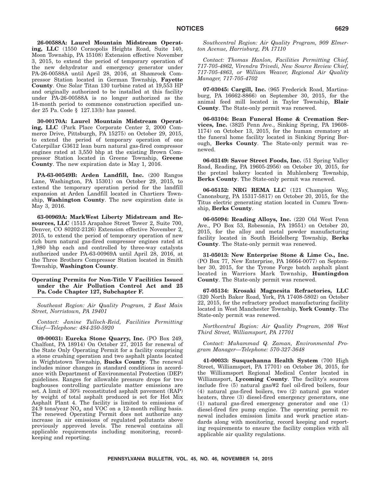**26-00588A: Laurel Mountain Midstream Operating, LLC** (1550 Coraopolis Heights Road, Suite 140, Moon Township, PA 15108) Extension effective November 3, 2015, to extend the period of temporary operation of the new dehydrator and emergency generator under PA-26-00588A until April 28, 2016, at Shamrock Compressor Station located in German Township, **Fayette County**. One Solar Titan 130 turbine rated at 19,553 HP and originally authorized to be installed at this facility under PA-26-00588A is no longer authorized as the 18-month period to commence construction specified under 25 Pa. Code § 127.13(b) has passed.

**30-00170A: Laurel Mountain Midstream Operating, LLC** (Park Place Corporate Center 2, 2000 Commerce Drive, Pittsburgh, PA 15275) on October 29, 2015, to extend the period of temporary operation of one Caterpillar G3612 lean burn natural gas-fired compressor engines rated at 3,550 bhp at the existing Brown Compressor Station located in Greene Township, **Greene County**. The new expiration date is May 1, 2016.

**PA-63-00549B: Arden Landfill, Inc.** (200 Rangos Lane, Washington, PA 15301) on October 29, 2015, to extend the temporary operation period for the landfill expansion at Arden Landfill located in Chartiers Township, **Washington County**. The new expiration date is May 3, 2016.

**63-00969A: MarkWest Liberty Midstream and Resources, LLC** (1515 Arapahoe Street Tower 2, Suite 700, Denver, CO 80202-2126) Extension effective November 2, 2015, to extend the period of temporary operation of new rich burn natural gas-fired compressor engines rated at 1,980 bhp each and controlled by three-way catalysts authorized under PA-63-00969A until April 28, 2016, at the Three Brothers Compressor Station located in Smith Township, **Washington County**.

### **Operating Permits for Non-Title V Facilities Issued under the Air Pollution Control Act and 25 Pa. Code Chapter 127, Subchapter F.**

*Southeast Region: Air Quality Program, 2 East Main Street, Norristown, PA 19401*

*Contact: Janine Tulloch-Reid, Facilities Permitting Chief—Telephone: 484-250-5920*

**09-00031: Eureka Stone Quarry, Inc.** (PO Box 249, Chalfont, PA 18914) On October 27, 2015 for renewal of the State Only Operating Permit for a facility comprising a stone crushing operation and two asphalt plants located in Wrightstown Township, **Bucks County**. The renewal includes minor changes in standard conditions in accordance with Department of Environmental Protection (DEP) guidelines. Ranges for allowable pressure drops for two baghouses controlling particulate matter emissions are set. A limit of 30% reconstituted asphalt pavement (RAP) by weight of total asphalt produced is set for Hot Mix Asphalt Plant 4. The facility is limited to emissions of 24.9 tons/year  $NO_x$  and VOC on a 12-month rolling basis. The renewed Operating Permit does not authorize any increase in air emissions of regulated pollutants above previously approved levels. The renewal contains all applicable requirements including monitoring, recordkeeping and reporting.

*Southcentral Region: Air Quality Program, 909 Elmerton Avenue, Harrisburg, PA 17110*

*Contact: Thomas Hanlon, Facilities Permitting Chief, 717-705-4862, Virendra Trivedi, New Source Review Chief, 717-705-4863, or William Weaver, Regional Air Quality Manager, 717-705-4702*

**07-03045: Cargill, Inc.** (965 Frederick Road, Martinsburg, PA 16662-8866) on September 30, 2015, for the animal feed mill located in Taylor Township, **Blair County**. The State-only permit was renewed.

**06-03104: Bean Funeral Home & Cremation Services, Inc.** (3825 Penn Ave., Sinking Spring, PA 19608- 1174) on October 13, 2015, for the human crematory at the funeral home facility located in Sinking Spring Borough, **Berks County**. The State-only permit was renewed.

**06-03149: Savor Street Foods, Inc.** (51 Spring Valley Road, Reading, PA 19605-2956) on October 20, 2015, for the pretzel bakery located in Muhlenberg Township, **Berks County**. The State-only permit was renewed.

**06-05152: NRG REMA LLC** (121 Champion Way, Canonsburg, PA 15317-5817) on October 20, 2015, for the Titus electric generating station located in Cumru Township, **Berks County**.

**06-05094: Reading Alloys, Inc.** (220 Old West Penn Ave., PO Box 53, Robesonia, PA 19551) on October 20, 2015, for the alloy and metal powder manufacturing facility located in South Heidelberg Township, **Berks County**. The State-only permit was renewed.

**31-05013: New Enterprise Stone & Lime Co., Inc.** (PO Box 77, New Enterprise, PA 16664-0077) on September 30, 2015, for the Tyrone Forge batch asphalt plant located in Warriors Mark Township, **Huntingdon County**. The State-only permit was renewed.

**67-05134: Krosaki Magnesita Refractories, LLC** (320 North Baker Road, York, PA 17408-5802) on October 22, 2015, for the refractory product manufacturing facility located in West Manchester Township, **York County**. The State-only permit was renewed.

*Northcentral Region: Air Quality Program, 208 West Third Street, Williamsport, PA 17701*

*Contact: Muhammad Q. Zaman, Environmental Program Manager—Telephone: 570-327-3648*

**41-00033: Susquehanna Health System** (700 High Street, Williamsport, PA 17701) on October 26, 2015, for the Williamsport Regional Medical Center located in Williamsport, **Lycoming County**. The facility's sources include five (5) natural gas/#2 fuel oil-fired boilers, four (4) natural gas-fired boilers, two (2) natural gas water heaters, three (3) diesel-fired emergency generators, one (1) natural gas-fired emergency generator and one (1) diesel-fired fire pump engine. The operating permit renewal includes emission limits and work practice standards along with monitoring, record keeping and reporting requirements to ensure the facility complies with all applicable air quality regulations.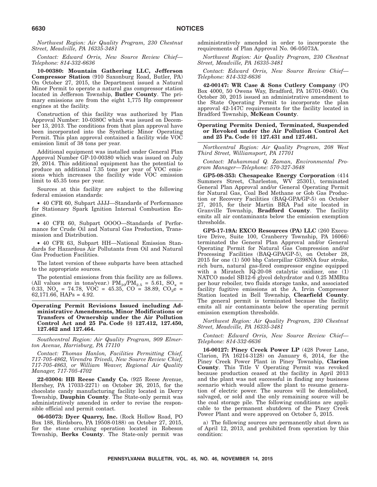*Northwest Region: Air Quality Program, 230 Chestnut Street, Meadville, PA 16335-3481*

*Contact: Edward Orris, New Source Review Chief— Telephone: 814-332-6636*

**10-00380: Mountain Gathering LLC, Jefferson Compressor Station** (910 Saxonburg Road, Butler, PA) On October 27, 2015, the Department issued a Natural Minor Permit to operate a natural gas compressor station located in Jefferson Township, **Butler County**. The primary emissions are from the eight 1,775 Hp compressor engines at the facility.

Construction of this facility was authorized by Plan Approval Number: 10-0380C which was issued on December 13, 2013. The conditions from that plan approval have been incorporated into the Synthetic Minor Operating Permit. This plan approval contained a facility wide VOC emission limit of 38 tons per year.

Additional equipment was installed under General Plan Approval Number GP-10-00380 which was issued on July 29, 2014. This additional equipment has the potential to produce an additional 7.35 tons per year of VOC emissions which increases the facility wide VOC emission limit to 45.35 tons per year.

Sources at this facility are subject to the following federal emission standards:

• 40 CFR 60, Subpart JJJJ—Standards of Performance for Stationary Spark Ignition Internal Combustion Engines.

• 40 CFR 60, Subpart OOOO—Standards of Performance for Crude Oil and Natural Gas Production, Transmission and Distribution.

• 40 CFR 63, Subpart HH—National Emission Standards for Hazardous Air Pollutants from Oil and Natural Gas Production Facilities.

The latest version of these subparts have been attached to the appropriate sources.

The potential emissions from this facility are as follows. (All values are in tons/year.)  $PM_{10}/PM_{2.5} = 5.61$ ,  $SO_x =$ 0.33,  $NO_x = 74.78$ ,  $VOC = 45.35$ ,  $CO = 38.89$ ,  $CO_2e =$ 62,171.66, HAPs = 4.92.

#### **Operating Permit Revisions Issued including Administrative Amendments, Minor Modifications or Transfers of Ownership under the Air Pollution Control Act and 25 Pa. Code §§ 127.412, 127.450, 127.462 and 127.464.**

*Southcentral Region: Air Quality Program, 909 Elmerton Avenue, Harrisburg, PA 17110*

*Contact: Thomas Hanlon, Facilities Permitting Chief, 717-705-4862, Virendra Trivedi, New Source Review Chief, 717-705-4863, or William Weaver, Regional Air Quality Manager, 717-705-4702*

**22-03004: HB Reese Candy Co.** (925 Reese Avenue, Hershey, PA 17033-2271) on October 26, 2015, for the chocolate candy manufacturing facility located in Derry Township, **Dauphin County**. The State-only permit was administratively amended in order to revise the responsible official and permit contact.

**06-05073: Dyer Quarry, Inc.** (Rock Hollow Road, PO Box 188, Birdsboro, PA 19508-0188) on October 27, 2015, for the stone crushing operation located in Robeson Township, **Berks County**. The State-only permit was administratively amended in order to incorporate the requirements of Plan Approval No. 06-05073A.

*Northwest Region: Air Quality Program, 230 Chestnut Street, Meadville, PA 16335-3481*

*Contact: Edward Orris, New Source Review Chief— Telephone: 814-332-6636*

**42-00147: WR Case & Sons Cutlery Company** (PO Box 4000, 50 Owens Way, Bradford, PA 16701-0940). On October 30, 2015 issued an administrative amendment to the State Operating Permit to incorporate the plan approval 42-147C requirements for the facility located in Bradford Township, **McKean County**.

**Operating Permits Denied, Terminated, Suspended or Revoked under the Air Pollution Control Act and 25 Pa. Code §§ 127.431 and 127.461.**

*Northcentral Region: Air Quality Program, 208 West Third Street, Williamsport, PA 17701*

*Contact: Muhammad Q. Zaman, Environmental Program Manager—Telephone: 570-327-3648*

**GP5-08-353: Chesapeake Energy Corporation** (414 Summers Street, Charleston, WV 25301), terminated General Plan Approval and/or General Operating Permit for Natural Gas, Coal Bed Methane or Gob Gas Production or Recovery Facilities (BAQ-GPA/GP-5) on October 27, 2015, for their Martin BRA Pad site located in Granville Township, **Bradford County**. The facility emits all air contaminants below the emission exemption thresholds.

**GP5-17-19A: EXCO Resources (PA) LLC** (260 Executive Drive, Suite 100, Cranberry Township, PA 16066) terminated the General Plan Approval and/or General Operating Permit for Natural Gas Compression and/or Processing Facilities (BAQ-GPA/GP-5), on October 28, 2015 for one (1) 500 bhp Caterpillar G398NA four stroke, rich burn, natural gas-fired compressor engine equipped with a Miratech IQ-20-08 catalytic oxidizer, one (1) NATCO model SB12-6 glycol dehydrator and 0.25 MMBtu per hour reboiler, two fluids storage tanks, and associated facility fugitive emissions at the A. Irvin Compressor Station located in Bell Township, **Clearfield County**. The general permit is terminated because the facility emits all air contaminants below the operating permit emission exemption thresholds.

*Northwest Region: Air Quality Program, 230 Chestnut Street, Meadville, PA 16335-3481*

*Contact: Edward Orris, New Source Review Chief— Telephone: 814-332-6636*

**16-00127: Piney Creek Power LP** (428 Power Lane, Clarion, PA 16214-3128) on January 6, 2014, for the Piney Creek Power Plant in Piney Township, **Clarion County**. This Title V Operating Permit was revoked because production ceased at the facility in April 2013 and the plant was not successful in finding any business scenario which would allow the plant to resume generation of electric power. The sources will be demolished, salvaged, or sold and the only remaining source will be the coal storage pile. The following conditions are applicable to the permanent shutdown of the Piney Creek Power Plant and were approved on October 5, 2015.

a) The following sources are permanently shut down as of April 12, 2013, and prohibited from operation by this condition: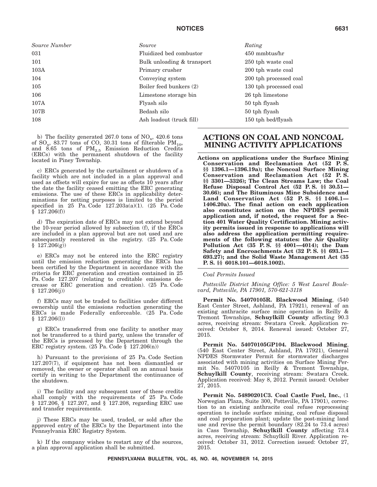| Source Number | Source                     | Rating                 |
|---------------|----------------------------|------------------------|
| 031           | Fluidized bed combustor    | 450 mmbtus/hr          |
| 101           | Bulk unloading & transport | 250 tph waste coal     |
| 103A          | Primary crusher            | 200 tph waste coal     |
| 104           | Conveying system           | 200 tph processed coal |
| 105           | Boiler feed bunkers (2)    | 130 tph processed coal |
| 106           | Limestone storage bin      | 26 tph limestone       |
| 107A          | Flyash silo                | 50 tph flyash          |
| 107B          | Bedash silo                | 50 tph flyash          |
| 108           | Ash loadout (truck fill)   | 150 tph bed/flyash     |

b) The facility generated  $267.0$  tons of  $NO_x$ , 420.6 tons of  $SO_x$ , 83.77 tons of CO, 30.31 tons of filterable  $PM_{10}$ , and 8.65 tons of  $PM_{2.5}$  Emission Reduction Credits (ERCs) with the permanent shutdown of the facility located in Piney Township.

c) ERCs generated by the curtailment or shutdown of a facility which are not included in a plan approval and used as offsets will expire for use as offsets 10 years after the date the facility ceased emitting the ERC generating emissions. The use of these ERCs in applicability determinations for netting purposes is limited to the period specified in 25 Pa. Code 127.203a(a)(1). (25 Pa. Code § 127.206(f))

d) The expiration date of ERCs may not extend beyond the 10-year period allowed by subsection (f), if the ERCs are included in a plan approval but are not used and are subsequently reentered in the registry. (25 Pa. Code § 127.206(g))

e) ERCs may not be entered into the ERC registry until the emission reduction generating the ERCs has been certified by the Department in accordance with the criteria for ERC generation and creation contained in 25 Pa. Code 127.207 (relating to creditable emissions decrease or ERC generation and creation). (25 Pa. Code § 127.206(j))

f) ERCs may not be traded to facilities under different ownership until the emissions reduction generating the ERCs is made Federally enforceable. (25 Pa. Code § 127.206(l))

g) ERCs transferred from one facility to another may not be transferred to a third party, unless the transfer of the ERCs is processed by the Department through the ERC registry system.  $(25 \text{ Pa. Code } § 127.206(n))$ 

h) Pursuant to the provisions of 25 Pa. Code Section 127.207(7), if equipment has not been dismantled or removed, the owner or operator shall on an annual basis certify in writing to the Department the continuance of the shutdown.

i) The facility and any subsequent user of these credits shall comply with the requirements of 25 Pa. Code § 127.206, § 127.207, and § 127.208, regarding ERC use and transfer requirements.

j) These ERCs may be used, traded, or sold after the approved entry of the ERCs by the Department into the Pennsylvania ERC Registry System.

k) If the company wishes to restart any of the sources, a plan approval application shall be submitted.

### **ACTIONS ON COAL AND NONCOAL MINING ACTIVITY APPLICATIONS**

**Actions on applications under the Surface Mining Conservation and Reclamation Act (52 P. S. §§ 1396.1—1396.19a); the Noncoal Surface Mining Conservation and Reclamation Act (52 P. S. §§ 3301—3326); The Clean Streams Law; the Coal Refuse Disposal Control Act (52 P. S. §§ 30.51— 30.66); and The Bituminous Mine Subsidence and Land Conservation Act (52 P. S. §§ 1406.1— 1406.20a). The final action on each application also constitutes action on the NPDES permit application and, if noted, the request for a Section 401 Water Quality Certification. Mining activity permits issued in response to applications will also address the application permitting requirements of the following statutes: the Air Quality Pollution Act (35 P. S. §§ 4001—4014); the Dam Safety and Encroachments Act (32 P. S. §§ 693.1— 693.27); and the Solid Waste Management Act (35 P. S. §§ 6018.101—6018.1002).**

*Coal Permits Issued*

*Pottsville District Mining Office: 5 West Laurel Boulevard, Pottsville, PA 17901, 570-621-3118*

**Permit No. 54070105R. Blackwood Mining**, (540 East Center Street, Ashland, PA 17921), renewal of an existing anthracite surface mine operation in Reilly & Tremont Townships, **Schuylkill County** affecting 90.3 acres, receiving stream: Swatara Creek. Application received: October 8, 2014. Renewal issued: October 27, 2015.

**Permit No. 54070105GP104. Blackwood Mining**, (540 East Center Street, Ashland, PA 17921), General NPDES Stormwater Permit for stormwater discharges associated with mining activities on Surface Mining Permit No. 54070105 in Reilly & Tremont Townships, **Schuylkill County**, receiving stream: Swatara Creek. Application received: May 8, 2012. Permit issued: October 27, 2015.

**Permit No. 54890201C3. Coal Castle Fuel, Inc.**, (1 Norwegian Plaza, Suite 300, Pottsville, PA 17901), correction to an existing anthracite coal refuse reprocessing operation to include surface mining, coal refuse disposal and coal preparation plant; update the post-mining land use and revise the permit boundary (82.24 to 73.4 acres) in Cass Township, **Schuylkill County** affecting 73.4 acres, receiving stream: Schuylkill River. Application received: October 31, 2012. Correction issued: October 27, 2015.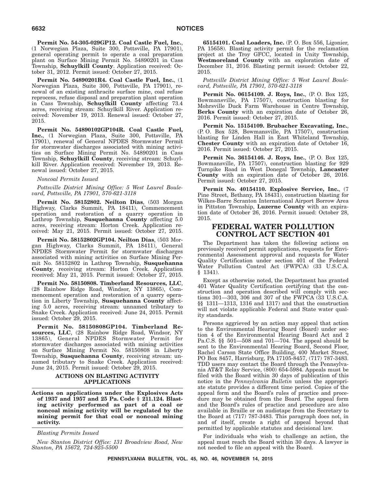**Permit No. 54-305-029GP12. Coal Castle Fuel, Inc.**, (1 Norwegian Plaza, Suite 300, Pottsville, PA 17901), general operating permit to operate a coal preparation plant on Surface Mining Permit No. 54890201 in Cass Township, **Schuylkill County**. Application received: October 31, 2012. Permit issued: October 27, 2015.

**Permit No. 54890201R4. Coal Castle Fuel, Inc.**, (1 Norwegian Plaza, Suite 300, Pottsville, PA 17901), renewal of an existing anthracite surface mine, coal refuse reprocess, refuse disposal and preparation plant operation in Cass Township, **Schuylkill County** affecting 73.4 acres, receiving stream: Schuylkill River. Application received: November 19, 2013. Renewal issued: October 27, 2015.

**Permit No. 54890102GP104R. Coal Castle Fuel, Inc.**, (1 Norwegian Plaza, Suite 300, Pottsville, PA 17901), renewal of General NPDES Stormwater Permit for stormwater discharges associated with mining activities on Surface Mining Permit No. 54890201 in Cass Township, **Schuylkill County**, receiving stream: Schuylkill River. Application received: November 19, 2013. Renewal issued: October 27, 2015.

#### *Noncoal Permits Issued*

*Pottsville District Mining Office: 5 West Laurel Boulevard, Pottsville, PA 17901, 570-621-3118*

**Permit No. 58152802. Neilton Dias**, (503 Morgan Highway, Clarks Summit, PA 18411), Commencement operation and restoration of a quarry operation in Lathrop Township, **Susquehanna County** affecting 5.0 acres, receiving stream: Horton Creek. Application received: May 21, 2015. Permit issued: October 27, 2015.

**Permit No. 58152802GP104. Neilton Dias**, (503 Morgan Highway, Clarks Summit, PA 18411), General NPDES Stormwater Permit for stormwater discharges associated with mining activities on Surface Mining Permit No. 58152802 in Lathrop Township, **Susquehanna County**, receiving stream: Horton Creek. Application received: May 21, 2015. Permit issued: October 27, 2015.

**Permit No. 58150808. Timberland Resources, LLC**, (28 Rainbow Ridge Road, Windsor, NY 13865), Commencement operation and restoration of a quarry operation in Liberty Township, **Susquehanna County** affecting 5.0 acres, receiving stream: unnamed tributary to Snake Creek. Application received: June 24, 2015. Permit issued: October 29, 2015.

**Permit No. 58150808GP104. Timberland Resources, LLC**, (28 Rainbow Ridge Road, Windsor, NY 13865), General NPDES Stormwater Permit for stormwater discharges associated with mining activities on Surface Mining Permit No. 58150808 in Liberty Township, **Susquehanna County**, receiving stream: unnamed tributary to Snake Creek. Application received: June 24, 2015. Permit issued: October 29, 2015.

### **ACTIONS ON BLASTING ACTIVITY APPLICATIONS**

**Actions on applications under the Explosives Acts of 1937 and 1957 and 25 Pa. Code § 211.124. Blasting activity performed as part of a coal or noncoal mining activity will be regulated by the mining permit for that coal or noncoal mining activity.**

*Blasting Permits Issued*

*New Stanton District Office: 131 Broadview Road, New Stanton, PA 15672, 724-925-5500*

**65154101. Coal Loaders, Inc.** (P. O. Box 556, Ligonier, PA 15658). Blasting activity permit for the reclamation project at the Troy GFCC, located in Unity Township, **Westmoreland County** with an exploration date of December 31, 2016. Blasting permit issued: October 22, 2015.

*Pottsville District Mining Office: 5 West Laurel Boulevard, Pottsville, PA 17901, 570-621-3118*

**Permit No. 06154109. J. Roys, Inc.**, (P. O. Box 125, Bowmansville, PA 17507), construction blasting for Mohrsville Duck Farm Warehouse in Centre Township, **Berks County** with an expiration date of October 26, 2016. Permit issued: October 27, 2015.

**Permit No. 15154109. Brubacher Excavating, Inc.**, (P. O. Box 528, Bowmansville, PA 17507), construction blasting for Linden Hall in East Whiteland Township, **Chester County** with an expiration date of October 16, 2016. Permit issued: October 27, 2015.

**Permit No. 36154146. J. Roys, Inc.**, (P. O. Box 125, Bowmansville, PA 17507), construction blasting for 929 Turnpike Road in West Donegal Township, **Lancaster County** with an expiration date of October 26, 2016. Permit issued: October 27, 2015.

**Permit No. 40154110. Explosive Service, Inc.**, (7 Pine Street, Bethany, PA 18431), construction blasting for Wilkes-Barre Scranton International Airport Borrow Area in Pittston Township, **Luzerne County** with an expiration date of October 26, 2016. Permit issued: October 28, 2015.

### **FEDERAL WATER POLLUTION CONTROL ACT SECTION 401**

The Department has taken the following actions on previously received permit applications, requests for Environmental Assessment approval and requests for Water Quality Certification under section 401 of the Federal Water Pollution Control Act (FWPCA) (33 U.S.C.A. § 1341).

Except as otherwise noted, the Department has granted 401 Water Quality Certification certifying that the construction and operation described will comply with sections 301—303, 306 and 307 of the FWPCA (33 U.S.C.A. §§ 1311—1313, 1316 and 1317) and that the construction will not violate applicable Federal and State water quality standards.

Persons aggrieved by an action may appeal that action to the Environmental Hearing Board (Board) under section 4 of the Environmental Hearing Board Act and 2 Pa.C.S. §§ 501—508 and 701—704. The appeal should be sent to the Environmental Hearing Board, Second Floor, Rachel Carson State Office Building, 400 Market Street, PO Box 8457, Harrisburg, PA 17105-8457, (717) 787-3483. TDD users may contact the Board through the Pennsylvania AT&T Relay Service, (800) 654-5984. Appeals must be filed with the Board within 30 days of publication of this notice in the *Pennsylvania Bulletin* unless the appropriate statute provides a different time period. Copies of the appeal form and the Board's rules of practice and procedure may be obtained from the Board. The appeal form and the Board's rules of practice and procedure are also available in Braille or on audiotape from the Secretary to the Board at (717) 787-3483. This paragraph does not, in and of itself, create a right of appeal beyond that permitted by applicable statutes and decisional law.

For individuals who wish to challenge an action, the appeal must reach the Board within 30 days. A lawyer is not needed to file an appeal with the Board.

**PENNSYLVANIA BULLETIN, VOL. 45, NO. 46, NOVEMBER 14, 2015**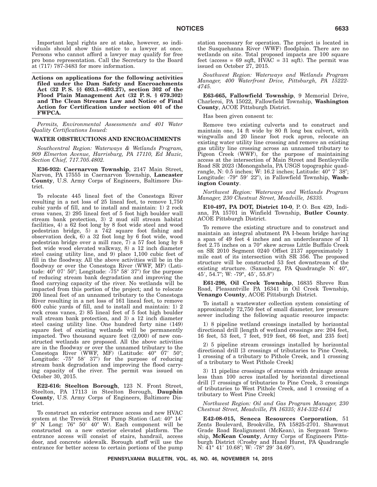Important legal rights are at stake, however, so individuals should show this notice to a lawyer at once. Persons who cannot afford a lawyer may qualify for free pro bono representation. Call the Secretary to the Board at (717) 787-3483 for more information.

**Actions on applications for the following activities filed under the Dam Safety and Encroachments Act (32 P. S. §§ 693.1—693.27), section 302 of the Flood Plain Management Act (32 P. S. § 679.302) and The Clean Streams Law and Notice of Final Action for Certification under section 401 of the FWPCA.**

*Permits, Environmental Assessments and 401 Water Quality Certifications Issued:*

#### **WATER OBSTRUCTIONS AND ENCROACHMENTS**

*Southcentral Region: Waterways & Wetlands Program, 909 Elmerton Avenue, Harrisburg, PA 17110, Ed Muzic, Section Chief, 717.705.4802.*

**E36-932: Caernarvon Township**, 2147 Main Street, Narvon, PA 17555 in Caernarvon Township, **Lancaster County**, U.S. Army Corps of Engineers, Baltimore District.

To relocate 445 lineal feet of the Conestoga River resulting in a net loss of 25 lineal feet, to remove 1,750 cubic yards of fill, and to install and maintain: 1) 2 rock cross vanes, 2) 295 lineal feet of 5 foot high boulder wall stream bank protection, 3) 2 mud sill stream habitat facilities, 4) a 62 foot long by 8 foot wide steel and wood pedestrian bridge, 5) a 742 square foot fishing and observation deck, 6) a 32 foot long by 6 foot wide, wood pedestrian bridge over a mill race, 7) a 57 foot long by 8 foot wide wood elevated walkway, 8) a 12 inch diameter steel casing utility line, and 9) place 1,100 cubic feet of fill in the floodway. All the above activities will be in the floodway or over the Conestoga River (WWF, MF) (Latitude:  $40^{\circ}$  07'  $50''$ ; Longitude:  $-75^{\circ}$   $58'$   $37''$ ) for the purpose of reducing stream bank degradation and improving the flood carrying capacity of the river. No wetlands will be impacted from this portion of the project; and to relocate 200 lineal feet of an unnamed tributary to the Conestoga River resulting in a net loss of 161 lineal feet, to remove 600 cubic yards of fill, and to install and maintain: 1) 2 rock cross vanes, 2) 85 lineal feet of 5 foot high boulder wall stream bank protection, and 3) a 12 inch diameter steel casing utility line. One hundred forty nine (149) square feet of existing wetlands will be permanently impacted. Two thousand square feet (2,000) of new constructed wetlands are proposed. All the above activities are in the floodway or over the unnamed tributary to the Conestoga River (WWF, MF) (Latitude: 40° 07' 50"; Longitude:  $-75^{\circ}$  58' 37") for the purpose of reducing stream bank degradation and improving the flood carrying capacity of the river. The permit was issued on October 30, 2015.

**E22-616: Steelton Borough**, 123 N. Front Street, Steelton, PA 17113 in Steelton Borough, **Dauphin County**, U.S. Army Corps of Engineers, Baltimore District.

To construct an exterior entrance access and new HVAC system at the Trewick Street Pump Station (Lat: 40° 14'<br>9" N Long: 76° 50' 40" W). Each component will be constructed on a new exterior elevated platform. The entrance access will consist of stairs, handrail, access door, and concrete sidewalk. Borough staff will use the entrance for better access to certain portions of the pump station necessary for operation. The project is located in the Susquehanna River (WWF) floodplain. There are no wetlands on site. Total proposed impacts are 100 square feet (access = 69 sqft,  $\angle HVAC = 31$  sqft). The permit was issued on October 27, 2015.

*Southwest Region: Waterways and Wetlands Program Manager, 400 Waterfront Drive, Pittsburgh, PA 15222- 4745.*

**E63-665, Fallowfield Township**, 9 Memorial Drive, Charleroi, PA 15022, Fallowfield Township, **Washington County**, ACOE Pittsburgh District.

Has been given consent to:

Remove two existing culverts and to construct and maintain one, 14 ft wide by 80 ft long box culvert, with wingwalls and 20 linear foot rock apron, relocate an existing water utility line crossing and remove an existing gas utility line crossing across an unnamed tributary to Pigeon Creek (WWF), for the purpose of maintaining access at the intersection of Main Street and Bentleyville Road SR 2023 (Monongahela, PA USGS topographic quadrangle, N: 0.5 inches; W: 16.2 inches; Latitude: 40° 7' 38"; Longitude: -79° 59′ 22″), in Fallowfield Township, Wash**ington County**.

*Northwest Region: Waterways and Wetlands Program Manager, 230 Chestnut Street, Meadville, 16335.*

**E10-497, PA DOT, District 10-0**, P. O. Box 429, Indiana, PA 15701 in Winfield Township, **Butler County**. ACOE Pittsburgh District.

To remove the existing structure and to construct and maintain an integral abutment PA I-beam bridge having a span of 49 feet 4 inches and an underclearance of 11 feet 2.75 inches on a 70° skew across Little Buffalo Creek on SR 2010 Segment 0240 Offset 2137 approximately 1 mile east of its intersection with SR 356. The proposed structure will be constructed 53 feet downstream of the existing structure. (Saxonburg, PA Quadrangle N: 40°, 45′, 54.7″; W: -79°, 45′, 55.8″)

**E61-298, Oil Creek Township**, 16835 Shreve Run Road, Pleasantville PA 16341 in Oil Creek Township, **Venango County**, ACOE Pittsburgh District.

To install a wastewater collection system consisting of approximately 72,750 feet of small diameter, low pressure sewer including the following aquatic resource impacts:

1) 8 pipeline wetland crossings installed by horizontal directional drill [length of wetland crossings are: 204 feet, 16 feet, 53 feet, 7 feet, 919 feet, 66 feet, and 235 feet]

2) 5 pipeline stream crossings installed by horizontal directional drill [3 crossings of tributaries to Pine Creek, 1 crossing of a tributary to Pithole Creek, and 1 crossing of a tributary to West Pithole Creek]

3) 11 pipeline crossings of streams with drainage areas less than 100 acres installed by horizontal directional drill [7 crossings of tributaries to Pine Creek, 3 crossings of tributaries to West Pithole Creek, and 1 crossing of a tributary to West Pine Creek]

*Northwest Region: Oil and Gas Program Manager, 230 Chestnut Street, Meadville, PA 16335; 814-332-6141*

**E42-08-015, Seneca Resources Corporation**, 51 Zents Boulevard, Brookville, PA 15825-2701. Shawmut Grade Road Realignment (McKean), in Sergeant Township, **McKean County**, Army Corps of Engineers Pittsburgh District (Crosby and Hazel Hurst, PA Quadrangle N: 41° 41′ 10.68″; W: -78° 29′ 34.69″).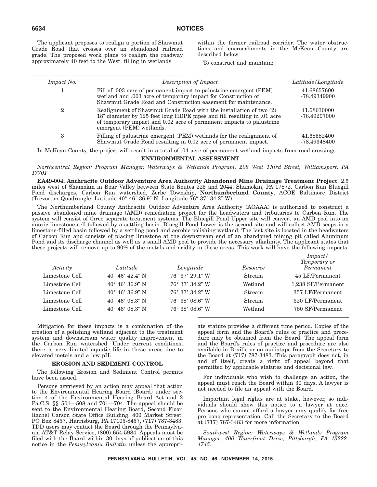The applicant proposes to realign a portion of Shawmut Grade Road that crosses over an abandoned railroad grade. The proposed work plans to realign the roadway approximately 40 feet to the West, filling in wetlands

within the former railroad corridor. The water obstructions and encroachments in the McKean County are described below:

To construct and maintain:

| Impact No. | Description of Impact                                                                                                                                                                                                                             | Latitude/Longitude          |
|------------|---------------------------------------------------------------------------------------------------------------------------------------------------------------------------------------------------------------------------------------------------|-----------------------------|
|            | Fill of .003 acre of permanent impact to palustrine emergent (PEM)<br>wetland and .003 acre of temporary impact for Construction of<br>Shawmut Grade Road and Construction easement for maintenance.                                              | 41.68657600<br>-78.49349900 |
| ๑          | Realignment of Shawmut Grade Road with the installation of two (2)<br>18" diameter by 125 feet long HDPE pipes and fill resulting in .01 acre<br>of temporary impact and 0.02 acre of permanent impacts to palustrine<br>emergent (PEM) wetlands. | 41.68630000<br>-78.49297000 |
| 3          | Filling of palustrine emergent (PEM) wetlands for the realignment of<br>Shawmut Grade Road resulting in 0.02 acre of permanent impact.                                                                                                            | 41.68582400<br>-78.49348400 |

In McKean County, the project will result in a total of .04 acre of permanent wetland impacts from road crossings.

### **ENVIRONMENTAL ASSESSMENT**

*Northcentral Region: Program Manager, Waterways & Wetlands Program, 208 West Third Street, Williamsport, PA 17701*

**EA49-004. Anthracite Outdoor Adventure Area Authority Abandoned Mine Drainage Treatment Project**, 2.5 miles west of Shamokin in Bear Valley between State Routes 225 and 2044, Shamokin, PA 17872. Carbon Run Bluegill Pond discharges, Carbon Run watershed, Zerbe Township, **Northumberland County**, ACOE Baltimore District (Trevorton Quadrangle; Latitude 40° 46' 36.9" N; Longitude 76° 37' 34.2" W).

The Northumberland County Anthracite Outdoor Adventure Area Authority (AOAAA) is authorized to construct a passive abandoned mine drainage (AMD) remediation project for the headwaters and tributaries to Carbon Run. The system will consist of three separate treatment systems. The Bluegill Pond Upper site will convert an AMD pool into an anoxic limestone cell followed by a settling basin. Bluegill Pond Lower is the second site and will collect AMD seeps in a limestone-filled basin followed by a settling pond and aerobic polishing wetland. The last site is located in the headwaters of Carbon Run and consists of placing limestone at the downstream end of an abandoned mining pit called Aluminum Pond and its discharge channel as well as a small AMD pool to provide the necessary alkalinity. The applicant states that these projects will remove up to 90% of the metals and acidity in these areas. This work will have the following impacts:

| Activity       | Latitude                 | Longitude       | Resource | Impack/<br>Temporary or<br>Permanent |
|----------------|--------------------------|-----------------|----------|--------------------------------------|
| Limestone Cell | $40^{\circ}$ 46' 42.4" N | 76° 37′ 29.1″ W | Stream   | 45 LF/Permanent                      |
| Limestone Cell | $40^{\circ}$ 46' 36.9" N | 76° 37′ 34.2″ W | Wetland  | 1,238 SF/Permanent                   |
| Limestone Cell | $40^{\circ}$ 46' 36.9" N | 76° 37′ 34.2″ W | Stream   | 357 LF/Permanent                     |
| Limestone Cell | $40^{\circ}$ 46' 08.3" N | 76° 38′ 08.6″ W | Stream   | 320 LF/Permanent                     |
| Limestone Cell | $40^{\circ}$ 46' 08.3" N | 76° 38′ 08.6″ W | Wetland  | 780 SF/Permanent                     |

Mitigation for these impacts is a combination of the creation of a polishing wetland adjacent to the treatment system and downstream water quality improvement in the Carbon Run watershed. Under current conditions, there is very limited aquatic life in these areas due to elevated metals and a low pH.

### **EROSION AND SEDIMENT CONTROL**

The following Erosion and Sediment Control permits have been issued.

Persons aggrieved by an action may appeal that action to the Environmental Hearing Board (Board) under section 4 of the Environmental Hearing Board Act and 2 Pa.C.S. §§ 501—508 and 701—704. The appeal should be sent to the Environmental Hearing Board, Second Floor, Rachel Carson State Office Building, 400 Market Street, PO Box 8457, Harrisburg, PA 17105-8457, (717) 787-3483. TDD users may contact the Board through the Pennsylvania AT&T Relay Service, (800) 654-5984. Appeals must be filed with the Board within 30 days of publication of this notice in the *Pennsylvania Bulletin* unless the appropriate statute provides a different time period. Copies of the appeal form and the Board's rules of practice and procedure may be obtained from the Board. The appeal form and the Board's rules of practice and procedure are also available in Braille or on audiotape from the Secretary to the Board at (717) 787-3483. This paragraph does not, in and of itself, create a right of appeal beyond that permitted by applicable statutes and decisional law.

For individuals who wish to challenge an action, the appeal must reach the Board within 30 days. A lawyer is not needed to file an appeal with the Board.

Important legal rights are at stake, however, so individuals should show this notice to a lawyer at once. Persons who cannot afford a lawyer may qualify for free pro bono representation. Call the Secretary to the Board at (717) 787-3483 for more information.

*Southwest Region: Waterways & Wetlands Program Manager, 400 Waterfront Drive, Pittsburgh, PA 15222- 4745.*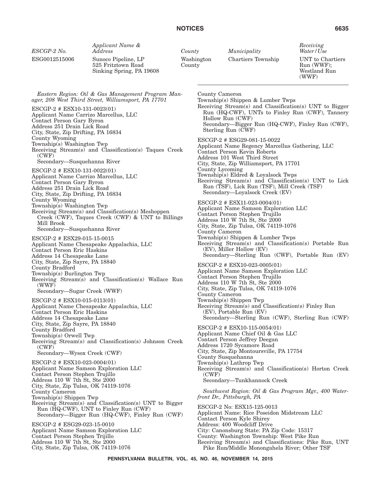| ESCGP-2 No.                                                                                                                                                                                                                                                      | Applicant Name &<br>Address                                                                                                                           | County |                 | Municipality                                                                                                                                                                                                                                                                                                                                                                | Receiving<br>Water/Use                                  |
|------------------------------------------------------------------------------------------------------------------------------------------------------------------------------------------------------------------------------------------------------------------|-------------------------------------------------------------------------------------------------------------------------------------------------------|--------|-----------------|-----------------------------------------------------------------------------------------------------------------------------------------------------------------------------------------------------------------------------------------------------------------------------------------------------------------------------------------------------------------------------|---------------------------------------------------------|
| ESG0012515006                                                                                                                                                                                                                                                    | Sunoco Pipeline, LP<br>525 Fritztown Road<br>Sinking Spring, PA 19608                                                                                 | County | Washington      | Chartiers Township                                                                                                                                                                                                                                                                                                                                                          | UNT to Chartiers<br>Run (WWF);<br>Westland Run<br>(WWF) |
| ESCGP-2 # ESX10-131-0023(01)<br>Applicant Name Carrizo Marcellus, LLC<br>Contact Person Gary Byron<br>Address 251 Drain Lick Road<br>City, State, Zip Drifting, PA 16834                                                                                         | Eastern Region: Oil & Gas Management Program Man-<br>ager, 208 West Third Street, Williamsport, PA 17701                                              |        | County Cameron  | Township(s) Shippen & Lumber Twps<br>Receiving Stream(s) and Classification(s) UNT to Bigger<br>Run (HQ-CWF), UNTs to Finley Run (CWF), Tannery<br>Hollow Run (CWF)<br>Secondary-Bigger Run (HQ-CWF), Finley Run (CWF),<br>Sterling Run (CWF)                                                                                                                               |                                                         |
| County Wyoming<br>Township(s) Washington Twp<br>(CWF)<br>Secondary-Susquehanna River<br>ESCGP-2 # ESX10-131-0022(01)<br>Applicant Name Carrizo Marcellus, LLC<br>Contact Person Gary Byron<br>Address 251 Drain Lick Road<br>City, State, Zip Drifting, PA 16834 | Receiving Stream(s) and Classification(s) Taques Creek                                                                                                |        | County Lycoming | ESCGP-2 # ESG29-081-15-0022<br>Applicant Name Regency Marcellus Gathering, LLC<br>Contact Person Kevin Roberts<br>Address 101 West Third Street<br>City, State, Zip Williamsport, PA 17701<br>Township(s) Eldred & Loyalsock Twps<br>Receiving Stream(s) and Classification(s) UNT to Lick<br>Run (TSF), Lick Run (TSF), Mill Creek (TSF)<br>Secondary-Loyalsock Creek (EV) |                                                         |
| County Wyoming<br>Township(s) Washington Twp<br>Mill Brook<br>Secondary-Susquehanna River<br>ESCGP-2 # ESX29-015-15-0015<br>Contact Person Eric Haskins                                                                                                          | Receiving Stream(s) and Classification(s) Meshoppen<br>Creek (CWF), Taques Creek (CWF) & UNT to Billings<br>Applicant Name Chesapeake Appalachia, LLC |        | County Cameron  | ESCGP-2 # ESX11-023-0004(01)<br>Applicant Name Samson Exploration LLC<br>Contact Person Stephen Trujillo<br>Address 110 W 7th St, Ste 2000<br>City, State, Zip Tulsa, OK 74119-1076<br>Township(s) Shippen & Lumber Twps<br>Receiving Stream(s) and Classification(s) Portable Run<br>(EV), Miller Hollow (EV)<br>Secondary—Sterling Run (CWF), Portable Run (EV)           |                                                         |
| Address 14 Chesapeake Lane<br>City, State, Zip Sayre, PA 18840<br>County Bradford<br>Township(s) Burlington Twp<br>(WWF)<br>Secondary-Sugar Creek (WWF)<br>ESCGP-2 # ESX10-015-0113(01)                                                                          | Receiving Stream(s) and Classification(s) Wallace Run<br>Applicant Name Chesapeake Appalachia, LLC                                                    |        | County Cameron  | ESCGP-2 # ESX10-023-0005(01)<br>Applicant Name Samson Exploration LLC<br>Contact Person Stephen Trujillo<br>Address 110 W 7th St, Ste 2000<br>City, State, Zip Tulsa, OK 74119-1076<br>Township(s) Shippen Twp<br>Receiving Stream(s) and Classification(s) Finley Run                                                                                                      |                                                         |
| Contact Person Eric Haskins<br>Address 14 Chesapeake Lane<br>City, State, Zip Sayre, PA 18840<br>County Bradford<br>Township(s) Orwell Twp<br>(CWF)<br>Secondary-Wysox Creek (CWF)                                                                               | Receiving Stream(s) and Classification(s) Johnson Creek                                                                                               |        |                 | (EV), Portable Run (EV)<br>Secondary-Sterling Run (CWF), Sterling Run (CWF)<br>$ESCGP-2 \# ESX10-115-0054(01)$<br>Applicant Name Chief Oil & Gas LLC<br>Contact Person Jeffrey Deegan<br>Address 1720 Sycamore Road<br>City, State, Zip Montoursville, PA 17754                                                                                                             |                                                         |
| $ESCGP-2 \# ESX10-023-0004(01)$<br>Applicant Name Samson Exploration LLC<br>Contact Person Stephen Trujillo<br>Address 110 W 7th St, Ste 2000<br>City, State, Zip Tulsa, OK 74119-1076                                                                           |                                                                                                                                                       |        | (CWF)           | County Susquehanna<br>Township(s) Lathrop Twp<br>Receiving Stream(s) and Classification(s) Horton Creek<br>Secondary-Tunkhannock Creek                                                                                                                                                                                                                                      |                                                         |
| County Cameron<br>Township(s) Shippen Twp                                                                                                                                                                                                                        | Receiving Stream(s) and Classification(s) UNT to Bigger<br>Run (HQ-CWF), UNT to Finley Run (CWF)<br>Secondary—Bigger Run (HQ-CWF), Finley Run (CWF)   |        |                 | Southwest Region: Oil & Gas Program Mgr., 400 Water-<br>front Dr., Pittsburgh, PA<br>ESCGP-2 No: ESX15-125-0013<br>Applicant Name: Rice Poseidon Midstream LLC<br>Contact Person Kyle Shirey                                                                                                                                                                                |                                                         |
| ESCGP-2 # ESG29-023-15-0010<br>Applicant Name Samson Exploration LLC<br>Contact Person Stephen Trijillo<br>Address 110 W 7th St, Ste 2000<br>City, State, Zip Tulsa, OK 74119-1076                                                                               |                                                                                                                                                       |        |                 | Address: 400 Woodcliff Drive<br>City: Canonsburg State: PA Zip Code: 15317<br>County: Washington Township: West Pike Run<br>Receiving Stream(s) and Classifications: Pike Run, UNT<br>Pike Run/Middle Monongahela River; Other TSF                                                                                                                                          |                                                         |

**PENNSYLVANIA BULLETIN, VOL. 45, NO. 46, NOVEMBER 14, 2015**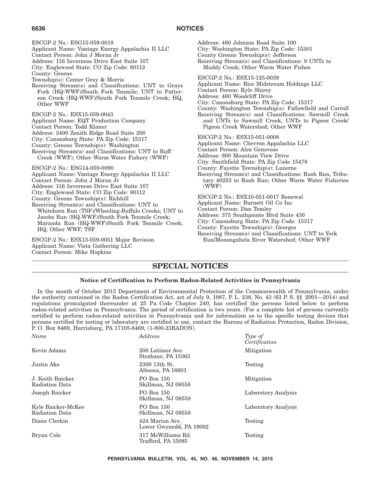ESCGP-2 No.: ESG15-059-0018 Applicant Name: Vantage Energy Appalachia II LLC Contact Person: John J Moran Jr Address: 116 Inverness Drive East Suite 107 City: Englewood State: CO Zip Code: 80112 County: Greene Township(s): Center Gray & Morris Receiving Stream(s) and Classifications: UNT to Grays Fork (HQ-WWF)/South Fork Tenmile; UNT to Patterson Creek (HQ-WWF)/South Fork Tenmile Creek; HQ; Other WWF ESCGP-2 No.: ESX15-059-0043 Applicant Name: EQT Production Company Contact Person: Todd Klaner Address: 2400 Zenith Ridge Road Suite 200 City: Canonsburg State: PA Zip Code: 15317 County: Greene Township(s): Washington Receiving Stream(s) and Classifications: UNT to Ruff Creek (WWF); Other Warm Water Fishery (WWF) ESCGP-2 No.: ESG14-059-0090 Applicant Name: Vantage Energy Appalachia II LLC Contact Person: John J Moran Jr Address: 116 Inverness Drive East Suite 107 City: Englewood State: CO Zip Code: 80112 County: Greene Township(s): Richhill Receiving Stream(s) and Classifications: UNT to Whitehorn Run (TSF)/Wheeling-Buffalo Creeks; UNT to Jacobs Run (HQ-WWF)/South Fork Tenmile Creek; Maranda Run (HQ-WWF)/South Fork Tenmile Creek; HQ; Other WWF, TSF ESCGP-2 No.: ESX13-059-0051 Major Revision Applicant Name: Vista Gathering LLC Contact Person: Mike Hopkins Address: 480 Johnson Road Suite 100 (WWF) **6636 NOTICES**

City: Washington State: PA Zip Code: 15301 County Greene Township(s): Jefferson Receiving Stream(s) and Classifications: 9 UNTs to Muddy Creek; Other Warm Water Fishes ESCGP-2 No.: ESX15-125-0039 Applicant Name: Rice Midstream Holdings LLC Contact Person: Kyle Shirey Address: 400 Woodcliff Drive City: Canonsburg State: PA Zip Code: 15317 County: Washington Township(s): Fallowfield and Carroll Receiving Stream(s) and Classifications: Sawmill Creek and UNTs to Sawmill Creek, UNTs to Pigeon Creek/ Pigeon Creek Watershed; Other WWF ESCGP-2 No.: ESX15-051-0008 Applicant Name: Chevron Appalachia LLC Contact Person: Alex Genovese Address: 800 Mountain View Drive City: Smithfield State: PA Zip Code 15478 County: Fayette Township(s): Luzerne Receiving Stream(s) and Classifications: Rush Run, Tributary 40253 to Rush Run; Other Warm Water Fisheries ESCGP-2 No.: ESX10-051-0017 Renewal Applicant Name: Burnett Oil Co Inc Contact Person: Dan Tomley Address: 375 Southpointe Blvd Suite 430 City: Canonsburg State: PA Zip Code: 15317 County: Fayette Township(s): Georges Receiving Stream(s) and Classifications: UNT to York Run/Monongahela River Watershed; Other WWF

## **SPECIAL NOTICES**

### **Notice of Certification to Perform Radon-Related Activities in Pennsylvania**

In the month of October 2015 Department of Environmental Protection of the Commonwealth of Pennsylvania, under the authority contained in the Radon Certification Act, act of July 9, 1987, P. L. 238, No. 43 (63 P. S. §§ 2001—2014) and regulations promulgated thereunder at 25 Pa. Code Chapter 240, has certified the persons listed below to perform radon-related activities in Pennsylvania. The period of certification is two years. (For a complete list of persons currently certified to perform radon-related activities in Pennsylvania and for information as to the specific testing devices that persons certified for testing or laboratory are certified to use, contact the Bureau of Radiation Protection, Radon Division, P. O. Box 8469, Harrisburg, PA 17105-8469, (1-800-23RADON).

| Name                                 | Address                                    | Type of<br>Certification |
|--------------------------------------|--------------------------------------------|--------------------------|
| Kevin Adams                          | 208 Latimer Ave.<br>Strabane, PA 15363     | Mitigation               |
| Justin Ake                           | 2309 13th St.<br>Altoona, PA 16601         | Testing                  |
| J. Keith Baicker<br>Radiation Data   | PO Box 150<br>Skillman, NJ 08558           | Mitigation               |
| Joseph Baicker                       | PO Box 150<br>Skillman, NJ 08558           | Laboratory Analysis      |
| Kyle Baicker-McKee<br>Radiation Data | PO Box 150<br>Skillman, NJ 08558           | Laboratory Analysis      |
| Diane Clerkin                        | 424 Marion Ave.<br>Lower Gwynedd, PA 19002 | Testing                  |
| Bryan Cole                           | 317 McWilliams Rd.<br>Trafford, PA 15085   | Testing                  |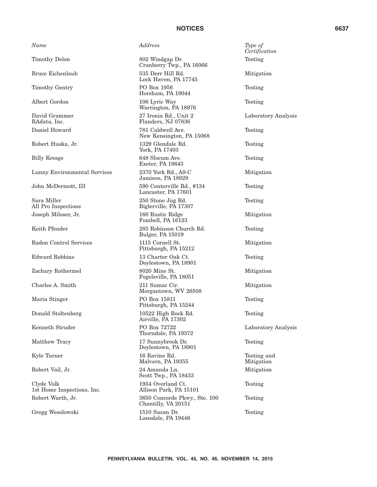| Name                                     | Address                                              | Type of<br>Certific |
|------------------------------------------|------------------------------------------------------|---------------------|
| Timothy Delon                            | 802 Windgap Dr.<br>Cranberry Twp., PA 16066          | Testing             |
| Bruce Eichenlaub                         | 535 Derr Hill Rd.<br>Lock Haven, PA 17745            | Mitigat             |
| Timothy Gentry                           | PO Box 1956<br>Horsham, PA 19044                     | Testing             |
| Albert Gordon                            | 106 Lyric Way<br>Warrington, PA 18976                | Testing             |
| David Grammer<br>RAdata, Inc.            | 27 Ironia Rd., Unit 2<br>Flanders, NJ 07836          | Labora              |
| Daniel Howard                            | 781 Caldwell Ave.<br>New Kensington, PA 15068        | Testing             |
| Robert Huska, Jr.                        | 1329 Glendale Rd.<br>York, PA 17403                  | Testing             |
| <b>Billy Kresge</b>                      | 648 Slocum Ave.<br>Exeter, PA 18643                  | Testing             |
| Lunny Environmental Services             | 2370 York Rd., A9-C<br>Jamison, PA 18929             | Mitigat             |
| John McDermott, III                      | 590 Centerville Rd., #134<br>Lancaster, PA 17601     | Testing             |
| Sara Miller<br>All Pro Inspections       | 250 Stone Jug Rd.<br>Biglerville, PA 17307           | Testing             |
| Joseph Miloser, Jr.                      | 160 Rustic Ridge<br>Fombell, PA 16123                | Mitigat             |
| Keith Pfender                            | 285 Robinson Church Rd.<br><b>Bulger, PA 15019</b>   | Testing             |
| Radon Control Services                   | 1115 Cornell St.<br>Pittsburgh, PA 15212             | Mitigat             |
| Edward Robbins                           | 13 Charter Oak Ct.<br>Doylestown, PA 18901           | Testing             |
| Zachary Rothermel                        | 8020 Mine St.<br>Fogelsville, PA 18051               | Mitigat             |
| Charles A. Smith                         | 211 Sumac Cir.<br>Morgantown, WV 26508               | Mitigat             |
| Maria Stinger                            | PO Box 15811<br>Pittsburgh, PA 15244                 | Testing             |
| Donald Stoltenberg                       | 10522 High Rock Rd.<br>Airville, PA 17302            | Testing             |
| Kenneth Struder                          | PO Box 72722<br>Thorndale, PA 19372                  | Labora              |
| Matthew Tracy                            | 17 Sunnybrook Dr.<br>Doylestown, PA 18901            | Testing             |
| Kyle Turner                              | 16 Ravine Rd.<br>Malvern, PA 19355                   | Testing<br>Mitigat  |
| Robert Vail, Jr.                         | 24 Amanda Ln.<br>Scott Twp., PA 18433                | Mitigat             |
| Clyde Volk<br>1st Home Inspections, Inc. | 1934 Overland Ct.<br>Allison Park, PA 15101          | Testing             |
| Robert Warth, Jr.                        | 3650 Concorde Pkwy., Ste. 100<br>Chantilly, VA 20151 | Testing             |
| Gregg Wesolowski                         | 1510 Susan Dr.<br>Lansdale, PA 19446                 | Testing             |

*Certification* Testing Mitigation Testing Testing Laboratory Analysis Testing Testing Testing Mitigation Testing Testing Mitigation Testing Mitigation Testing Mitigation Mitigation Testing Testing Laboratory Analysis Testing Testing and Mitigation Mitigation Testing Testing

Testing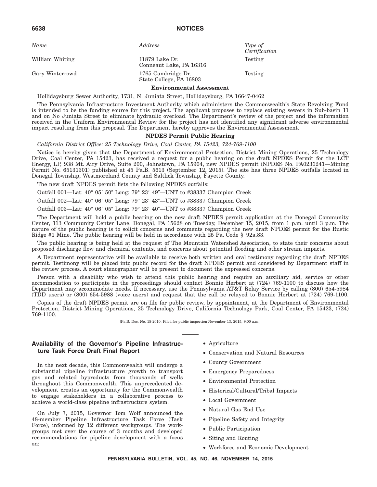*Name Address Type of*

William Whiting 11879 Lake Dr. Conneaut Lake, PA 16316 Gary Winterrowd 1765 Cambridge Dr. State College, PA 16803

*Certification* Testing

Testing

### **Environmental Assessment**

Hollidaysburg Sewer Authority, 1731, N. Juniata Street, Hollidaysburg, PA 16647-0462

The Pennsylvania Infrastructure Investment Authority which administers the Commonwealth's State Revolving Fund is intended to be the funding source for this project. The applicant proposes to replace existing sewers in Sub-basin 11 and on No Juniata Street to eliminate hydraulic overload. The Department's review of the project and the information received in the Uniform Environmental Review for the project has not identified any significant adverse environmental impact resulting from this proposal. The Department hereby approves the Environmental Assessment.

### **NPDES Permit Public Hearing**

*California District Office: 25 Technology Drive, Coal Center, PA 15423, 724-769-1100*

Notice is hereby given that the Department of Environmental Protection, District Mining Operations, 25 Technology Drive, Coal Center, PA 15423, has received a request for a public hearing on the draft NPDES Permit for the LCT Energy, LP, 938 Mt. Airy Drive, Suite 200, Johnstown, PA 15904, new NPDES permit (NPDES No. PA0236241—Mining Permit No. 65131301) published at 45 Pa.B. 5613 (September 12, 2015). The site has three NPDES outfalls located in Donegal Township, Westmoreland County and Saltlick Township, Fayette County.

The new draft NPDES permit lists the following NPDES outfalls:

Outfall 001—Lat: 40° 05' 50" Long: 79° 23' 49"—UNT to #38337 Champion Creek

Outfall 002—Lat: 40° 06′ 05″ Long: 79° 23′ 43″—UNT to #38337 Champion Creek

Outfall 003—Lat: 40° 06′ 05″ Long: 79° 23′ 40″—UNT to #38337 Champion Creek

The Department will hold a public hearing on the new draft NPDES permit application at the Donegal Community Center, 113 Community Center Lane, Donegal, PA 15628 on Tuesday, December 15, 2015, from 1 p.m. until 3 p.m. The nature of the public hearing is to solicit concerns and comments regarding the new draft NPDES permit for the Rustic Ridge #1 Mine. The public hearing will be held in accordance with 25 Pa. Code § 92a.83.

The public hearing is being held at the request of The Mountain Watershed Association, to state their concerns about proposed discharge flow and chemical contents, and concerns about potential flooding and other stream impacts.

A Department representative will be available to receive both written and oral testimony regarding the draft NPDES permit. Testimony will be placed into public record for the draft NPDES permit and considered by Department staff in the review process. A court stenographer will be present to document the expressed concerns.

Person with a disability who wish to attend this public hearing and require an auxiliary aid, service or other accommodation to participate in the proceedings should contact Bonnie Herbert at (724) 769-1100 to discuss how the Department may accommodate needs. If necessary, use the Pennsylvania AT&T Relay Service by calling (800) 654-5984 (TDD users) or (800) 654-5988 (voice users) and request that the call be relayed to Bonnie Herbert at (724) 769-1100.

Copies of the draft NPDES permit are on file for public review, by appointment, at the Department of Environmental Protection, District Mining Operations, 25 Technology Drive, California Technology Park, Coal Center, PA 15423, (724) 769-1100.

[Pa.B. Doc. No. 15-2010. Filed for public inspection November 13, 2015, 9:00 a.m.]

### **Availability of the Governor's Pipeline Infrastructure Task Force Draft Final Report**

In the next decade, this Commonwealth will undergo a substantial pipeline infrastructure growth to transport gas and related byproducts from thousands of wells throughout this Commonwealth. This unprecedented development creates an opportunity for the Commonwealth to engage stakeholders in a collaborative process to achieve a world-class pipeline infrastructure system.

On July 7, 2015, Governor Tom Wolf announced the 48-member Pipeline Infrastructure Task Force (Task Force), informed by 12 different workgroups. The workgroups met over the course of 3 months and developed recommendations for pipeline development with a focus on:

- Agriculture
- Conservation and Natural Resources
- County Government
- Emergency Preparedness
- Environmental Protection
- Historical/Cultural/Tribal Impacts
- Local Government
- Natural Gas End Use
- Pipeline Safety and Integrity
- Public Participation
- Siting and Routing
- Workforce and Economic Development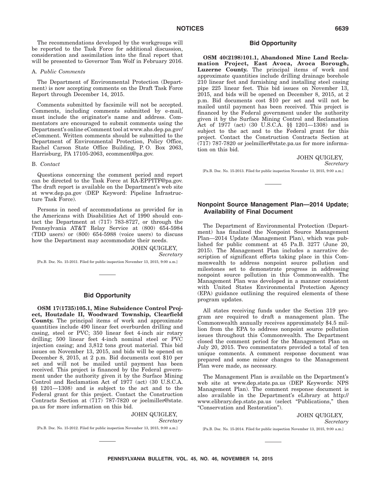The recommendations developed by the workgroups will be reported to the Task Force for additional discussion, consideration and assimilation into the final report that will be presented to Governor Tom Wolf in February 2016.

#### A. *Public Comments*

The Department of Environmental Protection (Department) is now accepting comments on the Draft Task Force Report through December 14, 2015.

Comments submitted by facsimile will not be accepted. Comments, including comments submitted by e-mail, must include the originator's name and address. Commentators are encouraged to submit comments using the Department's online eComment tool at www.ahs.dep.pa.gov/ eComment. Written comments should be submitted to the Department of Environmental Protection, Policy Office, Rachel Carson State Office Building, P. O. Box 2063, Harrisburg, PA 17105-2063, ecomment@pa.gov.

#### B. *Contact*

Questions concerning the comment period and report can be directed to the Task Force at RA-EPPITF@pa.gov. The draft report is available on the Department's web site at www.dep.pa.gov (DEP Keyword: Pipeline Infrastructure Task Force).

Persons in need of accommodations as provided for in the Americans with Disabilities Act of 1990 should contact the Department at (717) 783-8727, or through the Pennsylvania AT&T Relay Service at (800) 654-5984 (TDD users) or (800) 654-5988 (voice users) to discuss how the Department may accommodate their needs.

> JOHN QUIGLEY, *Secretary*

[Pa.B. Doc. No. 15-2011. Filed for public inspection November 13, 2015, 9:00 a.m.]

### **Bid Opportunity**

**OSM 17(1735)105.1, Mine Subsidence Control Project, Houtzdale II, Woodward Township, Clearfield County.** The principal items of work and approximate quantities include 490 linear feet overburden drilling and casing, steel or PVC; 350 linear feet 4-inch air rotary drilling; 500 linear feet 4-inch nominal steel or PVC injection casing; and 3,812 tons grout material. This bid issues on November 13, 2015, and bids will be opened on December 8, 2015, at 2 p.m. Bid documents cost \$10 per set and will not be mailed until payment has been received. This project is financed by the Federal government under the authority given it by the Surface Mining Control and Reclamation Act of 1977 (act) (30 U.S.C.A. §§ 1201—1308) and is subject to the act and to the Federal grant for this project. Contact the Construction Contracts Section at (717) 787-7820 or joelmiller@state. pa.us for more information on this bid.

> JOHN QUIGLEY, *Secretary*

[Pa.B. Doc. No. 15-2012. Filed for public inspection November 13, 2015, 9:00 a.m.]

### **Bid Opportunity**

**OSM 40(2198)101.1, Abandoned Mine Land Reclamation Project, East Avoca, Avoca Borough, Luzerne County.** The principal items of work and approximate quantities include drilling drainage borehole 210 linear feet and furnishing and installing steel casing pipe 225 linear feet. This bid issues on November 13, 2015, and bids will be opened on December 8, 2015, at 2 p.m. Bid documents cost \$10 per set and will not be mailed until payment has been received. This project is financed by the Federal government under the authority given it by the Surface Mining Control and Reclamation Act of 1977 (act) (30 U.S.C.A. §§ 1201—1308) and is subject to the act and to the Federal grant for this project. Contact the Construction Contracts Section at (717) 787-7820 or joelmiller@state.pa.us for more information on this bid.

#### JOHN QUIGLEY,

*Secretary*

[Pa.B. Doc. No. 15-2013. Filed for public inspection November 13, 2015, 9:00 a.m.]

### **Nonpoint Source Management Plan—2014 Update; Availability of Final Document**

The Department of Environmental Protection (Department) has finalized the Nonpoint Source Management Plan—2014 Update (Management Plan), which was published for public comment at 45 Pa.B. 3277 (June 20, 2015). The Management Plan includes a narrative description of significant efforts taking place in this Commonwealth to address nonpoint source pollution and milestones set to demonstrate progress in addressing nonpoint source pollution in this Commonwealth. The Management Plan was developed in a manner consistent with United States Environmental Protection Agency (EPA) guidance outlining the required elements of these program updates.

All states receiving funds under the Section 319 program are required to draft a management plan. The Commonwealth annually receives approximately \$4.5 million from the EPA to address nonpoint source pollution issues throughout this Commonwealth. The Department closed the comment period for the Management Plan on July 20, 2015. Two commentators provided a total of ten unique comments. A comment response document was prepared and some minor changes to the Management Plan were made, as necessary.

The Management Plan is available on the Department's web site at www.dep.state.pa.us (DEP Keywords: NPS Management Plan). The comment response document is also available in the Department's eLibrary at http:// www.elibrary.dep.state.pa.us (select ''Publications,'' then ''Conservation and Restoration'').

> JOHN QUIGLEY, *Secretary*

[Pa.B. Doc. No. 15-2014. Filed for public inspection November 13, 2015, 9:00 a.m.]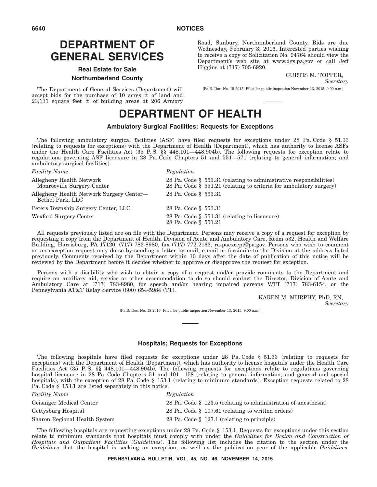# **DEPARTMENT OF GENERAL SERVICES**

### **Real Estate for Sale Northumberland County**

The Department of General Services (Department) will accept bids for the purchase of 10 acres  $\pm$  of land and  $23,131$  square feet  $\pm$  of building areas at 206 Armory Road, Sunbury, Northumberland County. Bids are due Wednesday, February 3, 2016. Interested parties wishing to receive a copy of Solicitation No. 94764 should view the Department's web site at www.dgs.pa.gov or call Jeff Higgins at (717) 705-6920.

CURTIS M. TOPPER,

*Secretary*

[Pa.B. Doc. No. 15-2015. Filed for public inspection November 13, 2015, 9:00 a.m.]

# **DEPARTMENT OF HEALTH**

### **Ambulatory Surgical Facilities; Requests for Exceptions**

The following ambulatory surgical facilities (ASF) have filed requests for exceptions under 28 Pa. Code § 51.33 (relating to requests for exceptions) with the Department of Health (Department), which has authority to license ASFs under the Health Care Facilities Act (35 P. S. §§ 448.101—448.904b). The following requests for exception relate to regulations governing ASF licensure in 28 Pa. Code Chapters 51 and 551—571 (relating to general information; and ambulatory surgical facilities).

| <i>Facility Name</i>                                         | Regulation                                                                                                                                  |
|--------------------------------------------------------------|---------------------------------------------------------------------------------------------------------------------------------------------|
| Allegheny Health Network<br>Monroeville Surgery Center       | 28 Pa. Code § 553.31 (relating to administrative responsibilities)<br>28 Pa. Code $\S$ 551.21 (relating to criteria for ambulatory surgery) |
| Allegheny Health Network Surgery Center—<br>Bethel Park, LLC | 28 Pa. Code § 553.31                                                                                                                        |
| Peters Township Surgery Center, LLC                          | 28 Pa. Code § 553.31                                                                                                                        |
| Wexford Surgery Center                                       | 28 Pa. Code § 551.31 (relating to licensure)<br>28 Pa. Code § 551.21                                                                        |

All requests previously listed are on file with the Department. Persons may receive a copy of a request for exception by requesting a copy from the Department of Health, Division of Acute and Ambulatory Care, Room 532, Health and Welfare Building, Harrisburg, PA 17120, (717) 783-8980, fax (717) 772-2163, ra-paexcept@pa.gov. Persons who wish to comment on an exception request may do so by sending a letter by mail, e-mail or facsimile to the Division at the address listed previously. Comments received by the Department within 10 days after the date of publication of this notice will be reviewed by the Department before it decides whether to approve or disapprove the request for exception.

Persons with a disability who wish to obtain a copy of a request and/or provide comments to the Department and require an auxiliary aid, service or other accommodation to do so should contact the Director, Division of Acute and Ambulatory Care at (717) 783-8980, for speech and/or hearing impaired persons V/TT (717) 783-6154, or the Pennsylvania AT&T Relay Service (800) 654-5984 (TT).

> KAREN M. MURPHY, PhD, RN, *Secretary*

[Pa.B. Doc. No. 15-2016. Filed for public inspection November 13, 2015, 9:00 a.m.]

### **Hospitals; Requests for Exceptions**

The following hospitals have filed requests for exceptions under 28 Pa. Code § 51.33 (relating to requests for exceptions) with the Department of Health (Department), which has authority to license hospitals under the Health Care Facilities Act (35 P. S. §§ 448.101—448.904b). The following requests for exceptions relate to regulations governing hospital licensure in 28 Pa. Code Chapters 51 and 101—158 (relating to general information; and general and special hospitals), with the exception of 28 Pa. Code § 153.1 (relating to minimum standards). Exception requests related to 28 Pa. Code § 153.1 are listed separately in this notice.

| <b>Facility Name</b>          | Regulation                                                     |
|-------------------------------|----------------------------------------------------------------|
| Geisinger Medical Center      | 28 Pa. Code § 123.5 (relating to administration of anesthesia) |
| Gettysburg Hospital           | 28 Pa. Code § 107.61 (relating to written orders)              |
| Sharon Regional Health System | 28 Pa. Code $\S$ 127.1 (relating to principle)                 |

The following hospitals are requesting exceptions under 28 Pa. Code § 153.1. Requests for exceptions under this section relate to minimum standards that hospitals must comply with under the *Guidelines for Design and Construction of Hospitals and Outpatient Facilities* (*Guidelines*). The following list includes the citation to the section under the *Guidelines* that the hospital is seeking an exception, as well as the publication year of the applicable *Guidelines*.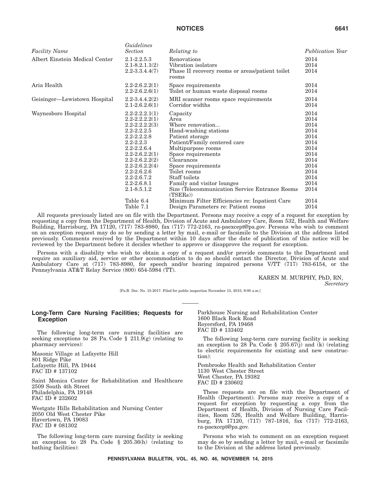*Guidelines*

| <b>Facility Name</b>           | Guidelines<br>Section                                                                                                                                                                                                                                                                                        | Relating to                                                                                                                                                                                                                                                                                                                                                                                                           | <b>Publication Year</b>                                                                                                      |
|--------------------------------|--------------------------------------------------------------------------------------------------------------------------------------------------------------------------------------------------------------------------------------------------------------------------------------------------------------|-----------------------------------------------------------------------------------------------------------------------------------------------------------------------------------------------------------------------------------------------------------------------------------------------------------------------------------------------------------------------------------------------------------------------|------------------------------------------------------------------------------------------------------------------------------|
| Albert Einstein Medical Center | $2.1 - 2.2.5.3$<br>$2.1 - 8.2.1.1(2)$<br>$2.2 - 3.3.4.4(7)$                                                                                                                                                                                                                                                  | Renovations<br>Vibration isolators<br>Phase II recovery rooms or areas/patient toilet<br>rooms                                                                                                                                                                                                                                                                                                                        | 2014<br>2014<br>2014                                                                                                         |
| Aria Health                    | $2.2 - 2.6.2.2(1)$<br>$2.2 - 2.6.2.6(1)$                                                                                                                                                                                                                                                                     | Space requirements<br>Toilet or human waste disposal rooms                                                                                                                                                                                                                                                                                                                                                            | 2014<br>2014                                                                                                                 |
| Geisinger—Lewistown Hospital   | $2.2 - 3.4.4.2(2)$<br>$2.1 - 2.6.2.6(1)$                                                                                                                                                                                                                                                                     | MRI scanner rooms space requirements<br>Corridor widths                                                                                                                                                                                                                                                                                                                                                               | 2014<br>2014                                                                                                                 |
| Waynesboro Hospital            | $2.2 - 2.2.2.1(1)$<br>$2.2 - 2.2.2(1)$<br>$2.2 - 2.2.2(3)$<br>$2.2 - 2.2.2.5$<br>$2.2 - 2.2.2.8$<br>$2.2 - 2.2.3$<br>$2.2 - 2.2.6.4$<br>$2.2 - 2.6.2.2(1)$<br>$2.2 - 2.6.2.2(2)$<br>$2.2 - 2.6.2.2(4)$<br>$2.2 - 2.6.2.6$<br>$2.2 - 2.6.7.2$<br>$2.2 - 2.6.8.1$<br>$2.1 - 8.5.1.2$<br>Table 6.4<br>Table 7.1 | Capacity<br>Area<br>Where renovation<br>Hand-washing stations<br>Patient storage<br>Patient/Family centered care<br>Multipurpose rooms<br>Space requirements<br>Clearances<br>Space requirements<br>Toilet rooms<br>Staff toilets<br>Family and visitor lounges<br>Size (Telecommunication Service Entrance Rooms<br>(TSERs)<br>Minimum Filter Efficiencies re: Inpatient Care<br>Design Parameters re: Patient rooms | 2014<br>2014<br>2014<br>2014<br>2014<br>2014<br>2014<br>2014<br>2014<br>2014<br>2014<br>2014<br>2014<br>2014<br>2014<br>2014 |

All requests previously listed are on file with the Department. Persons may receive a copy of a request for exception by requesting a copy from the Department of Health, Division of Acute and Ambulatory Care, Room 532, Health and Welfare Building, Harrisburg, PA 17120, (717) 783-8980, fax (717) 772-2163, ra-paexcept@pa.gov. Persons who wish to comment on an exception request may do so by sending a letter by mail, e-mail or facsimile to the Division at the address listed previously. Comments received by the Department within 10 days after the date of publication of this notice will be reviewed by the Department before it decides whether to approve or disapprove the request for exception.

Persons with a disability who wish to obtain a copy of a request and/or provide comments to the Department and require an auxiliary aid, service or other accommodation to do so should contact the Director, Division of Acute and Ambulatory Care at (717) 783-8980, for speech and/or hearing impaired persons V/TT (717) 783-6154, or the Pennsylvania AT&T Relay Service (800) 654-5984 (TT).

> KAREN M. MURPHY, PhD, RN, *Secretary*

[Pa.B. Doc. No. 15-2017. Filed for public inspection November 13, 2015, 9:00 a.m.]

### **Long-Term Care Nursing Facilities; Requests for Exception**

The following long-term care nursing facilities are seeking exceptions to 28 Pa. Code § 211.9(g) (relating to pharmacy services):

Masonic Village at Lafayette Hill 801 Ridge Pike Lafayette Hill, PA 19444 FAC ID # 137102

Saint Monica Center for Rehabilitation and Healthcare 2509 South 4th Street Philadelphia, PA 19148 FAC ID # 232602

Westgate Hills Rehabilitation and Nursing Center 2050 Old West Chester Pike Havertown, PA 19083 FAC ID # 081302

The following long-term care nursing facility is seeking an exception to 28 Pa. Code § 205.36(h) (relating to bathing facilities):

Parkhouse Nursing and Rehabilitation Center 1600 Black Rock Road Royersford, PA 19468 FAC ID # 133402

The following long-term care nursing facility is seeking an exception to 28 Pa. Code  $\S$  205.67(j) and (k) (relating to electric requirements for existing and new construction):

Pembrooke Health and Rehabilitation Center 1130 West Chester Street West Chester, PA 19382 FAC ID # 230602

These requests are on file with the Department of Health (Department). Persons may receive a copy of a request for exception by requesting a copy from the Department of Health, Division of Nursing Care Facilities, Room 526, Health and Welfare Building, Harrisburg, PA 17120, (717) 787-1816, fax (717) 772-2163, ra-paexcept@pa.gov.

Persons who wish to comment on an exception request may do so by sending a letter by mail, e-mail or facsimile to the Division at the address listed previously.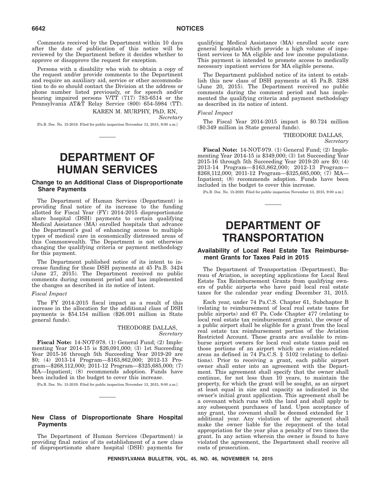Comments received by the Department within 10 days after the date of publication of this notice will be reviewed by the Department before it decides whether to approve or disapprove the request for exception.

Persons with a disability who wish to obtain a copy of the request and/or provide comments to the Department and require an auxiliary aid, service or other accommodation to do so should contact the Division at the address or phone number listed previously, or for speech and/or hearing impaired persons V/TT (717) 783-6514 or the Pennsylvania AT&T Relay Service (800) 654-5984 (TT).

KAREN M. MURPHY, PhD, RN, *Secretary*

[Pa.B. Doc. No. 15-2018. Filed for public inspection November 13, 2015, 9:00 a.m.]

# **DEPARTMENT OF HUMAN SERVICES**

### **Change to an Additional Class of Disproportionate Share Payments**

The Department of Human Services (Department) is providing final notice of its increase to the funding allotted for Fiscal Year (FY) 2014-2015 disproportionate share hospital (DSH) payments to certain qualifying Medical Assistance (MA) enrolled hospitals that advance the Department's goal of enhancing access to multiple types of medical care in economically distressed areas of this Commonwealth. The Department is not otherwise changing the qualifying criteria or payment methodology for this payment.

The Department published notice of its intent to increase funding for these DSH payments at 45 Pa.B. 3424 (June 27, 2015). The Department received no public comments during comment period and has implemented the changes as described in its notice of intent.

#### *Fiscal Impact*

The FY 2014-2015 fiscal impact as a result of this increase in the allocation for the additional class of DSH payments is \$54.154 million (\$26.091 million in State general funds).

### THEODORE DALLAS, *Secretary*

**Fiscal Note:** 14-NOT-978. (1) General Fund; (2) Implementing Year 2014-15 is \$26,091,000; (3) 1st Succeeding Year 2015-16 through 5th Succeeding Year 2019-20 are \$0; (4) 2013-14 Program—\$163,862,000; 2012-13 Program—\$268,112,000; 2011-12 Program—\$325,685,000; (7) MA—Inpatient; (8) recommends adoption. Funds have been included in the budget to cover this increase.

[Pa.B. Doc. No. 15-2019. Filed for public inspection November 13, 2015, 9:00 a.m.]

### **New Class of Disproportionate Share Hospital Payments**

The Department of Human Services (Department) is providing final notice of its establishment of a new class of disproportionate share hospital (DSH) payments for qualifying Medical Assistance (MA) enrolled acute care general hospitals which provide a high volume of inpatient services to MA eligible and low income populations. This payment is intended to promote access to medically necessary inpatient services for MA eligible persons.

The Department published notice of its intent to establish this new class of DSH payments at 45 Pa.B. 3288 (June 20, 2015). The Department received no public comments during the comment period and has implemented the qualifying criteria and payment methodology as described in its notice of intent.

#### *Fiscal Impact*

The Fiscal Year 2014-2015 impact is \$0.724 million (\$0.349 million in State general funds).

> THEODORE DALLAS, *Secretary*

**Fiscal Note:** 14-NOT-979. (1) General Fund; (2) Implementing Year 2014-15 is \$349,000; (3) 1st Succeeding Year 2015-16 through 5th Succeeding Year 2019-20 are \$0; (4) 2013-14 Program—\$163,862,000; 2012-13 Program— \$268,112,000; 2011-12 Program—\$325,685,000; (7) MA— Inpatient; (8) recommends adoption. Funds have been included in the budget to cover this increase.

[Pa.B. Doc. No. 15-2020. Filed for public inspection November 13, 2015, 9:00 a.m.]

# **DEPARTMENT OF TRANSPORTATION**

### **Availability of Local Real Estate Tax Reimbursement Grants for Taxes Paid in 2015**

The Department of Transportation (Department), Bureau of Aviation, is accepting applications for Local Real Estate Tax Reimbursement Grants from qualifying owners of public airports who have paid local real estate taxes for the calendar year ending December 31, 2015.

Each year, under 74 Pa.C.S. Chapter 61, Subchapter B (relating to reimbursement of local real estate taxes for public airports) and 67 Pa. Code Chapter 477 (relating to local real estate tax reimbursement grants), the owner of a public airport shall be eligible for a grant from the local real estate tax reimbursement portion of the Aviation Restricted Account. These grants are available to reimburse airport owners for local real estate taxes paid on those portions of an airport which are aviation-related areas as defined in 74 Pa.C.S. § 5102 (relating to definitions). Prior to receiving a grant, each public airport owner shall enter into an agreement with the Department. This agreement shall specify that the owner shall continue, for not less than 10 years, to maintain the property, for which the grant will be sought, as an airport at least equal in size and capacity as indicated in the owner's initial grant application. This agreement shall be a covenant which runs with the land and shall apply to any subsequent purchases of land. Upon acceptance of any grant, the covenant shall be deemed extended for 1 additional year. Any violation of the agreement shall make the owner liable for the repayment of the total appropriation for the year plus a penalty of two times the grant. In any action wherein the owner is found to have violated the agreement, the Department shall receive all costs of prosecution.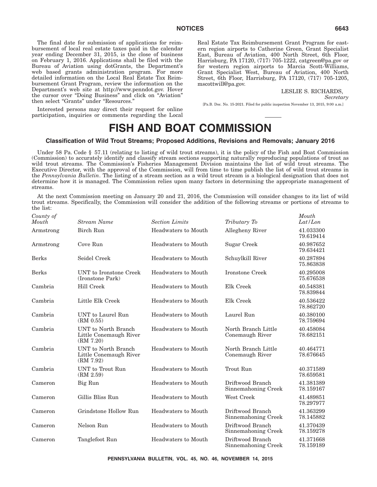The final date for submission of applications for reimbursement of local real estate taxes paid in the calendar year ending December 31, 2015, is the close of business on February 1, 2016. Applications shall be filed with the Bureau of Aviation using dotGrants, the Department's web based grants administration program. For more detailed information on the Local Real Estate Tax Reimbursement Grant Program, review the information on the Department's web site at http://www.penndot.gov. Hover the cursor over ''Doing Business'' and click on ''Aviation'' then select "Grants" under "Resources."

Interested persons may direct their request for online participation, inquiries or comments regarding the Local Real Estate Tax Reimbursement Grant Program for eastern region airports to Catherine Green, Grant Specialist East, Bureau of Aviation, 400 North Street, 6th Floor, Harrisburg, PA 17120, (717) 705-1222, catgreen@pa.gov or for western region airports to Marcia Scott-Williams, Grant Specialist West, Bureau of Aviation, 400 North Street, 6th Floor, Harrisburg, PA 17120, (717) 705-1205, mscottwill@pa.gov.

#### LESLIE S. RICHARDS, *Secretary*

[Pa.B. Doc. No. 15-2021. Filed for public inspection November 13, 2015, 9:00 a.m.]

# **FISH AND BOAT COMMISSION**

#### **Classification of Wild Trout Streams; Proposed Additions, Revisions and Removals; January 2016**

Under 58 Pa. Code § 57.11 (relating to listing of wild trout streams), it is the policy of the Fish and Boat Commission (Commission) to accurately identify and classify stream sections supporting naturally reproducing populations of trout as wild trout streams. The Commission's Fisheries Management Division maintains the list of wild trout streams. The Executive Director, with the approval of the Commission, will from time to time publish the list of wild trout streams in the *Pennsylvania Bulletin*. The listing of a stream section as a wild trout stream is a biological designation that does not determine how it is managed. The Commission relies upon many factors in determining the appropriate management of streams.

At the next Commission meeting on January 20 and 21, 2016, the Commission will consider changes to its list of wild trout streams. Specifically, the Commission will consider the addition of the following streams or portions of streams to the list:

| County of<br>Mouth | Stream Name                                                | <b>Section Limits</b>      | Tributary To                            | Mouth<br>Lat/Lon       |
|--------------------|------------------------------------------------------------|----------------------------|-----------------------------------------|------------------------|
| Armstrong          | Birch Run                                                  | Headwaters to Mouth        | Allegheny River                         | 41.033300<br>79.619414 |
| Armstrong          | Cove Run                                                   | Headwaters to Mouth        | Sugar Creek                             | 40.987652<br>79.634421 |
| <b>Berks</b>       | Seidel Creek                                               | Headwaters to Mouth        | Schuylkill River                        | 40.287894<br>75.863838 |
| <b>Berks</b>       | UNT to Ironstone Creek<br>(Ironstone Park)                 | Headwaters to Mouth        | Ironstone Creek                         | 40.295008<br>75.676538 |
| Cambria            | Hill Creek                                                 | Headwaters to Mouth        | Elk Creek                               | 40.548381<br>78.839844 |
| Cambria            | Little Elk Creek                                           | Headwaters to Mouth        | Elk Creek                               | 40.536422<br>78.862720 |
| Cambria            | UNT to Laurel Run<br>(RM 0.55)                             | <b>Headwaters to Mouth</b> | Laurel Run                              | 40.380100<br>78.759694 |
| Cambria            | UNT to North Branch<br>Little Conemaugh River<br>(RM 7.20) | Headwaters to Mouth        | North Branch Little<br>Conemaugh River  | 40.458084<br>78.682151 |
| Cambria            | UNT to North Branch<br>Little Conemaugh River<br>(RM 7.92) | Headwaters to Mouth        | North Branch Little<br>Conemaugh River  | 40.464771<br>78.676645 |
| Cambria            | UNT to Trout Run<br>(RM 2.59)                              | Headwaters to Mouth        | Trout Run                               | 40.371589<br>78.659581 |
| Cameron            | Big Run                                                    | Headwaters to Mouth        | Driftwood Branch<br>Sinnemahoning Creek | 41.381389<br>78.159167 |
| Cameron            | Gillis Bliss Run                                           | <b>Headwaters to Mouth</b> | West Creek                              | 41.489851<br>78.297977 |
| Cameron            | Grindstone Hollow Run                                      | Headwaters to Mouth        | Driftwood Branch<br>Sinnemahoning Creek | 41.363299<br>78.145882 |
| Cameron            | Nelson Run                                                 | Headwaters to Mouth        | Driftwood Branch<br>Sinnemahoning Creek | 41.370439<br>78.159278 |
| Cameron            | Tanglefoot Run                                             | <b>Headwaters to Mouth</b> | Driftwood Branch<br>Sinnemahoning Creek | 41.371668<br>78.159189 |

**PENNSYLVANIA BULLETIN, VOL. 45, NO. 46, NOVEMBER 14, 2015**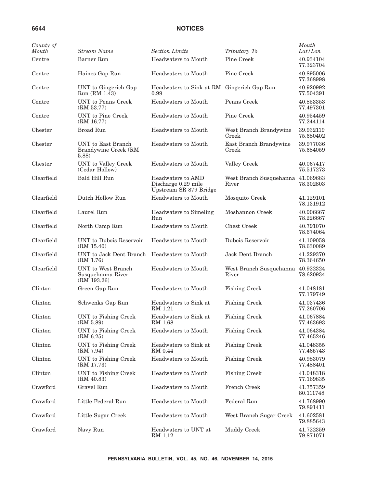| County of<br>Mouth | <b>Stream Name</b>                                       | <b>Section Limits</b>                                              | Tributary To                               | Mouth<br>Lat/Lon       |
|--------------------|----------------------------------------------------------|--------------------------------------------------------------------|--------------------------------------------|------------------------|
| Centre             | Barner Run                                               | Headwaters to Mouth                                                | Pine Creek                                 | 40.934104<br>77.323704 |
| Centre             | Haines Gap Run                                           | Headwaters to Mouth                                                | Pine Creek                                 | 40.895006<br>77.368998 |
| Centre             | UNT to Gingerich Gap<br>Run (RM 1.43)                    | Headwaters to Sink at RM Gingerich Gap Run<br>0.99                 |                                            | 40.920992<br>77.504391 |
| Centre             | <b>UNT</b> to Penns Creek<br>(RM 53.77)                  | Headwaters to Mouth                                                | Penns Creek                                | 40.853353<br>77.497301 |
| Centre             | UNT to Pine Creek<br>(RM 16.77)                          | Headwaters to Mouth                                                | Pine Creek                                 | 40.954459<br>77.244114 |
| Chester            | <b>Broad Run</b>                                         | Headwaters to Mouth                                                | West Branch Brandywine<br>Creek            | 39.932119<br>75.680402 |
| Chester            | UNT to East Branch<br>Brandywine Creek (RM<br>5.88)      | Headwaters to Mouth                                                | East Branch Brandywine<br>Creek            | 39.977036<br>75.684059 |
| Chester            | UNT to Valley Creek<br>(Cedar Hollow)                    | Headwaters to Mouth                                                | Valley Creek                               | 40.067417<br>75.517273 |
| Clearfield         | Bald Hill Run                                            | Headwaters to AMD<br>Discharge 0.29 mile<br>Upstream SR 879 Bridge | West Branch Susquehanna 41.069683<br>River | 78.302803              |
| Clearfield         | Dutch Hollow Run                                         | Headwaters to Mouth                                                | Mosquito Creek                             | 41.129101<br>78.131912 |
| Clearfield         | Laurel Run                                               | Headwaters to Simeling<br>Run                                      | Moshannon Creek                            | 40.906667<br>78.226667 |
| Clearfield         | North Camp Run                                           | Headwaters to Mouth                                                | <b>Chest Creek</b>                         | 40.791070<br>78.674064 |
| Clearfield         | UNT to Dubois Reservoir<br>(RM 15.40)                    | Headwaters to Mouth                                                | Dubois Reservoir                           | 41.109058<br>78.630089 |
| Clearfield         | UNT to Jack Dent Branch<br>(RM 1.76)                     | Headwaters to Mouth                                                | Jack Dent Branch                           | 41.229370<br>78.364650 |
| Clearfield         | UNT to West Branch<br>Susquehanna River<br>(RM 193.26)   | Headwaters to Mouth                                                | West Branch Susquehanna<br>River           | 40.922324<br>78.620934 |
| Clinton            | Green Gap Run                                            | Headwaters to Mouth                                                | <b>Fishing Creek</b>                       | 41.048181<br>77.179749 |
| Clinton            | Schwenks Gap Run                                         | Headwaters to Sink at<br>RM 1.21                                   | <b>Fishing Creek</b>                       | 41.037436<br>77.260706 |
| Clinton            | UNT to Fishing Creek<br>(RM 5.89)                        | Headwaters to Sink at<br>RM 1.68                                   | <b>Fishing Creek</b>                       | 41.067884<br>77.463693 |
| Clinton            | UNT to Fishing Creek<br>$\left(\mathrm{RM}\ 6.25\right)$ | Headwaters to Mouth                                                | <b>Fishing Creek</b>                       | 41.064384<br>77.465246 |
| Clinton            | UNT to Fishing Creek<br>(RM 7.94)                        | Headwaters to Sink at<br>RM 0.44                                   | <b>Fishing Creek</b>                       | 41.048355<br>77.465743 |
| Clinton            | UNT to Fishing Creek<br>(RM 17.73)                       | Headwaters to Mouth                                                | <b>Fishing Creek</b>                       | 40.983079<br>77.488401 |
| Clinton            | UNT to Fishing Creek<br>(RM 40.83)                       | Headwaters to Mouth                                                | <b>Fishing Creek</b>                       | 41.048318<br>77.169835 |
| Crawford           | Gravel Run                                               | Headwaters to Mouth                                                | French Creek                               | 41.757359<br>80.111748 |
| Crawford           | Little Federal Run                                       | Headwaters to Mouth                                                | Federal Run                                | 41.768990<br>79.891411 |
| Crawford           | Little Sugar Creek                                       | Headwaters to Mouth                                                | West Branch Sugar Creek                    | 41.602581<br>79.885643 |
| Crawford           | Navy Run                                                 | Headwaters to UNT at<br>RM 1.12                                    | Muddy Creek                                | 41.722359<br>79.871071 |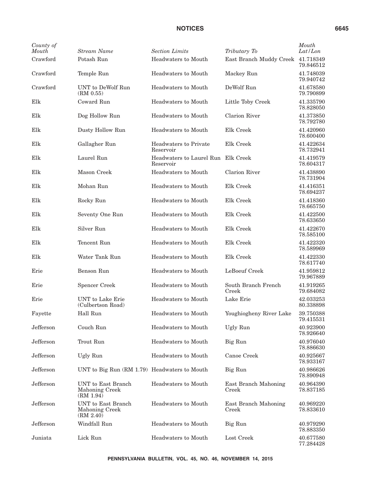| County of<br>Mouth | Stream Name                                       | <b>Section Limits</b>                           | Tributary To                  | Mouth<br>Lat/Lon       |
|--------------------|---------------------------------------------------|-------------------------------------------------|-------------------------------|------------------------|
| Crawford           | Potash Run                                        | Headwaters to Mouth                             | East Branch Muddy Creek       | 41.718349<br>79.846512 |
| Crawford           | Temple Run                                        | Headwaters to Mouth                             | Mackey Run                    | 41.748039<br>79.940742 |
| Crawford           | UNT to DeWolf Run<br>(RM 0.55)                    | <b>Headwaters to Mouth</b>                      | DeWolf Run                    | 41.678580<br>79.790899 |
| Elk                | Coward Run                                        | <b>Headwaters to Mouth</b>                      | Little Toby Creek             | 41.335790<br>78.828050 |
| Elk                | Dog Hollow Run                                    | Headwaters to Mouth                             | Clarion River                 | 41.373850<br>78.792780 |
| Elk                | Dusty Hollow Run                                  | <b>Headwaters to Mouth</b>                      | Elk Creek                     | 41.420960<br>78.600400 |
| Elk                | Gallagher Run                                     | Headwaters to Private<br>Reservoir              | Elk Creek                     | 41.422634<br>78.732941 |
| Elk                | Laurel Run                                        | Headwaters to Laurel Run Elk Creek<br>Reservoir |                               | 41.419579<br>78.604317 |
| Elk                | Mason Creek                                       | Headwaters to Mouth                             | Clarion River                 | 41.438890<br>78.731904 |
| Elk                | Mohan Run                                         | Headwaters to Mouth                             | Elk Creek                     | 41.416351<br>78.694237 |
| Elk                | Rocky Run                                         | <b>Headwaters to Mouth</b>                      | Elk Creek                     | 41.418360<br>78.665750 |
| Elk                | Seventy One Run                                   | Headwaters to Mouth                             | Elk Creek                     | 41.422500<br>78.633650 |
| Elk                | Silver Run                                        | Headwaters to Mouth                             | Elk Creek                     | 41.422670<br>78.585100 |
| Elk                | Tencent Run                                       | Headwaters to Mouth                             | Elk Creek                     | 41.422320<br>78.589969 |
| Elk                | Water Tank Run                                    | <b>Headwaters to Mouth</b>                      | Elk Creek                     | 41.422330<br>78.617740 |
| Erie               | Benson Run                                        | Headwaters to Mouth                             | LeBoeuf Creek                 | 41.959812<br>79.967889 |
| Erie               | <b>Spencer Creek</b>                              | <b>Headwaters to Mouth</b>                      | South Branch French<br>Creek  | 41.919265<br>79.684082 |
| Erie               | UNT to Lake Erie<br>(Culbertson Road)             | Headwaters to Mouth                             | Lake Erie                     | 42.033253<br>80.338898 |
| Fayette            | Hall Run                                          | <b>Headwaters to Mouth</b>                      | Youghiogheny River Lake       | 39.750388<br>79.415531 |
| Jefferson          | Couch Run                                         | Headwaters to Mouth                             | Ugly Run                      | 40.923900<br>78.926640 |
| Jefferson          | Trout Run                                         | Headwaters to Mouth                             | Big Run                       | 40.976040<br>78.886630 |
| Jefferson          | Ugly Run                                          | Headwaters to Mouth                             | Canoe Creek                   | 40.925667<br>78.933167 |
| Jefferson          | UNT to Big Run (RM 1.79) Headwaters to Mouth      |                                                 | Big Run                       | 40.986626<br>78.890948 |
| Jefferson          | UNT to East Branch<br>Mahoning Creek<br>(RM 1.94) | <b>Headwaters to Mouth</b>                      | East Branch Mahoning<br>Creek | 40.964390<br>78.837185 |
| Jefferson          | UNT to East Branch<br>Mahoning Creek<br>(RM 2.40) | Headwaters to Mouth                             | East Branch Mahoning<br>Creek | 40.969220<br>78.833610 |
| Jefferson          | Windfall Run                                      | Headwaters to Mouth                             | Big Run                       | 40.979290<br>78.883350 |
| Juniata            | Lick Run                                          | Headwaters to Mouth                             | Lost Creek                    | 40.677580<br>77.284428 |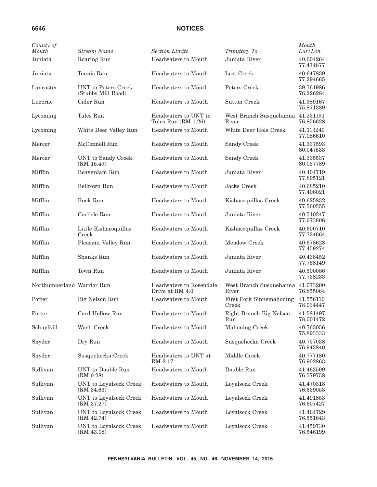| County of<br>Mouth         | <b>Stream Name</b>                        | <b>Section Limits</b>                         | Tributary To                      | Mouth<br>Lat/Lon       |
|----------------------------|-------------------------------------------|-----------------------------------------------|-----------------------------------|------------------------|
| Juniata                    | Roaring Run                               | Headwaters to Mouth                           | Juniata River                     | 40.604264<br>77.474877 |
| Juniata                    | Tennis Run                                | Headwaters to Mouth                           | Lost Creek                        | 40.647839<br>77.294665 |
| Lancaster                  | UNT to Peters Creek<br>(Stubbs Mill Road) | Headwaters to Mouth                           | Peters Creek                      | 39.761986<br>76.226284 |
| Luzerne                    | Cider Run                                 | Headwaters to Mouth                           | Sutton Creek                      | 41.389167<br>75.871389 |
| Lycoming                   | Tules Run                                 | Headwaters to UNT to<br>Tules $Run (RM 1.26)$ | West Branch Susquehanna<br>River  | 41.231191<br>76.856628 |
| Lycoming                   | White Deer Valley Run                     | Headwaters to Mouth                           | White Deer Hole Creek             | 41.113240<br>77.086610 |
| Mercer                     | McConnell Run                             | Headwaters to Mouth                           | Sandy Creek                       | 41.337593<br>80.047533 |
| Mercer                     | UNT to Sandy Creek<br>(RM 15.49)          | Headwaters to Mouth                           | Sandy Creek                       | 41.335537<br>80.037789 |
| Mifflin                    | Beaverdam Run                             | Headwaters to Mouth                           | Juniata River                     | 40.404719<br>77.805121 |
| Mifflin                    | Belltown Run                              | Headwaters to Mouth                           | Jacks Creek                       | 40.685210<br>77.406021 |
| Mifflin                    | <b>Buck Run</b>                           | Headwaters to Mouth                           | Kishacoquillas Creek              | 40.625832<br>77.560555 |
| Mifflin                    | Carlisle Run                              | Headwaters to Mouth                           | Juniata River                     | 40.510347<br>77.673808 |
| Mifflin                    | Little Kishacoquillas<br>Creek            | Headwaters to Mouth                           | Kishacoquillas Creek              | 40.600710<br>77.724664 |
| Mifflin                    | Pleasant Valley Run                       | Headwaters to Mouth                           | Meadow Creek                      | 40.678628<br>77.459274 |
| Mifflin                    | Shanks Run                                | Headwaters to Mouth                           | Juniata River                     | 40.438452<br>77.758149 |
| Mifflin                    | Town Run                                  | Headwaters to Mouth                           | Juniata River                     | 40.500086<br>77.738233 |
| Northumberland Warrior Run |                                           | Headwaters to Rosendale<br>Drive at RM 4.0    | West Branch Susquehanna<br>River  | 41.073200<br>76.855064 |
| Potter                     | Big Nelson Run                            | Headwaters to Mouth                           | First Fork Sinnemahoning<br>Creek | 41.556110<br>78.034447 |
| Potter                     | Card Hollow Run                           | Headwaters to Mouth                           | Right Branch Big Nelson<br>Kun    | 41.581497<br>78.001472 |
| Schuylkill                 | Wash Creek                                | Headwaters to Mouth                           | Mahoning Creek                    | 40.763056<br>75.893333 |
| Snyder                     | Dry Run                                   | Headwaters to Mouth                           | Susquehecka Creek                 | 40.757038<br>76.943840 |
| Snyder                     | Susquehecka Creek                         | Headwaters to UNT at<br>RM 2.17               | Middle Creek                      | 40.777180<br>76.902863 |
| Sullivan                   | UNT to Double Run<br>(RM 0.28)            | Headwaters to Mouth                           | Double Run                        | 41.463509<br>76.579758 |
| Sullivan                   | UNT to Loyalsock Creek<br>(RM 34.63)      | Headwaters to Mouth                           | Loyalsock Creek                   | 41.470318<br>76.639053 |
| Sullivan                   | UNT to Loyalsock Creek<br>(RM 37.27)      | Headwaters to Mouth                           | Loyalsock Creek                   | 41.491853<br>76.607427 |
| Sullivan                   | UNT to Loyalsock Creek<br>(RM 42.74)      | Headwaters to Mouth                           | Loyalsock Creek                   | 41.464729<br>76.551643 |
| Sullivan                   | UNT to Loyalsock Creek<br>(RM 43.18)      | Headwaters to Mouth                           | Loyalsock Creek                   | 41.459730<br>76.546199 |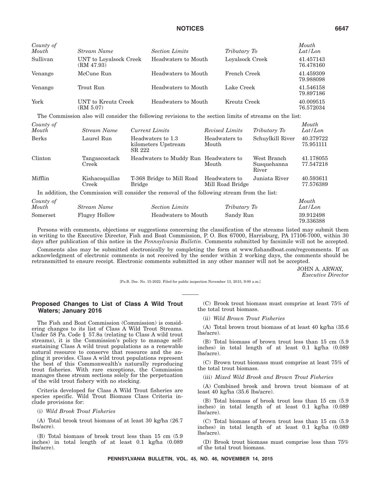| County of<br>Mouth | Stream Name                          | <b>Section Limits</b> | Tributary To    | Mouth<br>Lat/Lon       |
|--------------------|--------------------------------------|-----------------------|-----------------|------------------------|
| Sullivan           | UNT to Loyalsock Creek<br>(RM 47.93) | Headwaters to Mouth   | Loyalsock Creek | 41.457143<br>76.478160 |
| Venango            | McCune Run                           | Headwaters to Mouth   | French Creek    | 41.459309<br>79.988098 |
| Venango            | Trout Run                            | Headwaters to Mouth   | Lake Creek      | 41.546158<br>79.897186 |
| York               | UNT to Kreutz Creek<br>(RM 5.07)     | Headwaters to Mouth   | Kreutz Creek    | 40.009515<br>76.572034 |

The Commission also will consider the following revisions to the section limits of streams on the list:

| County of |  |
|-----------|--|
|           |  |

| County of<br>Mouth | Stream Name             | Current Limits                                     | Revised Limits                    | Tributary To                        | Mouth<br>Lat/Lon       |
|--------------------|-------------------------|----------------------------------------------------|-----------------------------------|-------------------------------------|------------------------|
| <b>Berks</b>       | Laurel Run              | Headwaters to 1.3<br>kilometers Upstream<br>SR 222 | Headwaters to<br>Mouth            | Schuylkill River                    | 40.379722<br>75.951111 |
| Clinton            | Tangascootack<br>Creek  | Headwaters to Muddy Run Headwaters to              | Mouth                             | West Branch<br>Susquehanna<br>River | 41.178055<br>77.547218 |
| Mifflin            | Kishacoquillas<br>Creek | T-368 Bridge to Mill Road<br><b>Bridge</b>         | Headwaters to<br>Mill Road Bridge | Juniata River                       | 40.593611<br>77.576389 |

In addition, the Commission will consider the removal of the following stream from the list:

| County of    |                      |                       |              | Mouth                  |
|--------------|----------------------|-----------------------|--------------|------------------------|
| <b>Mouth</b> | Stream Name          | <b>Section Limits</b> | Tributary To | Lat/Lon                |
| Somerset     | <b>Flugey Hollow</b> | Headwaters to Mouth   | Sandy Run    | 39.912498<br>79.336388 |

Persons with comments, objections or suggestions concerning the classification of the streams listed may submit them in writing to the Executive Director, Fish and Boat Commission, P. O. Box 67000, Harrisburg, PA 17106-7000, within 30 days after publication of this notice in the *Pennsylvania Bulletin*. Comments submitted by facsimile will not be accepted.

Comments also may be submitted electronically by completing the form at www.fishandboat.com/regcomments. If an acknowledgment of electronic comments is not received by the sender within 2 working days, the comments should be retransmitted to ensure receipt. Electronic comments submitted in any other manner will not be accepted.

> JOHN A. ARWAY, *Executive Director*

[Pa.B. Doc. No. 15-2022. Filed for public inspection November 13, 2015, 9:00 a.m.]

### **Proposed Changes to List of Class A Wild Trout Waters; January 2016**

The Fish and Boat Commission (Commission) is considering changes to its list of Class A Wild Trout Streams. Under 58 Pa. Code § 57.8a (relating to Class A wild trout streams), it is the Commission's policy to manage selfsustaining Class A wild trout populations as a renewable natural resource to conserve that resource and the angling it provides. Class A wild trout populations represent the best of this Commonwealth's naturally reproducing trout fisheries. With rare exceptions, the Commission manages these stream sections solely for the perpetuation of the wild trout fishery with no stocking.

Criteria developed for Class A Wild Trout fisheries are species specific. Wild Trout Biomass Class Criteria include provisions for:

#### (i) *Wild Brook Trout Fisheries*

(A) Total brook trout biomass of at least 30 kg/ha (26.7 lbs/acre).

(B) Total biomass of brook trout less than 15 cm (5.9 inches) in total length of at least 0.1 kg/ha (0.089 lbs/acre).

(C) Brook trout biomass must comprise at least 75% of the total trout biomass.

(ii) *Wild Brown Trout Fisheries*

(A) Total brown trout biomass of at least 40 kg/ha (35.6 lbs/acre).

(B) Total biomass of brown trout less than 15 cm (5.9 inches) in total length of at least 0.1 kg/ha (0.089 lbs/acre).

(C) Brown trout biomass must comprise at least 75% of the total trout biomass.

(iii) *Mixed Wild Brook and Brown Trout Fisheries*

(A) Combined brook and brown trout biomass of at least 40 kg/ha (35.6 lbs/acre).

(B) Total biomass of brook trout less than 15 cm (5.9 inches) in total length of at least 0.1 kg/ha (0.089 lbs/acre).

(C) Total biomass of brown trout less than 15 cm (5.9 inches) in total length of at least 0.1 kg/ha (0.089 lbs/acre).

(D) Brook trout biomass must comprise less than 75% of the total trout biomass.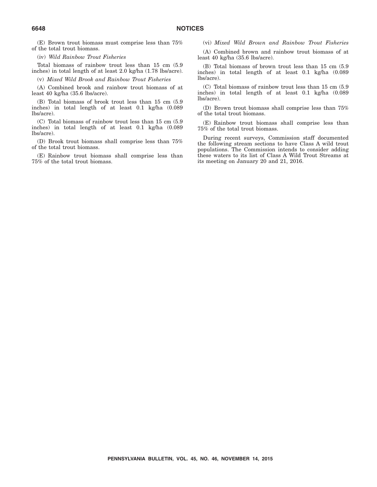(E) Brown trout biomass must comprise less than 75% of the total trout biomass.

(iv) *Wild Rainbow Trout Fisheries*

Total biomass of rainbow trout less than 15 cm (5.9 inches) in total length of at least 2.0 kg/ha (1.78 lbs/acre).

(v) *Mixed Wild Brook and Rainbow Trout Fisheries*

(A) Combined brook and rainbow trout biomass of at least 40 kg/ha (35.6 lbs/acre).

(B) Total biomass of brook trout less than 15 cm (5.9 inches) in total length of at least 0.1 kg/ha (0.089 lbs/acre).

(C) Total biomass of rainbow trout less than 15 cm (5.9 inches) in total length of at least 0.1 kg/ha (0.089 lbs/acre).

(D) Brook trout biomass shall comprise less than 75% of the total trout biomass.

(E) Rainbow trout biomass shall comprise less than 75% of the total trout biomass.

(vi) *Mixed Wild Brown and Rainbow Trout Fisheries*

(A) Combined brown and rainbow trout biomass of at least 40 kg/ha (35.6 lbs/acre).

(B) Total biomass of brown trout less than 15 cm (5.9 inches) in total length of at least 0.1 kg/ha (0.089 lbs/acre).

(C) Total biomass of rainbow trout less than 15 cm (5.9 inches) in total length of at least 0.1 kg/ha (0.089 lbs/acre).

(D) Brown trout biomass shall comprise less than 75% of the total trout biomass.

(E) Rainbow trout biomass shall comprise less than 75% of the total trout biomass.

During recent surveys, Commission staff documented the following stream sections to have Class A wild trout populations. The Commission intends to consider adding these waters to its list of Class A Wild Trout Streams at its meeting on January 20 and 21, 2016.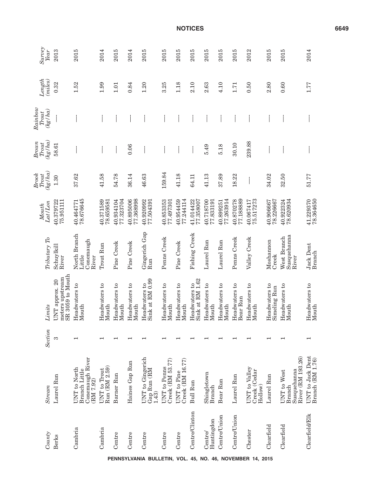|              | Survey<br>Year                                                                          | 2013                                                  | 2015                                                                               | 2014                          | 2015                     | 2014                     | 2015                                     | 2015                                    | 2015                            | 2015                             | 2015                                    | 2015                   | 2015                      | 2012                                     | 2015                          | 2015                                                      | 2014                                 |
|--------------|-----------------------------------------------------------------------------------------|-------------------------------------------------------|------------------------------------------------------------------------------------|-------------------------------|--------------------------|--------------------------|------------------------------------------|-----------------------------------------|---------------------------------|----------------------------------|-----------------------------------------|------------------------|---------------------------|------------------------------------------|-------------------------------|-----------------------------------------------------------|--------------------------------------|
|              | Length<br>(miles)                                                                       | 0.32                                                  | 1.52                                                                               | 1.99                          | 1.01                     | 0.84                     | 1.20                                     | 3.25                                    | 1.18                            | 2.10                             | 2.63                                    | 4.10                   | 1.71                      | 0.50                                     | 2.80                          | 0.60                                                      | 1.77                                 |
| Rainbow      | (hg/ha)<br>$\label{eq:1} \begin{aligned} &\textit{T} {out} \end{aligned}$               |                                                       |                                                                                    |                               |                          |                          |                                          |                                         |                                 |                                  |                                         |                        |                           |                                          |                               |                                                           |                                      |
| Brown        | $\left( \frac{kg}{ha} \right)$<br><b>Trout</b>                                          | 58.61                                                 |                                                                                    |                               |                          | 0.06                     |                                          |                                         |                                 |                                  | 5.49                                    | 5.18                   | 30.10                     | 239.88                                   |                               |                                                           |                                      |
| <b>Brook</b> | (kg/ha)<br>$\label{eq:1} \begin{aligned} \boldsymbol{T} \boldsymbol{out} \end{aligned}$ | 1.30                                                  | 37.62                                                                              | 41.58                         | 54.78                    | 36.14                    | 46.63                                    | 159.84                                  | 41.18                           | 64.11                            | 41.13                                   | 37.89                  | 18.22                     |                                          | 34.02                         | 32.50                                                     | 51.77                                |
|              | Lat/Lon<br>Mouth                                                                        | 40.379722<br>75.951111                                | 78.676645<br>40.464771                                                             | 40.371589<br>78.659581        | 40.934104<br>77.323704   | 77.368998<br>40.895006   | 40.920992<br>77.504391                   | 40.853353<br>77.497301                  | 77.244114<br>40.954459          | 77.358007<br>41.014422           | 40.718700<br>77.833191                  | 77.263914<br>40.899251 | 77.188889<br>40.870278    | 75.517273<br>40.067417                   | 40.906667<br>78.226667        | 78.620934<br>40.922324                                    | 78.364650<br>41.229370               |
|              | Tributary To                                                                            | Schuylkil<br>River                                    | North Branch<br>$\rm{Conemaugh}$<br>Little<br>River                                | Trout Run                     | Pine Creek               | Pine Creek               | Gingerich Gap<br>Run                     | Penns Creek                             | Pine Creek                      | Fishing Creek                    | Laurel Run                              | Laurel Run             | Penns Creek               | Valley Creek                             | Moshannon<br>Creek            | Susquehanna<br>West Branch<br>River                       | <b>Jack Dent</b><br>Branch           |
|              | Limits                                                                                  | SR 3059 to Mouth<br>meters upstream<br>UNT approx. 20 | Headwaters to<br>Mouth                                                             | Headwaters to<br>Mouth        | Headwaters to<br>Mouth   | Headwaters to<br>Mouth   | Sink at RM 0.99<br>Headwaters to         | Headwaters to<br>Mouth                  | Headwaters to<br>Mouth          | Sink at RM 1.62<br>Headwaters to | $\mathfrak{c}_1$<br>Headwaters<br>Mouth | Headwaters to<br>Mouth | Headwaters to<br>Bear Run | Headwaters to<br>Mouth                   | Headwaters to<br>Simeling Run | Headwaters to<br>Mouth                                    | Headwaters to<br>Mouth               |
|              | <b>Section</b>                                                                          | S                                                     | $\overline{\phantom{0}}$                                                           | $\overline{\phantom{0}}$      | $\overline{\phantom{0}}$ | $\overline{\phantom{0}}$ | $\overline{\phantom{0}}$                 | ⊣                                       | $\overline{\phantom{0}}$        |                                  |                                         |                        |                           | $\overline{\phantom{0}}$                 | ⊣                             | $\overline{\phantom{0}}$                                  | ⊣                                    |
|              | <b>Stream</b>                                                                           | Laurel Run                                            | Conemaugh River<br>$\ensuremath{\mathrm{UNT}}$ to North Branch Little<br>(RM 7.92) | Run (RM 2.59)<br>UNT to Trout | Barner Run               | Haines Gap Run           | UNT to Gingerich<br>Gap Run (RM<br>1.43) | Creek (RM 53.77)<br><b>UNT</b> to Penns | Creek (RM 16.77)<br>UNT to Pine | <b>Bull Run</b>                  | Shingletown<br>Branch                   | Bear Run               | Laurel Run                | UNT to Valley<br>Creek (Cedar<br>Hollow) | Laurel Run                    | River (RM 193.26)<br>Susquehanna<br>UNT to West<br>Branch | UNT to Jack Dent<br>Branch (RM 1.76) |
|              | County                                                                                  | Berks                                                 | Cambria                                                                            | Cambria                       | Centre                   | Centre                   | Centre                                   | Centre                                  | Centre                          | Centre/Clinton                   | Huntingdon<br>Centre/                   | Centre/Union           | Centre/Union              | Chester                                  | Clearfield                    | Clearfield                                                | Clearfield/Elk                       |

**PENNSYLVANIA BULLETIN, VOL. 45, NO. 46, NOVEMBER 14, 2015**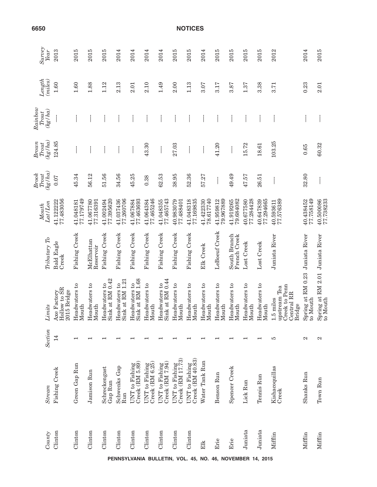| Survey<br>Year                                             | 2013                                      | 2015                     | 2015                          | 2015                             | 2014                             | 2014                                           | 2014                              | 2014                                | 2015                               | 2015                               | 2014                   | 2015                          | 2015                          | 2015                          | 2015                   | 2012                                                                                   | 2014                         | 2015                                        |
|------------------------------------------------------------|-------------------------------------------|--------------------------|-------------------------------|----------------------------------|----------------------------------|------------------------------------------------|-----------------------------------|-------------------------------------|------------------------------------|------------------------------------|------------------------|-------------------------------|-------------------------------|-------------------------------|------------------------|----------------------------------------------------------------------------------------|------------------------------|---------------------------------------------|
| Length<br>(miles)                                          | $1.60$                                    | 1.60                     | 1.88                          | 1.12                             | 2.13                             | 2.01                                           | 2.10                              | 1.49                                | 2.00                               | 1.13                               | 3.07                   | 3.17                          | 3.87                          | 1.37                          | 3.38                   | 3.71                                                                                   | 0.23                         | 2.01                                        |
| Rainbow<br>(hg/ha)<br><b>Trout</b>                         |                                           |                          |                               |                                  |                                  |                                                |                                   |                                     |                                    |                                    |                        |                               |                               |                               |                        |                                                                                        |                              |                                             |
| (hg/ha)<br><b>Brown</b><br>$\operatorname{\mathit{Trout}}$ | 124.85                                    |                          |                               |                                  |                                  |                                                | 43.30                             |                                     | 27.03                              |                                    |                        | 41.20                         |                               | 15.72                         | 18.61                  | 103.25                                                                                 | 0.65                         | 60.32                                       |
| (kg/ha)<br><b>Brook</b><br>$T_{\rm {out}}$                 | 0.07                                      | 45.34                    | 56.12                         | 51.56                            | 34.56                            | 45.25                                          | 0.38                              | 62.53                               | 38.95                              | 52.36                              | 57.27                  |                               | 49.49                         | 47.57                         | 26.51                  |                                                                                        | 32.80                        |                                             |
| Lat/Lon<br>Mouth                                           | 77.483056<br>41.122222                    | 77.179749<br>41.048181   | 41.067780<br>77.316391        | 41.002494<br>77.395620           | 41.037436<br>77.260706           | 77.463693<br>41.067884                         | 41.064384<br>77.465246            | 41.048355<br>77.465743              | 40.983079<br>77.488401             | 41.048318<br>77.169835             | 41.422330<br>78.617740 | 41.959812<br>79.967889        | 41.919265<br>79.684082        | 40.677580<br>77.284428        | 40.647839<br>77.294665 | 77.576389<br>40.593611                                                                 | 77.758149<br>40.438452       | 40.500086<br>77.738233                      |
| Tributary To                                               | Bald Eagle<br>Creek                       | Fishing Creek            | McElhattan<br>Reservoir       | Fishing Creek                    | Fishing Creek                    | Fishing Creek                                  | Fishing Creek                     | Fishing Creek                       | Fishing Creek                      | Fishing Creek                      | Elk Creek              | LeBoeuf Creek                 | South Branch<br>French Creek  | Lost Creek                    | Lost Creek             | Juniata River                                                                          | Juniata River                |                                             |
| Limits                                                     | Hollow to SR<br>2015 Bridge<br>Xe Factory | Headwaters to<br>Mouth   | <b>Headwaters</b> to<br>Mouth | Sink at RM 0.42<br>Headwaters to | Sink at RM 1.21<br>Headwaters to | Sink at RM 1.68<br>$^{5}$<br><b>Headwaters</b> | Headwaters to<br>Mouth            | Sink at RM 0.44<br>Headwaters to    | <b>Headwaters</b> to<br>Mouth      | <b>Headwaters</b> to<br>Mouth      | Headwaters to<br>Mouth | Headwaters to<br>Mouth        | <b>Headwaters</b> to<br>Mouth | <b>Headwaters</b> to<br>Mouth | Headwaters to<br>Mouth | <b>Peak</b> to Penn<br>apstream Tea<br><b>Central RR</b><br>1.5 miles<br><b>Bridge</b> | Spring at RM 0.23<br>o Mouth | Spring at RM 2.01 Juniata River<br>to Mouth |
| Section                                                    | $\overline{4}$                            | $\overline{\phantom{0}}$ |                               |                                  |                                  |                                                |                                   |                                     |                                    |                                    |                        |                               |                               |                               |                        | S                                                                                      | 2                            | 2                                           |
| <b>Stream</b>                                              | Fishing Creek                             | Green Gap Run            | Jamison Run                   | Schreckengast<br>Gap Run         | Schwenks Gap<br>Run              | UNT to Fishing<br>Creek (RM 5.89)              | UNT to Fishing<br>Creek (RM 6.25) | Creek $(RM 7.94)$<br>UNT to Fishing | UNT to Fishing<br>Creek (RM 17.73) | UNT to Fishing<br>Creek (RM 40.83) | Water Tank Run         | Benson<br>Run                 | Spencer Creek                 | Lick Run                      | Tennis Run             | Kishacoquillas<br>Creek                                                                | Shanks Run                   | Town Run                                    |
| County                                                     | Clinton                                   | Clinton                  | Clinton                       | Clinton                          | Clinton<br>PENNSYLVANIA          | Clinton                                        | Clinton                           | Clinton                             | Clinton<br>BULLETIN, VOL. 45, NO.  | Clinton                            | Elk                    | Erie<br>46, NOVEMBER 14, 2015 | Erie                          | Juniata                       | Juniata                | Mifflin                                                                                | Mifflin                      | Mifflin                                     |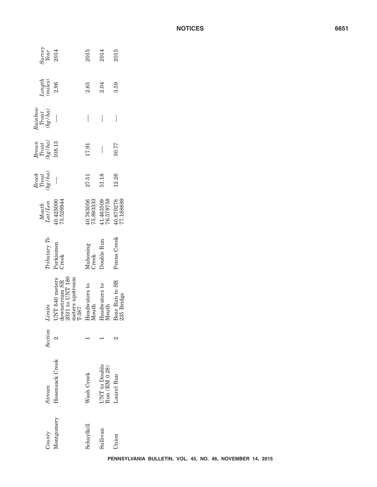|                                                                                            |                                                                                            |                        |                                | PENNSYLVANIA BULLETIN, VOL. 45, NO. 46, NOVEMBER 14, 2015 |  |  |  |
|--------------------------------------------------------------------------------------------|--------------------------------------------------------------------------------------------|------------------------|--------------------------------|-----------------------------------------------------------|--|--|--|
| County                                                                                     | Montgomery                                                                                 | Schuylkill             | Sullivan                       | Union                                                     |  |  |  |
| Stream                                                                                     | Hosensack Creek                                                                            | Wash Creek             | UNT to Double<br>Run (RM 0.28) | Laurel Run                                                |  |  |  |
| Section                                                                                    | $\mathbf{\Omega}$                                                                          |                        |                                | 2                                                         |  |  |  |
| Limits                                                                                     | $\frac{\rm downstream}{\rm 2031}$ to UNT 180<br>meters upstream<br>UNT 640 meters<br>T-387 | Headwaters to<br>Mouth | Headwaters to<br>Mouth         | Bear Run to SR<br>235 Bridge                              |  |  |  |
| Tributary To                                                                               | Perkiomen<br>Creek                                                                         | Mahoning<br>Creek      | Double Run                     | Penns Creek                                               |  |  |  |
| Lat/Lon<br>Mouth                                                                           | 40.425000<br>75.526944                                                                     | 40.763056<br>75.893333 | 76.579758<br>41.463509         | 40.870278<br>77.188889                                    |  |  |  |
| $\begin{array}{l} {\it Brook}\\ {\it Trust}\\ {\it (kg/ha)} \end{array}$                   | $\bigg\}$                                                                                  | 27.51                  | 51.18                          | 12.26                                                     |  |  |  |
| $(hg/ha)$<br>$\begin{array}{c} Brown\\$ $\begin{array}{c} Trout\\ \end{array} \end{array}$ | 108.13                                                                                     | 17.91                  | $\overline{\phantom{a}}$       | 30.77                                                     |  |  |  |
| Rainbow<br>$\begin{array}{c} \textit{Trout} \\ \textit{(hg/ha)} \end{array}$               | İ                                                                                          | İ                      |                                |                                                           |  |  |  |
| $\begin{array}{c} Length \\ (miles) \end{array}$                                           | 2.96                                                                                       | 2.65                   | 2.04                           | 3.59                                                      |  |  |  |
| $\begin{array}{c} \textit{Survey} \\ \textit{Year} \end{array}$                            | 2014                                                                                       | 2015                   | 2014                           | 2015                                                      |  |  |  |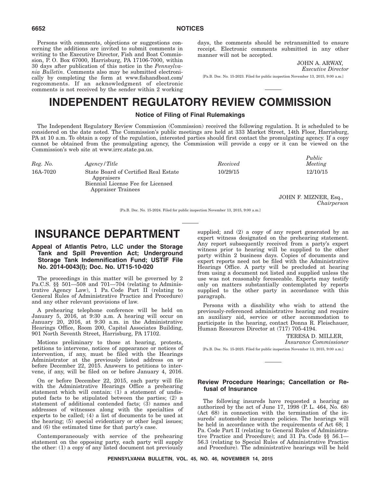Persons with comments, objections or suggestions concerning the additions are invited to submit comments in writing to the Executive Director, Fish and Boat Commission, P. O. Box 67000, Harrisburg, PA 17106-7000, within 30 days after publication of this notice in the *Pennsylvania Bulletin*. Comments also may be submitted electronically by completing the form at www.fishandboat.com/ regcomments. If an acknowledgment of electronic comments is not received by the sender within 2 working days, the comments should be retransmitted to ensure receipt. Electronic comments submitted in any other manner will not be accepted.

> JOHN A. ARWAY, *Executive Director*

[Pa.B. Doc. No. 15-2023. Filed for public inspection November 13, 2015, 9:00 a.m.]

# **INDEPENDENT REGULATORY REVIEW COMMISSION**

### **Notice of Filing of Final Rulemakings**

The Independent Regulatory Review Commission (Commission) received the following regulation. It is scheduled to be considered on the date noted. The Commission's public meetings are held at 333 Market Street, 14th Floor, Harrisburg, PA at 10 a.m. To obtain a copy of the regulation, interested parties should first contact the promulgating agency. If a copy cannot be obtained from the promulgating agency, the Commission will provide a copy or it can be viewed on the Commission's web site at www.irrc.state.pa.us.

| Reg. No. | Agency/Title                                                                                                         | Received | - - - - - - -<br>Meeting |
|----------|----------------------------------------------------------------------------------------------------------------------|----------|--------------------------|
| 16A-7020 | State Board of Certified Real Estate<br>Appraisers<br>Biennial License Fee for Licensed<br><b>Appraiser Trainees</b> | 10/29/15 | 12/10/15                 |
|          |                                                                                                                      |          |                          |

JOHN F. MIZNER, Esq., *Chairperson*

*Public*

[Pa.B. Doc. No. 15-2024. Filed for public inspection November 13, 2015, 9:00 a.m.]

# **INSURANCE DEPARTMENT**

## **Appeal of Atlantis Petro, LLC under the Storage Tank and Spill Prevention Act; Underground Storage Tank Indemnification Fund; USTIF File No. 2014-0043(I); Doc. No. UT15-10-020**

The proceedings in this matter will be governed by 2 Pa.C.S. §§ 501—508 and 701—704 (relating to Administrative Agency Law), 1 Pa. Code Part II (relating to General Rules of Administrative Practice and Procedure) and any other relevant provisions of law.

A prehearing telephone conference will be held on January 5, 2016, at 9:30 a.m. A hearing will occur on January 20, 2016, at 9:30 a.m. in the Administrative Hearings Office, Room 200, Capitol Associates Building, 901 North Seventh Street, Harrisburg, PA 17102.

Motions preliminary to those at hearing, protests, petitions to intervene, notices of appearance or notices of intervention, if any, must be filed with the Hearings Administrator at the previously listed address on or before December 22, 2015. Answers to petitions to intervene, if any, will be filed on or before January 4, 2016.

On or before December 22, 2015, each party will file with the Administrative Hearings Office a prehearing statement which will contain: (1) a statement of undisputed facts to be stipulated between the parties; (2) a statement of additional contended facts; (3) names and addresses of witnesses along with the specialties of experts to be called; (4) a list of documents to be used at the hearing; (5) special evidentiary or other legal issues; and (6) the estimated time for that party's case.

Contemporaneously with service of the prehearing statement on the opposing party, each party will supply the other: (1) a copy of any listed document not previously supplied; and (2) a copy of any report generated by an expert witness designated on the prehearing statement. Any report subsequently received from a party's expert witness prior to hearing will be supplied to the other party within 2 business days. Copies of documents and expert reports need not be filed with the Administrative Hearings Office. A party will be precluded at hearing from using a document not listed and supplied unless the use was not reasonably foreseeable. Experts may testify only on matters substantially contemplated by reports supplied to the other party in accordance with this paragraph.

Persons with a disability who wish to attend the previously-referenced administrative hearing and require an auxiliary aid, service or other accommodation to participate in the hearing, contact Donna R. Fleischauer, Human Resources Director at (717) 705-4194.

> TERESA D. MILLER, *Insurance Commissioner*

[Pa.B. Doc. No. 15-2025. Filed for public inspection November 13, 2015, 9:00 a.m.]

# **Review Procedure Hearings; Cancellation or Refusal of Insurance**

The following insureds have requested a hearing as authorized by the act of June 17, 1998 (P. L. 464, No. 68) (Act 68) in connection with the termination of the insureds' automobile insurance policies. The hearings will be held in accordance with the requirements of Act 68; 1 Pa. Code Part II (relating to General Rules of Administrative Practice and Procedure); and 31 Pa. Code §§ 56.1— 56.3 (relating to Special Rules of Administrative Practice and Procedure). The administrative hearings will be held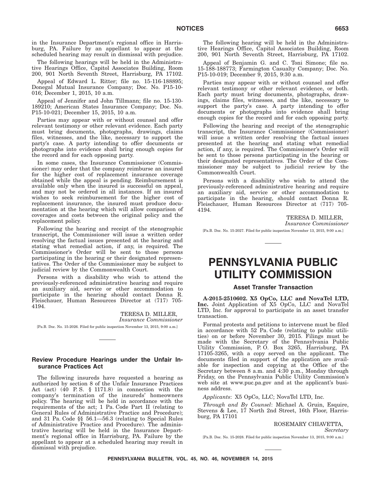in the Insurance Department's regional office in Harrisburg, PA. Failure by an appellant to appear at the scheduled hearing may result in dismissal with prejudice.

The following hearings will be held in the Administrative Hearings Office, Capitol Associates Building, Room 200, 901 North Seventh Street, Harrisburg, PA 17102.

Appeal of Edward L. Ritter; file no. 15-116-188895; Donegal Mutual Insurance Company; Doc. No. P15-10- 016; December 1, 2015, 10 a.m.

Appeal of Jennifer and John Tillmann; file no. 15-130- 189210; American States Insurance Company; Doc. No. P15-10-021; December 15, 2015, 10 a.m.

Parties may appear with or without counsel and offer relevant testimony or other relevant evidence. Each party must bring documents, photographs, drawings, claims files, witnesses, and the like, necessary to support the party's case. A party intending to offer documents or photographs into evidence shall bring enough copies for the record and for each opposing party.

In some cases, the Insurance Commissioner (Commissioner) may order that the company reimburse an insured for the higher cost of replacement insurance coverage obtained while the appeal is pending. Reimbursement is available only when the insured is successful on appeal, and may not be ordered in all instances. If an insured wishes to seek reimbursement for the higher cost of replacement insurance, the insured must produce documentation at the hearing which will allow comparison of coverages and costs between the original policy and the replacement policy.

Following the hearing and receipt of the stenographic transcript, the Commissioner will issue a written order resolving the factual issues presented at the hearing and stating what remedial action, if any, is required. The Commissioner's Order will be sent to those persons participating in the hearing or their designated representatives. The Order of the Commissioner may be subject to judicial review by the Commonwealth Court.

Persons with a disability who wish to attend the previously-referenced administrative hearing and require an auxiliary aid, service or other accommodation to participate in the hearing should contact Donna R. Fleischauer, Human Resources Director at (717) 705- 4194.

> TERESA D. MILLER, *Insurance Commissioner*

[Pa.B. Doc. No. 15-2026. Filed for public inspection November 13, 2015, 9:00 a.m.]

#### **Review Procedure Hearings under the Unfair Insurance Practices Act**

The following insureds have requested a hearing as authorized by section 8 of the Unfair Insurance Practices Act (act)  $(40 \text{ P.S. } § 1171.8)$  in connection with the company's termination of the insureds' homeowners policy. The hearing will be held in accordance with the requirements of the act; 1 Pa. Code Part II (relating to General Rules of Administrative Practice and Procedure); and 31 Pa. Code §§ 56.1—56.3 (relating to Special Rules of Administrative Practice and Procedure). The administrative hearing will be held in the Insurance Department's regional office in Harrisburg, PA. Failure by the appellant to appear at a scheduled hearing may result in dismissal with prejudice.

The following hearing will be held in the Administrative Hearings Office, Capitol Associates Building, Room 200, 901 North Seventh Street, Harrisburg, PA 17102.

Appeal of Benjamin G. and C. Toni Simone; file no. 15-188-188773; Farmington Casualty Company; Doc. No. P15-10-019; December 9, 2015, 9:30 a.m.

Parties may appear with or without counsel and offer relevant testimony or other relevant evidence, or both. Each party must bring documents, photographs, drawings, claims files, witnesses, and the like, necessary to support the party's case. A party intending to offer documents or photographs into evidence shall bring enough copies for the record and for each opposing party.

Following the hearing and receipt of the stenographic transcript, the Insurance Commissioner (Commissioner) will issue a written order resolving the factual issues presented at the hearing and stating what remedial action, if any, is required. The Commissioner's Order will be sent to those persons participating in the hearing or their designated representatives. The Order of the Commissioner may be subject to judicial review by the Commonwealth Court.

Persons with a disability who wish to attend the previously-referenced administrative hearing and require an auxiliary aid, service or other accommodation to participate in the hearing, should contact Donna R. Fleischauer, Human Resources Director at (717) 705- 4194.

> TERESA D. MILLER, *Insurance Commissioner*

[Pa.B. Doc. No. 15-2027. Filed for public inspection November 13, 2015, 9:00 a.m.]

# **PENNSYLVANIA PUBLIC UTILITY COMMISSION**

#### **Asset Transfer Transaction**

**A-2015-2510602. X5 OpCo, LLC and NovaTel LTD, Inc.** Joint Application of X5 OpCo, LLC and NovaTel LTD, Inc. for approval to participate in an asset transfer transaction.

Formal protests and petitions to intervene must be filed in accordance with 52 Pa. Code (relating to public utilities) on or before November 30, 2015. Filings must be made with the Secretary of the Pennsylvania Public Utility Commission, P. O. Box 3265, Harrisburg, PA 17105-3265, with a copy served on the applicant. The documents filed in support of the application are available for inspection and copying at the Office of the Secretary between 8 a.m. and 4:30 p.m., Monday through Friday, on the Pennsylvania Public Utility Commission's web site at www.puc.pa.gov and at the applicant's business address.

*Applicants*: X5 OpCo, LLC; NovaTel LTD, Inc.

*Through and By Counsel*: Michael A. Gruin, Esquire, Stevens & Lee, 17 North 2nd Street, 16th Floor, Harrisburg, PA 17101

ROSEMARY CHIAVETTA,

*Secretary*

[Pa.B. Doc. No. 15-2028. Filed for public inspection November 13, 2015, 9:00 a.m.]

**PENNSYLVANIA BULLETIN, VOL. 45, NO. 46, NOVEMBER 14, 2015**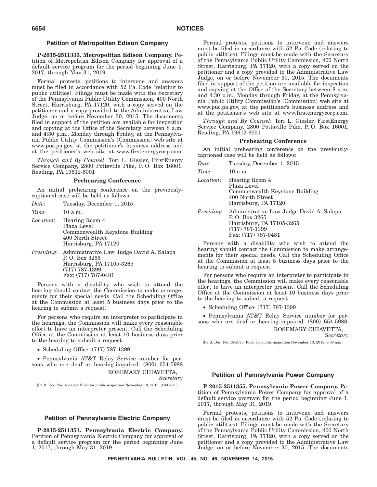#### **Petition of Metropolitan Edison Company**

**P-2015-2511333. Metropolitan Edison Company.** Petition of Metropolitan Edison Company for approval of a default service program for the period beginning June 1, 2017, through May 31, 2019.

Formal protests, petitions to intervene and answers must be filed in accordance with 52 Pa. Code (relating to public utilities). Filings must be made with the Secretary of the Pennsylvania Public Utility Commission, 400 North Street, Harrisburg, PA 17120, with a copy served on the petitioner and a copy provided to the Administrative Law Judge, on or before November 30, 2015. The documents filed in support of the petition are available for inspection and copying at the Office of the Secretary between 8 a.m. and 4:30 p.m., Monday through Friday, at the Pennsylvania Public Utility Commission's (Commission) web site at www.puc.pa.gov, at the petitioner's business address and at the petitioner's web site at www.firstenergycorp.com.

*Through and By Counsel*: Tori L. Giesler, FirstEnergy Service Company, 2800 Pottsville Pike, P. O. Box 16001, Reading, PA 19612-6001

#### **Prehearing Conference**

An initial prehearing conference on the previouslycaptioned case will be held as follows:

| Date:             | Tuesday, December 1, 2015                                                                                 | Harrisburg, 1                                                                                                |
|-------------------|-----------------------------------------------------------------------------------------------------------|--------------------------------------------------------------------------------------------------------------|
| Time:             | 10 a.m.                                                                                                   | Administrati<br><i>Presiding:</i>                                                                            |
| <i>Location:</i>  | Hearing Room 4<br>Plaza Level<br>Commonwealth Keystone Building<br>400 North Street                       | P.O. Box 326<br>Harrisburg, 1<br>$(717)$ 787-139<br>Fax: $(717)$ 78                                          |
|                   | Harrisburg, PA 17120                                                                                      | Persons with a disa                                                                                          |
| <i>Presiding:</i> | Administrative Law Judge David A. Salapa<br>P. O. Box 3265<br>Harrisburg, PA 17105-3265<br>(717) 787-1399 | hearing should contact t<br>ments for their special r<br>at the Commission at le<br>hearing to submit a requ |

Persons with a disability who wish to attend the hearing should contact the Commission to make arrangements for their special needs. Call the Scheduling Office at the Commission at least 5 business days prior to the hearing to submit a request.

For persons who require an interpreter to participate in the hearings, the Commission will make every reasonable effort to have an interpreter present. Call the Scheduling Office at the Commission at least 10 business days prior to the hearing to submit a request.

• Scheduling Office: (717) 787-1399

Fax: (717) 787-0481

• Pennsylvania AT&T Relay Service number for persons who are deaf or hearing-impaired: (800) 654-5988 ROSEMARY CHIAVETTA,

*Secretary*

[Pa.B. Doc. No. 15-2029. Filed for public inspection November 13, 2015, 9:00 a.m.]

# **Petition of Pennsylvania Electric Company**

**P-2015-2511351. Pennsylvania Electric Company.** Petition of Pennsylvania Electric Company for approval of a default service program for the period beginning June 1, 2017, through May 31, 2019.

Formal protests, petitions to intervene and answers must be filed in accordance with 52 Pa. Code (relating to public utilities). Filings must be made with the Secretary of the Pennsylvania Public Utility Commission, 400 North Street, Harrisburg, PA 17120, with a copy served on the petitioner and a copy provided to the Administrative Law Judge, on or before November 30, 2015. The documents filed in support of the petition are available for inspection and copying at the Office of the Secretary between 8 a.m. and 4:30 p.m., Monday through Friday, at the Pennsylvania Public Utility Commission's (Commission) web site at www.puc.pa.gov, at the petitioner's business address and at the petitioner's web site at www.firstenergycorp.com.

*Through and By Counsel*: Tori L. Giesler, FirstEnergy Service Company, 2800 Pottsville Pike, P. O. Box 16001, Reading, PA 19612-6001

#### **Prehearing Conference**

An initial prehearing conference on the previouslycaptioned case will be held as follows:<br>  $\Gamma$  is a following perception 1, 2015

| Date:             | Tuesday, December 1, 2015                                                                                                          |
|-------------------|------------------------------------------------------------------------------------------------------------------------------------|
| Time:             | 10a.m.                                                                                                                             |
| Location:         | Hearing Room 4<br>Plaza Level<br>Commonwealth Keystone Building<br>400 North Street<br>Harrisburg, PA 17120                        |
| <i>Presiding:</i> | Administrative Law Judge David A. Salapa<br>P. O. Box 3265<br>Harrisburg, PA 17105-3265<br>$(717)$ 787-1399<br>Fax: (717) 787-0481 |
|                   | Danaana mida oo dhaabilikm mka misko ka addanad d                                                                                  |

bility who wish to attend the he Commission to make arrangeneeds. Call the Scheduling Office at 5 business days prior to the hearing to submit a request.

For persons who require an interpreter to participate in the hearings, the Commission will make every reasonable effort to have an interpreter present. Call the Scheduling Office at the Commission at least 10 business days prior to the hearing to submit a request.

• Scheduling Office: (717) 787-1399

• Pennsylvania AT&T Relay Service number for persons who are deaf or hearing-impaired: (800) 654-5988. ROSEMARY CHIAVETTA,

*Secretary*

[Pa.B. Doc. No. 15-2030. Filed for public inspection November 13, 2015, 9:00 a.m.]

## **Petition of Pennsylvania Power Company**

**P-2015-2511355. Pennsylvania Power Company.** Petition of Pennsylvania Power Company for approval of a default service program for the period beginning June 1, 2017, through May 31, 2019.

Formal protests, petitions to intervene and answers must be filed in accordance with 52 Pa. Code (relating to public utilities). Filings must be made with the Secretary of the Pennsylvania Public Utility Commission, 400 North Street, Harrisburg, PA 17120, with a copy served on the petitioner and a copy provided to the Administrative Law Judge, on or before November 30, 2015. The documents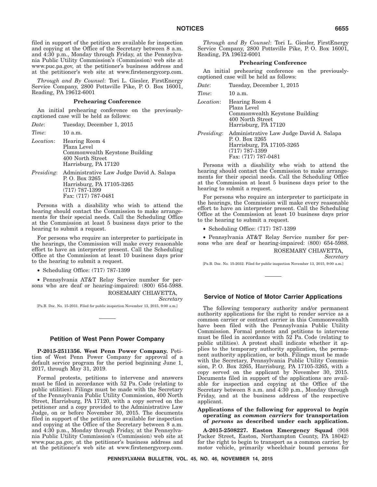filed in support of the petition are available for inspection and copying at the Office of the Secretary between 8 a.m. and 4:30 p.m., Monday through Friday, at the Pennsylvania Public Utility Commission's (Commission) web site at www.puc.pa.gov, at the petitioner's business address and at the petitioner's web site at www.firstenergycorp.com.

*Through and By Counsel*: Tori L. Giesler, FirstEnergy Service Company, 2800 Pottsville Pike, P. O. Box 16001, Reading, PA 19612-6001

#### **Prehearing Conference**

An initial prehearing conference on the previouslycaptioned case will be held as follows:

| Date:             | Tuesday, December 1, 2015                                                                                                          |
|-------------------|------------------------------------------------------------------------------------------------------------------------------------|
| Time:             | $10$ a.m.                                                                                                                          |
| <i>Location:</i>  | Hearing Room 4<br>Plaza Level<br>Commonwealth Keystone Building<br>400 North Street<br>Harrisburg, PA 17120                        |
| <i>Presiding:</i> | Administrative Law Judge David A. Salapa<br>P. O. Box 3265<br>Harrisburg, PA 17105-3265<br>$(717)$ 787-1399<br>Fax: (717) 787-0481 |

Persons with a disability who wish to attend the hearing should contact the Commission to make arrangements for their special needs. Call the Scheduling Office at the Commission at least 5 business days prior to the hearing to submit a request.

For persons who require an interpreter to participate in the hearings, the Commission will make every reasonable effort to have an interpreter present. Call the Scheduling Office at the Commission at least 10 business days prior to the hearing to submit a request.

• Scheduling Office: (717) 787-1399

• Pennsylvania AT&T Relay Service number for persons who are deaf or hearing-impaired: (800) 654-5988.

> ROSEMARY CHIAVETTA, *Secretary*

[Pa.B. Doc. No. 15-2031. Filed for public inspection November 13, 2015, 9:00 a.m.]

#### **Petition of West Penn Power Company**

**P-2015-2511356. West Penn Power Company.** Petition of West Penn Power Company for approval of a default service program for the period beginning June 1, 2017, through May 31, 2019.

Formal protests, petitions to intervene and answers must be filed in accordance with 52 Pa. Code (relating to public utilities). Filings must be made with the Secretary of the Pennsylvania Public Utility Commission, 400 North Street, Harrisburg, PA 17120, with a copy served on the petitioner and a copy provided to the Administrative Law Judge, on or before November 30, 2015. The documents filed in support of the petition are available for inspection and copying at the Office of the Secretary between 8 a.m. and 4:30 p.m., Monday through Friday, at the Pennsylvania Public Utility Commission's (Commission) web site at www.puc.pa.gov, at the petitioner's business address and at the petitioner's web site at www.firstenergycorp.com.

*Through and By Counsel*: Tori L. Giesler, FirstEnergy Service Company, 2800 Pottsville Pike, P. O. Box 16001, Reading, PA 19612-6001

#### **Prehearing Conference**

An initial prehearing conference on the previouslycaptioned case will be held as follows:

| Date:             | Tuesday, December 1, 2015                                                                                                          |
|-------------------|------------------------------------------------------------------------------------------------------------------------------------|
| Time:             | 10a.m.                                                                                                                             |
| Location:         | Hearing Room 4<br>Plaza Level<br>Commonwealth Keystone Building<br>400 North Street<br>Harrisburg, PA 17120                        |
| <i>Presiding:</i> | Administrative Law Judge David A. Salapa<br>P. O. Box 3265<br>Harrisburg, PA 17105-3265<br>$(717)$ 787-1399<br>Fax: (717) 787-0481 |

Persons with a disability who wish to attend the hearing should contact the Commission to make arrangements for their special needs. Call the Scheduling Office at the Commission at least 5 business days prior to the hearing to submit a request.

For persons who require an interpreter to participate in the hearings, the Commission will make every reasonable effort to have an interpreter present. Call the Scheduling Office at the Commission at least 10 business days prior to the hearing to submit a request.

• Scheduling Office: (717) 787-1399

• Pennsylvania AT&T Relay Service number for persons who are deaf or hearing-impaired: (800) 654-5988.

> ROSEMARY CHIAVETTA, *Secretary*

[Pa.B. Doc. No. 15-2032. Filed for public inspection November 13, 2015, 9:00 a.m.]

#### **Service of Notice of Motor Carrier Applications**

The following temporary authority and/or permanent authority applications for the right to render service as a common carrier or contract carrier in this Commonwealth have been filed with the Pennsylvania Public Utility Commission. Formal protests and petitions to intervene must be filed in accordance with 52 Pa. Code (relating to public utilities). A protest shall indicate whether it applies to the temporary authority application, the permanent authority application, or both. Filings must be made with the Secretary, Pennsylvania Public Utility Commission, P. O. Box 3265, Harrisburg, PA 17105-3265, with a copy served on the applicant by November 30, 2015. Documents filed in support of the applications are available for inspection and copying at the Office of the Secretary between 8 a.m. and 4:30 p.m., Monday through Friday, and at the business address of the respective applicant.

#### **Applications of the following for approval to** *begin* **operating as** *common carriers* **for transportation of** *persons* **as described under each application.**

**A-2015-2508227. Easton Emergency Squad** (908 Packer Street, Easton, Northampton County, PA 18042) for the right to begin to transport as a common carrier, by motor vehicle, primarily wheelchair bound persons for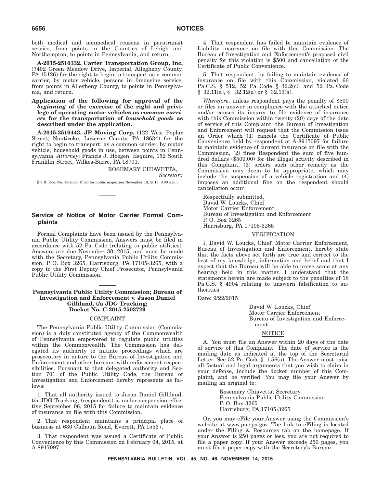both medical and nonmedical reasons in paratransit service, from points in the Counties of Lehigh and Northampton, to points in Pennsylvania, and return.

**A-2015-2510332. Carter Transportation Group, Inc.** (7402 Green Meadow Drive, Imperial, Allegheny County, PA 15126) for the right to begin to transport as a common carrier, by motor vehicle, persons in limousine service, from points in Allegheny County, to points in Pennsylvania, and return.

**Application of the following for approval of the** *beginning* **of the exercise of the right and privilege of operating motor vehicles as** *common carriers* **for the transportation of** *household goods* **as described under the application.**

**A-2015-2510443. JP Moving Corp.** (122 West Poplar Street, Nanticoke, Luzerne County, PA 18634) for the right to begin to transport, as a common carrier, by motor vehicle, household goods in use, between points in Pennsylvania. *Attorney*: Francis J. Hoegen, Esquire, 152 South Franklin Street, Wilkes-Barre, PA 18701.

> ROSEMARY CHIAVETTA, *Secretary*

[Pa.B. Doc. No. 15-2033. Filed for public inspection November 13, 2015, 9:00 a.m.]

### **Service of Notice of Motor Carrier Formal Complaints**

Formal Complaints have been issued by the Pennsylvania Public Utility Commission. Answers must be filed in accordance with 52 Pa. Code (relating to public utilities). Answers are due November 30, 2015, and must be made with the Secretary, Pennsylvania Public Utility Commission, P. O. Box 3265, Harrisburg, PA 17105-3265, with a copy to the First Deputy Chief Prosecutor, Pennsylvania Public Utility Commission.

#### **Pennsylvania Public Utility Commission; Bureau of Investigation and Enforcement v. Jason Daniel Gilliland, t/a JDG Trucking; Docket No. C-2015-2503729**

#### COMPLAINT

The Pennsylvania Public Utility Commission (Commission) is a duly constituted agency of the Commonwealth of Pennsylvania empowered to regulate public utilities within the Commonwealth. The Commission has delegated its authority to initiate proceedings which are prosecutory in nature to the Bureau of Investigation and Enforcement and other bureaus with enforcement responsibilities. Pursuant to that delegated authority and Section 701 of the Public Utility Code, the Bureau of Investigation and Enforcement hereby represents as follows:

1. That all authority issued to Jason Daniel Gilliland, t/a JDG Trucking, (respondent) is under suspension effective September 06, 2015 for failure to maintain evidence of insurance on file with this Commission.

2. That respondent maintains a principal place of business at 630 Calhoun Road, Everett, PA 15537.

3. That respondent was issued a Certificate of Public Convenience by this Commission on February 04, 2015, at A-8917097.

4. That respondent has failed to maintain evidence of Liability insurance on file with this Commission. The Bureau of Investigation and Enforcement's proposed civil penalty for this violation is \$500 and cancellation of the Certificate of Public Convenience.

5. That respondent, by failing to maintain evidence of insurance on file with this Commission, violated 66 Pa.C.S. § 512, 52 Pa. Code § 32.2(c), and 52 Pa. Code  $§$  32.11(a),  $§$  32.12(a) or  $§$  32.13(a).

*Wherefore*, unless respondent pays the penalty of \$500 or files an answer in compliance with the attached notice and/or causes its insurer to file evidence of insurance with this Commission within twenty (20) days of the date of service of this Complaint, the Bureau of Investigation and Enforcement will request that the Commission issue an Order which (1) cancels the Certificate of Public Convenience held by respondent at A-8917097 for failure to maintain evidence of current insurance on file with the Commission, (2) fines Respondent the sum of five hundred dollars (\$500.00) for the illegal activity described in this Complaint, (3) orders such other remedy as the Commission may deem to be appropriate, which may include the suspension of a vehicle registration and (4) imposes an additional fine on the respondent should cancellation occur.

Respectfully submitted, David W. Loucks, Chief Motor Carrier Enforcement Bureau of Investigation and Enforcement P. O. Box 3265 Harrisburg, PA 17105-3265

#### VERIFICATION

I, David W. Loucks, Chief, Motor Carrier Enforcement, Bureau of Investigation and Enforcement, hereby state that the facts above set forth are true and correct to the best of my knowledge, information and belief and that I expect that the Bureau will be able to prove same at any hearing held in this matter. I understand that the statements herein are made subject to the penalties of 18 Pa.C.S. § 4904 relating to unsworn falsification to authorities.

Date: 9/22/2015

David W. Loucks, Chief Motor Carrier Enforcement Bureau of Investigation and Enforcement

#### NOTICE

A. You must file an Answer within 20 days of the date of service of this Complaint. The date of service is the mailing date as indicated at the top of the Secretarial Letter. See 52 Pa. Code § 1.56(a). The Answer must raise all factual and legal arguments that you wish to claim in your defense, include the docket number of this Complaint, and be verified. You may file your Answer by mailing an original to:

> Rosemary Chiavetta, Secretary Pennsylvania Public Utility Commission P. O. Box 3265 Harrisburg, PA 17105-3265

Or, you may eFile your Answer using the Commission's website at www.puc.pa.gov. The link to eFiling is located under the Filing & Resources tab on the homepage. If your Answer is 250 pages or less, you are not required to file a paper copy. If your Answer exceeds 250 pages, you must file a paper copy with the Secretary's Bureau.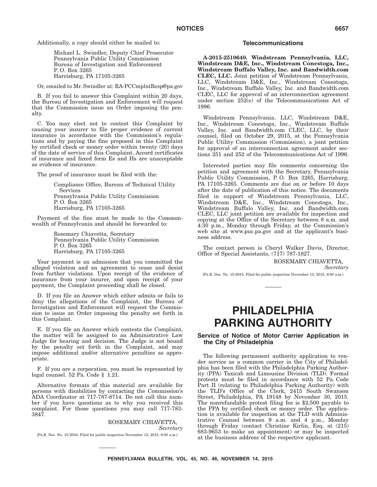Additionally, a copy should either be mailed to:

Michael L. Swindler, Deputy Chief Prosecutor Pennsylvania Public Utility Commission Bureau of Investigation and Enforcement P. O. Box 3265 Harrisburg, PA 17105-3265

Or, emailed to Mr. Swindler at: RA-PCCmplntResp@pa.gov

B. If you fail to answer this Complaint within 20 days, the Bureau of Investigation and Enforcement will request that the Commission issue an Order imposing the penalty.

C. You may elect not to contest this Complaint by causing your insurer to file proper evidence of current insurance in accordance with the Commission's regulations and by paying the fine proposed in this Complaint by certified check or money order within twenty (20) days of the date of service of this Complaint. Accord certificates of insurance and faxed form Es and Hs are unacceptable as evidence of insurance.

The proof of insurance must be filed with the:

Compliance Office, Bureau of Technical Utility Services Pennsylvania Public Utility Commission P. O. Box 3265 Harrisburg, PA 17105-3265

Payment of the fine must be made to the Commonwealth of Pennsylvania and should be forwarded to:

> Rosemary Chiavetta, Secretary Pennsylvania Public Utility Commission P. O. Box 3265 Harrisburg, PA 17105-3265

Your payment is an admission that you committed the alleged violation and an agreement to cease and desist from further violations. Upon receipt of the evidence of insurance from your insurer, and upon receipt of your payment, the Complaint proceeding shall be closed.

D. If you file an Answer which either admits or fails to deny the allegations of the Complaint, the Bureau of Investigation and Enforcement will request the Commission to issue an Order imposing the penalty set forth in this Complaint.

E. If you file an Answer which contests the Complaint, the matter will be assigned to an Administrative Law Judge for hearing and decision. The Judge is not bound by the penalty set forth in the Complaint, and may impose additional and/or alternative penalties as appropriate.

F. If you are a corporation, you must be represented by legal counsel. 52 Pa. Code § 1.21.

Alternative formats of this material are available for persons with disabilities by contacting the Commission's ADA Coordinator at 717-787-8714. Do not call this number if you have questions as to why you received this complaint. For those questions you may call 717-783- 3847.

> ROSEMARY CHIAVETTA, *Secretary*

[Pa.B. Doc. No. 15-2034. Filed for public inspection November 13, 2015, 9:00 a.m.]

#### **Telecommunications**

**A-2015-2510640. Windstream Pennsylvania, LLC, Windstream D&E, Inc., Windstream Conestoga, Inc., Windstream Buffalo Valley, Inc. and Bandwidth.com CLEC, LLC.** Joint petition of Windstream Pennsylvania, LLC, Windstream D&E, Inc., Windstream Conestoga, Inc., Windstream Buffalo Valley, Inc. and Bandwidth.com CLEC, LLC for approval of an interconnection agreement under section 252(e) of the Telecommunications Act of 1996.

Windstream Pennsylvania, LLC, Windstream D&E, Inc., Windstream Conestoga, Inc., Windstream Buffalo Valley, Inc. and Bandwidth.com CLEC, LLC, by their counsel, filed on October 29, 2015, at the Pennsylvania Public Utility Commission (Commission), a joint petition for approval of an interconnection agreement under sections 251 and 252 of the Telecommunications Act of 1996.

Interested parties may file comments concerning the petition and agreement with the Secretary, Pennsylvania Public Utility Commission, P. O. Box 3265, Harrisburg, PA 17105-3265. Comments are due on or before 10 days after the date of publication of this notice. The documents filed in support of Windstream Pennsylvania, LLC, Windstream D&E, Inc., Windstream Conestoga, Inc., Windstream Buffalo Valley, Inc. and Bandwidth.com CLEC, LLC joint petition are available for inspection and copying at the Office of the Secretary between 8 a.m. and 4:30 p.m., Monday through Friday, at the Commission's web site at www.puc.pa.gov and at the applicant's business address.

The contact person is Cheryl Walker Davis, Director, Office of Special Assistants, (717) 787-1827.

ROSEMARY CHIAVETTA,

*Secretary*

[Pa.B. Doc. No. 15-2035. Filed for public inspection November 13, 2015, 9:00 a.m.]

# **PHILADELPHIA PARKING AUTHORITY**

### **Service of Notice of Motor Carrier Application in the City of Philadelphia**

The following permanent authority application to render service as a common carrier in the City of Philadelphia has been filed with the Philadelphia Parking Authority (PPA) Taxicab and Limousine Division (TLD). Formal protests must be filed in accordance with 52 Pa. Code Part II (relating to Philadelphia Parking Authority) with the TLD's Office of the Clerk, 2415 South Swanson Street, Philadelphia, PA 19148 by November 30, 2015. The nonrefundable protest filing fee is \$2,500 payable to the PPA by certified check or money order. The application is available for inspection at the TLD with Administrative Counsel between 9 a.m. and 4 p.m., Monday through Friday (contact Christine Kirlin, Esq. at (215) 683-9653 to make an appointment) or may be inspected at the business address of the respective applicant.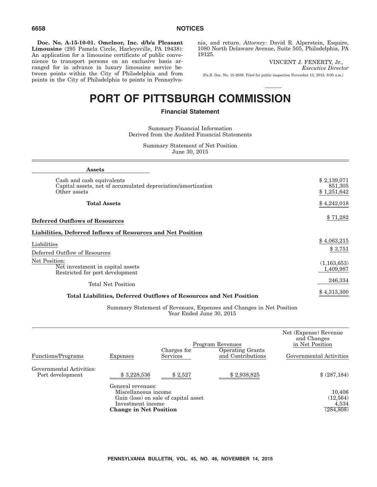**Doc. No. A-15-10-01. Omelnor, Inc. d/b/a Pleasant Limousine** (295 Pamela Circle, Harleysville, PA 19438): An application for a limousine certificate of public convenience to transport persons on an exclusive basis arranged for in advance in luxury limousine service between points within the City of Philadelphia and from points in the City of Philadelphia to points in Pennsylvania, and return. *Attorney*: David R. Alperstein, Esquire, 1080 North Delaware Avenue, Suite 505, Philadelphia, PA 19125.

VINCENT J. FENERTY, Jr.,

*Executive Director*

[Pa.B. Doc. No. 15-2036. Filed for public inspection November 13, 2015, 9:00 a.m.]

# **PORT OF PITTSBURGH COMMISSION**

# **Financial Statement**

Summary Financial Information Derived from the Audited Financial Statements

> Summary Statement of Net Position June 30, 2015

| <b>Assets</b>                                                                                             |                                       |
|-----------------------------------------------------------------------------------------------------------|---------------------------------------|
| Cash and cash equivalents<br>Capital assets, net of accumulated depreciation/amortization<br>Other assets | \$2,139,071<br>851,305<br>\$1,251,642 |
| <b>Total Assets</b>                                                                                       | \$4,242,018                           |
| <b>Deferred Outflows of Resources</b>                                                                     | \$71,282                              |
| Liabilities, Deferred Inflows of Resources and Net Position                                               |                                       |
| Liabilities                                                                                               | \$4,063,215                           |
| Deferred Outflow of Resources                                                                             | \$3,751                               |
| Net Position:<br>Net investment in capital assets<br>Restricted for port development                      | (1,163,653)<br>1,409,987              |
| <b>Total Net Position</b>                                                                                 | 246,334                               |
| Total Liabilities, Deferred Outflows of Resources and Net Position                                        | \$4,313,300                           |

Summary Statement of Revenues, Expenses and Changes in Net Position Year Ended June 30, 2015

| <b>Functions/Programs</b>                    | <b>Expenses</b>                                                                                                                         | Charges for<br>Services | Program Revenues<br><b>Operating Grants</b><br>and Contributions | Net (Expense) Revenue<br>and Changes<br>in Net Position<br>Governmental Activities |
|----------------------------------------------|-----------------------------------------------------------------------------------------------------------------------------------------|-------------------------|------------------------------------------------------------------|------------------------------------------------------------------------------------|
| Governmental Activities:<br>Port development | \$3,228,536                                                                                                                             | \$2,527                 | \$2,938,825                                                      | \$(287,184)                                                                        |
|                                              | General revenues:<br>Miscellaneous income<br>Gain (loss) on sale of capital asset<br>Investment income<br><b>Change in Net Position</b> |                         |                                                                  | 10,406<br>(12, 564)<br>4,534<br>(284, 808)                                         |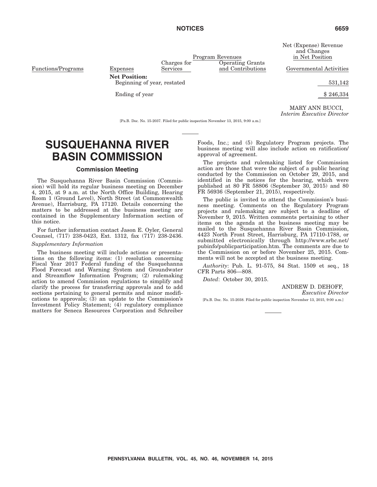Net (Expense) Revenue and Changes in Net Position

and Contributions Governmental Activities

MARY ANN BUCCI, *Interim Executive Director*

[Pa.B. Doc. No. 15-2037. Filed for public inspection November 13, 2015, 9:00 a.m.]

# Charges for

Services

Program Revenues Operating Grants

Functions/Programs Expenses **Net Position:**

Beginning of year, restated 531,142

Ending of year  $\frac{1}{2}$  8 246,334

**SUSQUEHANNA RIVER**

## **Commission Meeting**

**BASIN COMMISSION**

The Susquehanna River Basin Commission (Commission) will hold its regular business meeting on December 4, 2015, at 9 a.m. at the North Office Building, Hearing Room 1 (Ground Level), North Street (at Commonwealth Avenue), Harrisburg, PA 17120. Details concerning the matters to be addressed at the business meeting are contained in the Supplementary Information section of this notice.

For further information contact Jason E. Oyler, General Counsel, (717) 238-0423, Ext. 1312, fax (717) 238-2436.

#### *Supplementary Information*

The business meeting will include actions or presentations on the following items: (1) resolution concerning Fiscal Year 2017 Federal funding of the Susquehanna Flood Forecast and Warning System and Groundwater and Streamflow Information Program; (2) rulemaking action to amend Commission regulations to simplify and clarify the process for transferring approvals and to add sections pertaining to general permits and minor modifications to approvals; (3) an update to the Commission's Investment Policy Statement; (4) regulatory compliance matters for Seneca Resources Corporation and Schreiber Foods, Inc.; and (5) Regulatory Program projects. The business meeting will also include action on ratification/ approval of agreement.

The projects and rulemaking listed for Commission action are those that were the subject of a public hearing conducted by the Commission on October 29, 2015, and identified in the notices for the hearing, which were published at 80 FR 58806 (September 30, 2015) and 80 FR 56936 (September 21, 2015), respectively.

The public is invited to attend the Commission's business meeting. Comments on the Regulatory Program projects and rulemaking are subject to a deadline of November 9, 2015. Written comments pertaining to other items on the agenda at the business meeting may be mailed to the Susquehanna River Basin Commission, 4423 North Front Street, Harrisburg, PA 17110-1788, or submitted electronically through http://www.srbc.net/ pubinfo/publicparticipation.htm. The comments are due to the Commission on or before November 25, 2015. Comments will not be accepted at the business meeting.

*Authority*: Pub. L. 91-575, 84 Stat. 1509 et seq., 18 CFR Parts 806—808.

*Dated*: October 30, 2015.

ANDREW D. DEHOFF,

*Executive Director*

[Pa.B. Doc. No. 15-2038. Filed for public inspection November 13, 2015, 9:00 a.m.]